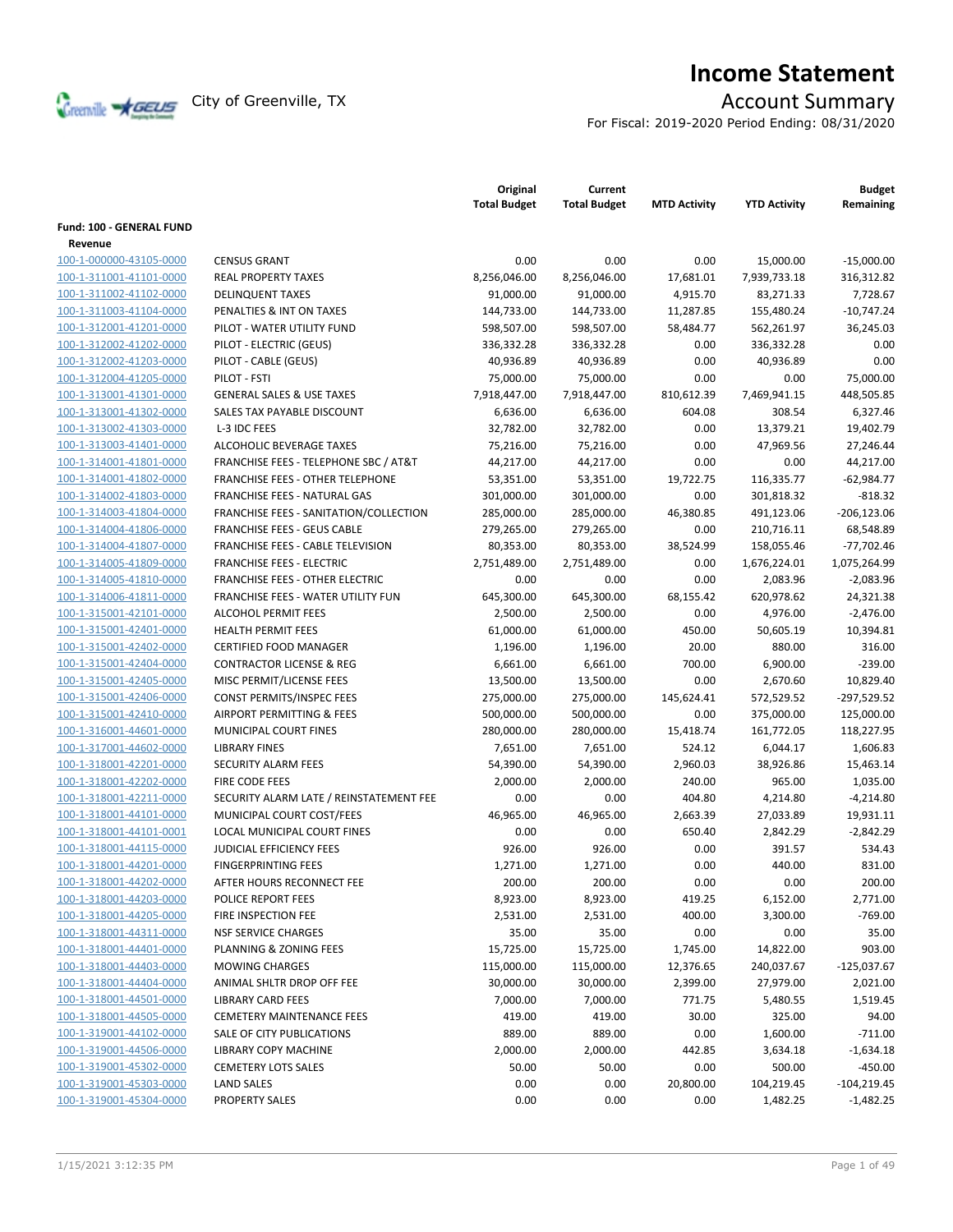

# **Income Statement**

For Fiscal: 2019-2020 Period Ending: 08/31/2020

|                          |                                                  | Original<br><b>Total Budget</b> | Current<br><b>Total Budget</b> | <b>MTD Activity</b> | <b>YTD Activity</b> | <b>Budget</b><br>Remaining |
|--------------------------|--------------------------------------------------|---------------------------------|--------------------------------|---------------------|---------------------|----------------------------|
| Fund: 100 - GENERAL FUND |                                                  |                                 |                                |                     |                     |                            |
| Revenue                  |                                                  |                                 |                                |                     |                     |                            |
| 100-1-000000-43105-0000  | <b>CENSUS GRANT</b>                              | 0.00                            | 0.00                           | 0.00                | 15,000.00           | $-15,000.00$               |
| 100-1-311001-41101-0000  | <b>REAL PROPERTY TAXES</b>                       | 8,256,046.00                    | 8,256,046.00                   | 17,681.01           | 7,939,733.18        | 316,312.82                 |
| 100-1-311002-41102-0000  | <b>DELINQUENT TAXES</b>                          | 91,000.00                       | 91,000.00                      | 4,915.70            | 83,271.33           | 7,728.67                   |
| 100-1-311003-41104-0000  | PENALTIES & INT ON TAXES                         | 144,733.00                      | 144,733.00                     | 11,287.85           | 155,480.24          | $-10,747.24$               |
| 100-1-312001-41201-0000  | PILOT - WATER UTILITY FUND                       | 598,507.00                      | 598,507.00                     | 58,484.77           | 562,261.97          | 36,245.03                  |
| 100-1-312002-41202-0000  | PILOT - ELECTRIC (GEUS)                          | 336,332.28                      | 336,332.28                     | 0.00                | 336,332.28          | 0.00                       |
| 100-1-312002-41203-0000  | PILOT - CABLE (GEUS)                             | 40,936.89                       | 40,936.89                      | 0.00                | 40,936.89           | 0.00                       |
| 100-1-312004-41205-0000  | PILOT - FSTI                                     | 75,000.00                       | 75,000.00                      | 0.00                | 0.00                | 75.000.00                  |
| 100-1-313001-41301-0000  | <b>GENERAL SALES &amp; USE TAXES</b>             | 7,918,447.00                    | 7,918,447.00                   | 810,612.39          | 7,469,941.15        | 448,505.85                 |
| 100-1-313001-41302-0000  | SALES TAX PAYABLE DISCOUNT                       | 6,636.00                        | 6,636.00                       | 604.08              | 308.54              | 6,327.46                   |
| 100-1-313002-41303-0000  | L-3 IDC FEES                                     | 32,782.00                       | 32,782.00                      | 0.00                | 13,379.21           | 19,402.79                  |
| 100-1-313003-41401-0000  | ALCOHOLIC BEVERAGE TAXES                         | 75,216.00                       | 75,216.00                      | 0.00                | 47,969.56           | 27,246.44                  |
| 100-1-314001-41801-0000  | <b>FRANCHISE FEES - TELEPHONE SBC / AT&amp;T</b> | 44,217.00                       | 44,217.00                      | 0.00                | 0.00                | 44,217.00                  |
| 100-1-314001-41802-0000  | <b>FRANCHISE FEES - OTHER TELEPHONE</b>          | 53,351.00                       | 53,351.00                      | 19,722.75           | 116,335.77          | $-62,984.77$               |
| 100-1-314002-41803-0000  | FRANCHISE FEES - NATURAL GAS                     | 301,000.00                      | 301,000.00                     | 0.00                | 301,818.32          | $-818.32$                  |
| 100-1-314003-41804-0000  | FRANCHISE FEES - SANITATION/COLLECTION           | 285,000.00                      | 285,000.00                     | 46,380.85           | 491,123.06          | $-206, 123.06$             |
| 100-1-314004-41806-0000  | <b>FRANCHISE FEES - GEUS CABLE</b>               | 279,265.00                      | 279,265.00                     | 0.00                | 210,716.11          | 68,548.89                  |
| 100-1-314004-41807-0000  | FRANCHISE FEES - CABLE TELEVISION                | 80,353.00                       | 80,353.00                      | 38,524.99           | 158,055.46          | $-77,702.46$               |
| 100-1-314005-41809-0000  | <b>FRANCHISE FEES - ELECTRIC</b>                 | 2,751,489.00                    | 2,751,489.00                   | 0.00                | 1,676,224.01        | 1,075,264.99               |
| 100-1-314005-41810-0000  | <b>FRANCHISE FEES - OTHER ELECTRIC</b>           | 0.00                            | 0.00                           | 0.00                | 2,083.96            | $-2,083.96$                |
| 100-1-314006-41811-0000  | <b>FRANCHISE FEES - WATER UTILITY FUN</b>        | 645,300.00                      | 645,300.00                     | 68,155.42           | 620,978.62          | 24,321.38                  |
| 100-1-315001-42101-0000  | <b>ALCOHOL PERMIT FEES</b>                       | 2,500.00                        | 2,500.00                       | 0.00                | 4,976.00            | $-2,476.00$                |
| 100-1-315001-42401-0000  | <b>HEALTH PERMIT FEES</b>                        | 61,000.00                       | 61,000.00                      | 450.00              | 50,605.19           | 10,394.81                  |
| 100-1-315001-42402-0000  | <b>CERTIFIED FOOD MANAGER</b>                    | 1,196.00                        | 1,196.00                       | 20.00               | 880.00              | 316.00                     |
| 100-1-315001-42404-0000  | <b>CONTRACTOR LICENSE &amp; REG</b>              | 6,661.00                        | 6,661.00                       | 700.00              | 6,900.00            | $-239.00$                  |
| 100-1-315001-42405-0000  | MISC PERMIT/LICENSE FEES                         | 13,500.00                       | 13,500.00                      | 0.00                | 2,670.60            | 10,829.40                  |
| 100-1-315001-42406-0000  | CONST PERMITS/INSPEC FEES                        | 275,000.00                      | 275,000.00                     | 145,624.41          | 572,529.52          | $-297,529.52$              |
| 100-1-315001-42410-0000  | AIRPORT PERMITTING & FEES                        | 500,000.00                      | 500,000.00                     | 0.00                | 375,000.00          | 125,000.00                 |
| 100-1-316001-44601-0000  | MUNICIPAL COURT FINES                            | 280,000.00                      | 280,000.00                     | 15,418.74           | 161,772.05          | 118,227.95                 |
| 100-1-317001-44602-0000  | <b>LIBRARY FINES</b>                             | 7,651.00                        | 7,651.00                       | 524.12              | 6,044.17            | 1,606.83                   |
| 100-1-318001-42201-0000  | SECURITY ALARM FEES                              | 54,390.00                       | 54,390.00                      | 2,960.03            | 38,926.86           | 15,463.14                  |
| 100-1-318001-42202-0000  | <b>FIRE CODE FEES</b>                            | 2,000.00                        | 2,000.00                       | 240.00              | 965.00              | 1,035.00                   |
| 100-1-318001-42211-0000  | SECURITY ALARM LATE / REINSTATEMENT FEE          | 0.00                            | 0.00                           | 404.80              | 4,214.80            | $-4,214.80$                |
| 100-1-318001-44101-0000  | MUNICIPAL COURT COST/FEES                        | 46,965.00                       | 46,965.00                      | 2,663.39            | 27,033.89           | 19,931.11                  |
| 100-1-318001-44101-0001  | LOCAL MUNICIPAL COURT FINES                      | 0.00                            | 0.00                           | 650.40              | 2,842.29            | $-2,842.29$                |
| 100-1-318001-44115-0000  | <b>JUDICIAL EFFICIENCY FEES</b>                  | 926.00                          | 926.00                         | 0.00                | 391.57              | 534.43                     |
| 100-1-318001-44201-0000  | <b>FINGERPRINTING FEES</b>                       | 1,271.00                        | 1,271.00                       | 0.00                | 440.00              | 831.00                     |
| 100-1-318001-44202-0000  | AFTER HOURS RECONNECT FEE                        | 200.00                          | 200.00                         | 0.00                | 0.00                | 200.00                     |
| 100-1-318001-44203-0000  | POLICE REPORT FEES                               | 8,923.00                        | 8,923.00                       | 419.25              | 6,152.00            | 2,771.00                   |
| 100-1-318001-44205-0000  | FIRE INSPECTION FEE                              | 2,531.00                        | 2,531.00                       | 400.00              | 3,300.00            | -769.00                    |
| 100-1-318001-44311-0000  | <b>NSF SERVICE CHARGES</b>                       | 35.00                           | 35.00                          | 0.00                | 0.00                | 35.00                      |
| 100-1-318001-44401-0000  | PLANNING & ZONING FEES                           | 15,725.00                       | 15,725.00                      | 1,745.00            | 14,822.00           | 903.00                     |
| 100-1-318001-44403-0000  | <b>MOWING CHARGES</b>                            | 115,000.00                      | 115,000.00                     | 12,376.65           | 240,037.67          | $-125,037.67$              |
| 100-1-318001-44404-0000  | ANIMAL SHLTR DROP OFF FEE                        | 30,000.00                       | 30,000.00                      | 2,399.00            | 27,979.00           | 2,021.00                   |
| 100-1-318001-44501-0000  | <b>LIBRARY CARD FEES</b>                         | 7,000.00                        | 7,000.00                       | 771.75              | 5,480.55            | 1,519.45                   |
| 100-1-318001-44505-0000  | <b>CEMETERY MAINTENANCE FEES</b>                 | 419.00                          | 419.00                         | 30.00               | 325.00              | 94.00                      |
| 100-1-319001-44102-0000  | SALE OF CITY PUBLICATIONS                        | 889.00                          | 889.00                         | 0.00                | 1,600.00            | $-711.00$                  |
| 100-1-319001-44506-0000  | LIBRARY COPY MACHINE                             | 2,000.00                        | 2,000.00                       | 442.85              | 3,634.18            | $-1,634.18$                |
| 100-1-319001-45302-0000  | <b>CEMETERY LOTS SALES</b>                       | 50.00                           | 50.00                          | 0.00                | 500.00              | $-450.00$                  |
| 100-1-319001-45303-0000  | <b>LAND SALES</b>                                | 0.00                            | 0.00                           | 20,800.00           | 104,219.45          | $-104,219.45$              |
| 100-1-319001-45304-0000  | PROPERTY SALES                                   | 0.00                            | 0.00                           | 0.00                | 1,482.25            | $-1,482.25$                |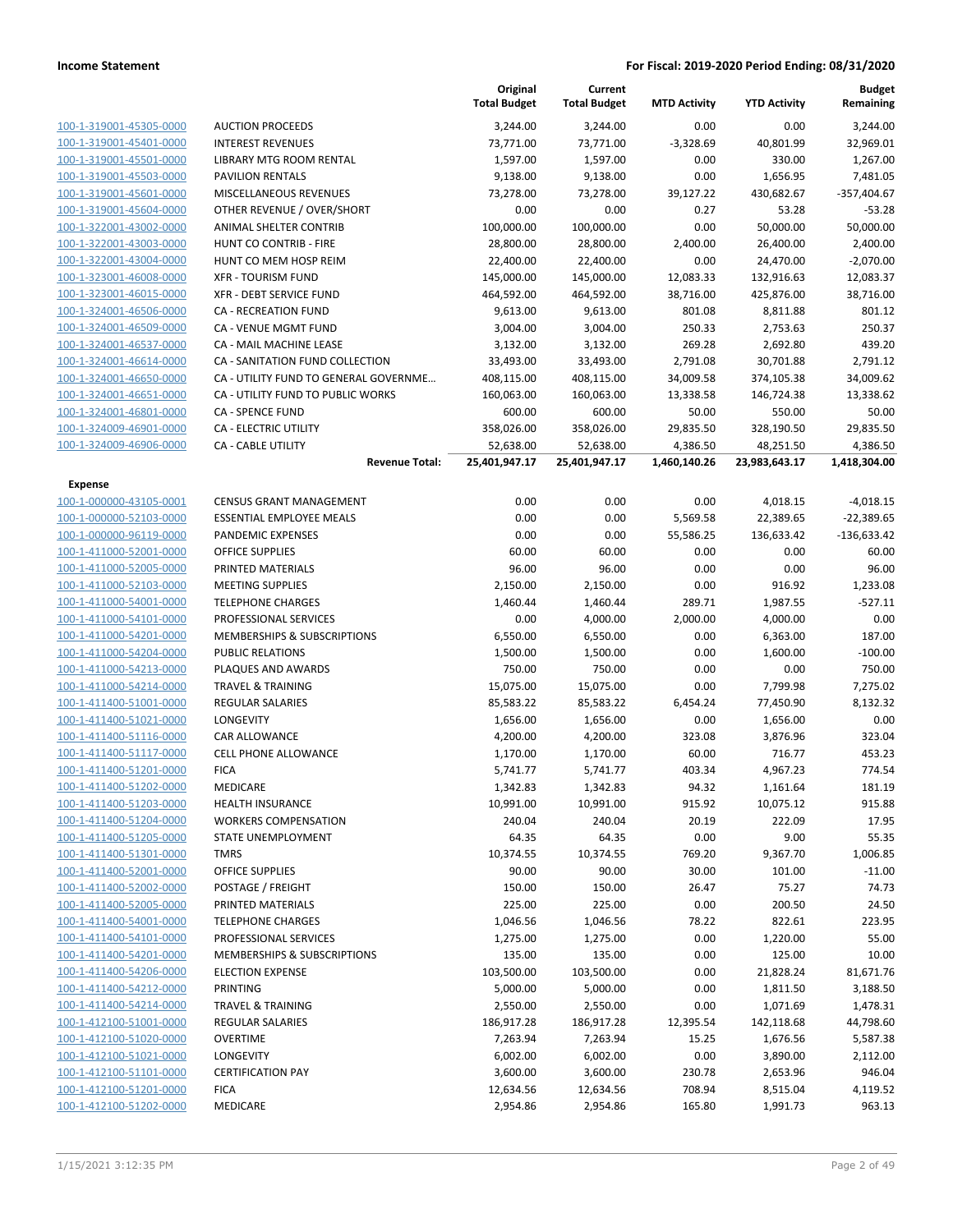|                                                    |                                                   | Original<br><b>Total Budget</b> | Current<br><b>Total Budget</b> | <b>MTD Activity</b> | <b>YTD Activity</b> | <b>Budget</b><br>Remaining |
|----------------------------------------------------|---------------------------------------------------|---------------------------------|--------------------------------|---------------------|---------------------|----------------------------|
| 100-1-319001-45305-0000                            | <b>AUCTION PROCEEDS</b>                           | 3,244.00                        | 3,244.00                       | 0.00                | 0.00                | 3,244.00                   |
| 100-1-319001-45401-0000                            | <b>INTEREST REVENUES</b>                          | 73,771.00                       | 73,771.00                      | $-3,328.69$         | 40,801.99           | 32,969.01                  |
| 100-1-319001-45501-0000                            | <b>LIBRARY MTG ROOM RENTAL</b>                    | 1,597.00                        | 1,597.00                       | 0.00                | 330.00              | 1,267.00                   |
| 100-1-319001-45503-0000                            | PAVILION RENTALS                                  | 9,138.00                        | 9,138.00                       | 0.00                | 1,656.95            | 7,481.05                   |
| 100-1-319001-45601-0000                            | MISCELLANEOUS REVENUES                            | 73,278.00                       | 73,278.00                      | 39,127.22           | 430,682.67          | $-357,404.67$              |
| 100-1-319001-45604-0000                            | OTHER REVENUE / OVER/SHORT                        | 0.00                            | 0.00                           | 0.27                | 53.28               | $-53.28$                   |
| 100-1-322001-43002-0000                            | ANIMAL SHELTER CONTRIB                            | 100,000.00                      | 100,000.00                     | 0.00                | 50,000.00           | 50,000.00                  |
| 100-1-322001-43003-0000                            | <b>HUNT CO CONTRIB - FIRE</b>                     | 28,800.00                       | 28,800.00                      | 2,400.00            | 26,400.00           | 2,400.00                   |
| 100-1-322001-43004-0000                            | HUNT CO MEM HOSP REIM                             | 22,400.00                       | 22,400.00                      | 0.00                | 24,470.00           | $-2,070.00$                |
| 100-1-323001-46008-0000                            | <b>XFR - TOURISM FUND</b>                         | 145,000.00                      | 145,000.00                     | 12,083.33           | 132,916.63          | 12,083.37                  |
| 100-1-323001-46015-0000                            | XFR - DEBT SERVICE FUND                           | 464,592.00                      | 464,592.00                     | 38,716.00           | 425,876.00          | 38,716.00                  |
| 100-1-324001-46506-0000                            | <b>CA - RECREATION FUND</b>                       | 9,613.00                        | 9,613.00                       | 801.08              | 8,811.88            | 801.12                     |
| 100-1-324001-46509-0000                            | CA - VENUE MGMT FUND                              | 3,004.00                        | 3,004.00                       | 250.33              | 2,753.63            | 250.37                     |
| 100-1-324001-46537-0000                            | CA - MAIL MACHINE LEASE                           | 3,132.00                        | 3,132.00                       | 269.28              | 2,692.80            | 439.20                     |
| 100-1-324001-46614-0000                            | CA - SANITATION FUND COLLECTION                   | 33,493.00                       | 33,493.00                      | 2,791.08            | 30,701.88           | 2,791.12                   |
| 100-1-324001-46650-0000                            | CA - UTILITY FUND TO GENERAL GOVERNME             | 408,115.00                      | 408,115.00                     | 34,009.58           | 374,105.38          | 34,009.62                  |
| 100-1-324001-46651-0000                            | CA - UTILITY FUND TO PUBLIC WORKS                 | 160,063.00                      | 160,063.00                     | 13,338.58           | 146,724.38          | 13,338.62                  |
| 100-1-324001-46801-0000                            | CA - SPENCE FUND                                  | 600.00                          | 600.00                         | 50.00               | 550.00              | 50.00                      |
| 100-1-324009-46901-0000                            | CA - ELECTRIC UTILITY                             | 358,026.00                      | 358,026.00                     | 29,835.50           | 328,190.50          | 29,835.50                  |
| 100-1-324009-46906-0000                            | <b>CA - CABLE UTILITY</b>                         | 52,638.00                       | 52,638.00                      | 4,386.50            | 48,251.50           | 4,386.50                   |
|                                                    | <b>Revenue Total:</b>                             | 25,401,947.17                   | 25,401,947.17                  | 1,460,140.26        | 23,983,643.17       | 1,418,304.00               |
| <b>Expense</b>                                     |                                                   |                                 |                                |                     |                     |                            |
| 100-1-000000-43105-0001                            | <b>CENSUS GRANT MANAGEMENT</b>                    | 0.00                            | 0.00                           | 0.00                | 4,018.15            | $-4,018.15$                |
| 100-1-000000-52103-0000                            | <b>ESSENTIAL EMPLOYEE MEALS</b>                   | 0.00                            | 0.00                           | 5,569.58            | 22,389.65           | $-22,389.65$               |
| 100-1-000000-96119-0000                            | PANDEMIC EXPENSES                                 | 0.00                            | 0.00                           | 55,586.25           | 136,633.42          | $-136,633.42$              |
| 100-1-411000-52001-0000                            | <b>OFFICE SUPPLIES</b>                            | 60.00                           | 60.00                          | 0.00                | 0.00                | 60.00                      |
| 100-1-411000-52005-0000                            | PRINTED MATERIALS                                 | 96.00                           | 96.00                          | 0.00                | 0.00                | 96.00                      |
| 100-1-411000-52103-0000                            | <b>MEETING SUPPLIES</b>                           | 2,150.00                        | 2,150.00                       | 0.00                | 916.92              | 1,233.08                   |
| 100-1-411000-54001-0000                            | <b>TELEPHONE CHARGES</b>                          | 1,460.44                        | 1,460.44                       | 289.71              | 1,987.55            | $-527.11$                  |
| 100-1-411000-54101-0000                            | PROFESSIONAL SERVICES                             | 0.00                            | 4,000.00                       | 2,000.00            | 4,000.00            | 0.00                       |
| 100-1-411000-54201-0000                            | MEMBERSHIPS & SUBSCRIPTIONS                       | 6,550.00                        | 6,550.00                       | 0.00                | 6,363.00            | 187.00                     |
| 100-1-411000-54204-0000                            | PUBLIC RELATIONS                                  | 1,500.00                        | 1,500.00                       | 0.00                | 1,600.00            | $-100.00$                  |
| 100-1-411000-54213-0000                            | PLAQUES AND AWARDS                                | 750.00                          | 750.00                         | 0.00                | 0.00                | 750.00                     |
| 100-1-411000-54214-0000                            | <b>TRAVEL &amp; TRAINING</b>                      | 15,075.00                       | 15,075.00                      | 0.00                | 7,799.98            | 7,275.02                   |
| 100-1-411400-51001-0000                            | <b>REGULAR SALARIES</b>                           | 85,583.22                       | 85,583.22                      | 6,454.24            | 77,450.90           | 8,132.32                   |
| 100-1-411400-51021-0000                            | LONGEVITY                                         | 1,656.00                        | 1,656.00                       | 0.00                | 1,656.00            | 0.00                       |
| 100-1-411400-51116-0000                            | <b>CAR ALLOWANCE</b>                              | 4,200.00                        | 4,200.00                       | 323.08              | 3,876.96            | 323.04                     |
| 100-1-411400-51117-0000                            | <b>CELL PHONE ALLOWANCE</b>                       | 1,170.00                        | 1,170.00                       | 60.00               | 716.77              | 453.23                     |
| 100-1-411400-51201-0000                            | <b>FICA</b>                                       | 5,741.77                        | 5,741.77                       | 403.34              | 4,967.23            | 774.54                     |
| 100-1-411400-51202-0000                            | <b>MEDICARE</b>                                   | 1,342.83                        | 1,342.83                       | 94.32               | 1,161.64            | 181.19                     |
| 100-1-411400-51203-0000<br>100-1-411400-51204-0000 | <b>HEALTH INSURANCE</b>                           | 10,991.00                       | 10,991.00                      | 915.92              | 10,075.12           | 915.88                     |
|                                                    | <b>WORKERS COMPENSATION</b><br>STATE UNEMPLOYMENT | 240.04                          | 240.04                         | 20.19               | 222.09              | 17.95                      |
| 100-1-411400-51205-0000<br>100-1-411400-51301-0000 |                                                   | 64.35                           | 64.35<br>10,374.55             | 0.00                | 9.00                | 55.35                      |
|                                                    | <b>TMRS</b>                                       | 10,374.55                       |                                | 769.20              | 9,367.70            | 1,006.85                   |
| 100-1-411400-52001-0000                            | <b>OFFICE SUPPLIES</b>                            | 90.00                           | 90.00                          | 30.00               | 101.00              | $-11.00$                   |
| 100-1-411400-52002-0000<br>100-1-411400-52005-0000 | POSTAGE / FREIGHT                                 | 150.00                          | 150.00                         | 26.47               | 75.27               | 74.73                      |
| 100-1-411400-54001-0000                            | PRINTED MATERIALS                                 | 225.00                          | 225.00                         | 0.00                | 200.50              | 24.50                      |
| 100-1-411400-54101-0000                            | <b>TELEPHONE CHARGES</b><br>PROFESSIONAL SERVICES | 1,046.56                        | 1,046.56                       | 78.22               | 822.61              | 223.95<br>55.00            |
| 100-1-411400-54201-0000                            | <b>MEMBERSHIPS &amp; SUBSCRIPTIONS</b>            | 1,275.00                        | 1,275.00                       | 0.00                | 1,220.00            | 10.00                      |
|                                                    |                                                   | 135.00                          | 135.00                         | 0.00                | 125.00              |                            |
| 100-1-411400-54206-0000<br>100-1-411400-54212-0000 | <b>ELECTION EXPENSE</b><br><b>PRINTING</b>        | 103,500.00                      | 103,500.00                     | 0.00                | 21,828.24           | 81,671.76                  |
|                                                    | <b>TRAVEL &amp; TRAINING</b>                      | 5,000.00                        | 5,000.00                       | 0.00                | 1,811.50            | 3,188.50                   |
| 100-1-411400-54214-0000                            |                                                   | 2,550.00                        | 2,550.00                       | 0.00                | 1,071.69            | 1,478.31                   |
| 100-1-412100-51001-0000                            | <b>REGULAR SALARIES</b>                           | 186,917.28                      | 186,917.28                     | 12,395.54           | 142,118.68          | 44,798.60                  |
| 100-1-412100-51020-0000                            | <b>OVERTIME</b>                                   | 7,263.94                        | 7,263.94                       | 15.25               | 1,676.56            | 5,587.38                   |
| 100-1-412100-51021-0000                            | LONGEVITY                                         | 6,002.00                        | 6,002.00                       | 0.00                | 3,890.00            | 2,112.00                   |
| 100-1-412100-51101-0000                            | <b>CERTIFICATION PAY</b><br><b>FICA</b>           | 3,600.00                        | 3,600.00                       | 230.78              | 2,653.96            | 946.04                     |
| 100-1-412100-51201-0000                            |                                                   | 12,634.56                       | 12,634.56                      | 708.94              | 8,515.04            | 4,119.52                   |
| 100-1-412100-51202-0000                            | MEDICARE                                          | 2,954.86                        | 2,954.86                       | 165.80              | 1,991.73            | 963.13                     |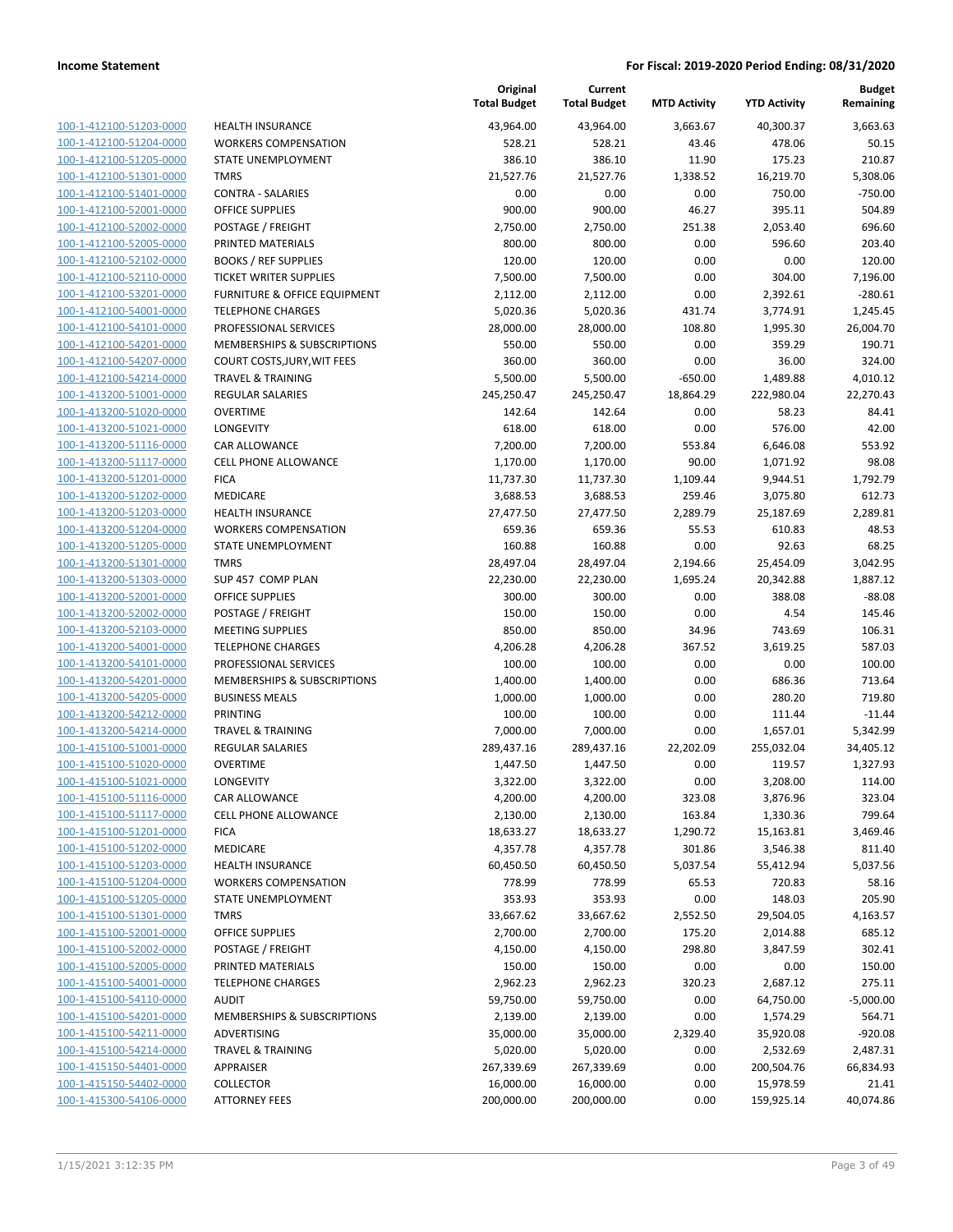| 100-1-412100-51203-0000        |
|--------------------------------|
| 100-1-412100-51204-0000        |
| 100-1-412100-51205-0000        |
| <u>100-1-412100-51301-0000</u> |
| 100-1-412100-51401-0000        |
| 100-1-412100-52001-0000        |
| 100-1-412100-52002-0000        |
| 100-1-412100-52005-0000        |
|                                |
| 100-1-412100-52102-0000        |
| 100-1-412100-52110-0000        |
| 100-1-412100-53201-0000        |
| 100-1-412100-54001-0000        |
| 100-1-412100-54101-0000        |
| 100-1-412100-54201-0000        |
| 100-1-412100-54207-0000        |
| 100-1-412100-54214-0000        |
| 100-1-413200-51001-0000        |
| 100-1-413200-51020-0000        |
| 100-1-413200-51021-0000        |
|                                |
| 100-1-413200-51116-0000        |
| 100-1-413200-51117-0000        |
| 100-1-413200-51201-0000        |
| 100-1-413200-51202-0000        |
| 100-1-413200-51203-0000        |
| 100-1-413200-51204-0000        |
| 100-1-413200-51205-0000        |
| 100-1-413200-51301-0000        |
| 100-1-413200-51303-0000        |
| 100-1-413200-52001-0000        |
| 100-1-413200-52002-0000        |
| 100-1-413200-52103-0000        |
| 100-1-413200-54001-0000        |
|                                |
| 100-1-413200-54101-0000        |
| <u>100-1-413200-54201-0000</u> |
| 100-1-413200-54205-0000        |
| 100-1-413200-54212-0000        |
| 100-1-413200-54214-0000        |
| 100-1-415100-51001-0000        |
| 100-1-415100-51020-0000        |
| 100-1-415100-51021-0000        |
| 100-1-415100-51116-0000        |
| <u>100-1-415100-51117-0000</u> |
| 100-1-415100-51201-0000        |
| 100-1-415100-51202-0000        |
|                                |
| <u>100-1-415100-51203-0000</u> |
| 100-1-415100-51204-0000        |
| 100-1-415100-51205-0000        |
| 100-1-415100-51301-0000        |
| 100-1-415100-52001-0000        |
| <u>100-1-415100-52002-0000</u> |
| <u>100-1-415100-52005-0000</u> |
| 100-1-415100-54001-0000        |
| 100-1-415100-54110-0000        |
| 100-1-415100-54201-0000        |
| <u>100-1-415100-54211-0000</u> |
| 100-1-415100-54214-0000        |
|                                |
| 100-1-415150-54401-0000        |
| 100-1-415150-54402-0000        |
| <u>100-1-415300-54106-0000</u> |

|                                                    |                                             | Original<br><b>Total Budget</b> | Current<br><b>Total Budget</b> | <b>MTD Activity</b> | <b>YTD Activity</b> | <b>Budget</b><br>Remaining |
|----------------------------------------------------|---------------------------------------------|---------------------------------|--------------------------------|---------------------|---------------------|----------------------------|
| 100-1-412100-51203-0000                            | <b>HEALTH INSURANCE</b>                     | 43,964.00                       | 43,964.00                      | 3,663.67            | 40,300.37           | 3,663.63                   |
| 100-1-412100-51204-0000                            | <b>WORKERS COMPENSATION</b>                 | 528.21                          | 528.21                         | 43.46               | 478.06              | 50.15                      |
| 100-1-412100-51205-0000                            | <b>STATE UNEMPLOYMENT</b>                   | 386.10                          | 386.10                         | 11.90               | 175.23              | 210.87                     |
| 100-1-412100-51301-0000                            | <b>TMRS</b>                                 | 21,527.76                       | 21,527.76                      | 1,338.52            | 16,219.70           | 5,308.06                   |
| 100-1-412100-51401-0000                            | <b>CONTRA - SALARIES</b>                    | 0.00                            | 0.00                           | 0.00                | 750.00              | $-750.00$                  |
| 100-1-412100-52001-0000                            | OFFICE SUPPLIES                             | 900.00                          | 900.00                         | 46.27               | 395.11              | 504.89                     |
| 100-1-412100-52002-0000                            | POSTAGE / FREIGHT                           | 2,750.00                        | 2,750.00                       | 251.38              | 2,053.40            | 696.60                     |
| 100-1-412100-52005-0000                            | PRINTED MATERIALS                           | 800.00                          | 800.00                         | 0.00                | 596.60              | 203.40                     |
| 100-1-412100-52102-0000                            | <b>BOOKS / REF SUPPLIES</b>                 | 120.00                          | 120.00                         | 0.00                | 0.00                | 120.00                     |
| 100-1-412100-52110-0000                            | <b>TICKET WRITER SUPPLIES</b>               | 7,500.00                        | 7,500.00                       | 0.00                | 304.00              | 7,196.00                   |
| 100-1-412100-53201-0000                            | FURNITURE & OFFICE EQUIPMENT                | 2,112.00                        | 2,112.00                       | 0.00                | 2,392.61            | $-280.61$                  |
| 100-1-412100-54001-0000                            | <b>TELEPHONE CHARGES</b>                    | 5,020.36                        | 5,020.36                       | 431.74              | 3,774.91            | 1,245.45                   |
| 100-1-412100-54101-0000                            | PROFESSIONAL SERVICES                       | 28,000.00                       | 28,000.00                      | 108.80              | 1,995.30            | 26,004.70                  |
| 100-1-412100-54201-0000                            | MEMBERSHIPS & SUBSCRIPTIONS                 | 550.00                          | 550.00                         | 0.00                | 359.29              | 190.71                     |
| 100-1-412100-54207-0000                            | COURT COSTS, JURY, WIT FEES                 | 360.00                          | 360.00                         | 0.00                | 36.00               | 324.00                     |
| 100-1-412100-54214-0000                            | TRAVEL & TRAINING                           | 5,500.00                        | 5,500.00                       | $-650.00$           | 1,489.88            | 4,010.12                   |
| 100-1-413200-51001-0000                            | <b>REGULAR SALARIES</b>                     | 245,250.47                      | 245,250.47                     | 18,864.29           | 222,980.04          | 22,270.43                  |
| 100-1-413200-51020-0000                            | <b>OVERTIME</b>                             | 142.64                          | 142.64                         | 0.00                | 58.23               | 84.41                      |
| 100-1-413200-51021-0000                            | <b>LONGEVITY</b>                            | 618.00                          | 618.00                         | 0.00                | 576.00              | 42.00                      |
| 100-1-413200-51116-0000                            | CAR ALLOWANCE                               | 7,200.00                        | 7,200.00                       | 553.84              | 6,646.08            | 553.92                     |
| 100-1-413200-51117-0000                            | <b>CELL PHONE ALLOWANCE</b>                 | 1,170.00                        | 1,170.00                       | 90.00               | 1,071.92            | 98.08                      |
| 100-1-413200-51201-0000                            | <b>FICA</b>                                 | 11,737.30                       | 11,737.30                      | 1,109.44            | 9,944.51            | 1,792.79                   |
| 100-1-413200-51202-0000                            | <b>MEDICARE</b>                             | 3,688.53                        | 3,688.53                       | 259.46              | 3,075.80            | 612.73                     |
| 100-1-413200-51203-0000                            | <b>HEALTH INSURANCE</b>                     | 27,477.50                       | 27,477.50                      | 2,289.79            | 25,187.69           | 2,289.81                   |
| 100-1-413200-51204-0000                            | <b>WORKERS COMPENSATION</b>                 | 659.36                          | 659.36                         | 55.53               | 610.83              | 48.53                      |
| 100-1-413200-51205-0000                            | STATE UNEMPLOYMENT                          | 160.88                          | 160.88                         | 0.00                | 92.63               | 68.25                      |
| 100-1-413200-51301-0000                            | <b>TMRS</b>                                 | 28,497.04                       | 28,497.04                      | 2,194.66            | 25,454.09           | 3,042.95                   |
| 100-1-413200-51303-0000<br>100-1-413200-52001-0000 | SUP 457 COMP PLAN                           | 22,230.00                       | 22,230.00<br>300.00            | 1,695.24            | 20,342.88<br>388.08 | 1,887.12<br>$-88.08$       |
| 100-1-413200-52002-0000                            | <b>OFFICE SUPPLIES</b><br>POSTAGE / FREIGHT | 300.00<br>150.00                | 150.00                         | 0.00<br>0.00        | 4.54                | 145.46                     |
| 100-1-413200-52103-0000                            | <b>MEETING SUPPLIES</b>                     | 850.00                          | 850.00                         | 34.96               | 743.69              | 106.31                     |
| 100-1-413200-54001-0000                            | <b>TELEPHONE CHARGES</b>                    | 4,206.28                        | 4,206.28                       | 367.52              | 3,619.25            | 587.03                     |
| 100-1-413200-54101-0000                            | PROFESSIONAL SERVICES                       | 100.00                          | 100.00                         | 0.00                | 0.00                | 100.00                     |
| 100-1-413200-54201-0000                            | MEMBERSHIPS & SUBSCRIPTIONS                 | 1,400.00                        | 1,400.00                       | 0.00                | 686.36              | 713.64                     |
| 100-1-413200-54205-0000                            | <b>BUSINESS MEALS</b>                       | 1,000.00                        | 1,000.00                       | 0.00                | 280.20              | 719.80                     |
| 100-1-413200-54212-0000                            | PRINTING                                    | 100.00                          | 100.00                         | 0.00                | 111.44              | $-11.44$                   |
| 100-1-413200-54214-0000                            | <b>TRAVEL &amp; TRAINING</b>                | 7,000.00                        | 7,000.00                       | 0.00                | 1,657.01            | 5,342.99                   |
| 100-1-415100-51001-0000                            | <b>REGULAR SALARIES</b>                     | 289,437.16                      | 289,437.16                     | 22,202.09           | 255,032.04          | 34,405.12                  |
| 100-1-415100-51020-0000                            | <b>OVERTIME</b>                             | 1,447.50                        | 1,447.50                       | 0.00                | 119.57              | 1,327.93                   |
| 100-1-415100-51021-0000                            | LONGEVITY                                   | 3,322.00                        | 3,322.00                       | 0.00                | 3,208.00            | 114.00                     |
| 100-1-415100-51116-0000                            | CAR ALLOWANCE                               | 4,200.00                        | 4,200.00                       | 323.08              | 3,876.96            | 323.04                     |
| 100-1-415100-51117-0000                            | CELL PHONE ALLOWANCE                        | 2,130.00                        | 2,130.00                       | 163.84              | 1,330.36            | 799.64                     |
| 100-1-415100-51201-0000                            | <b>FICA</b>                                 | 18,633.27                       | 18,633.27                      | 1,290.72            | 15,163.81           | 3,469.46                   |
| 100-1-415100-51202-0000                            | MEDICARE                                    | 4,357.78                        | 4,357.78                       | 301.86              | 3,546.38            | 811.40                     |
| 100-1-415100-51203-0000                            | <b>HEALTH INSURANCE</b>                     | 60,450.50                       | 60,450.50                      | 5,037.54            | 55,412.94           | 5,037.56                   |
| 100-1-415100-51204-0000                            | <b>WORKERS COMPENSATION</b>                 | 778.99                          | 778.99                         | 65.53               | 720.83              | 58.16                      |
| 100-1-415100-51205-0000                            | STATE UNEMPLOYMENT                          | 353.93                          | 353.93                         | 0.00                | 148.03              | 205.90                     |
| 100-1-415100-51301-0000                            | <b>TMRS</b>                                 | 33,667.62                       | 33,667.62                      | 2,552.50            | 29,504.05           | 4,163.57                   |
| 100-1-415100-52001-0000                            | <b>OFFICE SUPPLIES</b>                      | 2,700.00                        | 2,700.00                       | 175.20              | 2,014.88            | 685.12                     |
| 100-1-415100-52002-0000                            | POSTAGE / FREIGHT                           | 4,150.00                        | 4,150.00                       | 298.80              | 3,847.59            | 302.41                     |
| 100-1-415100-52005-0000                            | PRINTED MATERIALS                           | 150.00                          | 150.00                         | 0.00                | 0.00                | 150.00                     |
| 100-1-415100-54001-0000                            | <b>TELEPHONE CHARGES</b>                    | 2,962.23                        | 2,962.23                       | 320.23              | 2,687.12            | 275.11                     |
| 100-1-415100-54110-0000                            | <b>AUDIT</b>                                | 59,750.00                       | 59,750.00                      | 0.00                | 64,750.00           | $-5,000.00$                |
| 100-1-415100-54201-0000                            | MEMBERSHIPS & SUBSCRIPTIONS                 | 2,139.00                        | 2,139.00                       | 0.00                | 1,574.29            | 564.71                     |
| 100-1-415100-54211-0000                            | ADVERTISING                                 | 35,000.00                       | 35,000.00                      | 2,329.40            | 35,920.08           | $-920.08$                  |
| 100-1-415100-54214-0000                            | <b>TRAVEL &amp; TRAINING</b>                | 5,020.00                        | 5,020.00                       | 0.00                | 2,532.69            | 2,487.31                   |
| 100-1-415150-54401-0000                            | APPRAISER                                   | 267,339.69                      | 267,339.69                     | 0.00                | 200,504.76          | 66,834.93                  |
| 100-1-415150-54402-0000                            | <b>COLLECTOR</b>                            | 16,000.00                       | 16,000.00                      | 0.00                | 15,978.59           | 21.41                      |
| 100-1-415300-54106-0000                            | <b>ATTORNEY FEES</b>                        | 200,000.00                      | 200,000.00                     | 0.00                | 159,925.14          | 40,074.86                  |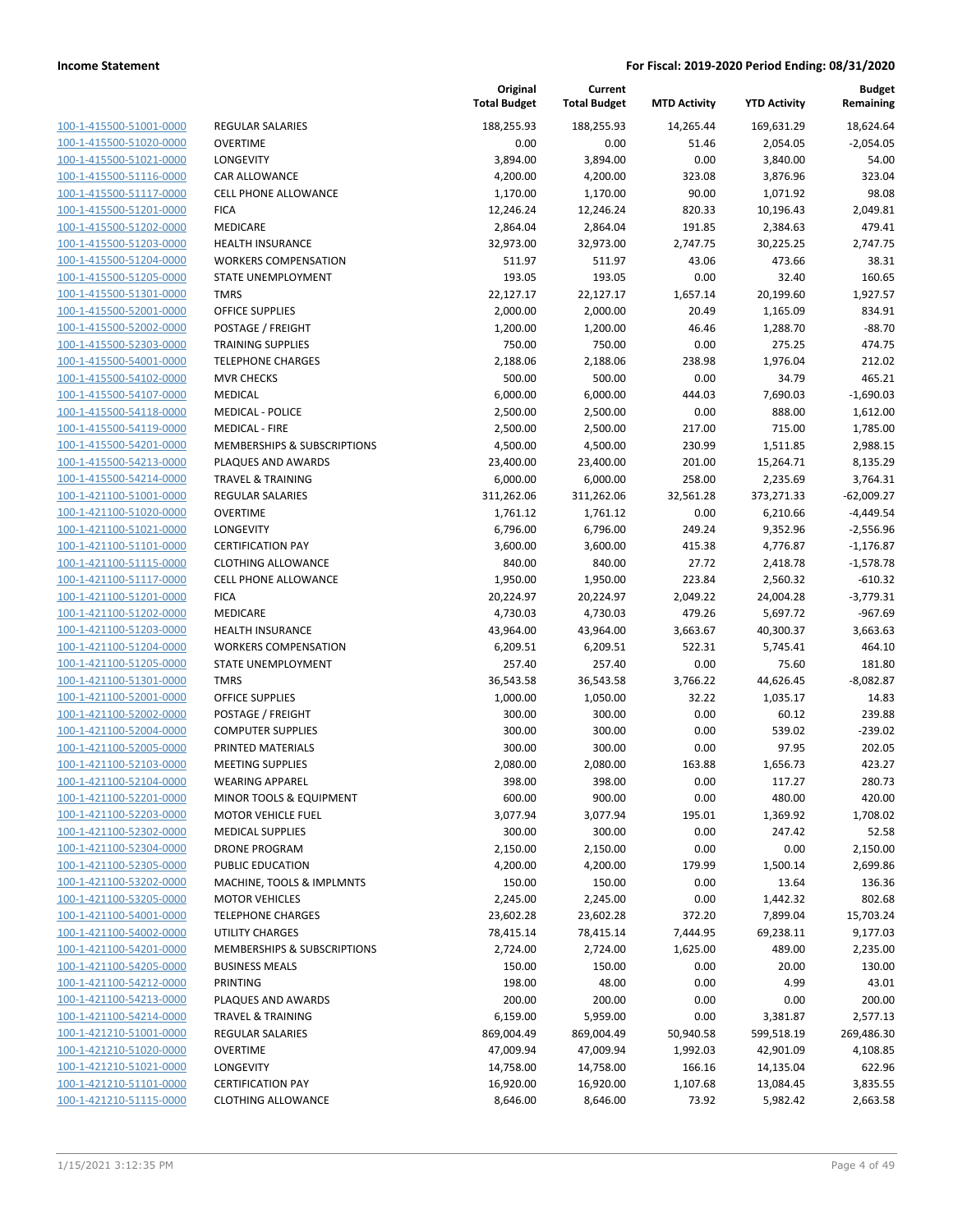| 100-1-415500-51001-0000        |
|--------------------------------|
| 100-1-415500-51020-0000        |
| 100-1-415500-51021-0000        |
| 100-1-415500-51116-0000        |
| 100-1-415500-51117-0000        |
| 100-1-415500-51201-0000        |
| 100-1-415500-51202-0000        |
| 100-1-415500-51203-0000        |
| 100-1-415500-51204-0000        |
| 100-1-415500-51205-0000        |
| 100-1-415500-51301-0000        |
| 100-1-415500-52001-0000        |
| 100-1-415500-52002-0000        |
| 100-1-415500-52303-0000        |
| 100-1-415500-54001-0000        |
| 100-1-415500-54102-0000        |
| 100-1-415500-54107-0000        |
| 100-1-415500-54118-0000        |
| 100-1-415500-54119-0000        |
| 100-1-415500-54201-0000        |
| 100-1-415500-54213-0000        |
| 100-1-415500-54214-0000        |
| 100-1-421100-51001-0000        |
| 100-1-421100-51020-0000        |
| 100-1-421100-51021-0000        |
| 100-1-421100-51101-0000        |
| 100-1-421100-51115-0000        |
| 100-1-421100-51117-0000        |
| 100-1-421100-51201-0000        |
| 100-1-421100-51202-0000        |
| 100-1-421100-51203-0000        |
| 100-1-421100-51204-0000        |
| 100-1-421100-51205-0000        |
| <u>100-1-421100-51301-0000</u> |
| 100-1-421100-52001-0000        |
| 100-1-421100-52002-0000        |
| 100-1-421100-52004-0000        |
| 100-1-421100-52005-0000        |
| 100-1-421100-52103-0000        |
| 100-1-421100-52104-0000        |
| 100-1-421100-52201-0000        |
| 100-1-421100-52203-0000        |
| 100-1-421100-52302-0000        |
| 100-1-421100-52304-0000        |
| <u>100-1-421100-52305-0000</u> |
| <u>100-1-421100-53202-0000</u> |
| 100-1-421100-53205-0000        |
| <u>100-1-421100-54001-0000</u> |
| 100-1-421100-54002-0000        |
| <u>100-1-421100-54201-0000</u> |
| 100-1-421100-54205-0000        |
| 100-1-421100-54212-0000        |
| <u>100-1-421100-54213-0000</u> |
| <u>100-1-421100-54214-0000</u> |
| 100-1-421210-51001-0000        |
| <u>100-1-421210-51020-0000</u> |
| 100-1-421210-51021-0000        |
| 100-1-421210-51101-0000        |
| <u>100-1-421210-51115-0000</u> |
|                                |

| EGULAR SALARIES                                  |
|--------------------------------------------------|
| VERTIME                                          |
| <b>DNGEVITY</b>                                  |
| AR ALLOWANCE                                     |
| ELL PHONE ALLOWANCE                              |
| СA                                               |
| <b>IEDICARE</b>                                  |
| EALTH INSURANCE                                  |
| <b>/ORKERS COMPENSATION</b>                      |
| TATE UNEMPLOYMENT                                |
| MRS                                              |
| <b>FFICE SUPPLIES</b>                            |
| OSTAGE / FREIGHT                                 |
| RAINING SUPPLIES                                 |
| <b>ELEPHONE CHARGES</b>                          |
| IVR CHECKS                                       |
| IEDICAL                                          |
| <b>IEDICAL - POLICE</b>                          |
| <b>IEDICAL - FIRE</b>                            |
| <b>IEMBERSHIPS &amp; SUBSCRIPTIONS</b>           |
| LAQUES AND AWARDS                                |
| RAVEL & TRAINING                                 |
| EGULAR SALARIES                                  |
| <b>VERTIME</b>                                   |
| <b>DNGEVITY</b>                                  |
| ERTIFICATION PAY<br>LOTHING ALLOWANCE            |
| ELL PHONE ALLOWANCE                              |
| CA                                               |
| <b>IEDICARE</b>                                  |
| EALTH INSURANCE                                  |
| /ORKERS COMPENSATION                             |
| <b>FATE UNEMPLOYMENT</b>                         |
| <b>MRS</b>                                       |
| <b>FFICE SUPPLIES</b>                            |
| OSTAGE / FREIGHT                                 |
| OMPUTER SUPPLIES                                 |
| RINTED MATERIALS                                 |
| <b>IEETING SUPPLIES</b>                          |
| /EARING APPAREL                                  |
| <b>IINOR TOOLS &amp; EQUIPMENT</b>               |
| IOTOR VEHICLE FUEL                               |
| <b>IEDICAL SUPPLIES</b>                          |
| RONE PROGRAM                                     |
| <b>UBLIC EDUCATION</b>                           |
| <b>IACHINE, TOOLS &amp; IMPLMNTS</b>             |
| <b>IOTOR VEHICLES</b>                            |
| <b>ELEPHONE CHARGES</b><br><b>TILITY CHARGES</b> |
| <b>IEMBERSHIPS &amp; SUBSCRIPTIONS</b>           |
| USINESS MEALS                                    |
| RINTING                                          |
| LAQUES AND AWARDS                                |
| RAVEL & TRAINING                                 |
| EGULAR SALARIES                                  |
| VERTIME                                          |
| <b>DNGEVITY</b>                                  |
| ERTIFICATION PAY                                 |
|                                                  |

| 188,255.93<br>188,255.93<br>14,265.44<br>169,631.29<br>100-1-415500-51001-0000<br><b>REGULAR SALARIES</b><br><b>OVERTIME</b><br>0.00<br>0.00<br>100-1-415500-51020-0000<br>51.46<br>2,054.05<br>100-1-415500-51021-0000<br><b>LONGEVITY</b><br>3,894.00<br>3,894.00<br>0.00<br>3,840.00<br>100-1-415500-51116-0000<br>CAR ALLOWANCE<br>4,200.00<br>4,200.00<br>323.08<br>3,876.96<br>100-1-415500-51117-0000<br>CELL PHONE ALLOWANCE<br>1,170.00<br>1,170.00<br>90.00<br>1,071.92<br>100-1-415500-51201-0000<br><b>FICA</b><br>820.33<br>10,196.43<br>12,246.24<br>12,246.24<br>100-1-415500-51202-0000<br>MEDICARE<br>191.85<br>2,384.63<br>2,864.04<br>2,864.04<br>100-1-415500-51203-0000<br><b>HEALTH INSURANCE</b><br>32,973.00<br>32,973.00<br>2,747.75<br>30,225.25<br>100-1-415500-51204-0000<br><b>WORKERS COMPENSATION</b><br>511.97<br>511.97<br>43.06<br>473.66<br>100-1-415500-51205-0000<br>193.05<br>193.05<br>0.00<br>32.40<br>STATE UNEMPLOYMENT<br>100-1-415500-51301-0000<br><b>TMRS</b><br>22,127.17<br>22,127.17<br>1,657.14<br>20,199.60<br>100-1-415500-52001-0000<br><b>OFFICE SUPPLIES</b><br>2,000.00<br>2,000.00<br>20.49<br>1,165.09<br>100-1-415500-52002-0000<br>POSTAGE / FREIGHT<br>1,200.00<br>1,200.00<br>46.46<br>1,288.70<br>100-1-415500-52303-0000<br>750.00<br><b>TRAINING SUPPLIES</b><br>750.00<br>0.00<br>275.25<br>100-1-415500-54001-0000<br><b>TELEPHONE CHARGES</b><br>2,188.06<br>2,188.06<br>238.98<br>1,976.04<br>100-1-415500-54102-0000<br><b>MVR CHECKS</b><br>500.00<br>500.00<br>0.00<br>34.79<br>100-1-415500-54107-0000<br><b>MEDICAL</b><br>6,000.00<br>6,000.00<br>444.03<br>7,690.03<br>888.00<br>100-1-415500-54118-0000<br><b>MEDICAL - POLICE</b><br>2,500.00<br>2,500.00<br>0.00<br>100-1-415500-54119-0000<br><b>MEDICAL - FIRE</b><br>2,500.00<br>2,500.00<br>217.00<br>715.00<br>100-1-415500-54201-0000<br>MEMBERSHIPS & SUBSCRIPTIONS<br>4,500.00<br>4,500.00<br>230.99<br>1,511.85<br>100-1-415500-54213-0000<br>PLAQUES AND AWARDS<br>23,400.00<br>23,400.00<br>201.00<br>15,264.71<br>258.00<br>100-1-415500-54214-0000<br><b>TRAVEL &amp; TRAINING</b><br>6,000.00<br>6,000.00<br>2,235.69<br>100-1-421100-51001-0000<br><b>REGULAR SALARIES</b><br>311,262.06<br>311,262.06<br>32,561.28<br>373,271.33<br>100-1-421100-51020-0000<br><b>OVERTIME</b><br>1,761.12<br>1,761.12<br>0.00<br>6,210.66<br>100-1-421100-51021-0000<br>LONGEVITY<br>6,796.00<br>6,796.00<br>249.24<br>9,352.96<br>100-1-421100-51101-0000<br><b>CERTIFICATION PAY</b><br>3,600.00<br>3,600.00<br>415.38<br>4,776.87<br>27.72<br>100-1-421100-51115-0000<br><b>CLOTHING ALLOWANCE</b><br>840.00<br>840.00<br>2,418.78<br>100-1-421100-51117-0000<br><b>CELL PHONE ALLOWANCE</b><br>1,950.00<br>1,950.00<br>223.84<br>2,560.32<br>100-1-421100-51201-0000<br><b>FICA</b><br>20,224.97<br>20,224.97<br>2,049.22<br>24,004.28<br>479.26<br>100-1-421100-51202-0000<br>MEDICARE<br>4,730.03<br>4,730.03<br>5,697.72 | 18,624.64<br>$-2,054.05$<br>54.00<br>323.04<br>98.08<br>2,049.81<br>479.41<br>2,747.75<br>38.31<br>160.65<br>1,927.57<br>834.91<br>$-88.70$<br>474.75 |
|-----------------------------------------------------------------------------------------------------------------------------------------------------------------------------------------------------------------------------------------------------------------------------------------------------------------------------------------------------------------------------------------------------------------------------------------------------------------------------------------------------------------------------------------------------------------------------------------------------------------------------------------------------------------------------------------------------------------------------------------------------------------------------------------------------------------------------------------------------------------------------------------------------------------------------------------------------------------------------------------------------------------------------------------------------------------------------------------------------------------------------------------------------------------------------------------------------------------------------------------------------------------------------------------------------------------------------------------------------------------------------------------------------------------------------------------------------------------------------------------------------------------------------------------------------------------------------------------------------------------------------------------------------------------------------------------------------------------------------------------------------------------------------------------------------------------------------------------------------------------------------------------------------------------------------------------------------------------------------------------------------------------------------------------------------------------------------------------------------------------------------------------------------------------------------------------------------------------------------------------------------------------------------------------------------------------------------------------------------------------------------------------------------------------------------------------------------------------------------------------------------------------------------------------------------------------------------------------------------------------------------------------------------------------------------------------------------------------------------------------------------------------------------------------------------------------------------------------------------------------------------------------------------------------------------------------------------------------|-------------------------------------------------------------------------------------------------------------------------------------------------------|
|                                                                                                                                                                                                                                                                                                                                                                                                                                                                                                                                                                                                                                                                                                                                                                                                                                                                                                                                                                                                                                                                                                                                                                                                                                                                                                                                                                                                                                                                                                                                                                                                                                                                                                                                                                                                                                                                                                                                                                                                                                                                                                                                                                                                                                                                                                                                                                                                                                                                                                                                                                                                                                                                                                                                                                                                                                                                                                                                                                 |                                                                                                                                                       |
|                                                                                                                                                                                                                                                                                                                                                                                                                                                                                                                                                                                                                                                                                                                                                                                                                                                                                                                                                                                                                                                                                                                                                                                                                                                                                                                                                                                                                                                                                                                                                                                                                                                                                                                                                                                                                                                                                                                                                                                                                                                                                                                                                                                                                                                                                                                                                                                                                                                                                                                                                                                                                                                                                                                                                                                                                                                                                                                                                                 |                                                                                                                                                       |
|                                                                                                                                                                                                                                                                                                                                                                                                                                                                                                                                                                                                                                                                                                                                                                                                                                                                                                                                                                                                                                                                                                                                                                                                                                                                                                                                                                                                                                                                                                                                                                                                                                                                                                                                                                                                                                                                                                                                                                                                                                                                                                                                                                                                                                                                                                                                                                                                                                                                                                                                                                                                                                                                                                                                                                                                                                                                                                                                                                 |                                                                                                                                                       |
|                                                                                                                                                                                                                                                                                                                                                                                                                                                                                                                                                                                                                                                                                                                                                                                                                                                                                                                                                                                                                                                                                                                                                                                                                                                                                                                                                                                                                                                                                                                                                                                                                                                                                                                                                                                                                                                                                                                                                                                                                                                                                                                                                                                                                                                                                                                                                                                                                                                                                                                                                                                                                                                                                                                                                                                                                                                                                                                                                                 |                                                                                                                                                       |
|                                                                                                                                                                                                                                                                                                                                                                                                                                                                                                                                                                                                                                                                                                                                                                                                                                                                                                                                                                                                                                                                                                                                                                                                                                                                                                                                                                                                                                                                                                                                                                                                                                                                                                                                                                                                                                                                                                                                                                                                                                                                                                                                                                                                                                                                                                                                                                                                                                                                                                                                                                                                                                                                                                                                                                                                                                                                                                                                                                 |                                                                                                                                                       |
|                                                                                                                                                                                                                                                                                                                                                                                                                                                                                                                                                                                                                                                                                                                                                                                                                                                                                                                                                                                                                                                                                                                                                                                                                                                                                                                                                                                                                                                                                                                                                                                                                                                                                                                                                                                                                                                                                                                                                                                                                                                                                                                                                                                                                                                                                                                                                                                                                                                                                                                                                                                                                                                                                                                                                                                                                                                                                                                                                                 |                                                                                                                                                       |
|                                                                                                                                                                                                                                                                                                                                                                                                                                                                                                                                                                                                                                                                                                                                                                                                                                                                                                                                                                                                                                                                                                                                                                                                                                                                                                                                                                                                                                                                                                                                                                                                                                                                                                                                                                                                                                                                                                                                                                                                                                                                                                                                                                                                                                                                                                                                                                                                                                                                                                                                                                                                                                                                                                                                                                                                                                                                                                                                                                 |                                                                                                                                                       |
|                                                                                                                                                                                                                                                                                                                                                                                                                                                                                                                                                                                                                                                                                                                                                                                                                                                                                                                                                                                                                                                                                                                                                                                                                                                                                                                                                                                                                                                                                                                                                                                                                                                                                                                                                                                                                                                                                                                                                                                                                                                                                                                                                                                                                                                                                                                                                                                                                                                                                                                                                                                                                                                                                                                                                                                                                                                                                                                                                                 |                                                                                                                                                       |
|                                                                                                                                                                                                                                                                                                                                                                                                                                                                                                                                                                                                                                                                                                                                                                                                                                                                                                                                                                                                                                                                                                                                                                                                                                                                                                                                                                                                                                                                                                                                                                                                                                                                                                                                                                                                                                                                                                                                                                                                                                                                                                                                                                                                                                                                                                                                                                                                                                                                                                                                                                                                                                                                                                                                                                                                                                                                                                                                                                 |                                                                                                                                                       |
|                                                                                                                                                                                                                                                                                                                                                                                                                                                                                                                                                                                                                                                                                                                                                                                                                                                                                                                                                                                                                                                                                                                                                                                                                                                                                                                                                                                                                                                                                                                                                                                                                                                                                                                                                                                                                                                                                                                                                                                                                                                                                                                                                                                                                                                                                                                                                                                                                                                                                                                                                                                                                                                                                                                                                                                                                                                                                                                                                                 |                                                                                                                                                       |
|                                                                                                                                                                                                                                                                                                                                                                                                                                                                                                                                                                                                                                                                                                                                                                                                                                                                                                                                                                                                                                                                                                                                                                                                                                                                                                                                                                                                                                                                                                                                                                                                                                                                                                                                                                                                                                                                                                                                                                                                                                                                                                                                                                                                                                                                                                                                                                                                                                                                                                                                                                                                                                                                                                                                                                                                                                                                                                                                                                 |                                                                                                                                                       |
|                                                                                                                                                                                                                                                                                                                                                                                                                                                                                                                                                                                                                                                                                                                                                                                                                                                                                                                                                                                                                                                                                                                                                                                                                                                                                                                                                                                                                                                                                                                                                                                                                                                                                                                                                                                                                                                                                                                                                                                                                                                                                                                                                                                                                                                                                                                                                                                                                                                                                                                                                                                                                                                                                                                                                                                                                                                                                                                                                                 |                                                                                                                                                       |
|                                                                                                                                                                                                                                                                                                                                                                                                                                                                                                                                                                                                                                                                                                                                                                                                                                                                                                                                                                                                                                                                                                                                                                                                                                                                                                                                                                                                                                                                                                                                                                                                                                                                                                                                                                                                                                                                                                                                                                                                                                                                                                                                                                                                                                                                                                                                                                                                                                                                                                                                                                                                                                                                                                                                                                                                                                                                                                                                                                 |                                                                                                                                                       |
|                                                                                                                                                                                                                                                                                                                                                                                                                                                                                                                                                                                                                                                                                                                                                                                                                                                                                                                                                                                                                                                                                                                                                                                                                                                                                                                                                                                                                                                                                                                                                                                                                                                                                                                                                                                                                                                                                                                                                                                                                                                                                                                                                                                                                                                                                                                                                                                                                                                                                                                                                                                                                                                                                                                                                                                                                                                                                                                                                                 |                                                                                                                                                       |
|                                                                                                                                                                                                                                                                                                                                                                                                                                                                                                                                                                                                                                                                                                                                                                                                                                                                                                                                                                                                                                                                                                                                                                                                                                                                                                                                                                                                                                                                                                                                                                                                                                                                                                                                                                                                                                                                                                                                                                                                                                                                                                                                                                                                                                                                                                                                                                                                                                                                                                                                                                                                                                                                                                                                                                                                                                                                                                                                                                 | 212.02                                                                                                                                                |
|                                                                                                                                                                                                                                                                                                                                                                                                                                                                                                                                                                                                                                                                                                                                                                                                                                                                                                                                                                                                                                                                                                                                                                                                                                                                                                                                                                                                                                                                                                                                                                                                                                                                                                                                                                                                                                                                                                                                                                                                                                                                                                                                                                                                                                                                                                                                                                                                                                                                                                                                                                                                                                                                                                                                                                                                                                                                                                                                                                 | 465.21                                                                                                                                                |
|                                                                                                                                                                                                                                                                                                                                                                                                                                                                                                                                                                                                                                                                                                                                                                                                                                                                                                                                                                                                                                                                                                                                                                                                                                                                                                                                                                                                                                                                                                                                                                                                                                                                                                                                                                                                                                                                                                                                                                                                                                                                                                                                                                                                                                                                                                                                                                                                                                                                                                                                                                                                                                                                                                                                                                                                                                                                                                                                                                 | $-1,690.03$                                                                                                                                           |
|                                                                                                                                                                                                                                                                                                                                                                                                                                                                                                                                                                                                                                                                                                                                                                                                                                                                                                                                                                                                                                                                                                                                                                                                                                                                                                                                                                                                                                                                                                                                                                                                                                                                                                                                                                                                                                                                                                                                                                                                                                                                                                                                                                                                                                                                                                                                                                                                                                                                                                                                                                                                                                                                                                                                                                                                                                                                                                                                                                 | 1,612.00                                                                                                                                              |
|                                                                                                                                                                                                                                                                                                                                                                                                                                                                                                                                                                                                                                                                                                                                                                                                                                                                                                                                                                                                                                                                                                                                                                                                                                                                                                                                                                                                                                                                                                                                                                                                                                                                                                                                                                                                                                                                                                                                                                                                                                                                                                                                                                                                                                                                                                                                                                                                                                                                                                                                                                                                                                                                                                                                                                                                                                                                                                                                                                 | 1,785.00                                                                                                                                              |
|                                                                                                                                                                                                                                                                                                                                                                                                                                                                                                                                                                                                                                                                                                                                                                                                                                                                                                                                                                                                                                                                                                                                                                                                                                                                                                                                                                                                                                                                                                                                                                                                                                                                                                                                                                                                                                                                                                                                                                                                                                                                                                                                                                                                                                                                                                                                                                                                                                                                                                                                                                                                                                                                                                                                                                                                                                                                                                                                                                 | 2,988.15                                                                                                                                              |
|                                                                                                                                                                                                                                                                                                                                                                                                                                                                                                                                                                                                                                                                                                                                                                                                                                                                                                                                                                                                                                                                                                                                                                                                                                                                                                                                                                                                                                                                                                                                                                                                                                                                                                                                                                                                                                                                                                                                                                                                                                                                                                                                                                                                                                                                                                                                                                                                                                                                                                                                                                                                                                                                                                                                                                                                                                                                                                                                                                 | 8,135.29                                                                                                                                              |
|                                                                                                                                                                                                                                                                                                                                                                                                                                                                                                                                                                                                                                                                                                                                                                                                                                                                                                                                                                                                                                                                                                                                                                                                                                                                                                                                                                                                                                                                                                                                                                                                                                                                                                                                                                                                                                                                                                                                                                                                                                                                                                                                                                                                                                                                                                                                                                                                                                                                                                                                                                                                                                                                                                                                                                                                                                                                                                                                                                 | 3,764.31                                                                                                                                              |
|                                                                                                                                                                                                                                                                                                                                                                                                                                                                                                                                                                                                                                                                                                                                                                                                                                                                                                                                                                                                                                                                                                                                                                                                                                                                                                                                                                                                                                                                                                                                                                                                                                                                                                                                                                                                                                                                                                                                                                                                                                                                                                                                                                                                                                                                                                                                                                                                                                                                                                                                                                                                                                                                                                                                                                                                                                                                                                                                                                 | $-62,009.27$                                                                                                                                          |
|                                                                                                                                                                                                                                                                                                                                                                                                                                                                                                                                                                                                                                                                                                                                                                                                                                                                                                                                                                                                                                                                                                                                                                                                                                                                                                                                                                                                                                                                                                                                                                                                                                                                                                                                                                                                                                                                                                                                                                                                                                                                                                                                                                                                                                                                                                                                                                                                                                                                                                                                                                                                                                                                                                                                                                                                                                                                                                                                                                 | $-4,449.54$                                                                                                                                           |
|                                                                                                                                                                                                                                                                                                                                                                                                                                                                                                                                                                                                                                                                                                                                                                                                                                                                                                                                                                                                                                                                                                                                                                                                                                                                                                                                                                                                                                                                                                                                                                                                                                                                                                                                                                                                                                                                                                                                                                                                                                                                                                                                                                                                                                                                                                                                                                                                                                                                                                                                                                                                                                                                                                                                                                                                                                                                                                                                                                 | $-2,556.96$                                                                                                                                           |
|                                                                                                                                                                                                                                                                                                                                                                                                                                                                                                                                                                                                                                                                                                                                                                                                                                                                                                                                                                                                                                                                                                                                                                                                                                                                                                                                                                                                                                                                                                                                                                                                                                                                                                                                                                                                                                                                                                                                                                                                                                                                                                                                                                                                                                                                                                                                                                                                                                                                                                                                                                                                                                                                                                                                                                                                                                                                                                                                                                 | $-1,176.87$                                                                                                                                           |
|                                                                                                                                                                                                                                                                                                                                                                                                                                                                                                                                                                                                                                                                                                                                                                                                                                                                                                                                                                                                                                                                                                                                                                                                                                                                                                                                                                                                                                                                                                                                                                                                                                                                                                                                                                                                                                                                                                                                                                                                                                                                                                                                                                                                                                                                                                                                                                                                                                                                                                                                                                                                                                                                                                                                                                                                                                                                                                                                                                 | $-1,578.78$                                                                                                                                           |
|                                                                                                                                                                                                                                                                                                                                                                                                                                                                                                                                                                                                                                                                                                                                                                                                                                                                                                                                                                                                                                                                                                                                                                                                                                                                                                                                                                                                                                                                                                                                                                                                                                                                                                                                                                                                                                                                                                                                                                                                                                                                                                                                                                                                                                                                                                                                                                                                                                                                                                                                                                                                                                                                                                                                                                                                                                                                                                                                                                 | $-610.32$                                                                                                                                             |
|                                                                                                                                                                                                                                                                                                                                                                                                                                                                                                                                                                                                                                                                                                                                                                                                                                                                                                                                                                                                                                                                                                                                                                                                                                                                                                                                                                                                                                                                                                                                                                                                                                                                                                                                                                                                                                                                                                                                                                                                                                                                                                                                                                                                                                                                                                                                                                                                                                                                                                                                                                                                                                                                                                                                                                                                                                                                                                                                                                 | $-3,779.31$<br>$-967.69$                                                                                                                              |
| 100-1-421100-51203-0000<br><b>HEALTH INSURANCE</b><br>43,964.00<br>43,964.00<br>3,663.67<br>40,300.37                                                                                                                                                                                                                                                                                                                                                                                                                                                                                                                                                                                                                                                                                                                                                                                                                                                                                                                                                                                                                                                                                                                                                                                                                                                                                                                                                                                                                                                                                                                                                                                                                                                                                                                                                                                                                                                                                                                                                                                                                                                                                                                                                                                                                                                                                                                                                                                                                                                                                                                                                                                                                                                                                                                                                                                                                                                           | 3,663.63                                                                                                                                              |
| 100-1-421100-51204-0000<br><b>WORKERS COMPENSATION</b><br>6,209.51<br>6,209.51<br>522.31<br>5,745.41                                                                                                                                                                                                                                                                                                                                                                                                                                                                                                                                                                                                                                                                                                                                                                                                                                                                                                                                                                                                                                                                                                                                                                                                                                                                                                                                                                                                                                                                                                                                                                                                                                                                                                                                                                                                                                                                                                                                                                                                                                                                                                                                                                                                                                                                                                                                                                                                                                                                                                                                                                                                                                                                                                                                                                                                                                                            | 464.10                                                                                                                                                |
| 100-1-421100-51205-0000<br>STATE UNEMPLOYMENT<br>257.40<br>257.40<br>0.00<br>75.60                                                                                                                                                                                                                                                                                                                                                                                                                                                                                                                                                                                                                                                                                                                                                                                                                                                                                                                                                                                                                                                                                                                                                                                                                                                                                                                                                                                                                                                                                                                                                                                                                                                                                                                                                                                                                                                                                                                                                                                                                                                                                                                                                                                                                                                                                                                                                                                                                                                                                                                                                                                                                                                                                                                                                                                                                                                                              | 181.80                                                                                                                                                |
| 100-1-421100-51301-0000<br>3,766.22<br><b>TMRS</b><br>36,543.58<br>36,543.58<br>44,626.45                                                                                                                                                                                                                                                                                                                                                                                                                                                                                                                                                                                                                                                                                                                                                                                                                                                                                                                                                                                                                                                                                                                                                                                                                                                                                                                                                                                                                                                                                                                                                                                                                                                                                                                                                                                                                                                                                                                                                                                                                                                                                                                                                                                                                                                                                                                                                                                                                                                                                                                                                                                                                                                                                                                                                                                                                                                                       | $-8,082.87$                                                                                                                                           |
| 32.22<br>100-1-421100-52001-0000<br><b>OFFICE SUPPLIES</b><br>1,000.00<br>1,050.00<br>1,035.17                                                                                                                                                                                                                                                                                                                                                                                                                                                                                                                                                                                                                                                                                                                                                                                                                                                                                                                                                                                                                                                                                                                                                                                                                                                                                                                                                                                                                                                                                                                                                                                                                                                                                                                                                                                                                                                                                                                                                                                                                                                                                                                                                                                                                                                                                                                                                                                                                                                                                                                                                                                                                                                                                                                                                                                                                                                                  | 14.83                                                                                                                                                 |
| 100-1-421100-52002-0000<br>POSTAGE / FREIGHT<br>300.00<br>300.00<br>0.00<br>60.12                                                                                                                                                                                                                                                                                                                                                                                                                                                                                                                                                                                                                                                                                                                                                                                                                                                                                                                                                                                                                                                                                                                                                                                                                                                                                                                                                                                                                                                                                                                                                                                                                                                                                                                                                                                                                                                                                                                                                                                                                                                                                                                                                                                                                                                                                                                                                                                                                                                                                                                                                                                                                                                                                                                                                                                                                                                                               | 239.88                                                                                                                                                |
| 100-1-421100-52004-0000<br><b>COMPUTER SUPPLIES</b><br>300.00<br>300.00<br>0.00<br>539.02                                                                                                                                                                                                                                                                                                                                                                                                                                                                                                                                                                                                                                                                                                                                                                                                                                                                                                                                                                                                                                                                                                                                                                                                                                                                                                                                                                                                                                                                                                                                                                                                                                                                                                                                                                                                                                                                                                                                                                                                                                                                                                                                                                                                                                                                                                                                                                                                                                                                                                                                                                                                                                                                                                                                                                                                                                                                       | $-239.02$                                                                                                                                             |
| 100-1-421100-52005-0000<br>PRINTED MATERIALS<br>300.00<br>300.00<br>97.95<br>0.00                                                                                                                                                                                                                                                                                                                                                                                                                                                                                                                                                                                                                                                                                                                                                                                                                                                                                                                                                                                                                                                                                                                                                                                                                                                                                                                                                                                                                                                                                                                                                                                                                                                                                                                                                                                                                                                                                                                                                                                                                                                                                                                                                                                                                                                                                                                                                                                                                                                                                                                                                                                                                                                                                                                                                                                                                                                                               | 202.05                                                                                                                                                |
| 100-1-421100-52103-0000<br><b>MEETING SUPPLIES</b><br>2,080.00<br>2,080.00<br>163.88<br>1,656.73                                                                                                                                                                                                                                                                                                                                                                                                                                                                                                                                                                                                                                                                                                                                                                                                                                                                                                                                                                                                                                                                                                                                                                                                                                                                                                                                                                                                                                                                                                                                                                                                                                                                                                                                                                                                                                                                                                                                                                                                                                                                                                                                                                                                                                                                                                                                                                                                                                                                                                                                                                                                                                                                                                                                                                                                                                                                | 423.27                                                                                                                                                |
| 100-1-421100-52104-0000<br>398.00<br>398.00<br>0.00<br>117.27<br><b>WEARING APPAREL</b>                                                                                                                                                                                                                                                                                                                                                                                                                                                                                                                                                                                                                                                                                                                                                                                                                                                                                                                                                                                                                                                                                                                                                                                                                                                                                                                                                                                                                                                                                                                                                                                                                                                                                                                                                                                                                                                                                                                                                                                                                                                                                                                                                                                                                                                                                                                                                                                                                                                                                                                                                                                                                                                                                                                                                                                                                                                                         | 280.73                                                                                                                                                |
| 100-1-421100-52201-0000<br>MINOR TOOLS & EQUIPMENT<br>600.00<br>900.00<br>0.00<br>480.00                                                                                                                                                                                                                                                                                                                                                                                                                                                                                                                                                                                                                                                                                                                                                                                                                                                                                                                                                                                                                                                                                                                                                                                                                                                                                                                                                                                                                                                                                                                                                                                                                                                                                                                                                                                                                                                                                                                                                                                                                                                                                                                                                                                                                                                                                                                                                                                                                                                                                                                                                                                                                                                                                                                                                                                                                                                                        | 420.00                                                                                                                                                |
| 100-1-421100-52203-0000<br><b>MOTOR VEHICLE FUEL</b><br>3,077.94<br>3,077.94<br>195.01<br>1,369.92                                                                                                                                                                                                                                                                                                                                                                                                                                                                                                                                                                                                                                                                                                                                                                                                                                                                                                                                                                                                                                                                                                                                                                                                                                                                                                                                                                                                                                                                                                                                                                                                                                                                                                                                                                                                                                                                                                                                                                                                                                                                                                                                                                                                                                                                                                                                                                                                                                                                                                                                                                                                                                                                                                                                                                                                                                                              | 1,708.02                                                                                                                                              |
| 100-1-421100-52302-0000<br><b>MEDICAL SUPPLIES</b><br>300.00<br>300.00<br>0.00<br>247.42                                                                                                                                                                                                                                                                                                                                                                                                                                                                                                                                                                                                                                                                                                                                                                                                                                                                                                                                                                                                                                                                                                                                                                                                                                                                                                                                                                                                                                                                                                                                                                                                                                                                                                                                                                                                                                                                                                                                                                                                                                                                                                                                                                                                                                                                                                                                                                                                                                                                                                                                                                                                                                                                                                                                                                                                                                                                        | 52.58                                                                                                                                                 |
| 100-1-421100-52304-0000<br><b>DRONE PROGRAM</b><br>2,150.00<br>2,150.00<br>0.00<br>0.00                                                                                                                                                                                                                                                                                                                                                                                                                                                                                                                                                                                                                                                                                                                                                                                                                                                                                                                                                                                                                                                                                                                                                                                                                                                                                                                                                                                                                                                                                                                                                                                                                                                                                                                                                                                                                                                                                                                                                                                                                                                                                                                                                                                                                                                                                                                                                                                                                                                                                                                                                                                                                                                                                                                                                                                                                                                                         | 2,150.00                                                                                                                                              |
| 100-1-421100-52305-0000<br>PUBLIC EDUCATION<br>4,200.00<br>4,200.00<br>179.99<br>1,500.14                                                                                                                                                                                                                                                                                                                                                                                                                                                                                                                                                                                                                                                                                                                                                                                                                                                                                                                                                                                                                                                                                                                                                                                                                                                                                                                                                                                                                                                                                                                                                                                                                                                                                                                                                                                                                                                                                                                                                                                                                                                                                                                                                                                                                                                                                                                                                                                                                                                                                                                                                                                                                                                                                                                                                                                                                                                                       | 2,699.86                                                                                                                                              |
| 100-1-421100-53202-0000<br>MACHINE, TOOLS & IMPLMNTS<br>150.00<br>150.00<br>0.00<br>13.64                                                                                                                                                                                                                                                                                                                                                                                                                                                                                                                                                                                                                                                                                                                                                                                                                                                                                                                                                                                                                                                                                                                                                                                                                                                                                                                                                                                                                                                                                                                                                                                                                                                                                                                                                                                                                                                                                                                                                                                                                                                                                                                                                                                                                                                                                                                                                                                                                                                                                                                                                                                                                                                                                                                                                                                                                                                                       | 136.36                                                                                                                                                |
| 100-1-421100-53205-0000<br><b>MOTOR VEHICLES</b><br>2,245.00<br>2,245.00<br>0.00<br>1,442.32                                                                                                                                                                                                                                                                                                                                                                                                                                                                                                                                                                                                                                                                                                                                                                                                                                                                                                                                                                                                                                                                                                                                                                                                                                                                                                                                                                                                                                                                                                                                                                                                                                                                                                                                                                                                                                                                                                                                                                                                                                                                                                                                                                                                                                                                                                                                                                                                                                                                                                                                                                                                                                                                                                                                                                                                                                                                    | 802.68                                                                                                                                                |
| 100-1-421100-54001-0000<br><b>TELEPHONE CHARGES</b><br>23,602.28<br>23,602.28<br>372.20<br>7,899.04                                                                                                                                                                                                                                                                                                                                                                                                                                                                                                                                                                                                                                                                                                                                                                                                                                                                                                                                                                                                                                                                                                                                                                                                                                                                                                                                                                                                                                                                                                                                                                                                                                                                                                                                                                                                                                                                                                                                                                                                                                                                                                                                                                                                                                                                                                                                                                                                                                                                                                                                                                                                                                                                                                                                                                                                                                                             | 15,703.24                                                                                                                                             |
| 100-1-421100-54002-0000<br><b>UTILITY CHARGES</b><br>78,415.14<br>78,415.14<br>7,444.95<br>69,238.11                                                                                                                                                                                                                                                                                                                                                                                                                                                                                                                                                                                                                                                                                                                                                                                                                                                                                                                                                                                                                                                                                                                                                                                                                                                                                                                                                                                                                                                                                                                                                                                                                                                                                                                                                                                                                                                                                                                                                                                                                                                                                                                                                                                                                                                                                                                                                                                                                                                                                                                                                                                                                                                                                                                                                                                                                                                            | 9,177.03                                                                                                                                              |
| 100-1-421100-54201-0000<br><b>MEMBERSHIPS &amp; SUBSCRIPTIONS</b><br>2,724.00<br>2,724.00<br>1,625.00<br>489.00                                                                                                                                                                                                                                                                                                                                                                                                                                                                                                                                                                                                                                                                                                                                                                                                                                                                                                                                                                                                                                                                                                                                                                                                                                                                                                                                                                                                                                                                                                                                                                                                                                                                                                                                                                                                                                                                                                                                                                                                                                                                                                                                                                                                                                                                                                                                                                                                                                                                                                                                                                                                                                                                                                                                                                                                                                                 | 2,235.00                                                                                                                                              |
| 100-1-421100-54205-0000<br><b>BUSINESS MEALS</b><br>150.00<br>150.00<br>0.00<br>20.00                                                                                                                                                                                                                                                                                                                                                                                                                                                                                                                                                                                                                                                                                                                                                                                                                                                                                                                                                                                                                                                                                                                                                                                                                                                                                                                                                                                                                                                                                                                                                                                                                                                                                                                                                                                                                                                                                                                                                                                                                                                                                                                                                                                                                                                                                                                                                                                                                                                                                                                                                                                                                                                                                                                                                                                                                                                                           | 130.00                                                                                                                                                |
| 100-1-421100-54212-0000<br><b>PRINTING</b><br>198.00<br>48.00<br>0.00<br>4.99                                                                                                                                                                                                                                                                                                                                                                                                                                                                                                                                                                                                                                                                                                                                                                                                                                                                                                                                                                                                                                                                                                                                                                                                                                                                                                                                                                                                                                                                                                                                                                                                                                                                                                                                                                                                                                                                                                                                                                                                                                                                                                                                                                                                                                                                                                                                                                                                                                                                                                                                                                                                                                                                                                                                                                                                                                                                                   | 43.01                                                                                                                                                 |
| 100-1-421100-54213-0000<br>PLAQUES AND AWARDS<br>200.00<br>200.00<br>0.00<br>0.00                                                                                                                                                                                                                                                                                                                                                                                                                                                                                                                                                                                                                                                                                                                                                                                                                                                                                                                                                                                                                                                                                                                                                                                                                                                                                                                                                                                                                                                                                                                                                                                                                                                                                                                                                                                                                                                                                                                                                                                                                                                                                                                                                                                                                                                                                                                                                                                                                                                                                                                                                                                                                                                                                                                                                                                                                                                                               | 200.00                                                                                                                                                |
| 100-1-421100-54214-0000<br><b>TRAVEL &amp; TRAINING</b><br>6,159.00<br>5,959.00<br>0.00<br>3,381.87                                                                                                                                                                                                                                                                                                                                                                                                                                                                                                                                                                                                                                                                                                                                                                                                                                                                                                                                                                                                                                                                                                                                                                                                                                                                                                                                                                                                                                                                                                                                                                                                                                                                                                                                                                                                                                                                                                                                                                                                                                                                                                                                                                                                                                                                                                                                                                                                                                                                                                                                                                                                                                                                                                                                                                                                                                                             | 2,577.13                                                                                                                                              |
| 100-1-421210-51001-0000<br>869,004.49<br>869,004.49<br>REGULAR SALARIES<br>50,940.58<br>599,518.19                                                                                                                                                                                                                                                                                                                                                                                                                                                                                                                                                                                                                                                                                                                                                                                                                                                                                                                                                                                                                                                                                                                                                                                                                                                                                                                                                                                                                                                                                                                                                                                                                                                                                                                                                                                                                                                                                                                                                                                                                                                                                                                                                                                                                                                                                                                                                                                                                                                                                                                                                                                                                                                                                                                                                                                                                                                              | 269,486.30                                                                                                                                            |
| 100-1-421210-51020-0000<br><b>OVERTIME</b><br>47,009.94<br>47,009.94<br>1,992.03<br>42,901.09                                                                                                                                                                                                                                                                                                                                                                                                                                                                                                                                                                                                                                                                                                                                                                                                                                                                                                                                                                                                                                                                                                                                                                                                                                                                                                                                                                                                                                                                                                                                                                                                                                                                                                                                                                                                                                                                                                                                                                                                                                                                                                                                                                                                                                                                                                                                                                                                                                                                                                                                                                                                                                                                                                                                                                                                                                                                   | 4,108.85                                                                                                                                              |
| 100-1-421210-51021-0000<br>LONGEVITY<br>14,758.00<br>14,758.00<br>166.16<br>14,135.04                                                                                                                                                                                                                                                                                                                                                                                                                                                                                                                                                                                                                                                                                                                                                                                                                                                                                                                                                                                                                                                                                                                                                                                                                                                                                                                                                                                                                                                                                                                                                                                                                                                                                                                                                                                                                                                                                                                                                                                                                                                                                                                                                                                                                                                                                                                                                                                                                                                                                                                                                                                                                                                                                                                                                                                                                                                                           | 622.96                                                                                                                                                |
| 100-1-421210-51101-0000<br><b>CERTIFICATION PAY</b><br>16,920.00<br>16,920.00<br>1,107.68<br>13,084.45                                                                                                                                                                                                                                                                                                                                                                                                                                                                                                                                                                                                                                                                                                                                                                                                                                                                                                                                                                                                                                                                                                                                                                                                                                                                                                                                                                                                                                                                                                                                                                                                                                                                                                                                                                                                                                                                                                                                                                                                                                                                                                                                                                                                                                                                                                                                                                                                                                                                                                                                                                                                                                                                                                                                                                                                                                                          |                                                                                                                                                       |
| 100-1-421210-51115-0000<br><b>CLOTHING ALLOWANCE</b><br>8,646.00<br>8,646.00<br>73.92<br>5,982.42                                                                                                                                                                                                                                                                                                                                                                                                                                                                                                                                                                                                                                                                                                                                                                                                                                                                                                                                                                                                                                                                                                                                                                                                                                                                                                                                                                                                                                                                                                                                                                                                                                                                                                                                                                                                                                                                                                                                                                                                                                                                                                                                                                                                                                                                                                                                                                                                                                                                                                                                                                                                                                                                                                                                                                                                                                                               | 3,835.55                                                                                                                                              |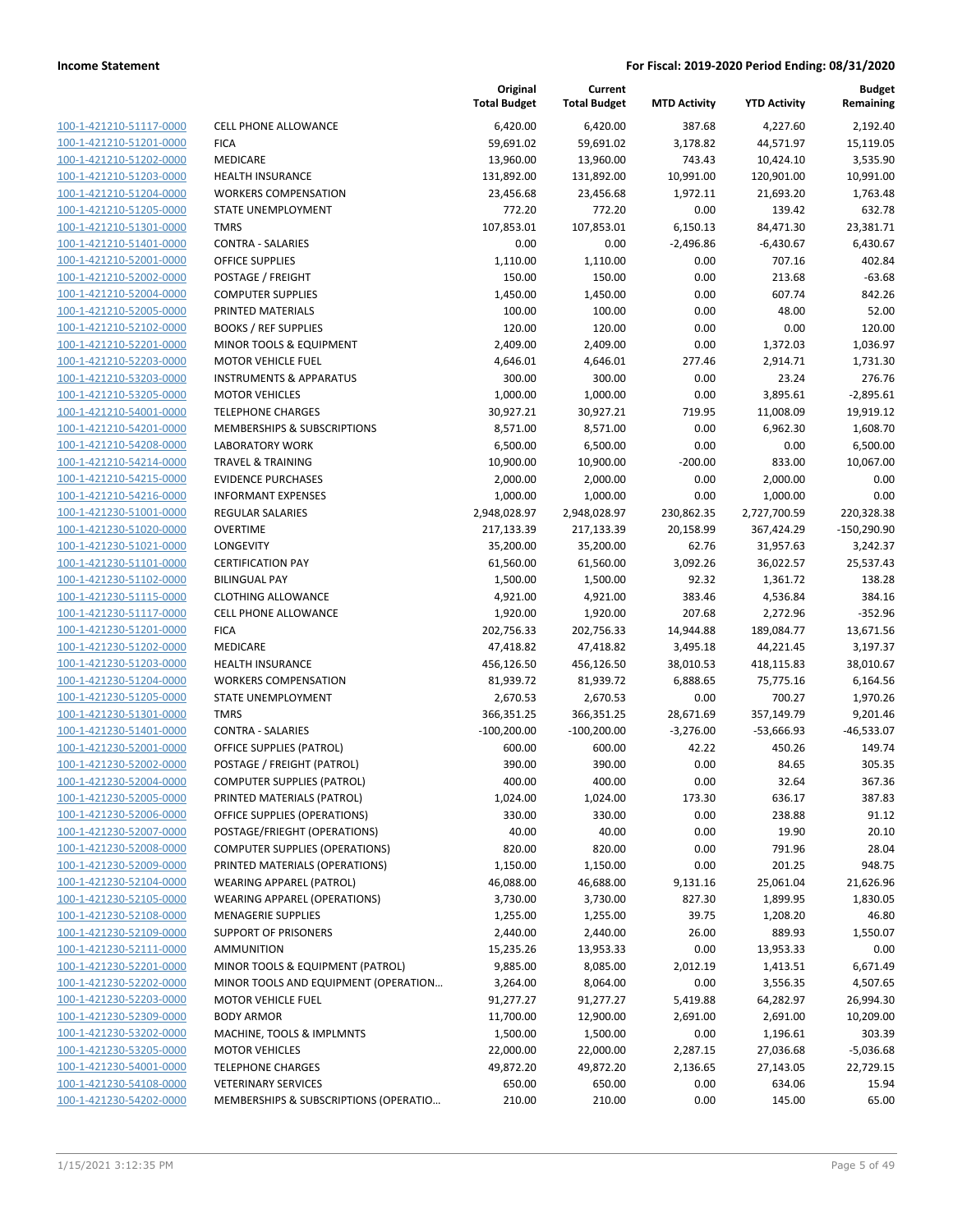| 100-1-421210-51117-0000        |
|--------------------------------|
| 100-1-421210-51201-0000        |
| 100-1-421210-51202-0000        |
| 100-1-421210-51203-0000        |
| 100-1-421210-51204-0000        |
| <u>100-1-421210-51205-0000</u> |
| 100-1-421210-51301-0000        |
| 100-1-421210-51401-0000        |
| 100-1-421210-52001-0000        |
| <u>100-1-421210-52002-0000</u> |
| 100-1-421210-52004-0000        |
| 100-1-421210-52005-0000        |
| 100-1-421210-52102-0000        |
| 100-1-421210-52201-0000        |
| <u>100-1-421210-52203-0000</u> |
| <u>100-1-421210-53203-0000</u> |
| 100-1-421210-53205-0000        |
| 100-1-421210-54001-0000        |
| 100-1-421210-54201-0000        |
| <u>100-1-421210-54208-0000</u> |
| 100-1-421210-54214-0000        |
| 100-1-421210-54215-0000        |
| 100-1-421210-54216-0000        |
| 100-1-421230-51001-0000        |
| <u>100-1-421230-51020-0000</u> |
| <u>100-1-421230-51021-0000</u> |
| 100-1-421230-51101-0000        |
| 100-1-421230-51102-0000        |
| 100-1-421230-51115-0000        |
| <u>100-1-421230-51117-0000</u> |
| 100-1-421230-51201-0000        |
| 100-1-421230-51202-0000        |
| 100-1-421230-51203-0000        |
| 100-1-421230-51204-0000        |
| <u>100-1-421230-51205-0000</u> |
| <u>100-1-421230-51301-0000</u> |
| 100-1-421230-51401-0000        |
| 100-1-421230-52001-0000        |
| 100-1-421230-52002-0000        |
| <u>100-1-421230-52004-0000</u> |
| <u>100-1-421230-52005-0000</u> |
| <u>100-1-421230-52006-0000</u> |
| 100-1-421230-52007-0000        |
| <u>100-1-421230-52008-0000</u> |
| <u>100-1-421230-52009-0000</u> |
| 100-1-421230-52104-0000        |
| <u>100-1-421230-52105-0000</u> |
| <u>100-1-421230-52108-0000</u> |
| <u>100-1-421230-52109-0000</u> |
| <u>100-1-421230-52111-0000</u> |
| <u>100-1-421230-52201-0000</u> |
| 100-1-421230-52202-0000        |
| 100-1-421230-52203-0000        |
| <u>100-1-421230-52309-0000</u> |
| <u>100-1-421230-53202-0000</u> |
| <u>100-1-421230-53205-0000</u> |
| <u>100-1-421230-54001-0000</u> |
| 100-1-421230-54108-0000        |
|                                |
| <u>100-1-421230-54202-0000</u> |

|                         |                                       | Original<br><b>Total Budget</b> | Current<br><b>Total Budget</b> | <b>MTD Activity</b> | <b>YTD Activity</b> | <b>Budget</b><br>Remaining |
|-------------------------|---------------------------------------|---------------------------------|--------------------------------|---------------------|---------------------|----------------------------|
| 100-1-421210-51117-0000 | <b>CELL PHONE ALLOWANCE</b>           | 6,420.00                        | 6,420.00                       | 387.68              | 4,227.60            | 2,192.40                   |
| 100-1-421210-51201-0000 | <b>FICA</b>                           | 59,691.02                       | 59,691.02                      | 3,178.82            | 44,571.97           | 15,119.05                  |
| 100-1-421210-51202-0000 | MEDICARE                              | 13,960.00                       | 13,960.00                      | 743.43              | 10,424.10           | 3,535.90                   |
| 100-1-421210-51203-0000 | HEALTH INSURANCE                      | 131,892.00                      | 131,892.00                     | 10,991.00           | 120,901.00          | 10,991.00                  |
| 100-1-421210-51204-0000 | <b>WORKERS COMPENSATION</b>           | 23,456.68                       | 23,456.68                      | 1,972.11            | 21,693.20           | 1,763.48                   |
| 100-1-421210-51205-0000 | STATE UNEMPLOYMENT                    | 772.20                          | 772.20                         | 0.00                | 139.42              | 632.78                     |
| 100-1-421210-51301-0000 | <b>TMRS</b>                           | 107,853.01                      | 107,853.01                     | 6,150.13            | 84,471.30           | 23,381.71                  |
| 100-1-421210-51401-0000 | <b>CONTRA - SALARIES</b>              | 0.00                            | 0.00                           | $-2,496.86$         | $-6,430.67$         | 6,430.67                   |
| 100-1-421210-52001-0000 | <b>OFFICE SUPPLIES</b>                | 1,110.00                        | 1,110.00                       | 0.00                | 707.16              | 402.84                     |
| 100-1-421210-52002-0000 | POSTAGE / FREIGHT                     | 150.00                          | 150.00                         | 0.00                | 213.68              | $-63.68$                   |
| 100-1-421210-52004-0000 | <b>COMPUTER SUPPLIES</b>              | 1,450.00                        | 1,450.00                       | 0.00                | 607.74              | 842.26                     |
| 100-1-421210-52005-0000 | PRINTED MATERIALS                     | 100.00                          | 100.00                         | 0.00                | 48.00               | 52.00                      |
| 100-1-421210-52102-0000 | <b>BOOKS / REF SUPPLIES</b>           | 120.00                          | 120.00                         | 0.00                | 0.00                | 120.00                     |
| 100-1-421210-52201-0000 | MINOR TOOLS & EQUIPMENT               | 2,409.00                        | 2,409.00                       | 0.00                | 1,372.03            | 1,036.97                   |
| 100-1-421210-52203-0000 | <b>MOTOR VEHICLE FUEL</b>             | 4,646.01                        | 4,646.01                       | 277.46              | 2,914.71            | 1,731.30                   |
| 100-1-421210-53203-0000 | <b>INSTRUMENTS &amp; APPARATUS</b>    | 300.00                          | 300.00                         | 0.00                | 23.24               | 276.76                     |
| 100-1-421210-53205-0000 | <b>MOTOR VEHICLES</b>                 | 1,000.00                        | 1,000.00                       | 0.00                | 3,895.61            | $-2,895.61$                |
| 100-1-421210-54001-0000 | <b>TELEPHONE CHARGES</b>              | 30,927.21                       | 30,927.21                      | 719.95              | 11,008.09           | 19,919.12                  |
| 100-1-421210-54201-0000 | MEMBERSHIPS & SUBSCRIPTIONS           | 8,571.00                        | 8,571.00                       | 0.00                | 6,962.30            | 1,608.70                   |
| 100-1-421210-54208-0000 | <b>LABORATORY WORK</b>                | 6,500.00                        | 6,500.00                       | 0.00                | 0.00                | 6,500.00                   |
| 100-1-421210-54214-0000 | <b>TRAVEL &amp; TRAINING</b>          | 10,900.00                       | 10,900.00                      | $-200.00$           | 833.00              | 10,067.00                  |
| 100-1-421210-54215-0000 | <b>EVIDENCE PURCHASES</b>             | 2,000.00                        | 2,000.00                       | 0.00                | 2,000.00            | 0.00                       |
| 100-1-421210-54216-0000 | <b>INFORMANT EXPENSES</b>             | 1,000.00                        | 1,000.00                       | 0.00                | 1,000.00            | 0.00                       |
| 100-1-421230-51001-0000 | <b>REGULAR SALARIES</b>               | 2,948,028.97                    | 2,948,028.97                   | 230,862.35          | 2,727,700.59        | 220,328.38                 |
| 100-1-421230-51020-0000 | <b>OVERTIME</b>                       | 217,133.39                      | 217,133.39                     | 20,158.99           | 367,424.29          | $-150,290.90$              |
| 100-1-421230-51021-0000 | LONGEVITY                             | 35,200.00                       | 35,200.00                      | 62.76               | 31,957.63           | 3,242.37                   |
| 100-1-421230-51101-0000 | <b>CERTIFICATION PAY</b>              | 61,560.00                       | 61,560.00                      | 3,092.26            | 36,022.57           | 25,537.43                  |
| 100-1-421230-51102-0000 | <b>BILINGUAL PAY</b>                  | 1,500.00                        | 1,500.00                       | 92.32               | 1,361.72            | 138.28                     |
| 100-1-421230-51115-0000 | <b>CLOTHING ALLOWANCE</b>             | 4,921.00                        | 4,921.00                       | 383.46              | 4,536.84            | 384.16                     |
| 100-1-421230-51117-0000 | CELL PHONE ALLOWANCE                  | 1,920.00                        | 1,920.00                       | 207.68              | 2,272.96            | $-352.96$                  |
| 100-1-421230-51201-0000 | <b>FICA</b>                           | 202,756.33                      | 202,756.33                     | 14,944.88           | 189,084.77          | 13,671.56                  |
| 100-1-421230-51202-0000 | <b>MEDICARE</b>                       | 47,418.82                       | 47,418.82                      | 3,495.18            | 44,221.45           | 3,197.37                   |
| 100-1-421230-51203-0000 | <b>HEALTH INSURANCE</b>               | 456,126.50                      | 456,126.50                     | 38,010.53           | 418,115.83          | 38,010.67                  |
| 100-1-421230-51204-0000 | <b>WORKERS COMPENSATION</b>           | 81,939.72                       | 81,939.72                      | 6,888.65            | 75,775.16           | 6,164.56                   |
| 100-1-421230-51205-0000 | STATE UNEMPLOYMENT                    | 2,670.53                        | 2,670.53                       | 0.00                | 700.27              | 1,970.26                   |
| 100-1-421230-51301-0000 | <b>TMRS</b>                           | 366,351.25                      | 366,351.25                     | 28,671.69           | 357,149.79          | 9,201.46                   |
| 100-1-421230-51401-0000 | <b>CONTRA - SALARIES</b>              | $-100,200.00$                   | $-100,200.00$                  | $-3,276.00$         | $-53,666.93$        | $-46,533.07$               |
| 100-1-421230-52001-0000 | OFFICE SUPPLIES (PATROL)              | 600.00                          | 600.00                         | 42.22               | 450.26              | 149.74                     |
| 100-1-421230-52002-0000 | POSTAGE / FREIGHT (PATROL)            | 390.00                          | 390.00                         | 0.00                | 84.65               | 305.35                     |
| 100-1-421230-52004-0000 | <b>COMPUTER SUPPLIES (PATROL)</b>     | 400.00                          | 400.00                         | 0.00                | 32.64               | 367.36                     |
| 100-1-421230-52005-0000 | PRINTED MATERIALS (PATROL)            | 1,024.00                        | 1,024.00                       | 173.30              | 636.17              | 387.83                     |
| 100-1-421230-52006-0000 | OFFICE SUPPLIES (OPERATIONS)          | 330.00                          | 330.00                         | 0.00                | 238.88              | 91.12                      |
| 100-1-421230-52007-0000 | POSTAGE/FRIEGHT (OPERATIONS)          | 40.00                           | 40.00                          | 0.00                | 19.90               | 20.10                      |
| 100-1-421230-52008-0000 | <b>COMPUTER SUPPLIES (OPERATIONS)</b> | 820.00                          | 820.00                         | 0.00                | 791.96              | 28.04                      |
| 100-1-421230-52009-0000 | PRINTED MATERIALS (OPERATIONS)        | 1,150.00                        | 1,150.00                       | 0.00                | 201.25              | 948.75                     |
| 100-1-421230-52104-0000 | <b>WEARING APPAREL (PATROL)</b>       | 46,088.00                       | 46,688.00                      | 9,131.16            | 25,061.04           | 21,626.96                  |
| 100-1-421230-52105-0000 | <b>WEARING APPAREL (OPERATIONS)</b>   | 3,730.00                        | 3,730.00                       | 827.30              | 1,899.95            | 1,830.05                   |
| 100-1-421230-52108-0000 | <b>MENAGERIE SUPPLIES</b>             | 1,255.00                        | 1,255.00                       | 39.75               | 1,208.20            | 46.80                      |
| 100-1-421230-52109-0000 | <b>SUPPORT OF PRISONERS</b>           | 2,440.00                        | 2,440.00                       | 26.00               | 889.93              | 1,550.07                   |
| 100-1-421230-52111-0000 | AMMUNITION                            | 15,235.26                       | 13,953.33                      | 0.00                | 13,953.33           | 0.00                       |
| 100-1-421230-52201-0000 | MINOR TOOLS & EQUIPMENT (PATROL)      | 9,885.00                        | 8,085.00                       | 2,012.19            | 1,413.51            | 6,671.49                   |
| 100-1-421230-52202-0000 | MINOR TOOLS AND EQUIPMENT (OPERATION  | 3,264.00                        | 8,064.00                       | 0.00                | 3,556.35            | 4,507.65                   |
| 100-1-421230-52203-0000 | <b>MOTOR VEHICLE FUEL</b>             | 91,277.27                       | 91,277.27                      | 5,419.88            | 64,282.97           | 26,994.30                  |
| 100-1-421230-52309-0000 | <b>BODY ARMOR</b>                     | 11,700.00                       | 12,900.00                      | 2,691.00            | 2,691.00            | 10,209.00                  |
| 100-1-421230-53202-0000 | MACHINE, TOOLS & IMPLMNTS             | 1,500.00                        | 1,500.00                       | 0.00                | 1,196.61            | 303.39                     |
| 100-1-421230-53205-0000 | <b>MOTOR VEHICLES</b>                 | 22,000.00                       | 22,000.00                      | 2,287.15            | 27,036.68           | $-5,036.68$                |
| 100-1-421230-54001-0000 | <b>TELEPHONE CHARGES</b>              | 49,872.20                       | 49,872.20                      | 2,136.65            | 27,143.05           | 22,729.15                  |
| 100-1-421230-54108-0000 | <b>VETERINARY SERVICES</b>            | 650.00                          | 650.00                         | 0.00                | 634.06              | 15.94                      |
| 100-1-421230-54202-0000 | MEMBERSHIPS & SUBSCRIPTIONS (OPERATIO | 210.00                          | 210.00                         | 0.00                | 145.00              | 65.00                      |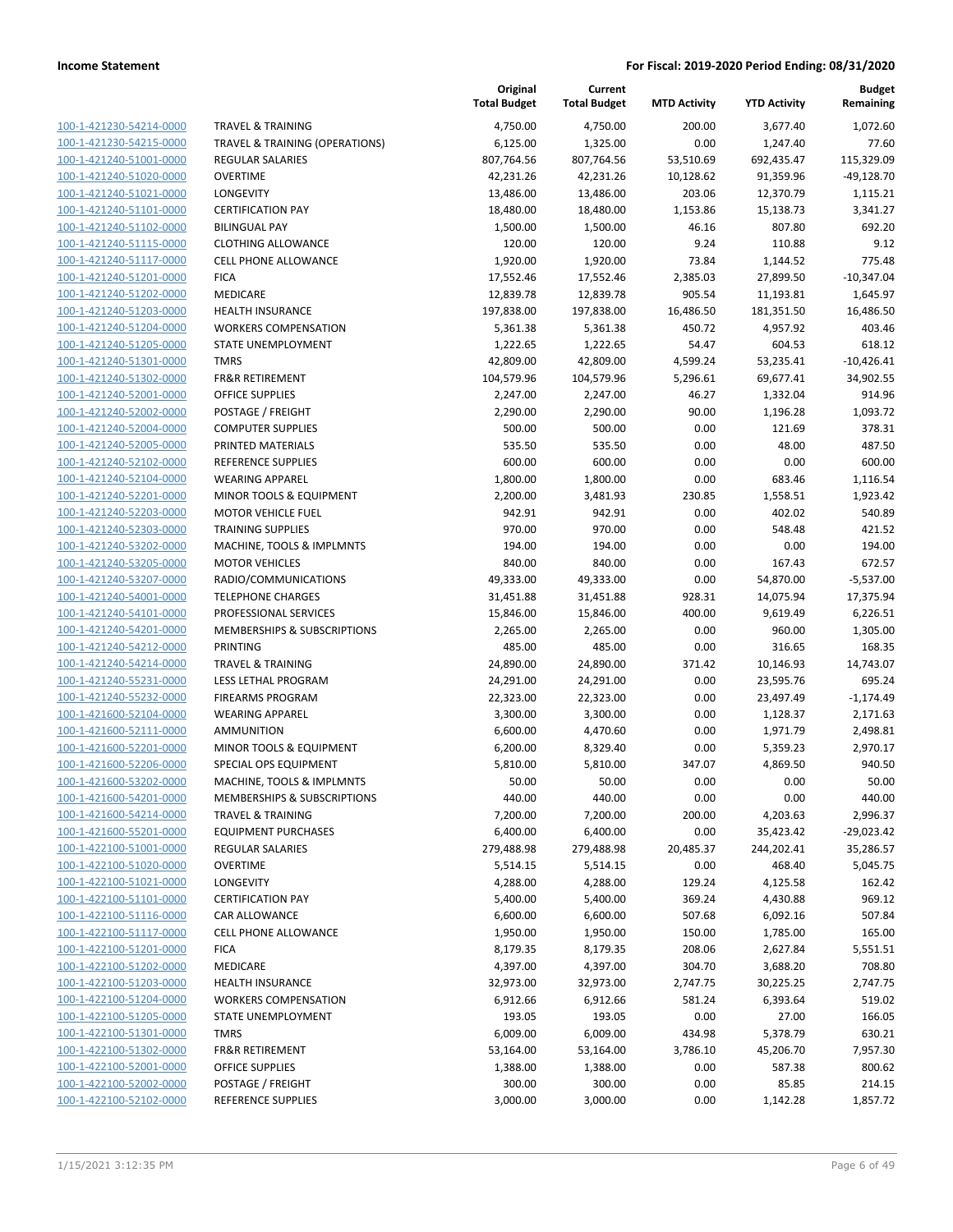| 100-1-421230-54214-0000        |
|--------------------------------|
| 100-1-421230-54215-0000        |
| 100-1-421240-51001-0000        |
| 100-1-421240-51020-0000        |
| 100-1-421240-51021-0000        |
| 100-1-421240-51101-0000        |
| 100-1-421240-51102-0000        |
| 100-1-421240-51115-0000        |
| 100-1-421240-51117-0000        |
| 100-1-421240-51201-0000        |
|                                |
| 100-1-421240-51202-0000        |
| 100-1-421240-51203-0000        |
| 100-1-421240-51204-0000        |
| <u>100-1-421240-51205-0000</u> |
| 100-1-421240-51301-0000        |
| 100-1-421240-51302-0000        |
| 100-1-421240-52001-0000        |
| <u>100-1-421240-52002-0000</u> |
| <u>100-1-421240-52004-0000</u> |
| 100-1-421240-52005-0000        |
| 100-1-421240-52102-0000        |
| 100-1-421240-52104-0000        |
| 100-1-421240-52201-0000        |
| 100-1-421240-52203-0000        |
| 100-1-421240-52303-0000        |
|                                |
| 100-1-421240-53202-0000        |
| 100-1-421240-53205-0000        |
| <u>100-1-421240-53207-0000</u> |
| 100-1-421240-54001-0000        |
| 100-1-421240-54101-0000        |
| 100-1-421240-54201-0000        |
| 100-1-421240-54212-0000        |
| 100-1-421240-54214-0000        |
| 100-1-421240-55231-0000        |
| 100-1-421240-55232-0000        |
| 100-1-421600-52104-0000        |
| 100-1-421600-52111-0000        |
| 100-1-421600-52201-0000        |
| 100-1-421600-52206-0000        |
| 100-1-421600-53202-0000        |
| 100-1-421600-54201-0000        |
|                                |
| 100-1-421600-54214-0000        |
| <u>100-1-421600-55201-0000</u> |
| <u>100-1-422100-51001-0000</u> |
| 100-1-422100-51020-0000        |
| 100-1-422100-51021-0000        |
| 100-1-422100-51101-0000        |
| <u>100-1-422100-51116-0000</u> |
| <u>100-1-422100-51117-0000</u> |
| <u>100-1-422100-51201-0000</u> |
| 100-1-422100-51202-0000        |
| 100-1-422100-51203-0000        |
| 100-1-422100-51204-0000        |
| <u>100-1-422100-51205-0000</u> |
| <u>100-1-422100-51301-0000</u> |
|                                |
| <u>100-1-422100-51302-0000</u> |
| 100-1-422100-52001-0000        |
| <u>100-1-422100-52002-0000</u> |
| <u>100-1-422100-52102-0000</u> |

|                                                    |                                            | Original<br><b>Total Budget</b> | Current<br><b>Total Budget</b> | <b>MTD Activity</b> | <b>YTD Activity</b>   | <b>Budget</b><br>Remaining |
|----------------------------------------------------|--------------------------------------------|---------------------------------|--------------------------------|---------------------|-----------------------|----------------------------|
| 100-1-421230-54214-0000                            | <b>TRAVEL &amp; TRAINING</b>               | 4,750.00                        | 4,750.00                       | 200.00              | 3,677.40              | 1,072.60                   |
| 100-1-421230-54215-0000                            | TRAVEL & TRAINING (OPERATIONS)             | 6,125.00                        | 1,325.00                       | 0.00                | 1,247.40              | 77.60                      |
| 100-1-421240-51001-0000                            | <b>REGULAR SALARIES</b>                    | 807,764.56                      | 807,764.56                     | 53,510.69           | 692,435.47            | 115,329.09                 |
| 100-1-421240-51020-0000                            | <b>OVERTIME</b>                            | 42,231.26                       | 42,231.26                      | 10,128.62           | 91,359.96             | $-49,128.70$               |
| 100-1-421240-51021-0000                            | <b>LONGEVITY</b>                           | 13,486.00                       | 13,486.00                      | 203.06              | 12,370.79             | 1,115.21                   |
| 100-1-421240-51101-0000                            | <b>CERTIFICATION PAY</b>                   | 18,480.00                       | 18,480.00                      | 1,153.86            | 15,138.73             | 3,341.27                   |
| 100-1-421240-51102-0000                            | <b>BILINGUAL PAY</b>                       | 1,500.00                        | 1,500.00                       | 46.16               | 807.80                | 692.20                     |
| 100-1-421240-51115-0000                            | <b>CLOTHING ALLOWANCE</b>                  | 120.00                          | 120.00                         | 9.24                | 110.88                | 9.12                       |
| 100-1-421240-51117-0000                            | <b>CELL PHONE ALLOWANCE</b>                | 1,920.00                        | 1,920.00                       | 73.84               | 1,144.52              | 775.48                     |
| 100-1-421240-51201-0000                            | <b>FICA</b>                                | 17,552.46                       | 17,552.46                      | 2,385.03            | 27,899.50             | $-10,347.04$               |
| 100-1-421240-51202-0000                            | MEDICARE                                   | 12,839.78                       | 12,839.78                      | 905.54              | 11,193.81             | 1,645.97                   |
| 100-1-421240-51203-0000                            | <b>HEALTH INSURANCE</b>                    | 197,838.00                      | 197,838.00                     | 16,486.50           | 181,351.50            | 16,486.50                  |
| 100-1-421240-51204-0000                            | <b>WORKERS COMPENSATION</b>                | 5,361.38                        | 5,361.38                       | 450.72              | 4,957.92              | 403.46                     |
| 100-1-421240-51205-0000                            | STATE UNEMPLOYMENT                         | 1,222.65                        | 1,222.65                       | 54.47               | 604.53                | 618.12                     |
| 100-1-421240-51301-0000                            | <b>TMRS</b>                                | 42,809.00                       | 42,809.00                      | 4,599.24            | 53,235.41             | $-10,426.41$               |
| 100-1-421240-51302-0000                            | <b>FR&amp;R RETIREMENT</b>                 | 104,579.96                      | 104,579.96                     | 5,296.61            | 69,677.41             | 34,902.55                  |
| 100-1-421240-52001-0000                            | <b>OFFICE SUPPLIES</b>                     | 2,247.00                        | 2,247.00                       | 46.27               | 1,332.04              | 914.96                     |
| 100-1-421240-52002-0000                            | POSTAGE / FREIGHT                          | 2,290.00                        | 2,290.00                       | 90.00               | 1,196.28              | 1,093.72                   |
| 100-1-421240-52004-0000                            | <b>COMPUTER SUPPLIES</b>                   | 500.00                          | 500.00                         | 0.00                | 121.69                | 378.31                     |
| 100-1-421240-52005-0000                            | PRINTED MATERIALS                          | 535.50                          | 535.50                         | 0.00                | 48.00                 | 487.50                     |
| 100-1-421240-52102-0000                            | REFERENCE SUPPLIES                         | 600.00                          | 600.00                         | 0.00                | 0.00                  | 600.00                     |
| 100-1-421240-52104-0000                            | <b>WEARING APPAREL</b>                     | 1,800.00                        | 1,800.00                       | 0.00                | 683.46                | 1,116.54                   |
| 100-1-421240-52201-0000                            | <b>MINOR TOOLS &amp; EQUIPMENT</b>         | 2,200.00                        | 3,481.93                       | 230.85              | 1,558.51              | 1,923.42                   |
| 100-1-421240-52203-0000                            | <b>MOTOR VEHICLE FUEL</b>                  | 942.91                          | 942.91                         | 0.00                | 402.02                | 540.89                     |
| 100-1-421240-52303-0000                            | <b>TRAINING SUPPLIES</b>                   | 970.00                          | 970.00                         | 0.00                | 548.48                | 421.52                     |
| 100-1-421240-53202-0000                            | MACHINE, TOOLS & IMPLMNTS                  | 194.00                          | 194.00                         | 0.00                | 0.00                  | 194.00                     |
| 100-1-421240-53205-0000                            | <b>MOTOR VEHICLES</b>                      | 840.00                          | 840.00                         | 0.00                | 167.43                | 672.57                     |
| 100-1-421240-53207-0000                            | RADIO/COMMUNICATIONS                       | 49,333.00                       | 49,333.00                      | 0.00                | 54,870.00             | $-5,537.00$                |
| 100-1-421240-54001-0000                            | <b>TELEPHONE CHARGES</b>                   | 31,451.88                       | 31,451.88                      | 928.31              | 14,075.94             | 17,375.94                  |
| 100-1-421240-54101-0000                            | PROFESSIONAL SERVICES                      | 15,846.00                       | 15,846.00                      | 400.00              | 9,619.49              | 6,226.51                   |
| 100-1-421240-54201-0000                            | MEMBERSHIPS & SUBSCRIPTIONS                | 2,265.00                        | 2,265.00                       | 0.00                | 960.00                | 1,305.00                   |
| 100-1-421240-54212-0000                            | PRINTING                                   | 485.00                          | 485.00                         | 0.00                | 316.65                | 168.35                     |
| 100-1-421240-54214-0000                            | <b>TRAVEL &amp; TRAINING</b>               | 24,890.00                       | 24,890.00                      | 371.42              | 10,146.93             | 14,743.07                  |
| 100-1-421240-55231-0000                            | <b>LESS LETHAL PROGRAM</b>                 | 24,291.00                       | 24,291.00                      | 0.00                | 23,595.76             | 695.24                     |
| 100-1-421240-55232-0000                            | <b>FIREARMS PROGRAM</b>                    | 22,323.00                       | 22,323.00                      | 0.00                | 23,497.49             | $-1,174.49$                |
| 100-1-421600-52104-0000                            | <b>WEARING APPAREL</b>                     | 3,300.00                        | 3,300.00                       | 0.00                | 1,128.37              | 2,171.63                   |
| 100-1-421600-52111-0000                            | <b>AMMUNITION</b>                          | 6,600.00                        | 4,470.60                       | 0.00                | 1,971.79              | 2,498.81                   |
| 100-1-421600-52201-0000                            | MINOR TOOLS & EQUIPMENT                    | 6,200.00                        | 8,329.40                       | 0.00                | 5,359.23              | 2,970.17                   |
| 100-1-421600-52206-0000                            | SPECIAL OPS EQUIPMENT                      | 5,810.00                        | 5,810.00                       | 347.07              | 4,869.50              | 940.50                     |
| 100-1-421600-53202-0000                            | MACHINE, TOOLS & IMPLMNTS                  | 50.00                           | 50.00                          | 0.00                | 0.00                  | 50.00                      |
| 100-1-421600-54201-0000                            | MEMBERSHIPS & SUBSCRIPTIONS                | 440.00                          | 440.00                         | 0.00                | 0.00                  | 440.00                     |
| 100-1-421600-54214-0000                            | <b>TRAVEL &amp; TRAINING</b>               | 7,200.00                        | 7,200.00                       | 200.00              | 4,203.63              | 2,996.37                   |
| 100-1-421600-55201-0000                            | <b>EQUIPMENT PURCHASES</b>                 | 6,400.00                        | 6,400.00                       | 0.00                | 35,423.42             | $-29,023.42$               |
| 100-1-422100-51001-0000<br>100-1-422100-51020-0000 | <b>REGULAR SALARIES</b><br><b>OVERTIME</b> | 279,488.98                      | 279,488.98                     | 20,485.37           | 244,202.41            | 35,286.57                  |
|                                                    |                                            | 5,514.15                        | 5,514.15                       | 0.00                | 468.40                | 5,045.75                   |
| 100-1-422100-51021-0000<br>100-1-422100-51101-0000 | LONGEVITY<br><b>CERTIFICATION PAY</b>      | 4,288.00<br>5,400.00            | 4,288.00                       | 129.24<br>369.24    | 4,125.58              | 162.42<br>969.12           |
| 100-1-422100-51116-0000                            | CAR ALLOWANCE                              | 6,600.00                        | 5,400.00<br>6,600.00           | 507.68              | 4,430.88<br>6,092.16  | 507.84                     |
| 100-1-422100-51117-0000                            | <b>CELL PHONE ALLOWANCE</b>                | 1,950.00                        | 1,950.00                       | 150.00              | 1,785.00              | 165.00                     |
| 100-1-422100-51201-0000                            | <b>FICA</b>                                | 8,179.35                        | 8,179.35                       | 208.06              | 2,627.84              | 5,551.51                   |
|                                                    | MEDICARE                                   |                                 |                                |                     |                       | 708.80                     |
| 100-1-422100-51202-0000<br>100-1-422100-51203-0000 | <b>HEALTH INSURANCE</b>                    | 4,397.00<br>32,973.00           | 4,397.00<br>32,973.00          | 304.70<br>2,747.75  | 3,688.20<br>30,225.25 | 2,747.75                   |
| 100-1-422100-51204-0000                            | <b>WORKERS COMPENSATION</b>                | 6,912.66                        | 6,912.66                       | 581.24              | 6,393.64              | 519.02                     |
| 100-1-422100-51205-0000                            | STATE UNEMPLOYMENT                         | 193.05                          | 193.05                         | 0.00                | 27.00                 | 166.05                     |
| 100-1-422100-51301-0000                            | <b>TMRS</b>                                | 6,009.00                        | 6,009.00                       | 434.98              | 5,378.79              | 630.21                     |
| 100-1-422100-51302-0000                            | <b>FR&amp;R RETIREMENT</b>                 | 53,164.00                       | 53,164.00                      | 3,786.10            | 45,206.70             | 7,957.30                   |
| 100-1-422100-52001-0000                            | <b>OFFICE SUPPLIES</b>                     | 1,388.00                        | 1,388.00                       | 0.00                | 587.38                | 800.62                     |
| 100-1-422100-52002-0000                            | POSTAGE / FREIGHT                          | 300.00                          | 300.00                         | 0.00                | 85.85                 | 214.15                     |
| 100-1-422100-52102-0000                            | REFERENCE SUPPLIES                         | 3,000.00                        | 3,000.00                       | 0.00                | 1,142.28              | 1,857.72                   |
|                                                    |                                            |                                 |                                |                     |                       |                            |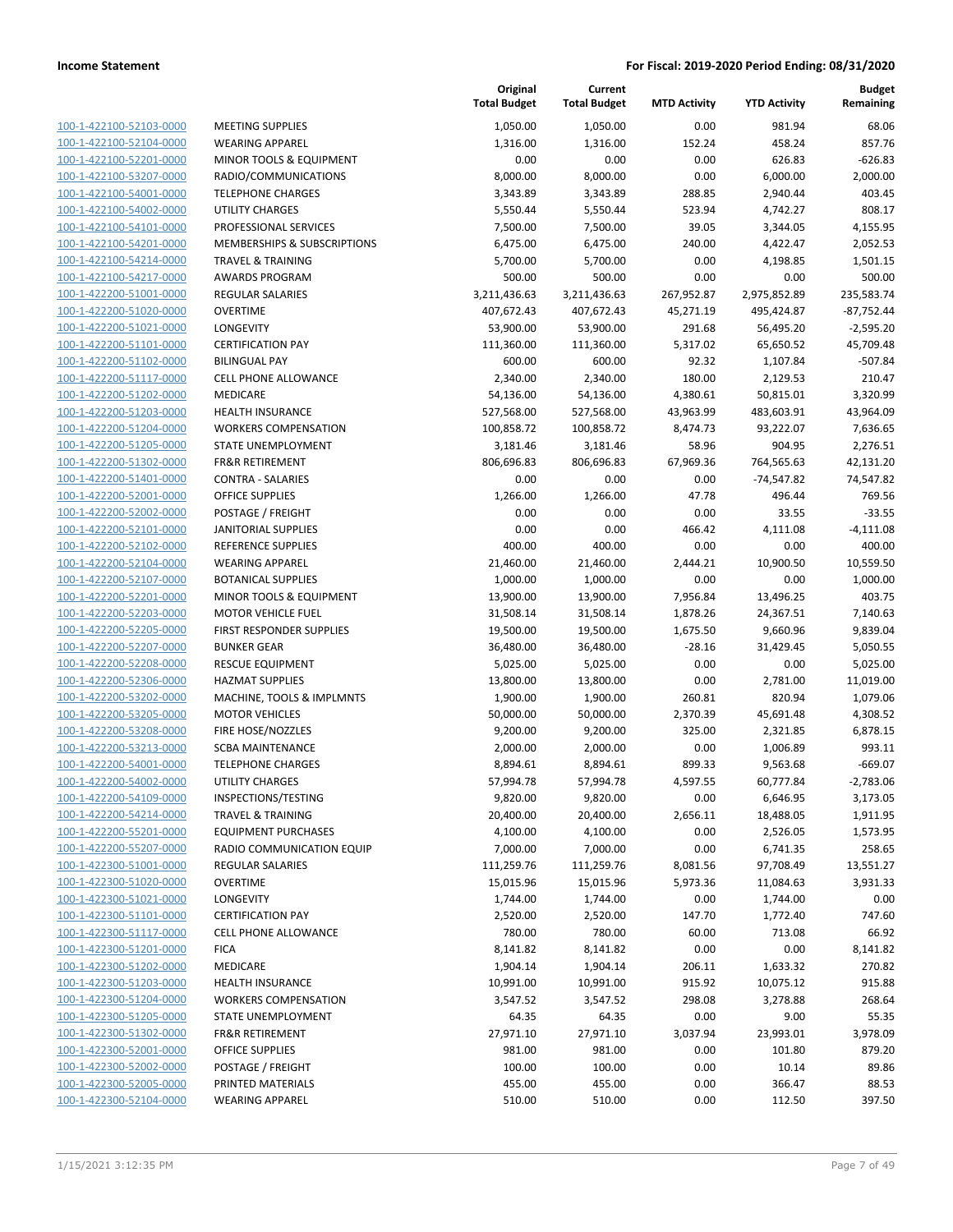| 100-1-422100-52103-0000                                   | MEETIN                       |
|-----------------------------------------------------------|------------------------------|
| 100-1-422100-52104-0000                                   | WEARIN                       |
| 100-1-422100-52201-0000                                   | MINOR <sup>:</sup>           |
| 100-1-422100-53207-0000                                   | RADIO/                       |
| 100-1-422100-54001-0000                                   | <b>TELEPH</b>                |
| 100-1-422100-54002-0000                                   | UTILITY                      |
| 100-1-422100-54101-0000                                   | PROFES:                      |
| 100-1-422100-54201-0000                                   | <b>MEMBE</b>                 |
| 100-1-422100-54214-0000                                   | TRAVEL                       |
| 100-1-422100-54217-0000                                   | <b>AWARD</b>                 |
| 100-1-422200-51001-0000                                   | REGULA                       |
| 100-1-422200-51020-0000                                   | <b>OVERTII</b>               |
| 100-1-422200-51021-0000                                   | <b>LONGEV</b>                |
| 100-1-422200-51101-0000                                   | <b>CERTIFIO</b>              |
| 100-1-422200-51102-0000                                   | BILINGU                      |
| 100-1-422200-51117-0000                                   | <b>CELL PH</b>               |
| 100-1-422200-51202-0000                                   | <b>MEDICA</b>                |
| 100-1-422200-51203-0000                                   | <b>HEALTH</b>                |
| 100-1-422200-51204-0000                                   | <b>WORKEI</b>                |
| 100-1-422200-51205-0000                                   | <b>STATE U</b>               |
| 100-1-422200-51302-0000                                   | <b>FR&amp;R RE</b>           |
| 100-1-422200-51401-0000<br>100-1-422200-52001-0000        | <b>CONTRA</b><br>OFFICE !    |
| 100-1-422200-52002-0000                                   | <b>POSTAG</b>                |
| 100-1-422200-52101-0000                                   | <b>JANITOF</b>               |
| 100-1-422200-52102-0000                                   | REFEREI                      |
| 100-1-422200-52104-0000                                   | WEARIN                       |
| 100-1-422200-52107-0000                                   | <b>BOTANI</b>                |
| 100-1-422200-52201-0000                                   | MINOR <sup>.</sup>           |
| 100-1-422200-52203-0000                                   | MOTOR                        |
| 100-1-422200-52205-0000                                   | <b>FIRST RE</b>              |
| 100-1-422200-52207-0000                                   | <b>BUNKER</b>                |
| 100-1-422200-52208-0000                                   | <b>RESCUE</b>                |
| 100-1-422200-52306-0000                                   | HAZMA <sup>-</sup>           |
| 100-1-422200-53202-0000                                   | MACHIN                       |
| 100-1-422200-53205-0000                                   | MOTOR                        |
| 100-1-422200-53208-0000                                   | <b>FIRE HO</b>               |
| 100-1-422200-53213-0000                                   | SCBA <sub>M</sub>            |
| 100-1-422200-54001-0000                                   | <b>TELEPH</b>                |
| 100-1-422200-54002-0000                                   | UTILITY                      |
| 100-1-422200-54109-0000                                   | <b>INSPECT</b>               |
| 100-1-422200-54214-0000                                   | TRAVEL                       |
| 100-1-422200-55201-0000                                   | <b>EQUIPM</b>                |
| 100-1-422200-55207-0000                                   | RADIO C                      |
| 100-1-422300-51001-0000                                   | REGULA                       |
| 100-1-422300-51020-0000                                   | <b>OVERTII</b>               |
| 100-1-422300-51021-0000                                   | LONGEV                       |
| 100-1-422300-51101-0000                                   | <b>CERTIFIO</b>              |
| 100-1-422300-51117-0000                                   | <b>CELL PH</b>               |
| <u>100-1-422300-51201-0000</u><br>100-1-422300-51202-0000 | <b>FICA</b><br><b>MEDICA</b> |
| 100-1-422300-51203-0000                                   | <b>HEALTH</b>                |
| 100-1-422300-51204-0000                                   | <b>WORKEI</b>                |
| 100-1-422300-51205-0000                                   | <b>STATE U</b>               |
| 100-1-422300-51302-0000                                   | <b>FR&amp;R RE</b>           |
| <u>100-1-422300-52001-0000</u>                            | OFFICE !                     |
| 100-1-422300-52002-0000                                   | POSTAG                       |
| 100-1-422300-52005-0000                                   | PRINTED                      |
| 100-1-422300-52104-0000                                   | WEARIN                       |
|                                                           |                              |

|                         |                              | Original<br><b>Total Budget</b> | Current<br><b>Total Budget</b> | <b>MTD Activity</b> | <b>YTD Activity</b> | <b>Budget</b><br>Remaining |
|-------------------------|------------------------------|---------------------------------|--------------------------------|---------------------|---------------------|----------------------------|
| 100-1-422100-52103-0000 | <b>MEETING SUPPLIES</b>      | 1,050.00                        | 1,050.00                       | 0.00                | 981.94              | 68.06                      |
| 100-1-422100-52104-0000 | <b>WEARING APPAREL</b>       | 1,316.00                        | 1,316.00                       | 152.24              | 458.24              | 857.76                     |
| 100-1-422100-52201-0000 | MINOR TOOLS & EQUIPMENT      | 0.00                            | 0.00                           | 0.00                | 626.83              | $-626.83$                  |
| 100-1-422100-53207-0000 | RADIO/COMMUNICATIONS         | 8,000.00                        | 8,000.00                       | 0.00                | 6,000.00            | 2,000.00                   |
| 100-1-422100-54001-0000 | <b>TELEPHONE CHARGES</b>     | 3,343.89                        | 3,343.89                       | 288.85              | 2,940.44            | 403.45                     |
| 100-1-422100-54002-0000 | <b>UTILITY CHARGES</b>       | 5,550.44                        | 5,550.44                       | 523.94              | 4,742.27            | 808.17                     |
| 100-1-422100-54101-0000 | PROFESSIONAL SERVICES        | 7,500.00                        | 7,500.00                       | 39.05               | 3,344.05            | 4,155.95                   |
| 100-1-422100-54201-0000 | MEMBERSHIPS & SUBSCRIPTIONS  | 6,475.00                        | 6,475.00                       | 240.00              | 4,422.47            | 2,052.53                   |
| 100-1-422100-54214-0000 | <b>TRAVEL &amp; TRAINING</b> | 5,700.00                        | 5,700.00                       | 0.00                | 4,198.85            | 1,501.15                   |
| 100-1-422100-54217-0000 | <b>AWARDS PROGRAM</b>        | 500.00                          | 500.00                         | 0.00                | 0.00                | 500.00                     |
| 100-1-422200-51001-0000 | <b>REGULAR SALARIES</b>      | 3,211,436.63                    | 3,211,436.63                   | 267,952.87          | 2,975,852.89        | 235,583.74                 |
| 100-1-422200-51020-0000 | <b>OVERTIME</b>              | 407,672.43                      | 407,672.43                     | 45,271.19           | 495,424.87          | $-87,752.44$               |
| 100-1-422200-51021-0000 | LONGEVITY                    | 53,900.00                       | 53,900.00                      | 291.68              | 56,495.20           | $-2,595.20$                |
| 100-1-422200-51101-0000 | <b>CERTIFICATION PAY</b>     | 111,360.00                      | 111,360.00                     | 5,317.02            | 65,650.52           | 45,709.48                  |
| 100-1-422200-51102-0000 | <b>BILINGUAL PAY</b>         | 600.00                          | 600.00                         | 92.32               | 1,107.84            | $-507.84$                  |
| 100-1-422200-51117-0000 | CELL PHONE ALLOWANCE         | 2,340.00                        | 2,340.00                       | 180.00              | 2,129.53            | 210.47                     |
| 100-1-422200-51202-0000 | <b>MEDICARE</b>              | 54,136.00                       | 54,136.00                      | 4,380.61            | 50,815.01           | 3,320.99                   |
| 100-1-422200-51203-0000 | HEALTH INSURANCE             | 527,568.00                      | 527,568.00                     | 43,963.99           | 483,603.91          | 43,964.09                  |
| 100-1-422200-51204-0000 | <b>WORKERS COMPENSATION</b>  | 100,858.72                      | 100,858.72                     | 8,474.73            | 93,222.07           | 7,636.65                   |
| 100-1-422200-51205-0000 | STATE UNEMPLOYMENT           | 3,181.46                        | 3,181.46                       | 58.96               | 904.95              | 2,276.51                   |
| 100-1-422200-51302-0000 | <b>FR&amp;R RETIREMENT</b>   | 806,696.83                      | 806,696.83                     | 67,969.36           | 764,565.63          | 42,131.20                  |
| 100-1-422200-51401-0000 | <b>CONTRA - SALARIES</b>     | 0.00                            | 0.00                           | 0.00                | $-74,547.82$        | 74,547.82                  |
| 100-1-422200-52001-0000 | <b>OFFICE SUPPLIES</b>       | 1,266.00                        | 1,266.00                       | 47.78               | 496.44              | 769.56                     |
| 100-1-422200-52002-0000 | POSTAGE / FREIGHT            | 0.00                            | 0.00                           | 0.00                | 33.55               | $-33.55$                   |
| 100-1-422200-52101-0000 | <b>JANITORIAL SUPPLIES</b>   | 0.00                            | 0.00                           | 466.42              | 4,111.08            | $-4,111.08$                |
| 100-1-422200-52102-0000 | REFERENCE SUPPLIES           | 400.00                          | 400.00                         | 0.00                | 0.00                | 400.00                     |
| 100-1-422200-52104-0000 | <b>WEARING APPAREL</b>       | 21,460.00                       | 21,460.00                      | 2,444.21            | 10,900.50           | 10,559.50                  |
| 100-1-422200-52107-0000 | <b>BOTANICAL SUPPLIES</b>    | 1,000.00                        | 1,000.00                       | 0.00                | 0.00                | 1,000.00                   |
| 100-1-422200-52201-0000 | MINOR TOOLS & EQUIPMENT      | 13,900.00                       | 13,900.00                      | 7,956.84            | 13,496.25           | 403.75                     |
| 100-1-422200-52203-0000 | <b>MOTOR VEHICLE FUEL</b>    | 31,508.14                       | 31,508.14                      | 1,878.26            | 24,367.51           | 7,140.63                   |
| 100-1-422200-52205-0000 | FIRST RESPONDER SUPPLIES     | 19,500.00                       | 19,500.00                      | 1,675.50            | 9,660.96            | 9,839.04                   |
| 100-1-422200-52207-0000 | <b>BUNKER GEAR</b>           | 36,480.00                       | 36,480.00                      | $-28.16$            | 31,429.45           | 5,050.55                   |
| 100-1-422200-52208-0000 | <b>RESCUE EQUIPMENT</b>      | 5,025.00                        | 5,025.00                       | 0.00                | 0.00                | 5,025.00                   |
| 100-1-422200-52306-0000 | <b>HAZMAT SUPPLIES</b>       | 13,800.00                       | 13,800.00                      | 0.00                | 2,781.00            | 11,019.00                  |
| 100-1-422200-53202-0000 | MACHINE, TOOLS & IMPLMNTS    | 1,900.00                        | 1,900.00                       | 260.81              | 820.94              | 1,079.06                   |
| 100-1-422200-53205-0000 | <b>MOTOR VEHICLES</b>        | 50,000.00                       | 50,000.00                      | 2,370.39            | 45,691.48           | 4,308.52                   |
| 100-1-422200-53208-0000 | FIRE HOSE/NOZZLES            | 9,200.00                        | 9,200.00                       | 325.00              | 2,321.85            | 6,878.15                   |
| 100-1-422200-53213-0000 | <b>SCBA MAINTENANCE</b>      | 2,000.00                        | 2,000.00                       | 0.00                | 1,006.89            | 993.11                     |
| 100-1-422200-54001-0000 | <b>TELEPHONE CHARGES</b>     | 8,894.61                        | 8,894.61                       | 899.33              | 9,563.68            | $-669.07$                  |
| 100-1-422200-54002-0000 | UTILITY CHARGES              | 57,994.78                       | 57,994.78                      | 4,597.55            | 60,777.84           | $-2,783.06$                |
| 100-1-422200-54109-0000 | INSPECTIONS/TESTING          | 9,820.00                        | 9,820.00                       | 0.00                | 6,646.95            | 3,173.05                   |
| 100-1-422200-54214-0000 | <b>TRAVEL &amp; TRAINING</b> | 20,400.00                       | 20,400.00                      | 2,656.11            | 18,488.05           | 1,911.95                   |
| 100-1-422200-55201-0000 | <b>EQUIPMENT PURCHASES</b>   | 4,100.00                        | 4,100.00                       | 0.00                | 2,526.05            | 1,573.95                   |
| 100-1-422200-55207-0000 | RADIO COMMUNICATION EQUIP    | 7,000.00                        | 7,000.00                       | 0.00                | 6,741.35            | 258.65                     |
| 100-1-422300-51001-0000 | REGULAR SALARIES             | 111,259.76                      | 111,259.76                     | 8,081.56            | 97,708.49           | 13,551.27                  |
| 100-1-422300-51020-0000 | <b>OVERTIME</b>              | 15,015.96                       | 15,015.96                      | 5,973.36            | 11,084.63           | 3,931.33                   |
| 100-1-422300-51021-0000 | LONGEVITY                    | 1,744.00                        | 1,744.00                       | 0.00                | 1,744.00            | 0.00                       |
| 100-1-422300-51101-0000 | <b>CERTIFICATION PAY</b>     | 2,520.00                        | 2,520.00                       | 147.70              | 1,772.40            | 747.60                     |
| 100-1-422300-51117-0000 | <b>CELL PHONE ALLOWANCE</b>  | 780.00                          | 780.00                         | 60.00               | 713.08              | 66.92                      |
| 100-1-422300-51201-0000 | <b>FICA</b>                  | 8,141.82                        | 8,141.82                       | 0.00                | 0.00                | 8,141.82                   |
| 100-1-422300-51202-0000 | MEDICARE                     | 1,904.14                        | 1,904.14                       | 206.11              | 1,633.32            | 270.82                     |
| 100-1-422300-51203-0000 | <b>HEALTH INSURANCE</b>      | 10,991.00                       | 10,991.00                      | 915.92              | 10,075.12           | 915.88                     |
| 100-1-422300-51204-0000 | <b>WORKERS COMPENSATION</b>  | 3,547.52                        | 3,547.52                       | 298.08              | 3,278.88            | 268.64                     |
| 100-1-422300-51205-0000 | STATE UNEMPLOYMENT           | 64.35                           | 64.35                          | 0.00                | 9.00                | 55.35                      |
| 100-1-422300-51302-0000 | FR&R RETIREMENT              | 27,971.10                       | 27,971.10                      | 3,037.94            | 23,993.01           | 3,978.09                   |
| 100-1-422300-52001-0000 | <b>OFFICE SUPPLIES</b>       | 981.00                          | 981.00                         | 0.00                | 101.80              | 879.20                     |
| 100-1-422300-52002-0000 | POSTAGE / FREIGHT            | 100.00                          | 100.00                         | 0.00                | 10.14               | 89.86                      |
| 100-1-422300-52005-0000 | PRINTED MATERIALS            | 455.00                          | 455.00                         | 0.00                | 366.47              | 88.53                      |
| 100-1-422300-52104-0000 | <b>WEARING APPAREL</b>       | 510.00                          | 510.00                         | 0.00                | 112.50              | 397.50                     |
|                         |                              |                                 |                                |                     |                     |                            |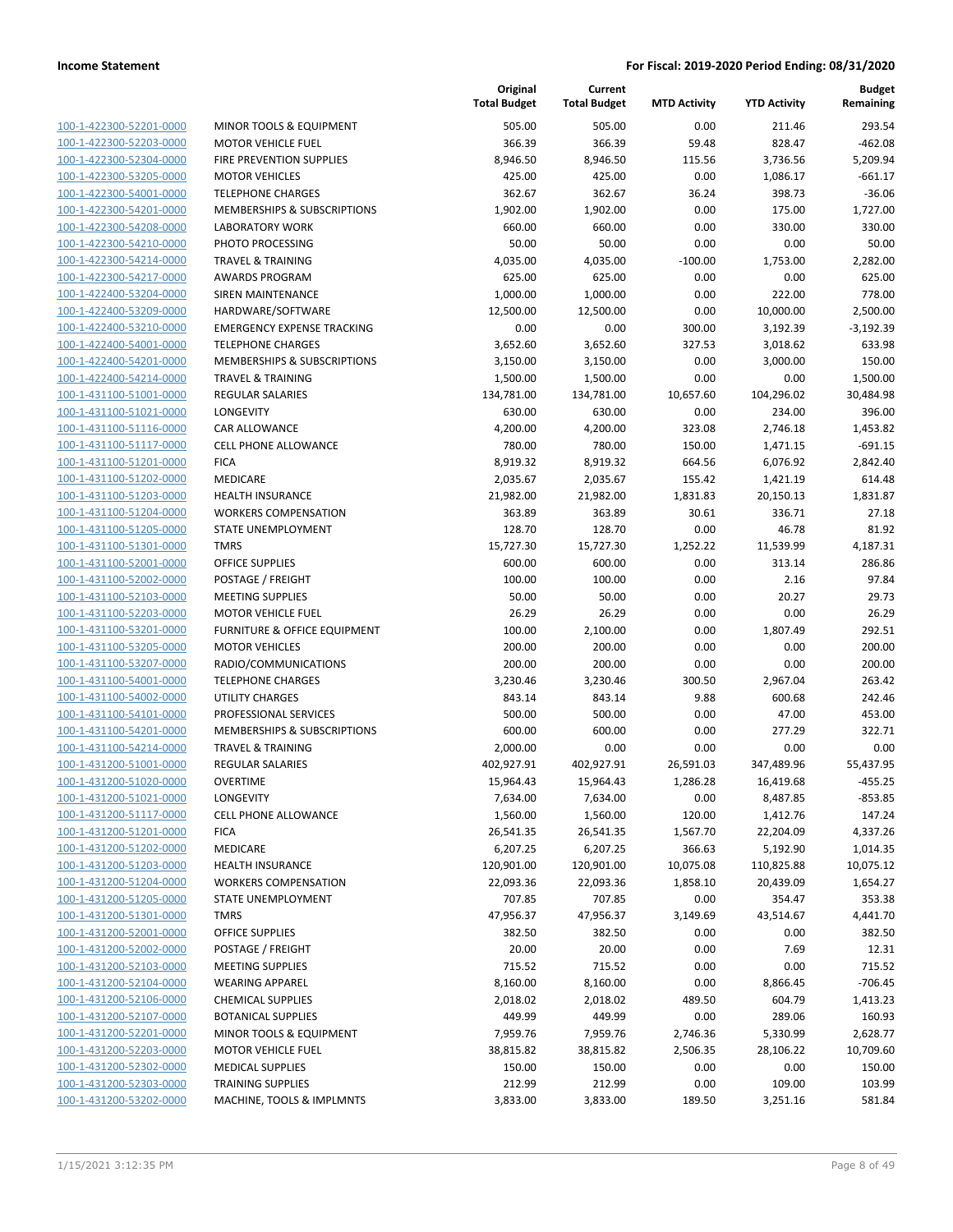| 100-1-422300-52201-0000                            |
|----------------------------------------------------|
| 100-1-422300-52203-0000                            |
| 100-1-422300-52304-0000                            |
| 100-1-422300-53205-0000                            |
|                                                    |
| 100-1-422300-54001-0000                            |
| 100-1-422300-54201-0000                            |
| 100-1-422300-54208-0000                            |
| 100-1-422300-54210-0000                            |
| 100-1-422300-54214-0000                            |
| 100-1-422300-54217-0000                            |
|                                                    |
| 100-1-422400-53204-0000                            |
| 100-1-422400-53209-0000                            |
| 100-1-422400-53210-0000                            |
| 100-1-422400-54001-0000                            |
| 100-1-422400-54201-0000                            |
|                                                    |
| 100-1-422400-54214-0000                            |
| 100-1-431100-51001-0000                            |
| 100-1-431100-51021-0000                            |
| 100-1-431100-51116-0000                            |
| 100-1-431100-51117-0000                            |
| 100-1-431100-51201-0000                            |
|                                                    |
| 100-1-431100-51202-0000                            |
| 100-1-431100-51203-0000                            |
| 100-1-431100-51204-0000                            |
| 100-1-431100-51205-0000                            |
| 100-1-431100-51301-0000                            |
| 100-1-431100-52001-0000                            |
|                                                    |
| 100-1-431100-52002-0000                            |
| 100-1-431100-52103-0000                            |
| 100-1-431100-52203-0000                            |
| 100-1-431100-53201-0000                            |
| 100-1-431100-53205-0000                            |
| 100-1-431100-53207-0000                            |
|                                                    |
| 100-1-431100-54001-0000                            |
| 100-1-431100-54002-0000                            |
| 100-1-431100-54101-0000                            |
| 100-1-431100-54201-0000                            |
| 100-1-431100-54214-0000                            |
| 100-1-431200-51001-0000                            |
| 100-1-431200-51020-0000                            |
|                                                    |
|                                                    |
| 100-1-431200-51021-0000                            |
| <u>100-1-431200-51117-0000</u>                     |
| 100-1-431200-51201-0000                            |
|                                                    |
| 100-1-431200-51202-0000                            |
| 100-1-431200-51203-0000                            |
| 100-1-431200-51204-0000                            |
| 100-1-431200-51205-0000                            |
| 100-1-431200-51301-0000                            |
| 100-1-431200-52001-0000                            |
| 100-1-431200-52002-0000                            |
|                                                    |
| 100-1-431200-52103-0000                            |
| 100-1-431200-52104-0000                            |
| 100-1-431200-52106-0000                            |
| 100-1-431200-52107-0000                            |
| 100-1-431200-52201-0000                            |
| 100-1-431200-52203-0000                            |
|                                                    |
| 100-1-431200-52302-0000                            |
| 100-1-431200-52303-0000<br>100-1-431200-53202-0000 |

|                         |                                   | Original<br><b>Total Budget</b> | Current<br><b>Total Budget</b> | <b>MTD Activity</b> | <b>YTD Activity</b>     | <b>Budget</b><br>Remaining |
|-------------------------|-----------------------------------|---------------------------------|--------------------------------|---------------------|-------------------------|----------------------------|
| 100-1-422300-52201-0000 | MINOR TOOLS & EQUIPMENT           | 505.00                          | 505.00                         | 0.00                | 211.46                  | 293.54                     |
| 100-1-422300-52203-0000 | <b>MOTOR VEHICLE FUEL</b>         | 366.39                          | 366.39                         | 59.48               | 828.47                  | $-462.08$                  |
| 100-1-422300-52304-0000 | FIRE PREVENTION SUPPLIES          | 8,946.50                        | 8,946.50                       | 115.56              | 3,736.56                | 5,209.94                   |
| 100-1-422300-53205-0000 | <b>MOTOR VEHICLES</b>             | 425.00                          | 425.00                         | 0.00                | 1,086.17                | $-661.17$                  |
| 100-1-422300-54001-0000 | <b>TELEPHONE CHARGES</b>          | 362.67                          | 362.67                         | 36.24               | 398.73                  | $-36.06$                   |
| 100-1-422300-54201-0000 | MEMBERSHIPS & SUBSCRIPTIONS       | 1,902.00                        | 1,902.00                       | 0.00                | 175.00                  | 1,727.00                   |
| 100-1-422300-54208-0000 | <b>LABORATORY WORK</b>            | 660.00                          | 660.00                         | 0.00                | 330.00                  | 330.00                     |
| 100-1-422300-54210-0000 | PHOTO PROCESSING                  | 50.00                           | 50.00                          | 0.00                | 0.00                    | 50.00                      |
| 100-1-422300-54214-0000 | <b>TRAVEL &amp; TRAINING</b>      | 4,035.00                        | 4,035.00                       | $-100.00$           | 1,753.00                | 2,282.00                   |
| 100-1-422300-54217-0000 | <b>AWARDS PROGRAM</b>             | 625.00                          | 625.00                         | 0.00                | 0.00                    | 625.00                     |
| 100-1-422400-53204-0000 | SIREN MAINTENANCE                 | 1,000.00                        | 1,000.00                       | 0.00                | 222.00                  | 778.00                     |
| 100-1-422400-53209-0000 | HARDWARE/SOFTWARE                 | 12,500.00                       | 12,500.00                      | 0.00                | 10,000.00               | 2,500.00                   |
| 100-1-422400-53210-0000 | <b>EMERGENCY EXPENSE TRACKING</b> | 0.00                            | 0.00                           | 300.00              | 3,192.39                | $-3,192.39$                |
| 100-1-422400-54001-0000 | <b>TELEPHONE CHARGES</b>          | 3,652.60                        | 3,652.60                       | 327.53              | 3,018.62                | 633.98                     |
| 100-1-422400-54201-0000 | MEMBERSHIPS & SUBSCRIPTIONS       | 3,150.00                        | 3,150.00                       | 0.00                | 3,000.00                | 150.00                     |
| 100-1-422400-54214-0000 | <b>TRAVEL &amp; TRAINING</b>      | 1,500.00                        | 1,500.00                       | 0.00                | 0.00                    | 1,500.00                   |
| 100-1-431100-51001-0000 | <b>REGULAR SALARIES</b>           | 134,781.00                      | 134,781.00                     | 10,657.60           | 104,296.02              | 30,484.98                  |
| 100-1-431100-51021-0000 | LONGEVITY                         | 630.00                          | 630.00                         | 0.00                | 234.00                  | 396.00                     |
| 100-1-431100-51116-0000 | <b>CAR ALLOWANCE</b>              | 4,200.00                        | 4,200.00                       | 323.08              | 2,746.18                | 1,453.82                   |
| 100-1-431100-51117-0000 | <b>CELL PHONE ALLOWANCE</b>       | 780.00                          | 780.00                         | 150.00              | 1,471.15                | $-691.15$                  |
| 100-1-431100-51201-0000 | <b>FICA</b>                       | 8,919.32                        | 8,919.32                       | 664.56              | 6,076.92                | 2,842.40                   |
| 100-1-431100-51202-0000 | MEDICARE                          | 2,035.67                        | 2,035.67                       | 155.42              | 1,421.19                | 614.48                     |
| 100-1-431100-51203-0000 | <b>HEALTH INSURANCE</b>           | 21,982.00                       | 21,982.00                      | 1,831.83            | 20,150.13               | 1,831.87                   |
| 100-1-431100-51204-0000 | <b>WORKERS COMPENSATION</b>       | 363.89                          | 363.89                         | 30.61               | 336.71                  | 27.18                      |
| 100-1-431100-51205-0000 | STATE UNEMPLOYMENT                | 128.70                          | 128.70                         | 0.00                | 46.78                   | 81.92                      |
| 100-1-431100-51301-0000 | <b>TMRS</b>                       | 15,727.30                       | 15,727.30                      | 1,252.22            | 11,539.99               | 4,187.31                   |
| 100-1-431100-52001-0000 | OFFICE SUPPLIES                   | 600.00                          | 600.00                         | 0.00                | 313.14                  | 286.86                     |
| 100-1-431100-52002-0000 | POSTAGE / FREIGHT                 | 100.00                          | 100.00                         | 0.00                | 2.16                    | 97.84                      |
| 100-1-431100-52103-0000 | <b>MEETING SUPPLIES</b>           | 50.00                           | 50.00                          | 0.00                | 20.27                   | 29.73                      |
| 100-1-431100-52203-0000 | <b>MOTOR VEHICLE FUEL</b>         | 26.29                           | 26.29                          | 0.00                | 0.00                    | 26.29                      |
| 100-1-431100-53201-0000 | FURNITURE & OFFICE EQUIPMENT      | 100.00                          | 2,100.00                       | 0.00                | 1,807.49                | 292.51                     |
| 100-1-431100-53205-0000 | <b>MOTOR VEHICLES</b>             | 200.00                          | 200.00                         | 0.00                | 0.00                    | 200.00                     |
| 100-1-431100-53207-0000 | RADIO/COMMUNICATIONS              | 200.00                          | 200.00                         | 0.00                | 0.00                    | 200.00                     |
| 100-1-431100-54001-0000 | <b>TELEPHONE CHARGES</b>          | 3,230.46                        | 3,230.46                       | 300.50              | 2,967.04                | 263.42                     |
| 100-1-431100-54002-0000 | <b>UTILITY CHARGES</b>            | 843.14                          | 843.14                         | 9.88                | 600.68                  | 242.46                     |
| 100-1-431100-54101-0000 | PROFESSIONAL SERVICES             | 500.00                          | 500.00                         | 0.00                | 47.00                   | 453.00                     |
| 100-1-431100-54201-0000 | MEMBERSHIPS & SUBSCRIPTIONS       | 600.00                          | 600.00                         | 0.00                | 277.29                  | 322.71                     |
| 100-1-431100-54214-0000 | <b>TRAVEL &amp; TRAINING</b>      | 2,000.00                        | 0.00                           | 0.00                | 0.00                    | 0.00                       |
| 100-1-431200-51001-0000 | <b>REGULAR SALARIES</b>           | 402,927.91                      | 402,927.91                     | 26,591.03           | 347,489.96              | 55,437.95                  |
| 100-1-431200-51020-0000 | <b>OVERTIME</b>                   | 15,964.43                       | 15,964.43                      | 1,286.28            | 16,419.68               | $-455.25$                  |
| 100-1-431200-51021-0000 | LONGEVITY                         | 7,634.00                        | 7,634.00                       | 0.00                | 8,487.85                | $-853.85$                  |
| 100-1-431200-51117-0000 | CELL PHONE ALLOWANCE              | 1,560.00                        |                                | 120.00              |                         | 147.24                     |
| 100-1-431200-51201-0000 | <b>FICA</b>                       | 26,541.35                       | 1,560.00<br>26,541.35          | 1,567.70            | 1,412.76<br>22,204.09   | 4,337.26                   |
| 100-1-431200-51202-0000 | MEDICARE                          | 6,207.25                        | 6,207.25                       | 366.63              | 5,192.90                | 1,014.35                   |
| 100-1-431200-51203-0000 | <b>HEALTH INSURANCE</b>           | 120,901.00                      | 120,901.00                     | 10,075.08           |                         | 10,075.12                  |
|                         | <b>WORKERS COMPENSATION</b>       |                                 |                                |                     | 110,825.88<br>20,439.09 |                            |
| 100-1-431200-51204-0000 |                                   | 22,093.36                       | 22,093.36                      | 1,858.10            |                         | 1,654.27                   |
| 100-1-431200-51205-0000 | STATE UNEMPLOYMENT                | 707.85                          | 707.85                         | 0.00                | 354.47                  | 353.38                     |
| 100-1-431200-51301-0000 | <b>TMRS</b>                       | 47,956.37                       | 47,956.37                      | 3,149.69            | 43,514.67               | 4,441.70                   |
| 100-1-431200-52001-0000 | <b>OFFICE SUPPLIES</b>            | 382.50                          | 382.50                         | 0.00                | 0.00                    | 382.50                     |
| 100-1-431200-52002-0000 | POSTAGE / FREIGHT                 | 20.00                           | 20.00                          | 0.00                | 7.69                    | 12.31                      |
| 100-1-431200-52103-0000 | <b>MEETING SUPPLIES</b>           | 715.52                          | 715.52                         | 0.00                | 0.00                    | 715.52                     |
| 100-1-431200-52104-0000 | <b>WEARING APPAREL</b>            | 8,160.00                        | 8,160.00                       | 0.00                | 8,866.45                | $-706.45$                  |
| 100-1-431200-52106-0000 | <b>CHEMICAL SUPPLIES</b>          | 2,018.02                        | 2,018.02                       | 489.50              | 604.79                  | 1,413.23                   |
| 100-1-431200-52107-0000 | <b>BOTANICAL SUPPLIES</b>         | 449.99                          | 449.99                         | 0.00                | 289.06                  | 160.93                     |
| 100-1-431200-52201-0000 | MINOR TOOLS & EQUIPMENT           | 7,959.76                        | 7,959.76                       | 2,746.36            | 5,330.99                | 2,628.77                   |
| 100-1-431200-52203-0000 | <b>MOTOR VEHICLE FUEL</b>         | 38,815.82                       | 38,815.82                      | 2,506.35            | 28,106.22               | 10,709.60                  |
| 100-1-431200-52302-0000 | <b>MEDICAL SUPPLIES</b>           | 150.00                          | 150.00                         | 0.00                | 0.00                    | 150.00                     |
| 100-1-431200-52303-0000 | <b>TRAINING SUPPLIES</b>          | 212.99                          | 212.99                         | 0.00                | 109.00                  | 103.99                     |
| 100-1-431200-53202-0000 | MACHINE, TOOLS & IMPLMNTS         | 3,833.00                        | 3,833.00                       | 189.50              | 3,251.16                | 581.84                     |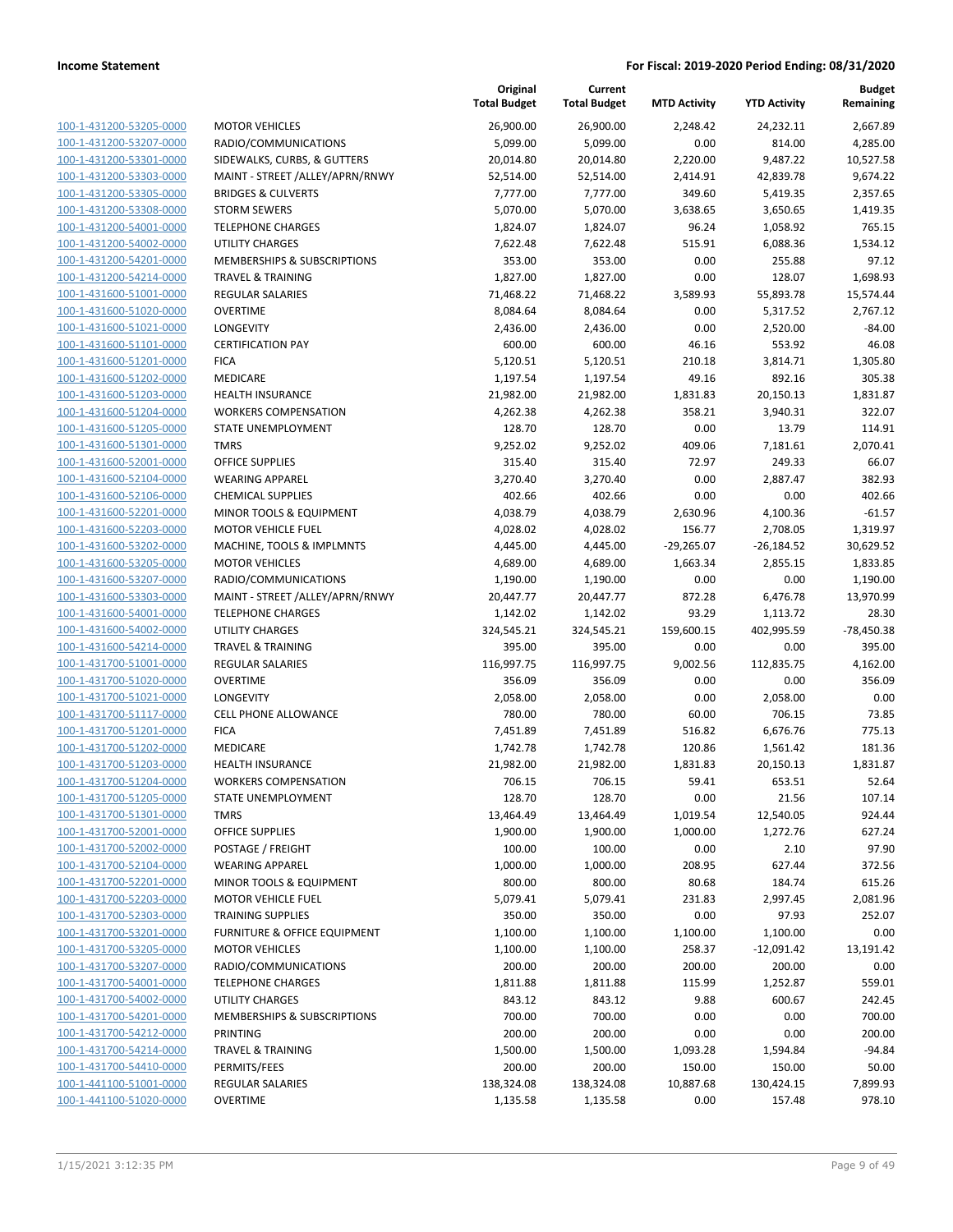| 100-1-431200-53205-0000        | M  |
|--------------------------------|----|
| 100-1-431200-53207-0000        | R, |
| 100-1-431200-53301-0000        | SI |
| 100-1-431200-53303-0000        | M  |
| 100-1-431200-53305-0000        | B  |
|                                | S1 |
| 100-1-431200-53308-0000        |    |
| 100-1-431200-54001-0000        | T  |
| 100-1-431200-54002-0000        | U  |
| 100-1-431200-54201-0000        | M  |
| 100-1-431200-54214-0000        | T  |
| 100-1-431600-51001-0000        | RI |
| 100-1-431600-51020-0000        | O  |
| 100-1-431600-51021-0000        | L( |
| 100-1-431600-51101-0000        | CI |
| 100-1-431600-51201-0000        | FI |
| 100-1-431600-51202-0000        | M  |
| 100-1-431600-51203-0000        | н  |
| 100-1-431600-51204-0000        | W  |
| 100-1-431600-51205-0000        | S1 |
| 100-1-431600-51301-0000        | TI |
| 100-1-431600-52001-0000        | O  |
|                                | W  |
| 100-1-431600-52104-0000        |    |
| 100-1-431600-52106-0000        | CI |
| 100-1-431600-52201-0000        | M  |
| 100-1-431600-52203-0000        | M  |
| 100-1-431600-53202-0000        | M  |
| 100-1-431600-53205-0000        | M  |
| 100-1-431600-53207-0000        | R, |
| 100-1-431600-53303-0000        | M  |
| 100-1-431600-54001-0000        | T  |
| 100-1-431600-54002-0000        | U  |
| 100-1-431600-54214-0000        | T  |
| 100-1-431700-51001-0000        | R  |
| 100-1-431700-51020-0000        | Ο  |
| 100-1-431700-51021-0000        | L  |
| 100-1-431700-51117-0000        | CI |
| 100-1-431700-51201-0000        | FI |
| 100-1-431700-51202-0000        | M  |
|                                |    |
| 100-1-431700-51203-0000        | н  |
| 100-1-431700-51204-0000        | W  |
| 100-1-431700-51205-0000        | S1 |
| 100-1-431700-51301-0000        | TI |
| 100-1-431700-52001-0000        | O  |
| <u>100-1-431700-52002-0000</u> | P  |
| <u>100-1-431700-52104-0000</u> | W  |
| 100-1-431700-52201-0000        | M  |
| 100-1-431700-52203-0000        | M  |
| 100-1-431700-52303-0000        | ΤI |
| 100-1-431700-53201-0000        | F١ |
| 100-1-431700-53205-0000        | M  |
| 100-1-431700-53207-0000        | R٬ |
| 100-1-431700-54001-0000        | ΤI |
| 100-1-431700-54002-0000        | U  |
|                                |    |
| 100-1-431700-54201-0000        | M  |
| <u>100-1-431700-54212-0000</u> | PI |
| 100-1-431700-54214-0000        | ΤI |
| 100-1-431700-54410-0000        | PI |
| 100-1-441100-51001-0000        | RI |
| 100-1-441100-51020-0000        | Ο  |
|                                |    |

|                                                    |                                                         | Original<br><b>Total Budget</b> | Current<br><b>Total Budget</b> | <b>MTD Activity</b> | <b>YTD Activity</b> | Budget<br>Remaining   |
|----------------------------------------------------|---------------------------------------------------------|---------------------------------|--------------------------------|---------------------|---------------------|-----------------------|
| 100-1-431200-53205-0000                            | <b>MOTOR VEHICLES</b>                                   | 26,900.00                       | 26,900.00                      | 2,248.42            | 24,232.11           | 2,667.89              |
| 100-1-431200-53207-0000                            | RADIO/COMMUNICATIONS                                    | 5,099.00                        | 5,099.00                       | 0.00                | 814.00              | 4,285.00              |
| 100-1-431200-53301-0000                            | SIDEWALKS, CURBS, & GUTTERS                             | 20,014.80                       | 20,014.80                      | 2,220.00            | 9,487.22            | 10,527.58             |
| 100-1-431200-53303-0000                            | MAINT - STREET /ALLEY/APRN/RNWY                         | 52,514.00                       | 52,514.00                      | 2,414.91            | 42,839.78           | 9,674.22              |
| 100-1-431200-53305-0000                            | <b>BRIDGES &amp; CULVERTS</b>                           | 7,777.00                        | 7,777.00                       | 349.60              | 5,419.35            | 2,357.65              |
| 100-1-431200-53308-0000                            | <b>STORM SEWERS</b>                                     | 5,070.00                        | 5,070.00                       | 3,638.65            | 3,650.65            | 1,419.35              |
| 100-1-431200-54001-0000                            | <b>TELEPHONE CHARGES</b>                                | 1,824.07                        | 1,824.07                       | 96.24               | 1,058.92            | 765.15                |
| 100-1-431200-54002-0000                            | <b>UTILITY CHARGES</b>                                  | 7,622.48                        | 7,622.48                       | 515.91              | 6,088.36            | 1,534.12              |
| 100-1-431200-54201-0000                            | <b>MEMBERSHIPS &amp; SUBSCRIPTIONS</b>                  | 353.00                          | 353.00                         | 0.00                | 255.88              | 97.12                 |
| 100-1-431200-54214-0000                            | <b>TRAVEL &amp; TRAINING</b>                            | 1,827.00                        | 1,827.00                       | 0.00                | 128.07              | 1,698.93              |
| 100-1-431600-51001-0000                            | <b>REGULAR SALARIES</b>                                 | 71,468.22                       | 71,468.22                      | 3,589.93            | 55,893.78           | 15,574.44             |
| 100-1-431600-51020-0000                            | <b>OVERTIME</b>                                         | 8,084.64                        | 8,084.64                       | 0.00                | 5,317.52            | 2,767.12              |
| 100-1-431600-51021-0000                            | LONGEVITY                                               | 2,436.00                        | 2,436.00                       | 0.00                | 2,520.00            | $-84.00$              |
| 100-1-431600-51101-0000                            | <b>CERTIFICATION PAY</b>                                | 600.00                          | 600.00                         | 46.16               | 553.92              | 46.08                 |
| 100-1-431600-51201-0000                            | <b>FICA</b>                                             | 5,120.51                        | 5,120.51                       | 210.18              | 3,814.71            | 1,305.80              |
| 100-1-431600-51202-0000                            | MEDICARE                                                | 1,197.54                        | 1,197.54                       | 49.16               | 892.16              | 305.38                |
| 100-1-431600-51203-0000                            | <b>HEALTH INSURANCE</b>                                 | 21,982.00                       | 21,982.00                      | 1,831.83            | 20,150.13           | 1,831.87              |
| 100-1-431600-51204-0000                            | <b>WORKERS COMPENSATION</b>                             | 4,262.38                        | 4,262.38                       | 358.21              | 3,940.31            | 322.07                |
| 100-1-431600-51205-0000                            | <b>STATE UNEMPLOYMENT</b>                               | 128.70                          | 128.70                         | 0.00                | 13.79               | 114.91                |
| 100-1-431600-51301-0000                            | <b>TMRS</b>                                             | 9,252.02                        | 9,252.02                       | 409.06              | 7,181.61            | 2,070.41              |
| 100-1-431600-52001-0000                            | <b>OFFICE SUPPLIES</b>                                  | 315.40                          | 315.40                         | 72.97               | 249.33              | 66.07                 |
| 100-1-431600-52104-0000                            | <b>WEARING APPAREL</b>                                  | 3,270.40                        | 3,270.40                       | 0.00                | 2,887.47            | 382.93                |
| 100-1-431600-52106-0000                            | <b>CHEMICAL SUPPLIES</b>                                | 402.66                          | 402.66                         | 0.00                | 0.00                | 402.66                |
| 100-1-431600-52201-0000                            | MINOR TOOLS & EQUIPMENT                                 | 4,038.79                        | 4,038.79                       | 2,630.96            | 4,100.36            | $-61.57$              |
| 100-1-431600-52203-0000                            | <b>MOTOR VEHICLE FUEL</b>                               | 4,028.02                        | 4,028.02                       | 156.77              | 2,708.05            | 1,319.97              |
| 100-1-431600-53202-0000                            | MACHINE, TOOLS & IMPLMNTS                               | 4,445.00                        | 4,445.00                       | $-29,265.07$        | $-26,184.52$        | 30,629.52             |
| 100-1-431600-53205-0000                            | <b>MOTOR VEHICLES</b>                                   | 4,689.00                        | 4,689.00                       | 1,663.34            | 2,855.15            | 1,833.85              |
| 100-1-431600-53207-0000<br>100-1-431600-53303-0000 | RADIO/COMMUNICATIONS<br>MAINT - STREET /ALLEY/APRN/RNWY | 1,190.00<br>20,447.77           | 1,190.00<br>20,447.77          | 0.00<br>872.28      | 0.00<br>6,476.78    | 1,190.00<br>13,970.99 |
| 100-1-431600-54001-0000                            | <b>TELEPHONE CHARGES</b>                                | 1,142.02                        | 1,142.02                       | 93.29               | 1,113.72            | 28.30                 |
| 100-1-431600-54002-0000                            | <b>UTILITY CHARGES</b>                                  | 324,545.21                      | 324,545.21                     | 159,600.15          | 402,995.59          | $-78,450.38$          |
| 100-1-431600-54214-0000                            | <b>TRAVEL &amp; TRAINING</b>                            | 395.00                          | 395.00                         | 0.00                | 0.00                | 395.00                |
| 100-1-431700-51001-0000                            | <b>REGULAR SALARIES</b>                                 | 116,997.75                      | 116,997.75                     | 9,002.56            | 112,835.75          | 4,162.00              |
| 100-1-431700-51020-0000                            | <b>OVERTIME</b>                                         | 356.09                          | 356.09                         | 0.00                | 0.00                | 356.09                |
| 100-1-431700-51021-0000                            | <b>LONGEVITY</b>                                        | 2,058.00                        | 2,058.00                       | 0.00                | 2,058.00            | 0.00                  |
| 100-1-431700-51117-0000                            | <b>CELL PHONE ALLOWANCE</b>                             | 780.00                          | 780.00                         | 60.00               | 706.15              | 73.85                 |
| 100-1-431700-51201-0000                            | <b>FICA</b>                                             | 7,451.89                        | 7,451.89                       | 516.82              | 6,676.76            | 775.13                |
| 100-1-431700-51202-0000                            | MEDICARE                                                | 1,742.78                        | 1,742.78                       | 120.86              | 1,561.42            | 181.36                |
| 100-1-431700-51203-0000                            | <b>HEALTH INSURANCE</b>                                 | 21,982.00                       | 21,982.00                      | 1,831.83            | 20,150.13           | 1,831.87              |
| 100-1-431700-51204-0000                            | <b>WORKERS COMPENSATION</b>                             | 706.15                          | 706.15                         | 59.41               | 653.51              | 52.64                 |
| 100-1-431700-51205-0000                            | STATE UNEMPLOYMENT                                      | 128.70                          | 128.70                         | 0.00                | 21.56               | 107.14                |
| 100-1-431700-51301-0000                            | <b>TMRS</b>                                             | 13,464.49                       | 13,464.49                      | 1,019.54            | 12,540.05           | 924.44                |
| 100-1-431700-52001-0000                            | <b>OFFICE SUPPLIES</b>                                  | 1,900.00                        | 1,900.00                       | 1,000.00            | 1,272.76            | 627.24                |
| 100-1-431700-52002-0000                            | POSTAGE / FREIGHT                                       | 100.00                          | 100.00                         | 0.00                | 2.10                | 97.90                 |
| 100-1-431700-52104-0000                            | <b>WEARING APPAREL</b>                                  | 1,000.00                        | 1,000.00                       | 208.95              | 627.44              | 372.56                |
| 100-1-431700-52201-0000                            | MINOR TOOLS & EQUIPMENT                                 | 800.00                          | 800.00                         | 80.68               | 184.74              | 615.26                |
| 100-1-431700-52203-0000                            | <b>MOTOR VEHICLE FUEL</b>                               | 5,079.41                        | 5,079.41                       | 231.83              | 2,997.45            | 2,081.96              |
| 100-1-431700-52303-0000                            | <b>TRAINING SUPPLIES</b>                                | 350.00                          | 350.00                         | 0.00                | 97.93               | 252.07                |
| 100-1-431700-53201-0000                            | <b>FURNITURE &amp; OFFICE EQUIPMENT</b>                 | 1,100.00                        | 1,100.00                       | 1,100.00            | 1,100.00            | 0.00                  |
| 100-1-431700-53205-0000                            | <b>MOTOR VEHICLES</b>                                   | 1,100.00                        | 1,100.00                       | 258.37              | $-12,091.42$        | 13,191.42             |
| 100-1-431700-53207-0000                            | RADIO/COMMUNICATIONS                                    | 200.00                          | 200.00                         | 200.00              | 200.00              | 0.00                  |
| 100-1-431700-54001-0000                            | <b>TELEPHONE CHARGES</b>                                | 1,811.88                        | 1,811.88                       | 115.99              | 1,252.87            | 559.01                |
| 100-1-431700-54002-0000                            | <b>UTILITY CHARGES</b>                                  | 843.12                          | 843.12                         | 9.88                | 600.67              | 242.45                |
| 100-1-431700-54201-0000                            | <b>MEMBERSHIPS &amp; SUBSCRIPTIONS</b>                  | 700.00                          | 700.00                         | 0.00                | 0.00                | 700.00                |
| 100-1-431700-54212-0000                            | <b>PRINTING</b>                                         | 200.00                          | 200.00                         | 0.00                | 0.00                | 200.00                |
| 100-1-431700-54214-0000                            | <b>TRAVEL &amp; TRAINING</b>                            | 1,500.00                        | 1,500.00                       | 1,093.28            | 1,594.84            | $-94.84$              |
| 100-1-431700-54410-0000                            | PERMITS/FEES                                            | 200.00                          | 200.00                         | 150.00              | 150.00              | 50.00                 |
| 100-1-441100-51001-0000                            | REGULAR SALARIES                                        | 138,324.08                      | 138,324.08                     | 10,887.68           | 130,424.15          | 7,899.93              |
| 100-1-441100-51020-0000                            | <b>OVERTIME</b>                                         | 1,135.58                        | 1,135.58                       | 0.00                | 157.48              | 978.10                |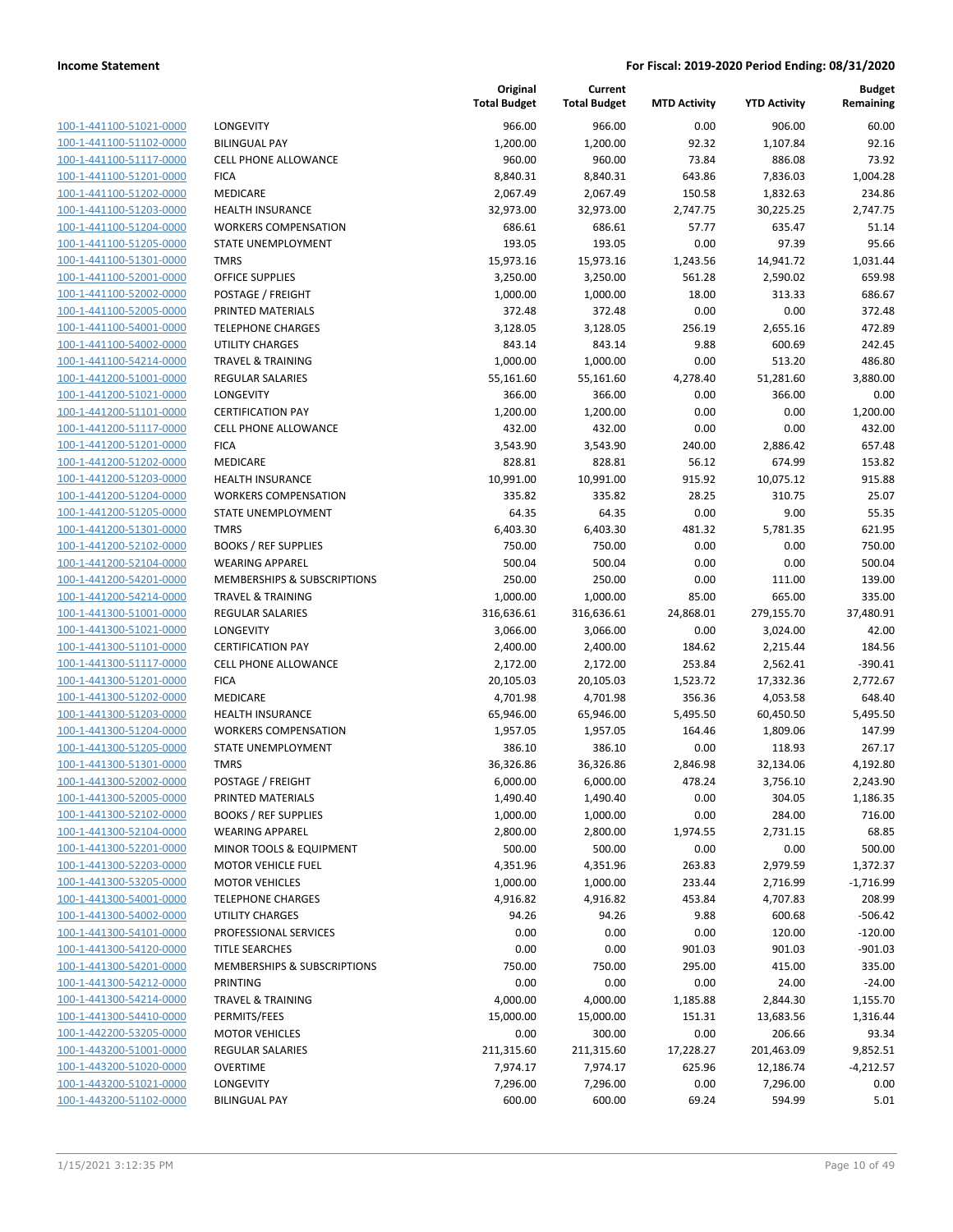| 100-1-441100-51021-0000        |
|--------------------------------|
| 100-1-441100-51102-0000        |
| 100-1-441100-51117-0000        |
| 100-1-441100-51201-0000        |
| 100-1-441100-51202-0000        |
| <u>100-1-441100-51203-0000</u> |
| 100-1-441100-51204-0000        |
| 100-1-441100-51205-0000        |
| 100-1-441100-51301-0000        |
| 100-1-441100-52001-0000        |
| 100-1-441100-52002-0000        |
| 100-1-441100-52005-0000        |
| 100-1-441100-54001-0000        |
| 100-1-441100-54002-0000        |
|                                |
| 100-1-441100-54214-0000        |
| 100-1-441200-51001-0000        |
| 100-1-441200-51021-0000        |
| 100-1-441200-51101-0000        |
| 100-1-441200-51117-0000        |
| <u>100-1-441200-51201-0000</u> |
| 100-1-441200-51202-0000        |
| 100-1-441200-51203-0000        |
| 100-1-441200-51204-0000        |
| 100-1-441200-51205-0000        |
| 100-1-441200-51301-0000        |
| <u>100-1-441200-52102-0000</u> |
| 100-1-441200-52104-0000        |
| 100-1-441200-54201-0000        |
| 100-1-441200-54214-0000        |
| 100-1-441300-51001-0000        |
|                                |
| 100-1-441300-51021-0000        |
| 100-1-441300-51101-0000        |
| 100-1-441300-51117-0000        |
| 100-1-441300-51201-0000        |
| 100-1-441300-51202-0000        |
| <u>100-1-441300-51203-0000</u> |
| 100-1-441300-51204-0000        |
| 100-1-441300-51205-0000        |
| 100-1-441300-51301-0000        |
| 100-1-441300-52002-0000        |
| 100-1-441300-52005-0000        |
| <u>100-1-441300-52102-0000</u> |
| <u>100-1-441300-52104-0000</u> |
| 100-1-441300-52201-0000        |
| 100-1-441300-52203-0000        |
| <u>100-1-441300-53205-0000</u> |
| 100-1-441300-54001-0000        |
| <u>100-1-441300-54002-0000</u> |
|                                |
| 100-1-441300-54101-0000        |
| 100-1-441300-54120-0000        |
| <u>100-1-441300-54201-0000</u> |
| 100-1-441300-54212-0000        |
| <u>100-1-441300-54214-0000</u> |
| <u>100-1-441300-54410-0000</u> |
| <u>100-1-442200-53205-0000</u> |
| <u>100-1-443200-51001-0000</u> |
| <u>100-1-443200-51020-0000</u> |
| <u>100-1-443200-51021-0000</u> |
| <u>100-1-443200-51102-0000</u> |
|                                |

|                                                    |                                                         | Original<br><b>Total Budget</b> | Current<br><b>Total Budget</b> | <b>MTD Activity</b> | <b>YTD Activity</b>   | <b>Budget</b><br>Remaining |
|----------------------------------------------------|---------------------------------------------------------|---------------------------------|--------------------------------|---------------------|-----------------------|----------------------------|
| 100-1-441100-51021-0000                            | LONGEVITY                                               | 966.00                          | 966.00                         | 0.00                | 906.00                | 60.00                      |
| 100-1-441100-51102-0000                            | <b>BILINGUAL PAY</b>                                    | 1,200.00                        | 1,200.00                       | 92.32               | 1,107.84              | 92.16                      |
| 100-1-441100-51117-0000                            | <b>CELL PHONE ALLOWANCE</b>                             | 960.00                          | 960.00                         | 73.84               | 886.08                | 73.92                      |
| 100-1-441100-51201-0000                            | <b>FICA</b>                                             | 8,840.31                        | 8,840.31                       | 643.86              | 7,836.03              | 1,004.28                   |
| 100-1-441100-51202-0000                            | <b>MEDICARE</b>                                         | 2,067.49                        | 2,067.49                       | 150.58              | 1,832.63              | 234.86                     |
| 100-1-441100-51203-0000                            | <b>HEALTH INSURANCE</b>                                 | 32,973.00                       | 32,973.00                      | 2,747.75            | 30,225.25             | 2,747.75                   |
| 100-1-441100-51204-0000                            | <b>WORKERS COMPENSATION</b>                             | 686.61                          | 686.61                         | 57.77               | 635.47                | 51.14                      |
| 100-1-441100-51205-0000                            | STATE UNEMPLOYMENT                                      | 193.05                          | 193.05                         | 0.00                | 97.39                 | 95.66                      |
| 100-1-441100-51301-0000                            | <b>TMRS</b>                                             | 15,973.16                       | 15,973.16                      | 1,243.56            | 14,941.72             | 1,031.44                   |
| 100-1-441100-52001-0000                            | <b>OFFICE SUPPLIES</b>                                  | 3,250.00                        | 3,250.00                       | 561.28              | 2,590.02              | 659.98                     |
| 100-1-441100-52002-0000                            | POSTAGE / FREIGHT                                       | 1,000.00                        | 1,000.00                       | 18.00               | 313.33                | 686.67                     |
| 100-1-441100-52005-0000                            | PRINTED MATERIALS                                       | 372.48                          | 372.48                         | 0.00                | 0.00                  | 372.48                     |
| 100-1-441100-54001-0000                            | <b>TELEPHONE CHARGES</b>                                | 3,128.05                        | 3,128.05                       | 256.19              | 2,655.16              | 472.89                     |
| 100-1-441100-54002-0000                            | UTILITY CHARGES                                         | 843.14                          | 843.14                         | 9.88                | 600.69                | 242.45                     |
| 100-1-441100-54214-0000                            | <b>TRAVEL &amp; TRAINING</b>                            | 1,000.00                        | 1,000.00                       | 0.00                | 513.20                | 486.80                     |
| 100-1-441200-51001-0000                            | REGULAR SALARIES                                        | 55,161.60                       | 55,161.60                      | 4,278.40            | 51,281.60             | 3,880.00                   |
| 100-1-441200-51021-0000                            | LONGEVITY                                               | 366.00                          | 366.00                         | 0.00                | 366.00                | 0.00                       |
| 100-1-441200-51101-0000                            | <b>CERTIFICATION PAY</b>                                | 1,200.00                        | 1,200.00                       | 0.00                | 0.00                  | 1,200.00                   |
| 100-1-441200-51117-0000                            | <b>CELL PHONE ALLOWANCE</b>                             | 432.00                          | 432.00                         | 0.00                | 0.00                  | 432.00                     |
| 100-1-441200-51201-0000                            | <b>FICA</b>                                             | 3,543.90                        | 3,543.90                       | 240.00              | 2,886.42              | 657.48                     |
| 100-1-441200-51202-0000                            | <b>MEDICARE</b>                                         | 828.81                          | 828.81                         | 56.12               | 674.99                | 153.82                     |
| 100-1-441200-51203-0000                            | <b>HEALTH INSURANCE</b>                                 | 10,991.00                       | 10,991.00                      | 915.92              | 10,075.12             | 915.88                     |
| 100-1-441200-51204-0000                            | <b>WORKERS COMPENSATION</b>                             | 335.82                          | 335.82                         | 28.25               | 310.75                | 25.07                      |
| 100-1-441200-51205-0000                            | <b>STATE UNEMPLOYMENT</b>                               | 64.35                           | 64.35                          | 0.00                | 9.00                  | 55.35                      |
| 100-1-441200-51301-0000                            | <b>TMRS</b>                                             | 6,403.30                        | 6,403.30                       | 481.32              | 5,781.35              | 621.95                     |
| 100-1-441200-52102-0000                            | <b>BOOKS / REF SUPPLIES</b>                             | 750.00                          | 750.00                         | 0.00                | 0.00                  | 750.00                     |
| 100-1-441200-52104-0000                            | <b>WEARING APPAREL</b>                                  | 500.04                          | 500.04                         | 0.00                | 0.00                  | 500.04                     |
| 100-1-441200-54201-0000                            | <b>MEMBERSHIPS &amp; SUBSCRIPTIONS</b>                  | 250.00                          | 250.00                         | 0.00                | 111.00                | 139.00                     |
| 100-1-441200-54214-0000                            | <b>TRAVEL &amp; TRAINING</b>                            | 1,000.00                        | 1,000.00                       | 85.00               | 665.00                | 335.00                     |
| 100-1-441300-51001-0000                            | REGULAR SALARIES                                        | 316,636.61                      | 316,636.61                     | 24,868.01           | 279,155.70            | 37,480.91                  |
| 100-1-441300-51021-0000                            | LONGEVITY                                               | 3,066.00                        | 3,066.00                       | 0.00                | 3,024.00              | 42.00                      |
| 100-1-441300-51101-0000<br>100-1-441300-51117-0000 | <b>CERTIFICATION PAY</b><br><b>CELL PHONE ALLOWANCE</b> | 2,400.00                        | 2,400.00                       | 184.62              | 2,215.44              | 184.56                     |
| 100-1-441300-51201-0000                            | <b>FICA</b>                                             | 2,172.00<br>20,105.03           | 2,172.00<br>20,105.03          | 253.84<br>1,523.72  | 2,562.41<br>17,332.36 | $-390.41$<br>2,772.67      |
| 100-1-441300-51202-0000                            | MEDICARE                                                | 4,701.98                        | 4,701.98                       | 356.36              | 4,053.58              | 648.40                     |
| 100-1-441300-51203-0000                            | <b>HEALTH INSURANCE</b>                                 | 65,946.00                       | 65,946.00                      | 5,495.50            | 60,450.50             | 5,495.50                   |
| 100-1-441300-51204-0000                            | <b>WORKERS COMPENSATION</b>                             | 1,957.05                        | 1,957.05                       | 164.46              | 1,809.06              | 147.99                     |
| 100-1-441300-51205-0000                            | <b>STATE UNEMPLOYMENT</b>                               | 386.10                          | 386.10                         | 0.00                | 118.93                | 267.17                     |
| 100-1-441300-51301-0000                            | <b>TMRS</b>                                             | 36,326.86                       | 36,326.86                      | 2,846.98            | 32,134.06             | 4,192.80                   |
| 100-1-441300-52002-0000                            | POSTAGE / FREIGHT                                       | 6,000.00                        | 6,000.00                       | 478.24              | 3,756.10              | 2,243.90                   |
| 100-1-441300-52005-0000                            | PRINTED MATERIALS                                       | 1,490.40                        | 1,490.40                       | 0.00                | 304.05                | 1,186.35                   |
| 100-1-441300-52102-0000                            | <b>BOOKS / REF SUPPLIES</b>                             | 1,000.00                        | 1,000.00                       | 0.00                | 284.00                | 716.00                     |
| 100-1-441300-52104-0000                            | <b>WEARING APPAREL</b>                                  | 2,800.00                        | 2,800.00                       | 1,974.55            | 2,731.15              | 68.85                      |
| 100-1-441300-52201-0000                            | MINOR TOOLS & EQUIPMENT                                 | 500.00                          | 500.00                         | 0.00                | 0.00                  | 500.00                     |
| 100-1-441300-52203-0000                            | <b>MOTOR VEHICLE FUEL</b>                               | 4,351.96                        | 4,351.96                       | 263.83              | 2,979.59              | 1,372.37                   |
| 100-1-441300-53205-0000                            | <b>MOTOR VEHICLES</b>                                   | 1,000.00                        | 1,000.00                       | 233.44              | 2,716.99              | $-1,716.99$                |
| 100-1-441300-54001-0000                            | <b>TELEPHONE CHARGES</b>                                | 4,916.82                        | 4,916.82                       | 453.84              | 4,707.83              | 208.99                     |
| 100-1-441300-54002-0000                            | UTILITY CHARGES                                         | 94.26                           | 94.26                          | 9.88                | 600.68                | $-506.42$                  |
| 100-1-441300-54101-0000                            | PROFESSIONAL SERVICES                                   | 0.00                            | 0.00                           | 0.00                | 120.00                | $-120.00$                  |
| 100-1-441300-54120-0000                            | <b>TITLE SEARCHES</b>                                   | 0.00                            | 0.00                           | 901.03              | 901.03                | $-901.03$                  |
| 100-1-441300-54201-0000                            | MEMBERSHIPS & SUBSCRIPTIONS                             | 750.00                          | 750.00                         | 295.00              | 415.00                | 335.00                     |
| 100-1-441300-54212-0000                            | <b>PRINTING</b>                                         | 0.00                            | 0.00                           | 0.00                | 24.00                 | $-24.00$                   |
| 100-1-441300-54214-0000                            | <b>TRAVEL &amp; TRAINING</b>                            | 4,000.00                        | 4,000.00                       | 1,185.88            | 2,844.30              | 1,155.70                   |
| 100-1-441300-54410-0000                            | PERMITS/FEES                                            | 15,000.00                       | 15,000.00                      | 151.31              | 13,683.56             | 1,316.44                   |
| 100-1-442200-53205-0000                            | <b>MOTOR VEHICLES</b>                                   | 0.00                            | 300.00                         | 0.00                | 206.66                | 93.34                      |
| 100-1-443200-51001-0000                            | REGULAR SALARIES                                        | 211,315.60                      | 211,315.60                     | 17,228.27           | 201,463.09            | 9,852.51                   |
| 100-1-443200-51020-0000                            | <b>OVERTIME</b>                                         | 7,974.17                        | 7,974.17                       | 625.96              | 12,186.74             | $-4,212.57$                |
| 100-1-443200-51021-0000                            | <b>LONGEVITY</b>                                        | 7,296.00                        | 7,296.00                       | 0.00                | 7,296.00              | 0.00                       |
| 100-1-443200-51102-0000                            | <b>BILINGUAL PAY</b>                                    | 600.00                          | 600.00                         | 69.24               | 594.99                | 5.01                       |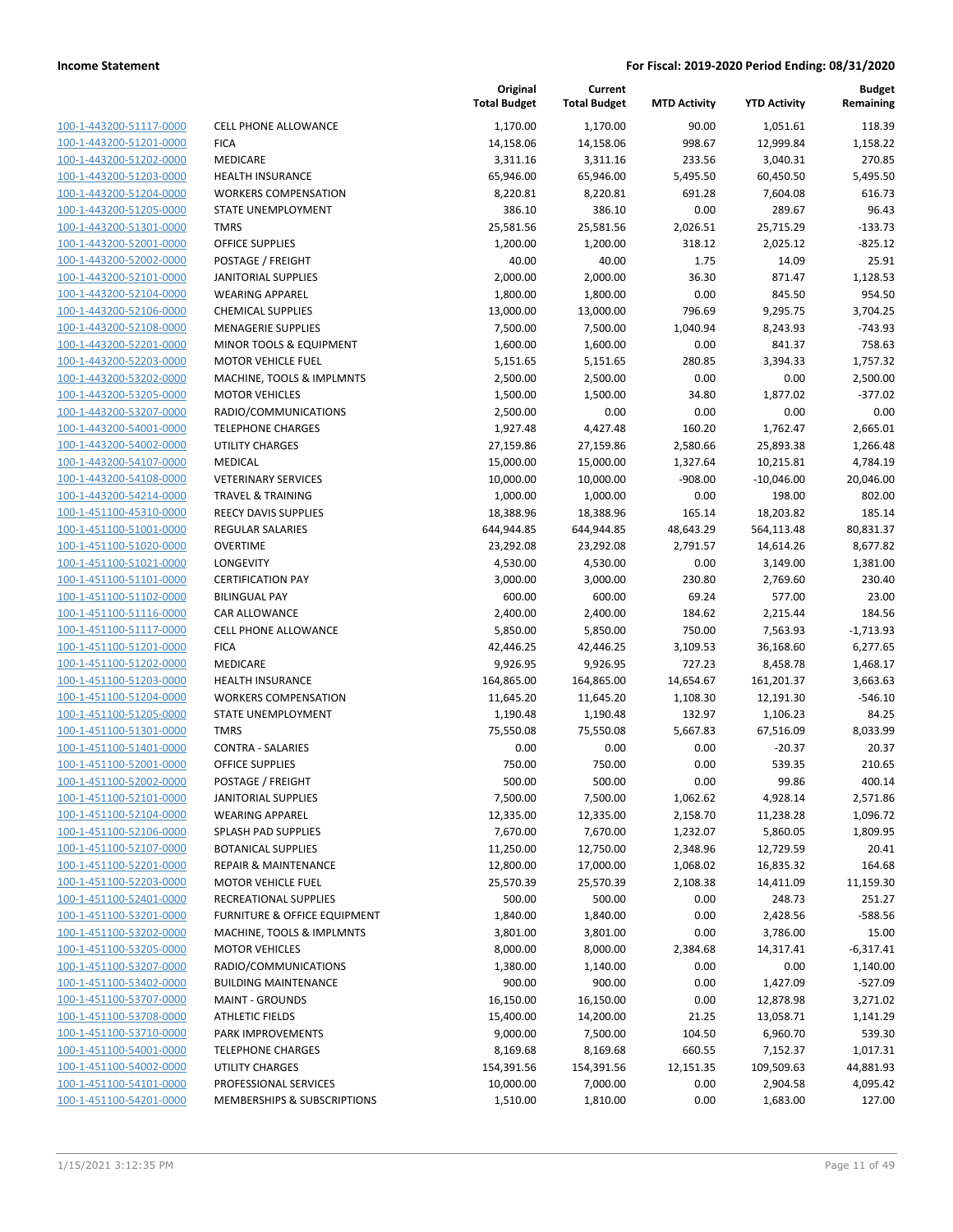| 100-1-443200-51117-0000<br>100-1-443200-51201-0000<br>100-1-443200-51202-0000<br>100-1-443200-51203-0000<br>100-1-443200-51204-0000<br>100-1-443200-51205-0000<br>100-1-443200-51301-0000<br>100-1-443200-52001-0000<br>100-1-443200-52002-0000<br><u>100-1-443200-52101-0000</u><br>100-1-443200-52104-0000<br>100-1-443200-52106-0000<br>100-1-443200-52108-0000<br>100-1-443200-52201-0000<br><u>100-1-443200-52203-0000</u><br>100-1-443200-53202-0000<br>100-1-443200-53205-0000<br>100-1-443200-53207-0000<br>100-1-443200-54001-0000<br><u>100-1-443200-54002-0000</u><br>100-1-443200-54107-0000<br>100-1-443200-54108-0000<br>100-1-443200-54214-0000<br>100-1-451100-45310-0000<br><u>100-1-451100-51001-0000</u><br>100-1-451100-51020-0000<br>100-1-451100-51021-0000<br>100-1-451100-51101-0000<br>100-1-451100-51102-0000<br><u>100-1-451100-51116-0000</u><br>100-1-451100-51117-0000<br>100-1-451100-51201-0000<br>100-1-451100-51202-0000<br>100-1-451100-51203-0000<br><u>100-1-451100-51204-0000</u><br>100-1-451100-51205-0000<br>100-1-451100-51301-0000<br>100-1-451100-51401-0000<br>100-1-451100-52001-0000<br>100-1-451100-52002-0000<br>100-1-451100-52101-0000<br>100-1-451100-52104-0000<br>100-1-451100-52106-0000<br><u>100-1-451100-52107-0000</u><br>100-1-451100-52201-0000<br><u>100-1-451100-52203-0000</u><br>100-1-451100-52401-0000<br>100-1-451100-53201-0000<br>100-1-451100-53202-0000<br>100-1-451100-53205-0000<br>100-1-451100-53207-0000<br>100-1-451100-53402-0000<br>100-1-451100-53707-0000<br><u>100-1-451100-53708-0000</u><br>100-1-451100-53710-0000<br><u>100-1-451100-54001-0000</u><br><u>100-1-451100-54002-0000</u><br><u>100-1-451100-54101-0000</u><br><u>100-1-451100-54201-0000</u> |  |
|--------------------------------------------------------------------------------------------------------------------------------------------------------------------------------------------------------------------------------------------------------------------------------------------------------------------------------------------------------------------------------------------------------------------------------------------------------------------------------------------------------------------------------------------------------------------------------------------------------------------------------------------------------------------------------------------------------------------------------------------------------------------------------------------------------------------------------------------------------------------------------------------------------------------------------------------------------------------------------------------------------------------------------------------------------------------------------------------------------------------------------------------------------------------------------------------------------------------------------------------------------------------------------------------------------------------------------------------------------------------------------------------------------------------------------------------------------------------------------------------------------------------------------------------------------------------------------------------------------------------------------------------------------------------------------------------------------------------------------------------------|--|
|                                                                                                                                                                                                                                                                                                                                                                                                                                                                                                                                                                                                                                                                                                                                                                                                                                                                                                                                                                                                                                                                                                                                                                                                                                                                                                                                                                                                                                                                                                                                                                                                                                                                                                                                                  |  |
|                                                                                                                                                                                                                                                                                                                                                                                                                                                                                                                                                                                                                                                                                                                                                                                                                                                                                                                                                                                                                                                                                                                                                                                                                                                                                                                                                                                                                                                                                                                                                                                                                                                                                                                                                  |  |
|                                                                                                                                                                                                                                                                                                                                                                                                                                                                                                                                                                                                                                                                                                                                                                                                                                                                                                                                                                                                                                                                                                                                                                                                                                                                                                                                                                                                                                                                                                                                                                                                                                                                                                                                                  |  |
|                                                                                                                                                                                                                                                                                                                                                                                                                                                                                                                                                                                                                                                                                                                                                                                                                                                                                                                                                                                                                                                                                                                                                                                                                                                                                                                                                                                                                                                                                                                                                                                                                                                                                                                                                  |  |
|                                                                                                                                                                                                                                                                                                                                                                                                                                                                                                                                                                                                                                                                                                                                                                                                                                                                                                                                                                                                                                                                                                                                                                                                                                                                                                                                                                                                                                                                                                                                                                                                                                                                                                                                                  |  |
|                                                                                                                                                                                                                                                                                                                                                                                                                                                                                                                                                                                                                                                                                                                                                                                                                                                                                                                                                                                                                                                                                                                                                                                                                                                                                                                                                                                                                                                                                                                                                                                                                                                                                                                                                  |  |
|                                                                                                                                                                                                                                                                                                                                                                                                                                                                                                                                                                                                                                                                                                                                                                                                                                                                                                                                                                                                                                                                                                                                                                                                                                                                                                                                                                                                                                                                                                                                                                                                                                                                                                                                                  |  |
|                                                                                                                                                                                                                                                                                                                                                                                                                                                                                                                                                                                                                                                                                                                                                                                                                                                                                                                                                                                                                                                                                                                                                                                                                                                                                                                                                                                                                                                                                                                                                                                                                                                                                                                                                  |  |
|                                                                                                                                                                                                                                                                                                                                                                                                                                                                                                                                                                                                                                                                                                                                                                                                                                                                                                                                                                                                                                                                                                                                                                                                                                                                                                                                                                                                                                                                                                                                                                                                                                                                                                                                                  |  |
|                                                                                                                                                                                                                                                                                                                                                                                                                                                                                                                                                                                                                                                                                                                                                                                                                                                                                                                                                                                                                                                                                                                                                                                                                                                                                                                                                                                                                                                                                                                                                                                                                                                                                                                                                  |  |
|                                                                                                                                                                                                                                                                                                                                                                                                                                                                                                                                                                                                                                                                                                                                                                                                                                                                                                                                                                                                                                                                                                                                                                                                                                                                                                                                                                                                                                                                                                                                                                                                                                                                                                                                                  |  |
|                                                                                                                                                                                                                                                                                                                                                                                                                                                                                                                                                                                                                                                                                                                                                                                                                                                                                                                                                                                                                                                                                                                                                                                                                                                                                                                                                                                                                                                                                                                                                                                                                                                                                                                                                  |  |
|                                                                                                                                                                                                                                                                                                                                                                                                                                                                                                                                                                                                                                                                                                                                                                                                                                                                                                                                                                                                                                                                                                                                                                                                                                                                                                                                                                                                                                                                                                                                                                                                                                                                                                                                                  |  |
|                                                                                                                                                                                                                                                                                                                                                                                                                                                                                                                                                                                                                                                                                                                                                                                                                                                                                                                                                                                                                                                                                                                                                                                                                                                                                                                                                                                                                                                                                                                                                                                                                                                                                                                                                  |  |
|                                                                                                                                                                                                                                                                                                                                                                                                                                                                                                                                                                                                                                                                                                                                                                                                                                                                                                                                                                                                                                                                                                                                                                                                                                                                                                                                                                                                                                                                                                                                                                                                                                                                                                                                                  |  |
|                                                                                                                                                                                                                                                                                                                                                                                                                                                                                                                                                                                                                                                                                                                                                                                                                                                                                                                                                                                                                                                                                                                                                                                                                                                                                                                                                                                                                                                                                                                                                                                                                                                                                                                                                  |  |
|                                                                                                                                                                                                                                                                                                                                                                                                                                                                                                                                                                                                                                                                                                                                                                                                                                                                                                                                                                                                                                                                                                                                                                                                                                                                                                                                                                                                                                                                                                                                                                                                                                                                                                                                                  |  |
|                                                                                                                                                                                                                                                                                                                                                                                                                                                                                                                                                                                                                                                                                                                                                                                                                                                                                                                                                                                                                                                                                                                                                                                                                                                                                                                                                                                                                                                                                                                                                                                                                                                                                                                                                  |  |
|                                                                                                                                                                                                                                                                                                                                                                                                                                                                                                                                                                                                                                                                                                                                                                                                                                                                                                                                                                                                                                                                                                                                                                                                                                                                                                                                                                                                                                                                                                                                                                                                                                                                                                                                                  |  |
|                                                                                                                                                                                                                                                                                                                                                                                                                                                                                                                                                                                                                                                                                                                                                                                                                                                                                                                                                                                                                                                                                                                                                                                                                                                                                                                                                                                                                                                                                                                                                                                                                                                                                                                                                  |  |
|                                                                                                                                                                                                                                                                                                                                                                                                                                                                                                                                                                                                                                                                                                                                                                                                                                                                                                                                                                                                                                                                                                                                                                                                                                                                                                                                                                                                                                                                                                                                                                                                                                                                                                                                                  |  |
|                                                                                                                                                                                                                                                                                                                                                                                                                                                                                                                                                                                                                                                                                                                                                                                                                                                                                                                                                                                                                                                                                                                                                                                                                                                                                                                                                                                                                                                                                                                                                                                                                                                                                                                                                  |  |
|                                                                                                                                                                                                                                                                                                                                                                                                                                                                                                                                                                                                                                                                                                                                                                                                                                                                                                                                                                                                                                                                                                                                                                                                                                                                                                                                                                                                                                                                                                                                                                                                                                                                                                                                                  |  |
|                                                                                                                                                                                                                                                                                                                                                                                                                                                                                                                                                                                                                                                                                                                                                                                                                                                                                                                                                                                                                                                                                                                                                                                                                                                                                                                                                                                                                                                                                                                                                                                                                                                                                                                                                  |  |
|                                                                                                                                                                                                                                                                                                                                                                                                                                                                                                                                                                                                                                                                                                                                                                                                                                                                                                                                                                                                                                                                                                                                                                                                                                                                                                                                                                                                                                                                                                                                                                                                                                                                                                                                                  |  |
|                                                                                                                                                                                                                                                                                                                                                                                                                                                                                                                                                                                                                                                                                                                                                                                                                                                                                                                                                                                                                                                                                                                                                                                                                                                                                                                                                                                                                                                                                                                                                                                                                                                                                                                                                  |  |
|                                                                                                                                                                                                                                                                                                                                                                                                                                                                                                                                                                                                                                                                                                                                                                                                                                                                                                                                                                                                                                                                                                                                                                                                                                                                                                                                                                                                                                                                                                                                                                                                                                                                                                                                                  |  |
|                                                                                                                                                                                                                                                                                                                                                                                                                                                                                                                                                                                                                                                                                                                                                                                                                                                                                                                                                                                                                                                                                                                                                                                                                                                                                                                                                                                                                                                                                                                                                                                                                                                                                                                                                  |  |
|                                                                                                                                                                                                                                                                                                                                                                                                                                                                                                                                                                                                                                                                                                                                                                                                                                                                                                                                                                                                                                                                                                                                                                                                                                                                                                                                                                                                                                                                                                                                                                                                                                                                                                                                                  |  |
|                                                                                                                                                                                                                                                                                                                                                                                                                                                                                                                                                                                                                                                                                                                                                                                                                                                                                                                                                                                                                                                                                                                                                                                                                                                                                                                                                                                                                                                                                                                                                                                                                                                                                                                                                  |  |
|                                                                                                                                                                                                                                                                                                                                                                                                                                                                                                                                                                                                                                                                                                                                                                                                                                                                                                                                                                                                                                                                                                                                                                                                                                                                                                                                                                                                                                                                                                                                                                                                                                                                                                                                                  |  |
|                                                                                                                                                                                                                                                                                                                                                                                                                                                                                                                                                                                                                                                                                                                                                                                                                                                                                                                                                                                                                                                                                                                                                                                                                                                                                                                                                                                                                                                                                                                                                                                                                                                                                                                                                  |  |
|                                                                                                                                                                                                                                                                                                                                                                                                                                                                                                                                                                                                                                                                                                                                                                                                                                                                                                                                                                                                                                                                                                                                                                                                                                                                                                                                                                                                                                                                                                                                                                                                                                                                                                                                                  |  |
|                                                                                                                                                                                                                                                                                                                                                                                                                                                                                                                                                                                                                                                                                                                                                                                                                                                                                                                                                                                                                                                                                                                                                                                                                                                                                                                                                                                                                                                                                                                                                                                                                                                                                                                                                  |  |
|                                                                                                                                                                                                                                                                                                                                                                                                                                                                                                                                                                                                                                                                                                                                                                                                                                                                                                                                                                                                                                                                                                                                                                                                                                                                                                                                                                                                                                                                                                                                                                                                                                                                                                                                                  |  |
|                                                                                                                                                                                                                                                                                                                                                                                                                                                                                                                                                                                                                                                                                                                                                                                                                                                                                                                                                                                                                                                                                                                                                                                                                                                                                                                                                                                                                                                                                                                                                                                                                                                                                                                                                  |  |
|                                                                                                                                                                                                                                                                                                                                                                                                                                                                                                                                                                                                                                                                                                                                                                                                                                                                                                                                                                                                                                                                                                                                                                                                                                                                                                                                                                                                                                                                                                                                                                                                                                                                                                                                                  |  |
|                                                                                                                                                                                                                                                                                                                                                                                                                                                                                                                                                                                                                                                                                                                                                                                                                                                                                                                                                                                                                                                                                                                                                                                                                                                                                                                                                                                                                                                                                                                                                                                                                                                                                                                                                  |  |
|                                                                                                                                                                                                                                                                                                                                                                                                                                                                                                                                                                                                                                                                                                                                                                                                                                                                                                                                                                                                                                                                                                                                                                                                                                                                                                                                                                                                                                                                                                                                                                                                                                                                                                                                                  |  |
|                                                                                                                                                                                                                                                                                                                                                                                                                                                                                                                                                                                                                                                                                                                                                                                                                                                                                                                                                                                                                                                                                                                                                                                                                                                                                                                                                                                                                                                                                                                                                                                                                                                                                                                                                  |  |
|                                                                                                                                                                                                                                                                                                                                                                                                                                                                                                                                                                                                                                                                                                                                                                                                                                                                                                                                                                                                                                                                                                                                                                                                                                                                                                                                                                                                                                                                                                                                                                                                                                                                                                                                                  |  |
|                                                                                                                                                                                                                                                                                                                                                                                                                                                                                                                                                                                                                                                                                                                                                                                                                                                                                                                                                                                                                                                                                                                                                                                                                                                                                                                                                                                                                                                                                                                                                                                                                                                                                                                                                  |  |
|                                                                                                                                                                                                                                                                                                                                                                                                                                                                                                                                                                                                                                                                                                                                                                                                                                                                                                                                                                                                                                                                                                                                                                                                                                                                                                                                                                                                                                                                                                                                                                                                                                                                                                                                                  |  |
|                                                                                                                                                                                                                                                                                                                                                                                                                                                                                                                                                                                                                                                                                                                                                                                                                                                                                                                                                                                                                                                                                                                                                                                                                                                                                                                                                                                                                                                                                                                                                                                                                                                                                                                                                  |  |
|                                                                                                                                                                                                                                                                                                                                                                                                                                                                                                                                                                                                                                                                                                                                                                                                                                                                                                                                                                                                                                                                                                                                                                                                                                                                                                                                                                                                                                                                                                                                                                                                                                                                                                                                                  |  |
|                                                                                                                                                                                                                                                                                                                                                                                                                                                                                                                                                                                                                                                                                                                                                                                                                                                                                                                                                                                                                                                                                                                                                                                                                                                                                                                                                                                                                                                                                                                                                                                                                                                                                                                                                  |  |
|                                                                                                                                                                                                                                                                                                                                                                                                                                                                                                                                                                                                                                                                                                                                                                                                                                                                                                                                                                                                                                                                                                                                                                                                                                                                                                                                                                                                                                                                                                                                                                                                                                                                                                                                                  |  |
|                                                                                                                                                                                                                                                                                                                                                                                                                                                                                                                                                                                                                                                                                                                                                                                                                                                                                                                                                                                                                                                                                                                                                                                                                                                                                                                                                                                                                                                                                                                                                                                                                                                                                                                                                  |  |
|                                                                                                                                                                                                                                                                                                                                                                                                                                                                                                                                                                                                                                                                                                                                                                                                                                                                                                                                                                                                                                                                                                                                                                                                                                                                                                                                                                                                                                                                                                                                                                                                                                                                                                                                                  |  |
|                                                                                                                                                                                                                                                                                                                                                                                                                                                                                                                                                                                                                                                                                                                                                                                                                                                                                                                                                                                                                                                                                                                                                                                                                                                                                                                                                                                                                                                                                                                                                                                                                                                                                                                                                  |  |
|                                                                                                                                                                                                                                                                                                                                                                                                                                                                                                                                                                                                                                                                                                                                                                                                                                                                                                                                                                                                                                                                                                                                                                                                                                                                                                                                                                                                                                                                                                                                                                                                                                                                                                                                                  |  |
|                                                                                                                                                                                                                                                                                                                                                                                                                                                                                                                                                                                                                                                                                                                                                                                                                                                                                                                                                                                                                                                                                                                                                                                                                                                                                                                                                                                                                                                                                                                                                                                                                                                                                                                                                  |  |
|                                                                                                                                                                                                                                                                                                                                                                                                                                                                                                                                                                                                                                                                                                                                                                                                                                                                                                                                                                                                                                                                                                                                                                                                                                                                                                                                                                                                                                                                                                                                                                                                                                                                                                                                                  |  |
|                                                                                                                                                                                                                                                                                                                                                                                                                                                                                                                                                                                                                                                                                                                                                                                                                                                                                                                                                                                                                                                                                                                                                                                                                                                                                                                                                                                                                                                                                                                                                                                                                                                                                                                                                  |  |
|                                                                                                                                                                                                                                                                                                                                                                                                                                                                                                                                                                                                                                                                                                                                                                                                                                                                                                                                                                                                                                                                                                                                                                                                                                                                                                                                                                                                                                                                                                                                                                                                                                                                                                                                                  |  |
|                                                                                                                                                                                                                                                                                                                                                                                                                                                                                                                                                                                                                                                                                                                                                                                                                                                                                                                                                                                                                                                                                                                                                                                                                                                                                                                                                                                                                                                                                                                                                                                                                                                                                                                                                  |  |
|                                                                                                                                                                                                                                                                                                                                                                                                                                                                                                                                                                                                                                                                                                                                                                                                                                                                                                                                                                                                                                                                                                                                                                                                                                                                                                                                                                                                                                                                                                                                                                                                                                                                                                                                                  |  |
|                                                                                                                                                                                                                                                                                                                                                                                                                                                                                                                                                                                                                                                                                                                                                                                                                                                                                                                                                                                                                                                                                                                                                                                                                                                                                                                                                                                                                                                                                                                                                                                                                                                                                                                                                  |  |
|                                                                                                                                                                                                                                                                                                                                                                                                                                                                                                                                                                                                                                                                                                                                                                                                                                                                                                                                                                                                                                                                                                                                                                                                                                                                                                                                                                                                                                                                                                                                                                                                                                                                                                                                                  |  |
|                                                                                                                                                                                                                                                                                                                                                                                                                                                                                                                                                                                                                                                                                                                                                                                                                                                                                                                                                                                                                                                                                                                                                                                                                                                                                                                                                                                                                                                                                                                                                                                                                                                                                                                                                  |  |
|                                                                                                                                                                                                                                                                                                                                                                                                                                                                                                                                                                                                                                                                                                                                                                                                                                                                                                                                                                                                                                                                                                                                                                                                                                                                                                                                                                                                                                                                                                                                                                                                                                                                                                                                                  |  |

|                                                    |                                                        | Original<br><b>Total Budget</b> | Current<br><b>Total Budget</b> | <b>MTD Activity</b>   | <b>YTD Activity</b>     | <b>Budget</b><br>Remaining |
|----------------------------------------------------|--------------------------------------------------------|---------------------------------|--------------------------------|-----------------------|-------------------------|----------------------------|
| 100-1-443200-51117-0000                            | <b>CELL PHONE ALLOWANCE</b>                            | 1,170.00                        | 1,170.00                       | 90.00                 | 1,051.61                | 118.39                     |
| 100-1-443200-51201-0000                            | <b>FICA</b>                                            | 14,158.06                       | 14,158.06                      | 998.67                | 12,999.84               | 1,158.22                   |
| 100-1-443200-51202-0000                            | MEDICARE                                               | 3,311.16                        | 3,311.16                       | 233.56                | 3,040.31                | 270.85                     |
| 100-1-443200-51203-0000                            | <b>HEALTH INSURANCE</b>                                | 65,946.00                       | 65,946.00                      | 5,495.50              | 60,450.50               | 5,495.50                   |
| 100-1-443200-51204-0000                            | <b>WORKERS COMPENSATION</b>                            | 8,220.81                        | 8,220.81                       | 691.28                | 7,604.08                | 616.73                     |
| 100-1-443200-51205-0000                            | STATE UNEMPLOYMENT                                     | 386.10                          | 386.10                         | 0.00                  | 289.67                  | 96.43                      |
| 100-1-443200-51301-0000                            | <b>TMRS</b>                                            | 25,581.56                       | 25,581.56                      | 2,026.51              | 25,715.29               | $-133.73$                  |
| 100-1-443200-52001-0000                            | <b>OFFICE SUPPLIES</b>                                 | 1,200.00                        | 1,200.00                       | 318.12                | 2,025.12                | $-825.12$                  |
| 100-1-443200-52002-0000                            | POSTAGE / FREIGHT                                      | 40.00                           | 40.00                          | 1.75                  | 14.09                   | 25.91                      |
| 100-1-443200-52101-0000                            | <b>JANITORIAL SUPPLIES</b>                             | 2,000.00                        | 2,000.00                       | 36.30                 | 871.47                  | 1,128.53                   |
| 100-1-443200-52104-0000                            | <b>WEARING APPAREL</b>                                 | 1,800.00                        | 1,800.00                       | 0.00                  | 845.50                  | 954.50                     |
| 100-1-443200-52106-0000                            | <b>CHEMICAL SUPPLIES</b>                               | 13,000.00                       | 13,000.00                      | 796.69                | 9,295.75                | 3,704.25                   |
| 100-1-443200-52108-0000                            | <b>MENAGERIE SUPPLIES</b>                              | 7,500.00                        | 7,500.00                       | 1,040.94              | 8,243.93                | $-743.93$                  |
| 100-1-443200-52201-0000                            | MINOR TOOLS & EQUIPMENT                                | 1,600.00                        | 1,600.00                       | 0.00                  | 841.37                  | 758.63                     |
| 100-1-443200-52203-0000                            | <b>MOTOR VEHICLE FUEL</b>                              | 5,151.65                        | 5,151.65                       | 280.85                | 3,394.33                | 1,757.32                   |
| 100-1-443200-53202-0000                            | MACHINE, TOOLS & IMPLMNTS                              | 2,500.00                        | 2,500.00                       | 0.00                  | 0.00                    | 2,500.00                   |
| 100-1-443200-53205-0000                            | <b>MOTOR VEHICLES</b>                                  | 1,500.00                        | 1,500.00                       | 34.80                 | 1,877.02                | $-377.02$                  |
| 100-1-443200-53207-0000                            | RADIO/COMMUNICATIONS                                   | 2,500.00                        | 0.00                           | 0.00                  | 0.00                    | 0.00                       |
| 100-1-443200-54001-0000                            | <b>TELEPHONE CHARGES</b>                               | 1,927.48                        | 4,427.48                       | 160.20                | 1,762.47                | 2,665.01                   |
| 100-1-443200-54002-0000                            | <b>UTILITY CHARGES</b>                                 | 27,159.86                       | 27,159.86                      | 2,580.66              | 25,893.38               | 1,266.48                   |
| 100-1-443200-54107-0000                            | MEDICAL                                                | 15,000.00                       | 15,000.00                      | 1,327.64              | 10,215.81               | 4,784.19                   |
| 100-1-443200-54108-0000                            | <b>VETERINARY SERVICES</b>                             | 10,000.00                       | 10,000.00                      | $-908.00$             | $-10,046.00$            | 20,046.00                  |
| 100-1-443200-54214-0000                            | <b>TRAVEL &amp; TRAINING</b>                           | 1,000.00                        | 1,000.00                       | 0.00                  | 198.00                  | 802.00                     |
| 100-1-451100-45310-0000                            | <b>REECY DAVIS SUPPLIES</b>                            | 18,388.96                       | 18,388.96                      | 165.14                | 18,203.82               | 185.14                     |
| 100-1-451100-51001-0000                            | <b>REGULAR SALARIES</b>                                | 644,944.85                      | 644,944.85                     | 48,643.29             | 564,113.48              | 80,831.37                  |
| 100-1-451100-51020-0000                            | <b>OVERTIME</b>                                        | 23,292.08                       | 23,292.08                      | 2,791.57              | 14,614.26               | 8,677.82                   |
| 100-1-451100-51021-0000                            | LONGEVITY                                              | 4,530.00                        | 4,530.00                       | 0.00                  | 3,149.00                | 1,381.00                   |
| 100-1-451100-51101-0000                            | <b>CERTIFICATION PAY</b>                               | 3,000.00                        | 3,000.00                       | 230.80                | 2,769.60                | 230.40                     |
| 100-1-451100-51102-0000                            | <b>BILINGUAL PAY</b>                                   | 600.00                          | 600.00                         | 69.24                 | 577.00                  | 23.00                      |
| 100-1-451100-51116-0000                            | CAR ALLOWANCE                                          | 2,400.00                        | 2,400.00                       | 184.62                | 2,215.44                | 184.56                     |
| 100-1-451100-51117-0000                            | <b>CELL PHONE ALLOWANCE</b>                            | 5,850.00                        | 5,850.00                       | 750.00                | 7,563.93                | $-1,713.93$                |
| 100-1-451100-51201-0000                            | <b>FICA</b><br>MEDICARE                                | 42,446.25                       | 42,446.25                      | 3,109.53              | 36,168.60               | 6,277.65                   |
| 100-1-451100-51202-0000<br>100-1-451100-51203-0000 |                                                        | 9,926.95                        | 9,926.95                       | 727.23                | 8,458.78                | 1,468.17                   |
| 100-1-451100-51204-0000                            | <b>HEALTH INSURANCE</b><br><b>WORKERS COMPENSATION</b> | 164,865.00<br>11,645.20         | 164,865.00<br>11,645.20        | 14,654.67<br>1,108.30 | 161,201.37<br>12,191.30 | 3,663.63<br>$-546.10$      |
| 100-1-451100-51205-0000                            | STATE UNEMPLOYMENT                                     | 1,190.48                        | 1,190.48                       | 132.97                | 1,106.23                | 84.25                      |
| 100-1-451100-51301-0000                            | <b>TMRS</b>                                            | 75,550.08                       | 75,550.08                      | 5,667.83              | 67,516.09               | 8,033.99                   |
| 100-1-451100-51401-0000                            | <b>CONTRA - SALARIES</b>                               | 0.00                            | 0.00                           | 0.00                  | $-20.37$                | 20.37                      |
| 100-1-451100-52001-0000                            | <b>OFFICE SUPPLIES</b>                                 | 750.00                          | 750.00                         | 0.00                  | 539.35                  | 210.65                     |
| 100-1-451100-52002-0000                            | POSTAGE / FREIGHT                                      | 500.00                          | 500.00                         | 0.00                  | 99.86                   | 400.14                     |
| 100-1-451100-52101-0000                            | <b>JANITORIAL SUPPLIES</b>                             | 7,500.00                        | 7,500.00                       | 1,062.62              | 4,928.14                | 2,571.86                   |
| 100-1-451100-52104-0000                            | <b>WEARING APPAREL</b>                                 | 12,335.00                       | 12,335.00                      | 2,158.70              | 11,238.28               | 1,096.72                   |
| 100-1-451100-52106-0000                            | SPLASH PAD SUPPLIES                                    | 7,670.00                        | 7,670.00                       | 1,232.07              | 5,860.05                | 1,809.95                   |
| 100-1-451100-52107-0000                            | <b>BOTANICAL SUPPLIES</b>                              | 11,250.00                       | 12,750.00                      | 2,348.96              | 12,729.59               | 20.41                      |
| 100-1-451100-52201-0000                            | <b>REPAIR &amp; MAINTENANCE</b>                        | 12,800.00                       | 17,000.00                      | 1,068.02              | 16,835.32               | 164.68                     |
| 100-1-451100-52203-0000                            | <b>MOTOR VEHICLE FUEL</b>                              | 25,570.39                       | 25,570.39                      | 2,108.38              | 14,411.09               | 11,159.30                  |
| 100-1-451100-52401-0000                            | RECREATIONAL SUPPLIES                                  | 500.00                          | 500.00                         | 0.00                  | 248.73                  | 251.27                     |
| 100-1-451100-53201-0000                            | FURNITURE & OFFICE EQUIPMENT                           | 1,840.00                        | 1,840.00                       | 0.00                  | 2,428.56                | $-588.56$                  |
| 100-1-451100-53202-0000                            | MACHINE, TOOLS & IMPLMNTS                              | 3,801.00                        | 3,801.00                       | 0.00                  | 3,786.00                | 15.00                      |
| 100-1-451100-53205-0000                            | <b>MOTOR VEHICLES</b>                                  | 8,000.00                        | 8,000.00                       | 2,384.68              | 14,317.41               | $-6,317.41$                |
| 100-1-451100-53207-0000                            | RADIO/COMMUNICATIONS                                   | 1,380.00                        | 1,140.00                       | 0.00                  | 0.00                    | 1,140.00                   |
| 100-1-451100-53402-0000                            | <b>BUILDING MAINTENANCE</b>                            | 900.00                          | 900.00                         | 0.00                  | 1,427.09                | $-527.09$                  |
| 100-1-451100-53707-0000                            | <b>MAINT - GROUNDS</b>                                 | 16,150.00                       | 16,150.00                      | 0.00                  | 12,878.98               | 3,271.02                   |
| 100-1-451100-53708-0000                            | <b>ATHLETIC FIELDS</b>                                 | 15,400.00                       | 14,200.00                      | 21.25                 | 13,058.71               | 1,141.29                   |
| 100-1-451100-53710-0000                            | PARK IMPROVEMENTS                                      | 9,000.00                        | 7,500.00                       | 104.50                | 6,960.70                | 539.30                     |
| 100-1-451100-54001-0000                            | <b>TELEPHONE CHARGES</b>                               | 8,169.68                        | 8,169.68                       | 660.55                | 7,152.37                | 1,017.31                   |
| 100-1-451100-54002-0000                            | <b>UTILITY CHARGES</b>                                 | 154,391.56                      | 154,391.56                     | 12,151.35             | 109,509.63              | 44,881.93                  |
| 100-1-451100-54101-0000                            | PROFESSIONAL SERVICES                                  | 10,000.00                       | 7,000.00                       | 0.00                  | 2,904.58                | 4,095.42                   |
| 100-1-451100-54201-0000                            | MEMBERSHIPS & SUBSCRIPTIONS                            | 1,510.00                        | 1,810.00                       | 0.00                  | 1,683.00                | 127.00                     |
|                                                    |                                                        |                                 |                                |                       |                         |                            |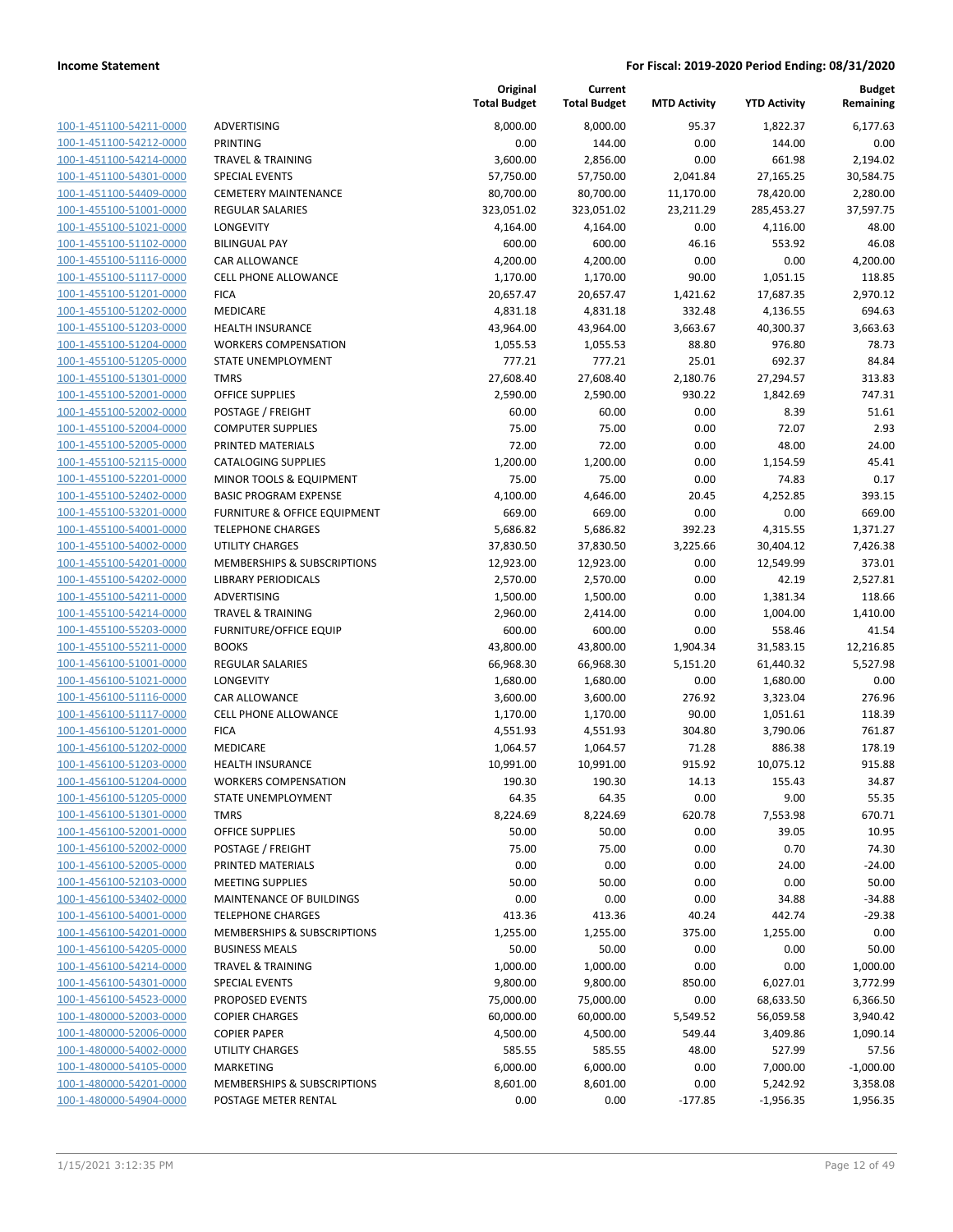| 100-1-451100-54211-0000        |
|--------------------------------|
| 100-1-451100-54212-0000        |
| 100-1-451100-54214-0000        |
| 100-1-451100-54301-0000        |
| 100-1-451100-54409-0000        |
| 100-1-455100-51001-0000        |
| 100-1-455100-51021-0000        |
| 100-1-455100-51102-0000        |
| 100-1-455100-51116-0000        |
| 100-1-455100-51117-0000        |
| 100-1-455100-51201-0000        |
| 100-1-455100-51202-0000        |
| 100-1-455100-51203-0000        |
| 100-1-455100-51204-0000        |
| 100-1-455100-51205-0000        |
| 100-1-455100-51301-0000        |
| 100-1-455100-52001-0000        |
|                                |
| 100-1-455100-52002-0000        |
| 100-1-455100-52004-0000        |
| 100-1-455100-52005-0000        |
| 100-1-455100-52115-0000        |
| 100-1-455100-52201-0000        |
| 100-1-455100-52402-0000        |
| 100-1-455100-53201-0000        |
| 100-1-455100-54001-0000        |
| 100-1-455100-54002-0000        |
| 100-1-455100-54201-0000        |
| 100-1-455100-54202-0000        |
| 100-1-455100-54211-0000        |
| 100-1-455100-54214-0000        |
| 100-1-455100-55203-0000        |
| 100-1-455100-55211-0000        |
| 100-1-456100-51001-0000        |
| 100-1-456100-51021-0000        |
| 100-1-456100-51116-0000        |
| 100-1-456100-51117-0000        |
| 100-1-456100-51201-0000        |
| 100-1-456100-51202-0000        |
| 100-1-456100-51203-0000        |
| 100-1-456100-51204-0000        |
| 100-1-456100-51205-0000        |
| 100-1-456100-51301-0000        |
| <u>100-1-456100-52001-0000</u> |
| <u>100-1-456100-52002-0000</u> |
| 100-1-456100-52005-0000        |
| 100-1-456100-52103-0000        |
| 100-1-456100-53402-0000        |
| <u>100-1-456100-54001-0000</u> |
| <u>100-1-456100-54201-0000</u> |
| 100-1-456100-54205-0000        |
|                                |
| 100-1-456100-54214-0000        |
| 100-1-456100-54301-0000        |
| <u>100-1-456100-54523-0000</u> |
| <u>100-1-480000-52003-0000</u> |
| 100-1-480000-52006-0000        |
| 100-1-480000-54002-0000        |
| 100-1-480000-54105-0000        |
| <u>100-1-480000-54201-0000</u> |
| <u>100-1-480000-54904-0000</u> |
|                                |

|                         |                                         | Original<br><b>Total Budget</b> | Current<br><b>Total Budget</b> | <b>MTD Activity</b> | <b>YTD Activity</b> | <b>Budget</b><br>Remaining |
|-------------------------|-----------------------------------------|---------------------------------|--------------------------------|---------------------|---------------------|----------------------------|
| 100-1-451100-54211-0000 | ADVERTISING                             | 8,000.00                        | 8,000.00                       | 95.37               | 1,822.37            | 6,177.63                   |
| 100-1-451100-54212-0000 | <b>PRINTING</b>                         | 0.00                            | 144.00                         | 0.00                | 144.00              | 0.00                       |
| 100-1-451100-54214-0000 | <b>TRAVEL &amp; TRAINING</b>            | 3,600.00                        | 2,856.00                       | 0.00                | 661.98              | 2,194.02                   |
| 100-1-451100-54301-0000 | <b>SPECIAL EVENTS</b>                   | 57,750.00                       | 57,750.00                      | 2,041.84            | 27,165.25           | 30,584.75                  |
| 100-1-451100-54409-0000 | <b>CEMETERY MAINTENANCE</b>             | 80,700.00                       | 80,700.00                      | 11,170.00           | 78,420.00           | 2,280.00                   |
| 100-1-455100-51001-0000 | REGULAR SALARIES                        | 323,051.02                      | 323,051.02                     | 23,211.29           | 285,453.27          | 37,597.75                  |
| 100-1-455100-51021-0000 | LONGEVITY                               | 4,164.00                        | 4,164.00                       | 0.00                | 4,116.00            | 48.00                      |
| 100-1-455100-51102-0000 | <b>BILINGUAL PAY</b>                    | 600.00                          | 600.00                         | 46.16               | 553.92              | 46.08                      |
| 100-1-455100-51116-0000 | CAR ALLOWANCE                           | 4,200.00                        | 4,200.00                       | 0.00                | 0.00                | 4,200.00                   |
| 100-1-455100-51117-0000 | <b>CELL PHONE ALLOWANCE</b>             | 1,170.00                        | 1,170.00                       | 90.00               | 1,051.15            | 118.85                     |
| 100-1-455100-51201-0000 | <b>FICA</b>                             | 20,657.47                       | 20,657.47                      | 1,421.62            | 17,687.35           | 2,970.12                   |
| 100-1-455100-51202-0000 | MEDICARE                                | 4,831.18                        | 4,831.18                       | 332.48              | 4,136.55            | 694.63                     |
| 100-1-455100-51203-0000 | <b>HEALTH INSURANCE</b>                 | 43,964.00                       | 43,964.00                      | 3,663.67            | 40,300.37           | 3,663.63                   |
| 100-1-455100-51204-0000 | <b>WORKERS COMPENSATION</b>             | 1,055.53                        | 1,055.53                       | 88.80               | 976.80              | 78.73                      |
| 100-1-455100-51205-0000 | STATE UNEMPLOYMENT                      | 777.21                          | 777.21                         | 25.01               | 692.37              | 84.84                      |
| 100-1-455100-51301-0000 | <b>TMRS</b>                             | 27,608.40                       | 27,608.40                      | 2,180.76            | 27,294.57           | 313.83                     |
| 100-1-455100-52001-0000 | <b>OFFICE SUPPLIES</b>                  | 2,590.00                        | 2,590.00                       | 930.22              | 1,842.69            | 747.31                     |
| 100-1-455100-52002-0000 | POSTAGE / FREIGHT                       | 60.00                           | 60.00                          | 0.00                | 8.39                | 51.61                      |
| 100-1-455100-52004-0000 | <b>COMPUTER SUPPLIES</b>                | 75.00                           | 75.00                          | 0.00                | 72.07               | 2.93                       |
| 100-1-455100-52005-0000 | PRINTED MATERIALS                       | 72.00                           | 72.00                          | 0.00                | 48.00               | 24.00                      |
| 100-1-455100-52115-0000 | <b>CATALOGING SUPPLIES</b>              | 1,200.00                        | 1,200.00                       | 0.00                | 1,154.59            | 45.41                      |
| 100-1-455100-52201-0000 | MINOR TOOLS & EQUIPMENT                 | 75.00                           | 75.00                          | 0.00                | 74.83               | 0.17                       |
| 100-1-455100-52402-0000 | <b>BASIC PROGRAM EXPENSE</b>            | 4,100.00                        | 4,646.00                       | 20.45               | 4,252.85            | 393.15                     |
| 100-1-455100-53201-0000 | <b>FURNITURE &amp; OFFICE EQUIPMENT</b> | 669.00                          | 669.00                         | 0.00                | 0.00                | 669.00                     |
| 100-1-455100-54001-0000 | <b>TELEPHONE CHARGES</b>                | 5,686.82                        | 5,686.82                       | 392.23              | 4,315.55            | 1,371.27                   |
| 100-1-455100-54002-0000 | <b>UTILITY CHARGES</b>                  | 37,830.50                       | 37,830.50                      | 3,225.66            | 30,404.12           | 7,426.38                   |
| 100-1-455100-54201-0000 | MEMBERSHIPS & SUBSCRIPTIONS             | 12,923.00                       | 12,923.00                      | 0.00                | 12,549.99           | 373.01                     |
| 100-1-455100-54202-0000 | <b>LIBRARY PERIODICALS</b>              | 2,570.00                        | 2,570.00                       | 0.00                | 42.19               | 2,527.81                   |
| 100-1-455100-54211-0000 | ADVERTISING                             | 1,500.00                        | 1,500.00                       | 0.00                | 1,381.34            | 118.66                     |
| 100-1-455100-54214-0000 | <b>TRAVEL &amp; TRAINING</b>            | 2,960.00                        | 2,414.00                       | 0.00                | 1,004.00            | 1,410.00                   |
| 100-1-455100-55203-0000 | <b>FURNITURE/OFFICE EQUIP</b>           | 600.00                          | 600.00                         | 0.00                | 558.46              | 41.54                      |
| 100-1-455100-55211-0000 | <b>BOOKS</b>                            | 43,800.00                       | 43,800.00                      | 1,904.34            | 31,583.15           | 12,216.85                  |
| 100-1-456100-51001-0000 | REGULAR SALARIES                        | 66,968.30                       | 66,968.30                      | 5,151.20            | 61,440.32           | 5,527.98                   |
| 100-1-456100-51021-0000 | LONGEVITY                               | 1,680.00                        | 1,680.00                       | 0.00                | 1,680.00            | 0.00                       |
| 100-1-456100-51116-0000 | CAR ALLOWANCE                           | 3,600.00                        | 3,600.00                       | 276.92              | 3,323.04            | 276.96                     |
| 100-1-456100-51117-0000 | <b>CELL PHONE ALLOWANCE</b>             | 1,170.00                        | 1,170.00                       | 90.00               | 1,051.61            | 118.39                     |
| 100-1-456100-51201-0000 | <b>FICA</b>                             | 4,551.93                        | 4,551.93                       | 304.80              | 3,790.06            | 761.87                     |
| 100-1-456100-51202-0000 | <b>MEDICARE</b>                         | 1,064.57                        | 1,064.57                       | 71.28               | 886.38              | 178.19                     |
| 100-1-456100-51203-0000 | <b>HEALTH INSURANCE</b>                 | 10,991.00                       | 10,991.00                      | 915.92              | 10,075.12           | 915.88                     |
| 100-1-456100-51204-0000 | <b>WORKERS COMPENSATION</b>             | 190.30                          | 190.30                         | 14.13               | 155.43              | 34.87                      |
| 100-1-456100-51205-0000 | STATE UNEMPLOYMENT                      | 64.35                           | 64.35                          | 0.00                | 9.00                | 55.35                      |
| 100-1-456100-51301-0000 | <b>TMRS</b>                             | 8,224.69                        | 8,224.69                       | 620.78              | 7,553.98            | 670.71                     |
| 100-1-456100-52001-0000 | <b>OFFICE SUPPLIES</b>                  | 50.00                           | 50.00                          | 0.00                | 39.05               | 10.95                      |
| 100-1-456100-52002-0000 | POSTAGE / FREIGHT                       | 75.00                           | 75.00                          | 0.00                | 0.70                | 74.30                      |
| 100-1-456100-52005-0000 | PRINTED MATERIALS                       | 0.00                            | 0.00                           | 0.00                | 24.00               | $-24.00$                   |
| 100-1-456100-52103-0000 | <b>MEETING SUPPLIES</b>                 | 50.00                           | 50.00                          | 0.00                | 0.00                | 50.00                      |
| 100-1-456100-53402-0000 | MAINTENANCE OF BUILDINGS                | 0.00                            | 0.00                           | 0.00                | 34.88               | $-34.88$                   |
| 100-1-456100-54001-0000 | <b>TELEPHONE CHARGES</b>                | 413.36                          | 413.36                         | 40.24               | 442.74              | $-29.38$                   |
| 100-1-456100-54201-0000 | MEMBERSHIPS & SUBSCRIPTIONS             | 1,255.00                        | 1,255.00                       | 375.00              | 1,255.00            | 0.00                       |
| 100-1-456100-54205-0000 | <b>BUSINESS MEALS</b>                   | 50.00                           | 50.00                          | 0.00                | 0.00                | 50.00                      |
| 100-1-456100-54214-0000 | <b>TRAVEL &amp; TRAINING</b>            | 1,000.00                        | 1,000.00                       | 0.00                | 0.00                | 1,000.00                   |
| 100-1-456100-54301-0000 | <b>SPECIAL EVENTS</b>                   | 9,800.00                        | 9,800.00                       | 850.00              | 6,027.01            | 3,772.99                   |
| 100-1-456100-54523-0000 | PROPOSED EVENTS                         | 75,000.00                       | 75,000.00                      | 0.00                | 68,633.50           | 6,366.50                   |
| 100-1-480000-52003-0000 | <b>COPIER CHARGES</b>                   | 60,000.00                       | 60,000.00                      | 5,549.52            | 56,059.58           | 3,940.42                   |
| 100-1-480000-52006-0000 | <b>COPIER PAPER</b>                     | 4,500.00                        | 4,500.00                       | 549.44              | 3,409.86            | 1,090.14                   |
| 100-1-480000-54002-0000 | UTILITY CHARGES                         | 585.55                          | 585.55                         | 48.00               | 527.99              | 57.56                      |
| 100-1-480000-54105-0000 | <b>MARKETING</b>                        | 6,000.00                        | 6,000.00                       | 0.00                | 7,000.00            | $-1,000.00$                |
| 100-1-480000-54201-0000 | MEMBERSHIPS & SUBSCRIPTIONS             | 8,601.00                        | 8,601.00                       | 0.00                | 5,242.92            | 3,358.08                   |
| 100-1-480000-54904-0000 | POSTAGE METER RENTAL                    | 0.00                            | 0.00                           | $-177.85$           | $-1,956.35$         | 1,956.35                   |
|                         |                                         |                                 |                                |                     |                     |                            |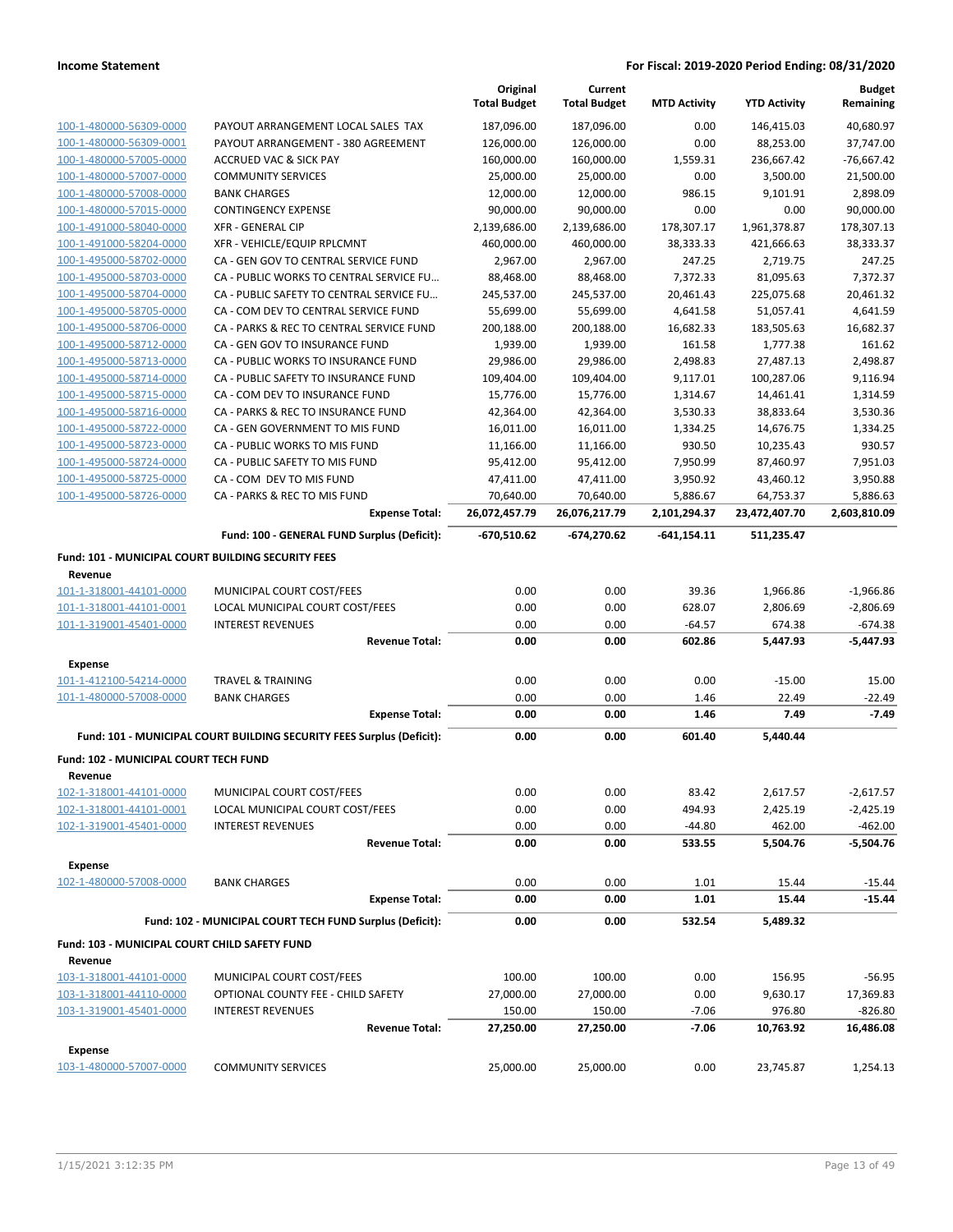|                                                                 |                                                                       | Original<br><b>Total Budget</b> | Current<br><b>Total Budget</b> | <b>MTD Activity</b> | <b>YTD Activity</b> | <b>Budget</b><br>Remaining |
|-----------------------------------------------------------------|-----------------------------------------------------------------------|---------------------------------|--------------------------------|---------------------|---------------------|----------------------------|
| 100-1-480000-56309-0000                                         | PAYOUT ARRANGEMENT LOCAL SALES TAX                                    | 187,096.00                      | 187,096.00                     | 0.00                | 146,415.03          | 40,680.97                  |
| 100-1-480000-56309-0001                                         | PAYOUT ARRANGEMENT - 380 AGREEMENT                                    | 126,000.00                      | 126,000.00                     | 0.00                | 88,253.00           | 37,747.00                  |
| 100-1-480000-57005-0000                                         | <b>ACCRUED VAC &amp; SICK PAY</b>                                     | 160,000.00                      | 160,000.00                     | 1,559.31            | 236,667.42          | $-76,667.42$               |
| 100-1-480000-57007-0000                                         | <b>COMMUNITY SERVICES</b>                                             | 25,000.00                       | 25,000.00                      | 0.00                | 3,500.00            | 21,500.00                  |
| 100-1-480000-57008-0000                                         | <b>BANK CHARGES</b>                                                   | 12,000.00                       | 12,000.00                      | 986.15              | 9,101.91            | 2,898.09                   |
| 100-1-480000-57015-0000                                         | <b>CONTINGENCY EXPENSE</b>                                            | 90,000.00                       | 90,000.00                      | 0.00                | 0.00                | 90,000.00                  |
| 100-1-491000-58040-0000                                         | <b>XFR - GENERAL CIP</b>                                              | 2,139,686.00                    | 2,139,686.00                   | 178,307.17          | 1,961,378.87        | 178,307.13                 |
| 100-1-491000-58204-0000                                         | XFR - VEHICLE/EQUIP RPLCMNT                                           | 460,000.00                      | 460,000.00                     | 38,333.33           | 421,666.63          | 38,333.37                  |
| 100-1-495000-58702-0000                                         | CA - GEN GOV TO CENTRAL SERVICE FUND                                  | 2,967.00                        | 2,967.00                       | 247.25              | 2,719.75            | 247.25                     |
| 100-1-495000-58703-0000                                         | CA - PUBLIC WORKS TO CENTRAL SERVICE FU                               | 88,468.00                       | 88,468.00                      | 7,372.33            | 81,095.63           | 7,372.37                   |
| 100-1-495000-58704-0000                                         | CA - PUBLIC SAFETY TO CENTRAL SERVICE FU                              | 245,537.00                      | 245,537.00                     | 20,461.43           | 225,075.68          | 20,461.32                  |
| 100-1-495000-58705-0000                                         | CA - COM DEV TO CENTRAL SERVICE FUND                                  | 55,699.00                       | 55,699.00                      | 4,641.58            | 51,057.41           | 4,641.59                   |
| 100-1-495000-58706-0000                                         | CA - PARKS & REC TO CENTRAL SERVICE FUND                              | 200,188.00                      | 200,188.00                     | 16,682.33           | 183,505.63          | 16,682.37                  |
| 100-1-495000-58712-0000                                         | CA - GEN GOV TO INSURANCE FUND                                        | 1,939.00                        | 1,939.00                       | 161.58              | 1,777.38            | 161.62                     |
| 100-1-495000-58713-0000                                         | CA - PUBLIC WORKS TO INSURANCE FUND                                   | 29,986.00                       | 29,986.00                      | 2,498.83            | 27,487.13           | 2,498.87                   |
| 100-1-495000-58714-0000                                         | CA - PUBLIC SAFETY TO INSURANCE FUND                                  | 109,404.00                      | 109,404.00                     | 9,117.01            | 100,287.06          | 9,116.94                   |
| 100-1-495000-58715-0000                                         | CA - COM DEV TO INSURANCE FUND                                        | 15,776.00                       | 15,776.00                      | 1,314.67            | 14,461.41           | 1,314.59                   |
| 100-1-495000-58716-0000                                         | CA - PARKS & REC TO INSURANCE FUND                                    | 42,364.00                       | 42,364.00                      | 3,530.33            | 38,833.64           | 3,530.36                   |
| 100-1-495000-58722-0000                                         | CA - GEN GOVERNMENT TO MIS FUND                                       | 16,011.00                       | 16,011.00                      | 1,334.25            | 14,676.75           | 1,334.25                   |
| 100-1-495000-58723-0000                                         | CA - PUBLIC WORKS TO MIS FUND                                         | 11,166.00                       | 11,166.00                      | 930.50              | 10,235.43           | 930.57                     |
| 100-1-495000-58724-0000                                         | CA - PUBLIC SAFETY TO MIS FUND                                        | 95,412.00                       | 95,412.00                      | 7,950.99            | 87,460.97           | 7,951.03                   |
| 100-1-495000-58725-0000                                         | CA - COM DEV TO MIS FUND                                              | 47,411.00                       | 47,411.00                      | 3,950.92            | 43,460.12           | 3,950.88                   |
| 100-1-495000-58726-0000                                         | CA - PARKS & REC TO MIS FUND                                          | 70,640.00                       | 70,640.00                      | 5,886.67            | 64,753.37           | 5,886.63                   |
|                                                                 | <b>Expense Total:</b>                                                 | 26,072,457.79                   | 26,076,217.79                  | 2,101,294.37        | 23,472,407.70       | 2,603,810.09               |
|                                                                 | Fund: 100 - GENERAL FUND Surplus (Deficit):                           | -670,510.62                     | -674,270.62                    | -641,154.11         | 511,235.47          |                            |
| Fund: 101 - MUNICIPAL COURT BUILDING SECURITY FEES              |                                                                       |                                 |                                |                     |                     |                            |
| Revenue                                                         |                                                                       |                                 |                                |                     |                     |                            |
| 101-1-318001-44101-0000                                         | MUNICIPAL COURT COST/FEES                                             | 0.00                            | 0.00                           | 39.36               | 1,966.86            | $-1,966.86$                |
| 101-1-318001-44101-0001                                         | LOCAL MUNICIPAL COURT COST/FEES                                       | 0.00                            | 0.00                           | 628.07              | 2,806.69            | $-2,806.69$                |
| 101-1-319001-45401-0000                                         | <b>INTEREST REVENUES</b>                                              | 0.00                            | 0.00                           | $-64.57$            | 674.38              | $-674.38$                  |
|                                                                 | <b>Revenue Total:</b>                                                 | 0.00                            | 0.00                           | 602.86              | 5,447.93            | $-5,447.93$                |
| <b>Expense</b>                                                  |                                                                       |                                 |                                |                     |                     |                            |
| 101-1-412100-54214-0000                                         | <b>TRAVEL &amp; TRAINING</b>                                          | 0.00                            | 0.00                           | 0.00                | $-15.00$            | 15.00                      |
| 101-1-480000-57008-0000                                         | <b>BANK CHARGES</b>                                                   | 0.00                            | 0.00                           | 1.46                | 22.49               | $-22.49$                   |
|                                                                 | <b>Expense Total:</b>                                                 | 0.00                            | 0.00                           | 1.46                | 7.49                | $-7.49$                    |
|                                                                 | Fund: 101 - MUNICIPAL COURT BUILDING SECURITY FEES Surplus (Deficit): | 0.00                            | 0.00                           | 601.40              | 5,440.44            |                            |
| Fund: 102 - MUNICIPAL COURT TECH FUND                           |                                                                       |                                 |                                |                     |                     |                            |
| Revenue                                                         |                                                                       |                                 |                                |                     |                     |                            |
| 102-1-318001-44101-0000                                         | MUNICIPAL COURT COST/FEES                                             | 0.00                            | 0.00                           | 83.42               | 2,617.57            | $-2,617.57$                |
| 102-1-318001-44101-0001                                         | LOCAL MUNICIPAL COURT COST/FEES                                       | 0.00                            | 0.00                           | 494.93              | 2,425.19            | $-2,425.19$                |
| 102-1-319001-45401-0000                                         | <b>INTEREST REVENUES</b>                                              | 0.00                            | 0.00                           | $-44.80$            | 462.00              | $-462.00$                  |
|                                                                 | <b>Revenue Total:</b>                                                 | 0.00                            | 0.00                           | 533.55              | 5,504.76            | $-5,504.76$                |
| <b>Expense</b>                                                  |                                                                       |                                 |                                |                     |                     |                            |
| 102-1-480000-57008-0000                                         | <b>BANK CHARGES</b>                                                   | 0.00                            | 0.00                           | 1.01                | 15.44               | $-15.44$                   |
|                                                                 | <b>Expense Total:</b>                                                 | 0.00                            | 0.00                           | 1.01                | 15.44               | $-15.44$                   |
|                                                                 | Fund: 102 - MUNICIPAL COURT TECH FUND Surplus (Deficit):              | 0.00                            | 0.00                           | 532.54              | 5,489.32            |                            |
|                                                                 |                                                                       |                                 |                                |                     |                     |                            |
| <b>Fund: 103 - MUNICIPAL COURT CHILD SAFETY FUND</b><br>Revenue |                                                                       |                                 |                                |                     |                     |                            |
| 103-1-318001-44101-0000                                         | MUNICIPAL COURT COST/FEES                                             | 100.00                          | 100.00                         | 0.00                | 156.95              | $-56.95$                   |
| 103-1-318001-44110-0000                                         | OPTIONAL COUNTY FEE - CHILD SAFETY                                    | 27,000.00                       | 27,000.00                      | 0.00                | 9,630.17            | 17,369.83                  |
| 103-1-319001-45401-0000                                         | <b>INTEREST REVENUES</b>                                              | 150.00                          | 150.00                         | $-7.06$             | 976.80              | $-826.80$                  |
|                                                                 | <b>Revenue Total:</b>                                                 | 27,250.00                       | 27,250.00                      | $-7.06$             | 10,763.92           | 16,486.08                  |
|                                                                 |                                                                       |                                 |                                |                     |                     |                            |
| <b>Expense</b><br>103-1-480000-57007-0000                       | <b>COMMUNITY SERVICES</b>                                             | 25,000.00                       | 25,000.00                      | 0.00                | 23,745.87           | 1,254.13                   |
|                                                                 |                                                                       |                                 |                                |                     |                     |                            |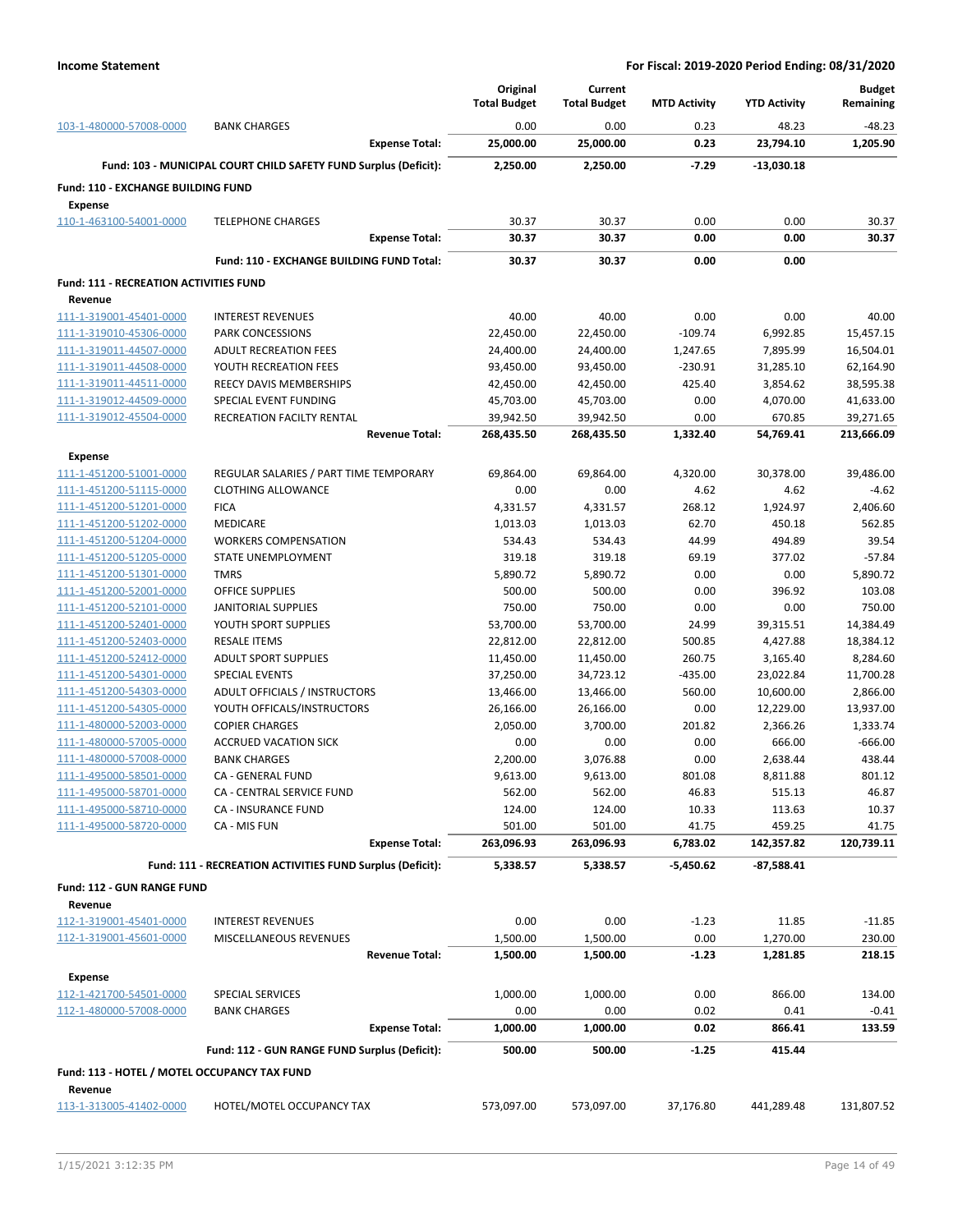|                                                      |                                                                  | Original            | Current             |                     |                     | <b>Budget</b>        |
|------------------------------------------------------|------------------------------------------------------------------|---------------------|---------------------|---------------------|---------------------|----------------------|
|                                                      |                                                                  | <b>Total Budget</b> | <b>Total Budget</b> | <b>MTD Activity</b> | <b>YTD Activity</b> | Remaining            |
| 103-1-480000-57008-0000                              | <b>BANK CHARGES</b><br><b>Expense Total:</b>                     | 0.00<br>25,000.00   | 0.00<br>25,000.00   | 0.23<br>0.23        | 48.23<br>23,794.10  | $-48.23$<br>1,205.90 |
|                                                      | Fund: 103 - MUNICIPAL COURT CHILD SAFETY FUND Surplus (Deficit): | 2,250.00            | 2,250.00            | $-7.29$             | $-13,030.18$        |                      |
|                                                      |                                                                  |                     |                     |                     |                     |                      |
| Fund: 110 - EXCHANGE BUILDING FUND<br><b>Expense</b> |                                                                  |                     |                     |                     |                     |                      |
| 110-1-463100-54001-0000                              | <b>TELEPHONE CHARGES</b>                                         | 30.37               | 30.37               | 0.00                | 0.00                | 30.37                |
|                                                      | <b>Expense Total:</b>                                            | 30.37               | 30.37               | 0.00                | 0.00                | 30.37                |
|                                                      | Fund: 110 - EXCHANGE BUILDING FUND Total:                        | 30.37               | 30.37               | 0.00                | 0.00                |                      |
| <b>Fund: 111 - RECREATION ACTIVITIES FUND</b>        |                                                                  |                     |                     |                     |                     |                      |
| Revenue                                              |                                                                  |                     |                     |                     |                     |                      |
| 111-1-319001-45401-0000                              | <b>INTEREST REVENUES</b>                                         | 40.00               | 40.00               | 0.00                | 0.00                | 40.00                |
| 111-1-319010-45306-0000                              | PARK CONCESSIONS                                                 | 22,450.00           | 22,450.00           | $-109.74$           | 6,992.85            | 15,457.15            |
| 111-1-319011-44507-0000                              | <b>ADULT RECREATION FEES</b>                                     | 24,400.00           | 24,400.00           | 1,247.65            | 7,895.99            | 16,504.01            |
| 111-1-319011-44508-0000                              | YOUTH RECREATION FEES                                            | 93,450.00           | 93,450.00           | $-230.91$           | 31,285.10           | 62,164.90            |
| 111-1-319011-44511-0000                              | <b>REECY DAVIS MEMBERSHIPS</b>                                   | 42,450.00           | 42,450.00           | 425.40              | 3,854.62            | 38,595.38            |
| 111-1-319012-44509-0000                              | SPECIAL EVENT FUNDING                                            | 45,703.00           | 45,703.00           | 0.00                | 4,070.00            | 41,633.00            |
| 111-1-319012-45504-0000                              | RECREATION FACILTY RENTAL                                        | 39,942.50           | 39,942.50           | 0.00                | 670.85              | 39,271.65            |
|                                                      | <b>Revenue Total:</b>                                            | 268,435.50          | 268,435.50          | 1,332.40            | 54,769.41           | 213,666.09           |
| <b>Expense</b>                                       |                                                                  |                     |                     |                     |                     |                      |
| 111-1-451200-51001-0000                              | REGULAR SALARIES / PART TIME TEMPORARY                           | 69,864.00           | 69,864.00           | 4,320.00            | 30,378.00           | 39,486.00            |
| 111-1-451200-51115-0000                              | <b>CLOTHING ALLOWANCE</b>                                        | 0.00                | 0.00                | 4.62                | 4.62                | $-4.62$              |
| 111-1-451200-51201-0000                              | <b>FICA</b>                                                      | 4,331.57            | 4,331.57            | 268.12              | 1,924.97            | 2,406.60             |
| 111-1-451200-51202-0000                              | <b>MEDICARE</b>                                                  | 1,013.03            | 1,013.03            | 62.70               | 450.18              | 562.85               |
| 111-1-451200-51204-0000                              | <b>WORKERS COMPENSATION</b>                                      | 534.43              | 534.43              | 44.99               | 494.89              | 39.54                |
| 111-1-451200-51205-0000                              | STATE UNEMPLOYMENT                                               | 319.18              | 319.18              | 69.19               | 377.02              | $-57.84$             |
| 111-1-451200-51301-0000                              | <b>TMRS</b>                                                      | 5,890.72            | 5,890.72            | 0.00                | 0.00                | 5,890.72             |
| 111-1-451200-52001-0000                              | <b>OFFICE SUPPLIES</b>                                           | 500.00              | 500.00              | 0.00                | 396.92              | 103.08               |
| 111-1-451200-52101-0000                              | <b>JANITORIAL SUPPLIES</b>                                       | 750.00              | 750.00              | 0.00                | 0.00                | 750.00               |
| 111-1-451200-52401-0000                              | YOUTH SPORT SUPPLIES                                             | 53,700.00           | 53,700.00           | 24.99               | 39,315.51           | 14,384.49            |
| 111-1-451200-52403-0000                              | <b>RESALE ITEMS</b>                                              | 22,812.00           | 22,812.00           | 500.85              | 4,427.88            | 18,384.12            |
| 111-1-451200-52412-0000                              | <b>ADULT SPORT SUPPLIES</b>                                      | 11,450.00           | 11,450.00           | 260.75              | 3,165.40            | 8,284.60             |
| 111-1-451200-54301-0000                              | <b>SPECIAL EVENTS</b>                                            | 37,250.00           | 34,723.12           | $-435.00$           | 23,022.84           | 11,700.28            |
| 111-1-451200-54303-0000                              | ADULT OFFICIALS / INSTRUCTORS                                    | 13,466.00           | 13,466.00           | 560.00              | 10,600.00           | 2,866.00             |
| 111-1-451200-54305-0000                              | YOUTH OFFICALS/INSTRUCTORS                                       | 26,166.00           | 26,166.00           | 0.00                | 12,229.00           | 13,937.00            |
| 111-1-480000-52003-0000                              | <b>COPIER CHARGES</b>                                            | 2,050.00            | 3,700.00            | 201.82              | 2,366.26            | 1,333.74             |
| 111-1-480000-57005-0000                              | <b>ACCRUED VACATION SICK</b>                                     | 0.00                | 0.00                | 0.00                | 666.00              | $-666.00$            |
| 111-1-480000-57008-0000                              | BANK CHARGES                                                     | 2,200.00            | 3,076.88            | 0.00                | 2,638.44            | 438.44               |
| 111-1-495000-58501-0000                              | CA - GENERAL FUND                                                | 9,613.00            | 9,613.00            | 801.08              | 8,811.88            | 801.12               |
| 111-1-495000-58701-0000                              | CA - CENTRAL SERVICE FUND                                        | 562.00              | 562.00              | 46.83               | 515.13              | 46.87                |
| 111-1-495000-58710-0000                              | <b>CA - INSURANCE FUND</b>                                       | 124.00              | 124.00              | 10.33               | 113.63              | 10.37                |
| 111-1-495000-58720-0000                              | CA - MIS FUN                                                     | 501.00              | 501.00              | 41.75               | 459.25              | 41.75                |
|                                                      | <b>Expense Total:</b>                                            | 263,096.93          | 263,096.93          | 6,783.02            | 142,357.82          | 120,739.11           |
|                                                      | Fund: 111 - RECREATION ACTIVITIES FUND Surplus (Deficit):        | 5,338.57            | 5,338.57            | -5,450.62           | $-87,588.41$        |                      |
| Fund: 112 - GUN RANGE FUND                           |                                                                  |                     |                     |                     |                     |                      |
| Revenue                                              |                                                                  |                     |                     |                     |                     |                      |
| 112-1-319001-45401-0000                              | <b>INTEREST REVENUES</b>                                         | 0.00                | 0.00                | $-1.23$             | 11.85               | $-11.85$             |
| 112-1-319001-45601-0000                              | MISCELLANEOUS REVENUES                                           | 1,500.00            | 1,500.00            | 0.00                | 1,270.00            | 230.00               |
|                                                      | <b>Revenue Total:</b>                                            | 1,500.00            | 1,500.00            | $-1.23$             | 1,281.85            | 218.15               |
| <b>Expense</b>                                       |                                                                  |                     |                     |                     |                     |                      |
| 112-1-421700-54501-0000                              | SPECIAL SERVICES                                                 | 1,000.00            | 1,000.00            | 0.00                | 866.00              | 134.00               |
| 112-1-480000-57008-0000                              | <b>BANK CHARGES</b>                                              | 0.00                | 0.00                | 0.02                | 0.41                | $-0.41$              |
|                                                      | <b>Expense Total:</b>                                            | 1,000.00            | 1,000.00            | 0.02                | 866.41              | 133.59               |
|                                                      | Fund: 112 - GUN RANGE FUND Surplus (Deficit):                    | 500.00              | 500.00              | $-1.25$             | 415.44              |                      |
|                                                      |                                                                  |                     |                     |                     |                     |                      |
| Fund: 113 - HOTEL / MOTEL OCCUPANCY TAX FUND         |                                                                  |                     |                     |                     |                     |                      |
| Revenue<br>113-1-313005-41402-0000                   | HOTEL/MOTEL OCCUPANCY TAX                                        | 573,097.00          | 573,097.00          | 37,176.80           | 441,289.48          | 131,807.52           |
|                                                      |                                                                  |                     |                     |                     |                     |                      |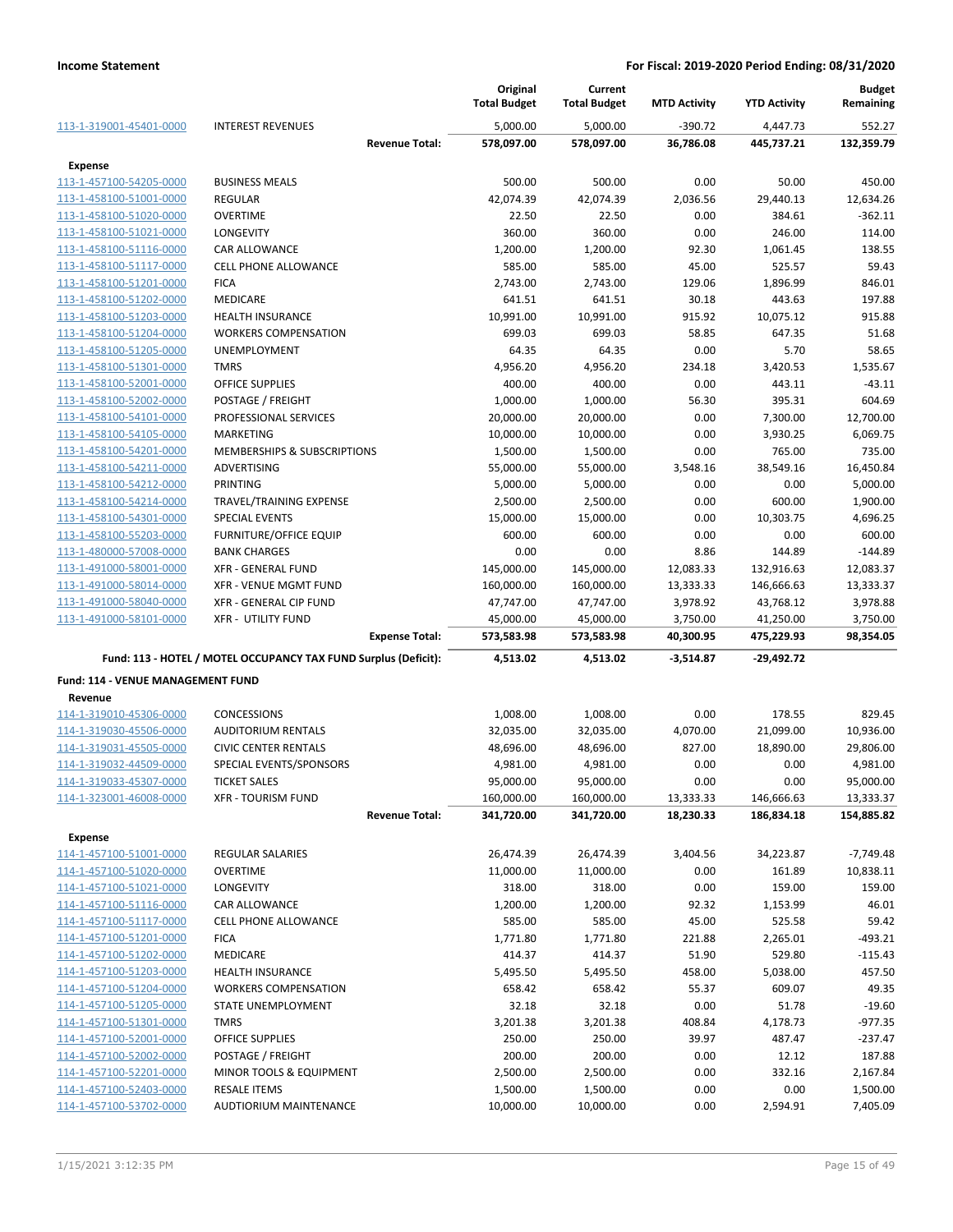|                                   |                                                                 |                       | Original<br><b>Total Budget</b> | Current<br><b>Total Budget</b> | <b>MTD Activity</b> | <b>YTD Activity</b> | <b>Budget</b><br>Remaining |
|-----------------------------------|-----------------------------------------------------------------|-----------------------|---------------------------------|--------------------------------|---------------------|---------------------|----------------------------|
| 113-1-319001-45401-0000           | <b>INTEREST REVENUES</b>                                        |                       | 5,000.00                        | 5,000.00                       | $-390.72$           | 4,447.73            | 552.27                     |
|                                   |                                                                 | <b>Revenue Total:</b> | 578,097.00                      | 578,097.00                     | 36,786.08           | 445,737.21          | 132,359.79                 |
| Expense                           |                                                                 |                       |                                 |                                |                     |                     |                            |
| 113-1-457100-54205-0000           | <b>BUSINESS MEALS</b>                                           |                       | 500.00                          | 500.00                         | 0.00                | 50.00               | 450.00                     |
| 113-1-458100-51001-0000           | <b>REGULAR</b>                                                  |                       | 42,074.39                       | 42,074.39                      | 2,036.56            | 29,440.13           | 12,634.26                  |
| 113-1-458100-51020-0000           | <b>OVERTIME</b>                                                 |                       | 22.50                           | 22.50                          | 0.00                | 384.61              | $-362.11$                  |
| 113-1-458100-51021-0000           | <b>LONGEVITY</b>                                                |                       | 360.00                          | 360.00                         | 0.00                | 246.00              | 114.00                     |
| 113-1-458100-51116-0000           | CAR ALLOWANCE                                                   |                       | 1,200.00                        | 1,200.00                       | 92.30               | 1,061.45            | 138.55                     |
| 113-1-458100-51117-0000           | <b>CELL PHONE ALLOWANCE</b>                                     |                       | 585.00                          | 585.00                         | 45.00               | 525.57              | 59.43                      |
| 113-1-458100-51201-0000           | <b>FICA</b>                                                     |                       | 2,743.00                        | 2,743.00                       | 129.06              | 1,896.99            | 846.01                     |
| 113-1-458100-51202-0000           | <b>MEDICARE</b>                                                 |                       | 641.51                          | 641.51                         | 30.18               | 443.63              | 197.88                     |
| 113-1-458100-51203-0000           | <b>HEALTH INSURANCE</b>                                         |                       | 10,991.00                       | 10,991.00                      | 915.92              | 10,075.12           | 915.88                     |
| 113-1-458100-51204-0000           | <b>WORKERS COMPENSATION</b>                                     |                       | 699.03                          | 699.03                         | 58.85               | 647.35              | 51.68                      |
| 113-1-458100-51205-0000           | <b>UNEMPLOYMENT</b>                                             |                       | 64.35                           | 64.35                          | 0.00                | 5.70                | 58.65                      |
| 113-1-458100-51301-0000           | <b>TMRS</b>                                                     |                       | 4,956.20                        | 4,956.20                       | 234.18              | 3,420.53            | 1,535.67                   |
| 113-1-458100-52001-0000           | OFFICE SUPPLIES                                                 |                       | 400.00                          | 400.00                         | 0.00                | 443.11              | $-43.11$                   |
| 113-1-458100-52002-0000           | POSTAGE / FREIGHT                                               |                       | 1,000.00                        | 1,000.00                       | 56.30               | 395.31              | 604.69                     |
| 113-1-458100-54101-0000           | PROFESSIONAL SERVICES                                           |                       | 20,000.00                       | 20,000.00                      | 0.00                | 7,300.00            | 12.700.00                  |
| 113-1-458100-54105-0000           | MARKETING                                                       |                       | 10,000.00                       | 10,000.00                      | 0.00                | 3,930.25            | 6,069.75                   |
| 113-1-458100-54201-0000           | MEMBERSHIPS & SUBSCRIPTIONS                                     |                       | 1,500.00                        | 1,500.00                       | 0.00                | 765.00              | 735.00                     |
| 113-1-458100-54211-0000           | ADVERTISING                                                     |                       | 55,000.00                       | 55,000.00                      | 3,548.16            | 38,549.16           | 16,450.84                  |
| 113-1-458100-54212-0000           | PRINTING                                                        |                       | 5,000.00                        | 5,000.00                       | 0.00                | 0.00                | 5,000.00                   |
| 113-1-458100-54214-0000           | TRAVEL/TRAINING EXPENSE                                         |                       | 2,500.00                        | 2,500.00                       | 0.00                | 600.00              | 1,900.00                   |
| 113-1-458100-54301-0000           | SPECIAL EVENTS                                                  |                       | 15,000.00                       | 15,000.00                      | 0.00                | 10,303.75           | 4,696.25                   |
| 113-1-458100-55203-0000           | <b>FURNITURE/OFFICE EQUIP</b>                                   |                       | 600.00                          | 600.00                         | 0.00                | 0.00                | 600.00                     |
| 113-1-480000-57008-0000           | <b>BANK CHARGES</b>                                             |                       | 0.00                            | 0.00                           | 8.86                | 144.89              | $-144.89$                  |
| 113-1-491000-58001-0000           | <b>XFR - GENERAL FUND</b>                                       |                       | 145,000.00                      | 145,000.00                     | 12,083.33           | 132,916.63          | 12,083.37                  |
| 113-1-491000-58014-0000           | <b>XFR - VENUE MGMT FUND</b>                                    |                       | 160,000.00                      | 160,000.00                     | 13,333.33           | 146,666.63          | 13,333.37                  |
| 113-1-491000-58040-0000           | XFR - GENERAL CIP FUND                                          |                       | 47,747.00                       | 47,747.00                      | 3,978.92            | 43,768.12           | 3,978.88                   |
| 113-1-491000-58101-0000           | <b>XFR - UTILITY FUND</b>                                       |                       | 45,000.00                       | 45,000.00                      | 3,750.00            | 41,250.00           | 3,750.00                   |
|                                   |                                                                 | <b>Expense Total:</b> | 573,583.98                      | 573,583.98                     | 40,300.95           | 475,229.93          | 98,354.05                  |
|                                   | Fund: 113 - HOTEL / MOTEL OCCUPANCY TAX FUND Surplus (Deficit): |                       | 4,513.02                        | 4,513.02                       | $-3,514.87$         | $-29,492.72$        |                            |
| Fund: 114 - VENUE MANAGEMENT FUND |                                                                 |                       |                                 |                                |                     |                     |                            |
| Revenue                           |                                                                 |                       |                                 |                                |                     |                     |                            |
| 114-1-319010-45306-0000           | CONCESSIONS                                                     |                       | 1,008.00                        | 1,008.00                       | 0.00                | 178.55              | 829.45                     |
| 114-1-319030-45506-0000           | <b>AUDITORIUM RENTALS</b>                                       |                       | 32,035.00                       | 32,035.00                      | 4,070.00            | 21,099.00           | 10,936.00                  |
| 114-1-319031-45505-0000           | <b>CIVIC CENTER RENTALS</b>                                     |                       | 48,696.00                       | 48,696.00                      | 827.00              | 18,890.00           | 29,806.00                  |
| 114-1-319032-44509-0000           | SPECIAL EVENTS/SPONSORS                                         |                       | 4,981.00                        | 4,981.00                       | 0.00                | 0.00                | 4,981.00                   |
| 114-1-319033-45307-0000           | <b>TICKET SALES</b>                                             |                       | 95,000.00                       | 95,000.00                      | 0.00                | 0.00                | 95,000.00                  |
| 114-1-323001-46008-0000           | <b>XFR - TOURISM FUND</b>                                       |                       | 160,000.00                      | 160,000.00                     | 13,333.33           | 146,666.63          | 13,333.37                  |
|                                   |                                                                 | <b>Revenue Total:</b> | 341,720.00                      | 341,720.00                     | 18,230.33           | 186,834.18          | 154,885.82                 |
| Expense                           |                                                                 |                       |                                 |                                |                     |                     |                            |
| 114-1-457100-51001-0000           | REGULAR SALARIES                                                |                       | 26,474.39                       | 26,474.39                      | 3,404.56            | 34,223.87           | $-7,749.48$                |
| 114-1-457100-51020-0000           | <b>OVERTIME</b>                                                 |                       | 11,000.00                       | 11,000.00                      | 0.00                | 161.89              | 10,838.11                  |
| 114-1-457100-51021-0000           | <b>LONGEVITY</b>                                                |                       | 318.00                          | 318.00                         | 0.00                | 159.00              | 159.00                     |
| 114-1-457100-51116-0000           | <b>CAR ALLOWANCE</b>                                            |                       | 1,200.00                        | 1,200.00                       | 92.32               | 1,153.99            | 46.01                      |
| 114-1-457100-51117-0000           | CELL PHONE ALLOWANCE                                            |                       | 585.00                          | 585.00                         | 45.00               | 525.58              | 59.42                      |
| 114-1-457100-51201-0000           | <b>FICA</b>                                                     |                       | 1,771.80                        | 1,771.80                       | 221.88              | 2,265.01            | $-493.21$                  |
| 114-1-457100-51202-0000           | MEDICARE                                                        |                       | 414.37                          | 414.37                         | 51.90               | 529.80              | $-115.43$                  |
| 114-1-457100-51203-0000           | <b>HEALTH INSURANCE</b>                                         |                       | 5,495.50                        | 5,495.50                       | 458.00              | 5,038.00            | 457.50                     |
| 114-1-457100-51204-0000           | <b>WORKERS COMPENSATION</b>                                     |                       | 658.42                          | 658.42                         | 55.37               | 609.07              | 49.35                      |
| 114-1-457100-51205-0000           | STATE UNEMPLOYMENT                                              |                       | 32.18                           | 32.18                          | 0.00                | 51.78               | $-19.60$                   |
| 114-1-457100-51301-0000           | <b>TMRS</b>                                                     |                       | 3,201.38                        | 3,201.38                       | 408.84              | 4,178.73            | $-977.35$                  |
| 114-1-457100-52001-0000           | OFFICE SUPPLIES                                                 |                       | 250.00                          | 250.00                         | 39.97               | 487.47              | $-237.47$                  |
| 114-1-457100-52002-0000           | POSTAGE / FREIGHT                                               |                       | 200.00                          | 200.00                         | 0.00                | 12.12               | 187.88                     |
| 114-1-457100-52201-0000           | MINOR TOOLS & EQUIPMENT                                         |                       | 2,500.00                        | 2,500.00                       | 0.00                | 332.16              | 2,167.84                   |
| 114-1-457100-52403-0000           | <b>RESALE ITEMS</b>                                             |                       | 1,500.00                        | 1,500.00                       | 0.00                | 0.00                | 1,500.00                   |
| 114-1-457100-53702-0000           | AUDTIORIUM MAINTENANCE                                          |                       | 10,000.00                       | 10,000.00                      | 0.00                | 2,594.91            | 7,405.09                   |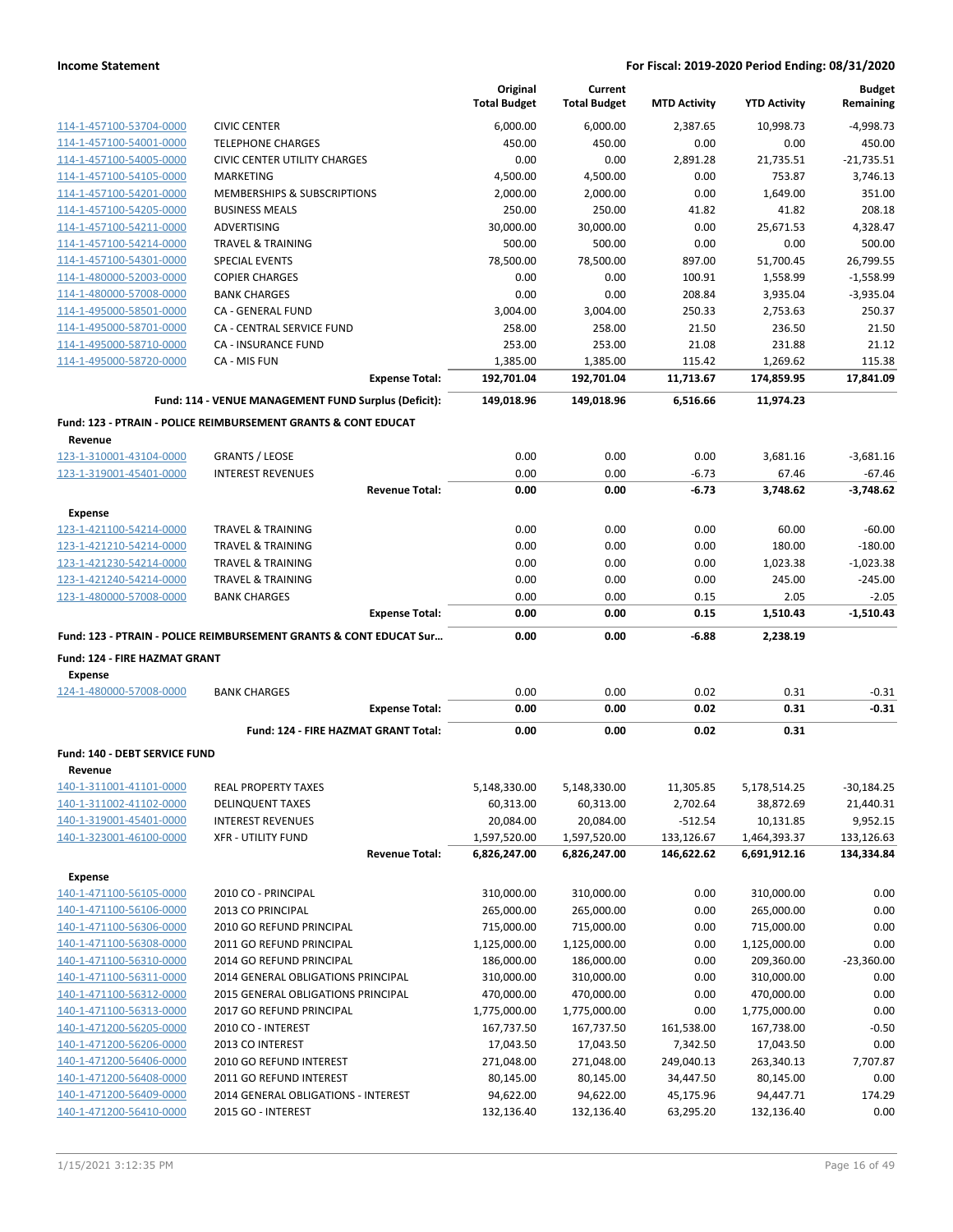|                                           |                                                                               | Original<br><b>Total Budget</b> | Current<br><b>Total Budget</b> | <b>MTD Activity</b> | <b>YTD Activity</b> | <b>Budget</b><br>Remaining |
|-------------------------------------------|-------------------------------------------------------------------------------|---------------------------------|--------------------------------|---------------------|---------------------|----------------------------|
| 114-1-457100-53704-0000                   | <b>CIVIC CENTER</b>                                                           | 6,000.00                        | 6,000.00                       | 2,387.65            | 10,998.73           | $-4,998.73$                |
| 114-1-457100-54001-0000                   | <b>TELEPHONE CHARGES</b>                                                      | 450.00                          | 450.00                         | 0.00                | 0.00                | 450.00                     |
| 114-1-457100-54005-0000                   | <b>CIVIC CENTER UTILITY CHARGES</b>                                           | 0.00                            | 0.00                           | 2,891.28            | 21,735.51           | $-21.735.51$               |
| 114-1-457100-54105-0000                   | MARKETING                                                                     | 4,500.00                        | 4,500.00                       | 0.00                | 753.87              | 3,746.13                   |
| 114-1-457100-54201-0000                   | <b>MEMBERSHIPS &amp; SUBSCRIPTIONS</b>                                        | 2,000.00                        | 2,000.00                       | 0.00                | 1,649.00            | 351.00                     |
| 114-1-457100-54205-0000                   | <b>BUSINESS MEALS</b>                                                         | 250.00                          | 250.00                         | 41.82               | 41.82               | 208.18                     |
| 114-1-457100-54211-0000                   | ADVERTISING                                                                   | 30,000.00                       | 30,000.00                      | 0.00                | 25,671.53           | 4,328.47                   |
| 114-1-457100-54214-0000                   | <b>TRAVEL &amp; TRAINING</b>                                                  | 500.00                          | 500.00                         | 0.00                | 0.00                | 500.00                     |
| 114-1-457100-54301-0000                   | <b>SPECIAL EVENTS</b>                                                         | 78,500.00                       | 78,500.00                      | 897.00              | 51,700.45           | 26,799.55                  |
| 114-1-480000-52003-0000                   | <b>COPIER CHARGES</b>                                                         | 0.00                            | 0.00                           | 100.91              | 1,558.99            | $-1,558.99$                |
| 114-1-480000-57008-0000                   | <b>BANK CHARGES</b>                                                           | 0.00                            | 0.00                           | 208.84              | 3,935.04            | $-3,935.04$                |
| 114-1-495000-58501-0000                   | CA - GENERAL FUND                                                             | 3,004.00                        | 3,004.00                       | 250.33              | 2,753.63            | 250.37                     |
| 114-1-495000-58701-0000                   | CA - CENTRAL SERVICE FUND                                                     | 258.00                          | 258.00                         | 21.50               | 236.50              | 21.50                      |
| 114-1-495000-58710-0000                   | CA - INSURANCE FUND                                                           | 253.00                          | 253.00                         | 21.08               | 231.88              | 21.12                      |
| 114-1-495000-58720-0000                   | CA - MIS FUN                                                                  | 1,385.00                        | 1,385.00                       | 115.42              | 1,269.62            | 115.38                     |
|                                           | <b>Expense Total:</b>                                                         | 192,701.04                      | 192,701.04                     | 11,713.67           | 174,859.95          | 17,841.09                  |
|                                           | Fund: 114 - VENUE MANAGEMENT FUND Surplus (Deficit):                          | 149.018.96                      | 149,018.96                     | 6,516.66            | 11,974.23           |                            |
|                                           | <b>Fund: 123 - PTRAIN - POLICE REIMBURSEMENT GRANTS &amp; CONT EDUCAT</b>     |                                 |                                |                     |                     |                            |
| Revenue                                   |                                                                               |                                 |                                |                     |                     |                            |
| 123-1-310001-43104-0000                   | <b>GRANTS / LEOSE</b>                                                         | 0.00                            | 0.00                           | 0.00                | 3,681.16            | $-3,681.16$                |
| 123-1-319001-45401-0000                   | <b>INTEREST REVENUES</b>                                                      | 0.00                            | 0.00                           | $-6.73$             | 67.46               | $-67.46$                   |
|                                           | <b>Revenue Total:</b>                                                         | 0.00                            | 0.00                           | $-6.73$             | 3,748.62            | $-3,748.62$                |
| <b>Expense</b>                            |                                                                               |                                 |                                |                     |                     |                            |
| 123-1-421100-54214-0000                   | <b>TRAVEL &amp; TRAINING</b>                                                  | 0.00                            | 0.00                           | 0.00                | 60.00               | $-60.00$                   |
| 123-1-421210-54214-0000                   | <b>TRAVEL &amp; TRAINING</b>                                                  | 0.00                            | 0.00                           | 0.00                | 180.00              | $-180.00$                  |
| 123-1-421230-54214-0000                   | <b>TRAVEL &amp; TRAINING</b>                                                  | 0.00                            | 0.00                           | 0.00                | 1,023.38            | $-1,023.38$                |
| 123-1-421240-54214-0000                   | <b>TRAVEL &amp; TRAINING</b>                                                  | 0.00                            | 0.00                           | 0.00                | 245.00              | $-245.00$                  |
| 123-1-480000-57008-0000                   | <b>BANK CHARGES</b><br><b>Expense Total:</b>                                  | 0.00<br>0.00                    | 0.00<br>0.00                   | 0.15<br>0.15        | 2.05<br>1,510.43    | $-2.05$<br>$-1,510.43$     |
|                                           |                                                                               |                                 |                                |                     |                     |                            |
|                                           | <b>Fund: 123 - PTRAIN - POLICE REIMBURSEMENT GRANTS &amp; CONT EDUCAT Sur</b> | 0.00                            | 0.00                           | $-6.88$             | 2,238.19            |                            |
| Fund: 124 - FIRE HAZMAT GRANT             |                                                                               |                                 |                                |                     |                     |                            |
| <b>Expense</b><br>124-1-480000-57008-0000 | <b>BANK CHARGES</b>                                                           | 0.00                            | 0.00                           | 0.02                | 0.31                | $-0.31$                    |
|                                           | <b>Expense Total:</b>                                                         | 0.00                            | 0.00                           | 0.02                | 0.31                | $-0.31$                    |
|                                           | Fund: 124 - FIRE HAZMAT GRANT Total:                                          | 0.00                            | 0.00                           | 0.02                | 0.31                |                            |
| <b>Fund: 140 - DEBT SERVICE FUND</b>      |                                                                               |                                 |                                |                     |                     |                            |
| Revenue                                   |                                                                               |                                 |                                |                     |                     |                            |
| 140-1-311001-41101-0000                   | <b>REAL PROPERTY TAXES</b>                                                    | 5,148,330.00                    | 5,148,330.00                   | 11,305.85           | 5,178,514.25        | $-30,184.25$               |
| 140-1-311002-41102-0000                   | <b>DELINQUENT TAXES</b>                                                       | 60,313.00                       | 60,313.00                      | 2,702.64            | 38,872.69           | 21,440.31                  |
| 140-1-319001-45401-0000                   | <b>INTEREST REVENUES</b>                                                      | 20,084.00                       | 20,084.00                      | $-512.54$           | 10,131.85           | 9,952.15                   |
| 140-1-323001-46100-0000                   | <b>XFR - UTILITY FUND</b>                                                     | 1,597,520.00                    | 1,597,520.00                   | 133,126.67          | 1,464,393.37        | 133,126.63                 |
|                                           | <b>Revenue Total:</b>                                                         | 6,826,247.00                    | 6,826,247.00                   | 146,622.62          | 6,691,912.16        | 134,334.84                 |
| <b>Expense</b>                            |                                                                               |                                 |                                |                     |                     |                            |
| 140-1-471100-56105-0000                   | 2010 CO - PRINCIPAL                                                           | 310,000.00                      | 310,000.00                     | 0.00                | 310,000.00          | 0.00                       |
| 140-1-471100-56106-0000                   | 2013 CO PRINCIPAL                                                             | 265,000.00                      | 265,000.00                     | 0.00                | 265,000.00          | 0.00                       |
| 140-1-471100-56306-0000                   | 2010 GO REFUND PRINCIPAL                                                      | 715,000.00                      | 715,000.00                     | 0.00                | 715,000.00          | 0.00                       |
| 140-1-471100-56308-0000                   | 2011 GO REFUND PRINCIPAL                                                      | 1,125,000.00                    | 1,125,000.00                   | 0.00                | 1,125,000.00        | 0.00                       |
| 140-1-471100-56310-0000                   | 2014 GO REFUND PRINCIPAL                                                      | 186,000.00                      | 186,000.00                     | 0.00                | 209,360.00          | $-23,360.00$               |
| 140-1-471100-56311-0000                   | 2014 GENERAL OBLIGATIONS PRINCIPAL                                            | 310,000.00                      | 310,000.00                     | 0.00                | 310,000.00          | 0.00                       |
| 140-1-471100-56312-0000                   | 2015 GENERAL OBLIGATIONS PRINCIPAL                                            | 470,000.00                      | 470,000.00                     | 0.00                | 470,000.00          | 0.00                       |
| 140-1-471100-56313-0000                   | 2017 GO REFUND PRINCIPAL                                                      | 1,775,000.00                    | 1,775,000.00                   | 0.00                | 1,775,000.00        | 0.00                       |
| 140-1-471200-56205-0000                   | 2010 CO - INTEREST                                                            | 167,737.50                      | 167,737.50                     | 161,538.00          | 167,738.00          | $-0.50$                    |
| 140-1-471200-56206-0000                   | 2013 CO INTEREST                                                              | 17,043.50                       | 17,043.50                      | 7,342.50            | 17,043.50           | 0.00                       |
| 140-1-471200-56406-0000                   | 2010 GO REFUND INTEREST                                                       | 271,048.00                      | 271,048.00                     | 249,040.13          | 263,340.13          | 7,707.87                   |
| 140-1-471200-56408-0000                   | 2011 GO REFUND INTEREST                                                       | 80,145.00                       | 80,145.00                      | 34,447.50           | 80,145.00           | 0.00                       |
| 140-1-471200-56409-0000                   | 2014 GENERAL OBLIGATIONS - INTEREST                                           | 94,622.00                       | 94,622.00                      | 45,175.96           | 94,447.71           | 174.29                     |
| 140-1-471200-56410-0000                   | 2015 GO - INTEREST                                                            | 132,136.40                      | 132,136.40                     | 63,295.20           | 132,136.40          | 0.00                       |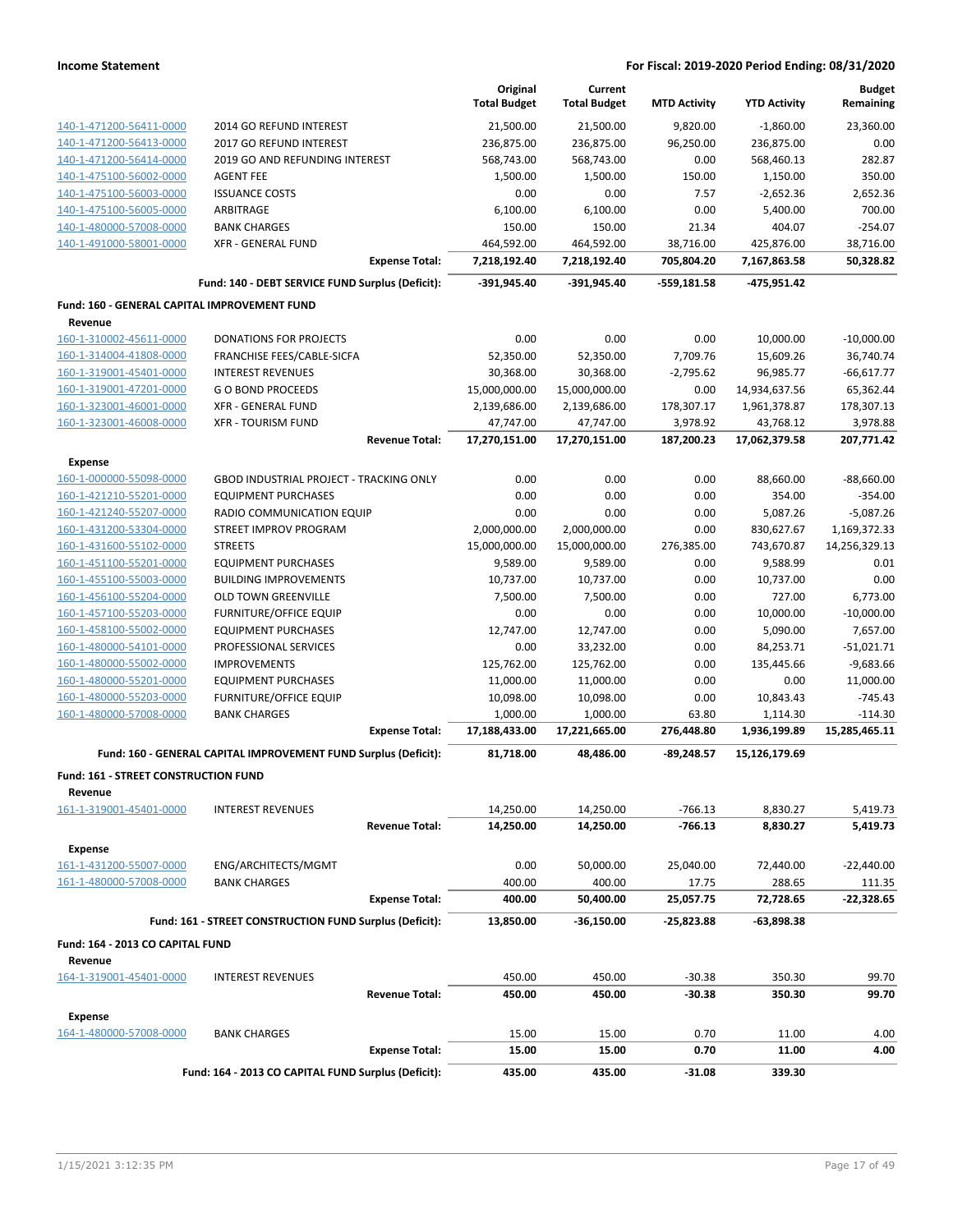|                                                    |                                                                 | Original<br><b>Total Budget</b> | Current<br><b>Total Budget</b> | <b>MTD Activity</b>    | <b>YTD Activity</b>        | <b>Budget</b><br>Remaining  |
|----------------------------------------------------|-----------------------------------------------------------------|---------------------------------|--------------------------------|------------------------|----------------------------|-----------------------------|
| 140-1-471200-56411-0000                            | 2014 GO REFUND INTEREST                                         | 21,500.00                       | 21,500.00                      | 9,820.00               | $-1,860.00$                | 23,360.00                   |
| 140-1-471200-56413-0000                            | 2017 GO REFUND INTEREST                                         | 236,875.00                      | 236,875.00                     | 96,250.00              | 236,875.00                 | 0.00                        |
| 140-1-471200-56414-0000                            | 2019 GO AND REFUNDING INTEREST                                  | 568,743.00                      | 568,743.00                     | 0.00                   | 568,460.13                 | 282.87                      |
| 140-1-475100-56002-0000                            | <b>AGENT FEE</b>                                                | 1,500.00                        | 1,500.00                       | 150.00                 | 1,150.00                   | 350.00                      |
| 140-1-475100-56003-0000                            | <b>ISSUANCE COSTS</b>                                           | 0.00                            | 0.00                           | 7.57                   | $-2,652.36$                | 2,652.36                    |
| 140-1-475100-56005-0000                            | ARBITRAGE                                                       | 6,100.00                        | 6,100.00                       | 0.00                   | 5,400.00                   | 700.00                      |
| 140-1-480000-57008-0000                            | <b>BANK CHARGES</b>                                             | 150.00                          | 150.00                         | 21.34                  | 404.07                     | $-254.07$                   |
| 140-1-491000-58001-0000                            | <b>XFR - GENERAL FUND</b>                                       | 464,592.00                      | 464,592.00                     | 38,716.00              | 425,876.00                 | 38,716.00                   |
|                                                    | <b>Expense Total:</b>                                           | 7,218,192.40                    | 7,218,192.40                   | 705,804.20             | 7,167,863.58               | 50,328.82                   |
|                                                    | Fund: 140 - DEBT SERVICE FUND Surplus (Deficit):                | -391,945.40                     | -391,945.40                    | $-559,181.58$          | -475,951.42                |                             |
| Fund: 160 - GENERAL CAPITAL IMPROVEMENT FUND       |                                                                 |                                 |                                |                        |                            |                             |
| Revenue                                            |                                                                 |                                 |                                |                        |                            |                             |
| 160-1-310002-45611-0000                            | <b>DONATIONS FOR PROJECTS</b>                                   | 0.00                            | 0.00                           | 0.00                   | 10,000.00                  | $-10,000.00$                |
| 160-1-314004-41808-0000                            | FRANCHISE FEES/CABLE-SICFA                                      | 52,350.00                       | 52,350.00                      | 7,709.76               | 15,609.26                  | 36,740.74                   |
| 160-1-319001-45401-0000                            | <b>INTEREST REVENUES</b>                                        | 30,368.00                       | 30,368.00                      | $-2,795.62$            | 96,985.77                  | $-66,617.77$                |
| 160-1-319001-47201-0000                            | <b>GO BOND PROCEEDS</b>                                         | 15,000,000.00                   | 15,000,000.00                  | 0.00                   | 14,934,637.56              | 65,362.44                   |
| 160-1-323001-46001-0000                            | <b>XFR - GENERAL FUND</b><br><b>XFR - TOURISM FUND</b>          | 2,139,686.00                    | 2,139,686.00                   | 178,307.17             | 1,961,378.87               | 178,307.13                  |
| 160-1-323001-46008-0000                            | <b>Revenue Total:</b>                                           | 47,747.00<br>17,270,151.00      | 47,747.00<br>17,270,151.00     | 3,978.92<br>187,200.23 | 43,768.12<br>17,062,379.58 | 3,978.88<br>207,771.42      |
|                                                    |                                                                 |                                 |                                |                        |                            |                             |
| <b>Expense</b>                                     |                                                                 | 0.00                            |                                |                        |                            |                             |
| 160-1-000000-55098-0000                            | GBOD INDUSTRIAL PROJECT - TRACKING ONLY                         | 0.00                            | 0.00                           | 0.00                   | 88,660.00                  | $-88,660.00$                |
| 160-1-421210-55201-0000                            | <b>EQUIPMENT PURCHASES</b>                                      |                                 | 0.00                           | 0.00                   | 354.00                     | $-354.00$                   |
| 160-1-421240-55207-0000<br>160-1-431200-53304-0000 | RADIO COMMUNICATION EQUIP<br>STREET IMPROV PROGRAM              | 0.00                            | 0.00                           | 0.00                   | 5,087.26                   | $-5,087.26$<br>1,169,372.33 |
|                                                    | <b>STREETS</b>                                                  | 2,000,000.00                    | 2,000,000.00                   | 0.00                   | 830,627.67                 |                             |
| 160-1-431600-55102-0000<br>160-1-451100-55201-0000 | <b>EQUIPMENT PURCHASES</b>                                      | 15,000,000.00<br>9,589.00       | 15,000,000.00<br>9,589.00      | 276,385.00<br>0.00     | 743,670.87<br>9,588.99     | 14,256,329.13<br>0.01       |
| 160-1-455100-55003-0000                            | <b>BUILDING IMPROVEMENTS</b>                                    | 10,737.00                       | 10,737.00                      | 0.00                   | 10,737.00                  | 0.00                        |
| 160-1-456100-55204-0000                            | <b>OLD TOWN GREENVILLE</b>                                      | 7,500.00                        | 7,500.00                       | 0.00                   | 727.00                     | 6,773.00                    |
| 160-1-457100-55203-0000                            | <b>FURNITURE/OFFICE EQUIP</b>                                   | 0.00                            | 0.00                           | 0.00                   | 10,000.00                  | $-10,000.00$                |
| 160-1-458100-55002-0000                            | <b>EQUIPMENT PURCHASES</b>                                      | 12,747.00                       | 12,747.00                      | 0.00                   | 5,090.00                   | 7,657.00                    |
| 160-1-480000-54101-0000                            | PROFESSIONAL SERVICES                                           | 0.00                            | 33,232.00                      | 0.00                   | 84,253.71                  | $-51,021.71$                |
| 160-1-480000-55002-0000                            | <b>IMPROVEMENTS</b>                                             | 125,762.00                      | 125,762.00                     | 0.00                   | 135,445.66                 | $-9,683.66$                 |
| 160-1-480000-55201-0000                            | <b>EQUIPMENT PURCHASES</b>                                      | 11,000.00                       | 11,000.00                      | 0.00                   | 0.00                       | 11,000.00                   |
| 160-1-480000-55203-0000                            | <b>FURNITURE/OFFICE EQUIP</b>                                   | 10,098.00                       | 10,098.00                      | 0.00                   | 10,843.43                  | $-745.43$                   |
| 160-1-480000-57008-0000                            | <b>BANK CHARGES</b>                                             | 1,000.00                        | 1,000.00                       | 63.80                  | 1,114.30                   | -114.30                     |
|                                                    | <b>Expense Total:</b>                                           | 17,188,433.00                   | 17,221,665.00                  | 276,448.80             | 1,936,199.89               | 15,285,465.11               |
|                                                    | Fund: 160 - GENERAL CAPITAL IMPROVEMENT FUND Surplus (Deficit): | 81,718.00                       | 48,486.00                      | $-89,248.57$           | 15,126,179.69              |                             |
| Fund: 161 - STREET CONSTRUCTION FUND               |                                                                 |                                 |                                |                        |                            |                             |
| Revenue                                            |                                                                 |                                 |                                |                        |                            |                             |
| 161-1-319001-45401-0000                            | <b>INTEREST REVENUES</b>                                        | 14,250.00                       | 14,250.00                      | $-766.13$              | 8,830.27                   | 5,419.73                    |
|                                                    | <b>Revenue Total:</b>                                           | 14,250.00                       | 14,250.00                      | -766.13                | 8,830.27                   | 5,419.73                    |
| <b>Expense</b>                                     |                                                                 |                                 |                                |                        |                            |                             |
| 161-1-431200-55007-0000                            | ENG/ARCHITECTS/MGMT                                             | 0.00                            | 50,000.00                      | 25,040.00              | 72,440.00                  | $-22,440.00$                |
| 161-1-480000-57008-0000                            | <b>BANK CHARGES</b>                                             | 400.00                          | 400.00                         | 17.75                  | 288.65                     | 111.35                      |
|                                                    | <b>Expense Total:</b>                                           | 400.00                          | 50,400.00                      | 25,057.75              | 72,728.65                  | $-22,328.65$                |
|                                                    | Fund: 161 - STREET CONSTRUCTION FUND Surplus (Deficit):         | 13,850.00                       | -36,150.00                     | -25,823.88             | -63,898.38                 |                             |
| Fund: 164 - 2013 CO CAPITAL FUND<br>Revenue        |                                                                 |                                 |                                |                        |                            |                             |
| 164-1-319001-45401-0000                            | <b>INTEREST REVENUES</b>                                        | 450.00                          | 450.00                         | $-30.38$               | 350.30                     | 99.70                       |
|                                                    | <b>Revenue Total:</b>                                           | 450.00                          | 450.00                         | $-30.38$               | 350.30                     | 99.70                       |
| <b>Expense</b>                                     |                                                                 |                                 |                                |                        |                            |                             |
| 164-1-480000-57008-0000                            | <b>BANK CHARGES</b>                                             | 15.00                           | 15.00                          | 0.70                   | 11.00                      | 4.00                        |
|                                                    | <b>Expense Total:</b>                                           | 15.00                           | 15.00                          | 0.70                   | 11.00                      | 4.00                        |
|                                                    | Fund: 164 - 2013 CO CAPITAL FUND Surplus (Deficit):             | 435.00                          | 435.00                         | $-31.08$               | 339.30                     |                             |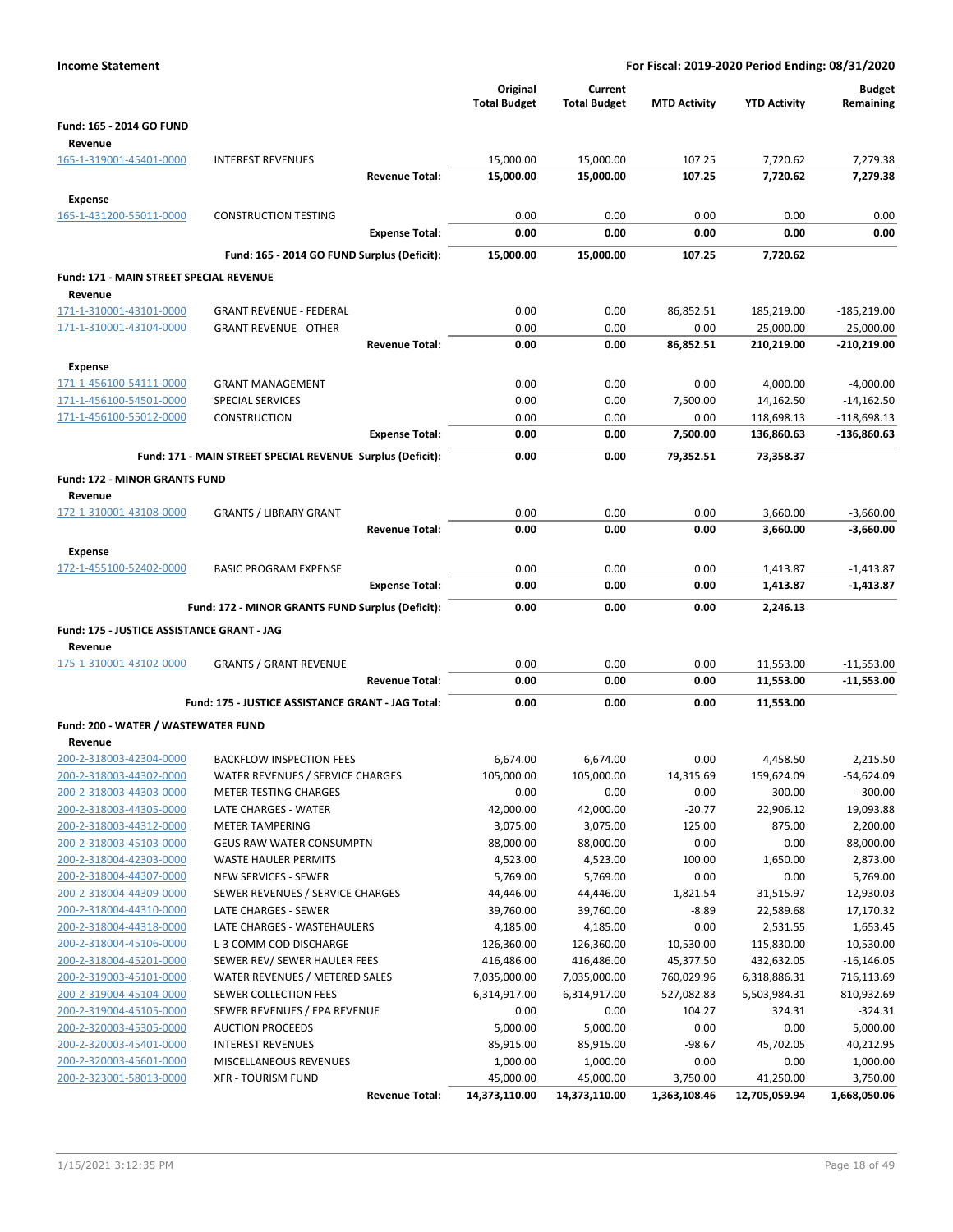| <b>Income Statement</b>                            |                                                                  |                                 |                                |                         | For Fiscal: 2019-2020 Period Ending: 08/31/2020 |                               |
|----------------------------------------------------|------------------------------------------------------------------|---------------------------------|--------------------------------|-------------------------|-------------------------------------------------|-------------------------------|
|                                                    |                                                                  | Original<br><b>Total Budget</b> | Current<br><b>Total Budget</b> | <b>MTD Activity</b>     | <b>YTD Activity</b>                             | <b>Budget</b><br>Remaining    |
| Fund: 165 - 2014 GO FUND                           |                                                                  |                                 |                                |                         |                                                 |                               |
| Revenue                                            |                                                                  |                                 |                                |                         |                                                 |                               |
| 165-1-319001-45401-0000                            | <b>INTEREST REVENUES</b>                                         | 15,000.00                       | 15,000.00                      | 107.25                  | 7,720.62                                        | 7,279.38                      |
|                                                    | <b>Revenue Total:</b>                                            | 15,000.00                       | 15,000.00                      | 107.25                  | 7,720.62                                        | 7,279.38                      |
| <b>Expense</b>                                     |                                                                  |                                 |                                |                         |                                                 |                               |
| 165-1-431200-55011-0000                            | <b>CONSTRUCTION TESTING</b>                                      | 0.00                            | 0.00                           | 0.00                    | 0.00                                            | 0.00                          |
|                                                    | <b>Expense Total:</b>                                            | 0.00                            | 0.00                           | 0.00                    | 0.00                                            | 0.00                          |
|                                                    | Fund: 165 - 2014 GO FUND Surplus (Deficit):                      | 15,000.00                       | 15,000.00                      | 107.25                  | 7,720.62                                        |                               |
| Fund: 171 - MAIN STREET SPECIAL REVENUE            |                                                                  |                                 |                                |                         |                                                 |                               |
| Revenue                                            |                                                                  |                                 |                                |                         |                                                 |                               |
| 171-1-310001-43101-0000                            | <b>GRANT REVENUE - FEDERAL</b>                                   | 0.00                            | 0.00                           | 86,852.51               | 185,219.00                                      | $-185,219.00$                 |
| 171-1-310001-43104-0000                            | <b>GRANT REVENUE - OTHER</b>                                     | 0.00                            | 0.00                           | 0.00                    | 25,000.00                                       | $-25,000.00$                  |
|                                                    | <b>Revenue Total:</b>                                            | 0.00                            | 0.00                           | 86,852.51               | 210,219.00                                      | $-210,219.00$                 |
| <b>Expense</b>                                     |                                                                  |                                 |                                |                         |                                                 |                               |
| 171-1-456100-54111-0000                            | <b>GRANT MANAGEMENT</b>                                          | 0.00                            | 0.00                           | 0.00                    | 4,000.00                                        | $-4,000.00$                   |
| 171-1-456100-54501-0000<br>171-1-456100-55012-0000 | <b>SPECIAL SERVICES</b><br>CONSTRUCTION                          | 0.00<br>0.00                    | 0.00<br>0.00                   | 7,500.00<br>0.00        | 14,162.50<br>118,698.13                         | $-14,162.50$<br>$-118,698.13$ |
|                                                    | <b>Expense Total:</b>                                            | 0.00                            | 0.00                           | 7,500.00                | 136,860.63                                      | -136,860.63                   |
|                                                    |                                                                  |                                 |                                |                         |                                                 |                               |
|                                                    | Fund: 171 - MAIN STREET SPECIAL REVENUE Surplus (Deficit):       | 0.00                            | 0.00                           | 79,352.51               | 73,358.37                                       |                               |
| <b>Fund: 172 - MINOR GRANTS FUND</b>               |                                                                  |                                 |                                |                         |                                                 |                               |
| Revenue                                            |                                                                  |                                 |                                |                         |                                                 |                               |
| 172-1-310001-43108-0000                            | <b>GRANTS / LIBRARY GRANT</b><br><b>Revenue Total:</b>           | 0.00<br>0.00                    | 0.00<br>0.00                   | 0.00<br>0.00            | 3,660.00<br>3,660.00                            | $-3,660.00$<br>$-3,660.00$    |
|                                                    |                                                                  |                                 |                                |                         |                                                 |                               |
| Expense                                            |                                                                  |                                 |                                |                         |                                                 |                               |
| 172-1-455100-52402-0000                            | <b>BASIC PROGRAM EXPENSE</b><br><b>Expense Total:</b>            | 0.00<br>0.00                    | 0.00<br>0.00                   | 0.00<br>0.00            | 1,413.87<br>1,413.87                            | $-1,413.87$<br>$-1,413.87$    |
|                                                    |                                                                  |                                 |                                |                         |                                                 |                               |
|                                                    | Fund: 172 - MINOR GRANTS FUND Surplus (Deficit):                 | 0.00                            | 0.00                           | 0.00                    | 2,246.13                                        |                               |
| Fund: 175 - JUSTICE ASSISTANCE GRANT - JAG         |                                                                  |                                 |                                |                         |                                                 |                               |
| Revenue                                            |                                                                  |                                 |                                |                         |                                                 |                               |
| 175-1-310001-43102-0000                            | <b>GRANTS / GRANT REVENUE</b>                                    | 0.00                            | 0.00                           | 0.00                    | 11,553.00                                       | $-11,553.00$                  |
|                                                    | <b>Revenue Total:</b>                                            | 0.00                            | 0.00                           | 0.00                    | 11,553.00                                       | $-11,553.00$                  |
|                                                    | Fund: 175 - JUSTICE ASSISTANCE GRANT - JAG Total:                | 0.00                            | 0.00                           | 0.00                    | 11,553.00                                       |                               |
| Fund: 200 - WATER / WASTEWATER FUND                |                                                                  |                                 |                                |                         |                                                 |                               |
| Revenue                                            |                                                                  |                                 |                                |                         |                                                 |                               |
| 200-2-318003-42304-0000                            | <b>BACKFLOW INSPECTION FEES</b>                                  | 6,674.00                        | 6,674.00                       | 0.00                    | 4,458.50                                        | 2,215.50                      |
| 200-2-318003-44302-0000<br>200-2-318003-44303-0000 | WATER REVENUES / SERVICE CHARGES<br><b>METER TESTING CHARGES</b> | 105,000.00<br>0.00              | 105,000.00<br>0.00             | 14,315.69               | 159,624.09                                      | $-54,624.09$                  |
| 200-2-318003-44305-0000                            | LATE CHARGES - WATER                                             | 42,000.00                       | 42,000.00                      | 0.00<br>$-20.77$        | 300.00<br>22,906.12                             | $-300.00$<br>19,093.88        |
| 200-2-318003-44312-0000                            | <b>METER TAMPERING</b>                                           | 3,075.00                        | 3,075.00                       | 125.00                  | 875.00                                          | 2,200.00                      |
| 200-2-318003-45103-0000                            | <b>GEUS RAW WATER CONSUMPTN</b>                                  | 88,000.00                       | 88,000.00                      | 0.00                    | 0.00                                            | 88,000.00                     |
| 200-2-318004-42303-0000                            | WASTE HAULER PERMITS                                             | 4,523.00                        | 4,523.00                       | 100.00                  | 1,650.00                                        | 2,873.00                      |
| 200-2-318004-44307-0000                            | <b>NEW SERVICES - SEWER</b>                                      | 5,769.00                        | 5,769.00                       | 0.00                    | 0.00                                            | 5,769.00                      |
| 200-2-318004-44309-0000                            | SEWER REVENUES / SERVICE CHARGES                                 | 44,446.00                       | 44,446.00                      | 1,821.54                | 31,515.97                                       | 12,930.03                     |
| 200-2-318004-44310-0000                            | LATE CHARGES - SEWER                                             | 39,760.00                       | 39,760.00                      | $-8.89$                 | 22,589.68                                       | 17,170.32                     |
| 200-2-318004-44318-0000                            | LATE CHARGES - WASTEHAULERS                                      | 4,185.00                        | 4,185.00                       | 0.00                    | 2,531.55                                        | 1,653.45                      |
| 200-2-318004-45106-0000                            | L-3 COMM COD DISCHARGE                                           | 126,360.00                      | 126,360.00                     | 10,530.00               | 115,830.00                                      | 10,530.00                     |
| 200-2-318004-45201-0000<br>200-2-319003-45101-0000 | SEWER REV/ SEWER HAULER FEES<br>WATER REVENUES / METERED SALES   | 416,486.00<br>7,035,000.00      | 416,486.00<br>7,035,000.00     | 45,377.50<br>760,029.96 | 432,632.05<br>6,318,886.31                      | $-16,146.05$<br>716,113.69    |
| 200-2-319004-45104-0000                            | SEWER COLLECTION FEES                                            | 6,314,917.00                    | 6,314,917.00                   | 527,082.83              | 5,503,984.31                                    | 810,932.69                    |
| 200-2-319004-45105-0000                            | SEWER REVENUES / EPA REVENUE                                     | 0.00                            | 0.00                           | 104.27                  | 324.31                                          | $-324.31$                     |
| 200-2-320003-45305-0000                            | <b>AUCTION PROCEEDS</b>                                          | 5,000.00                        | 5,000.00                       | 0.00                    | 0.00                                            | 5,000.00                      |
| 200-2-320003-45401-0000                            | <b>INTEREST REVENUES</b>                                         | 85,915.00                       | 85,915.00                      | $-98.67$                | 45,702.05                                       | 40,212.95                     |
| 200-2-320003-45601-0000                            | MISCELLANEOUS REVENUES                                           | 1,000.00                        | 1,000.00                       | 0.00                    | 0.00                                            | 1,000.00                      |
| 200-2-323001-58013-0000                            | <b>XFR - TOURISM FUND</b>                                        | 45,000.00                       | 45,000.00                      | 3,750.00                | 41,250.00                                       | 3,750.00                      |
|                                                    | <b>Revenue Total:</b>                                            | 14,373,110.00                   | 14,373,110.00                  | 1,363,108.46            | 12,705,059.94                                   | 1,668,050.06                  |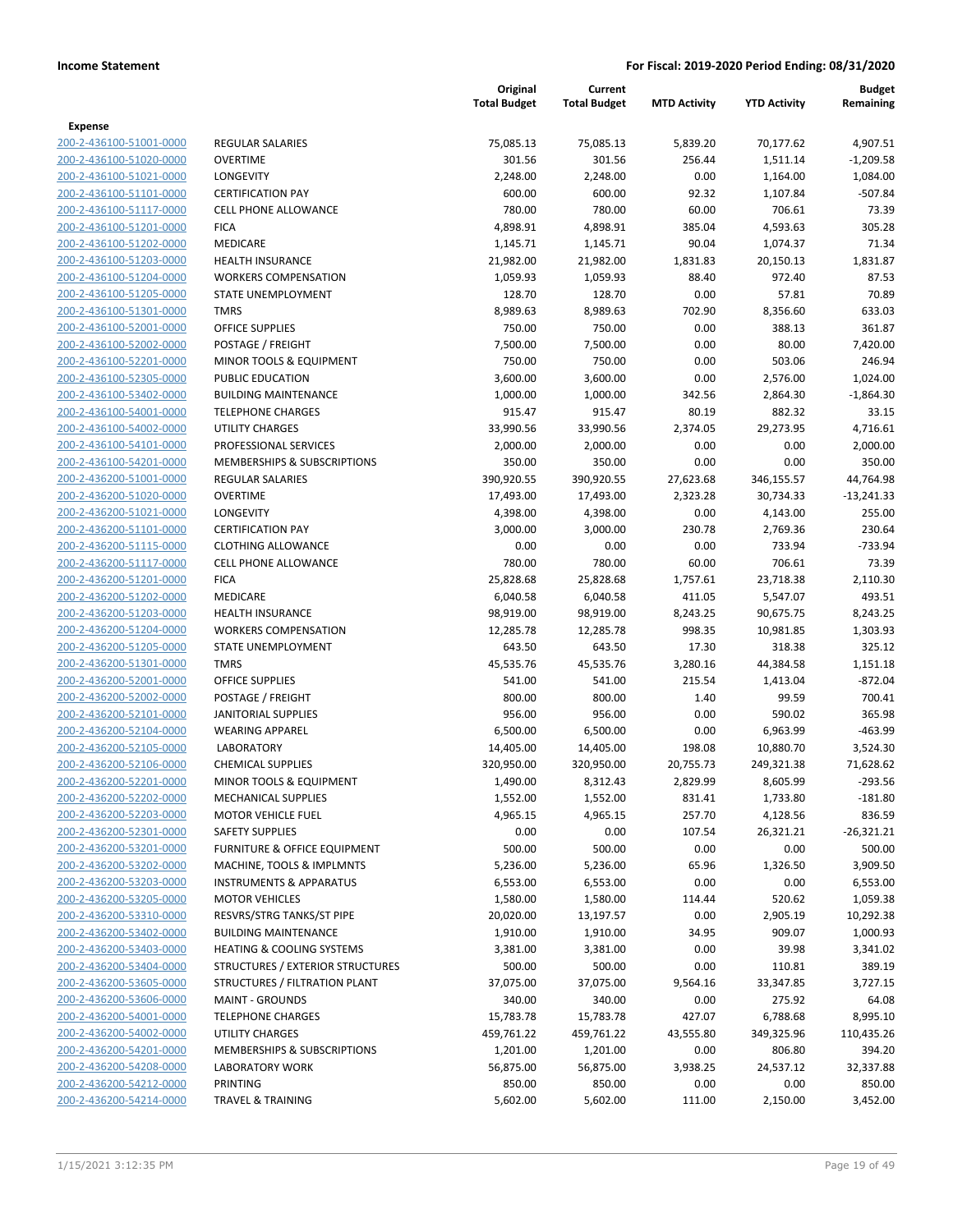|                                                    |                                                   | Original<br><b>Total Budget</b> | Current<br><b>Total Budget</b> | <b>MTD Activity</b> | <b>YTD Activity</b> | Budget<br>Remaining |
|----------------------------------------------------|---------------------------------------------------|---------------------------------|--------------------------------|---------------------|---------------------|---------------------|
| <b>Expense</b>                                     |                                                   |                                 |                                |                     |                     |                     |
| 200-2-436100-51001-0000                            | <b>REGULAR SALARIES</b>                           | 75,085.13                       | 75,085.13                      | 5,839.20            | 70,177.62           | 4,907.51            |
| 200-2-436100-51020-0000                            | <b>OVERTIME</b>                                   | 301.56                          | 301.56                         | 256.44              | 1,511.14            | $-1,209.58$         |
| 200-2-436100-51021-0000                            | <b>LONGEVITY</b>                                  | 2,248.00                        | 2,248.00                       | 0.00                | 1,164.00            | 1,084.00            |
| 200-2-436100-51101-0000                            | <b>CERTIFICATION PAY</b>                          | 600.00                          | 600.00                         | 92.32               | 1,107.84            | $-507.84$           |
| 200-2-436100-51117-0000                            | <b>CELL PHONE ALLOWANCE</b>                       | 780.00                          | 780.00                         | 60.00               | 706.61              | 73.39               |
| 200-2-436100-51201-0000                            | <b>FICA</b>                                       | 4,898.91                        | 4,898.91                       | 385.04              | 4,593.63            | 305.28              |
| 200-2-436100-51202-0000                            | MEDICARE                                          | 1,145.71                        | 1,145.71                       | 90.04               | 1,074.37            | 71.34               |
| 200-2-436100-51203-0000                            | <b>HEALTH INSURANCE</b>                           | 21,982.00                       | 21,982.00                      | 1,831.83            | 20,150.13           | 1,831.87            |
| 200-2-436100-51204-0000                            | <b>WORKERS COMPENSATION</b>                       | 1,059.93                        | 1,059.93                       | 88.40               | 972.40              | 87.53               |
| 200-2-436100-51205-0000                            | STATE UNEMPLOYMENT                                | 128.70                          | 128.70                         | 0.00                | 57.81               | 70.89               |
| 200-2-436100-51301-0000                            | <b>TMRS</b>                                       | 8,989.63                        | 8,989.63                       | 702.90              | 8,356.60            | 633.03              |
| 200-2-436100-52001-0000                            | <b>OFFICE SUPPLIES</b>                            | 750.00                          | 750.00                         | 0.00                | 388.13              | 361.87              |
| 200-2-436100-52002-0000                            | POSTAGE / FREIGHT                                 | 7,500.00                        | 7,500.00                       | 0.00                | 80.00               | 7,420.00            |
| 200-2-436100-52201-0000                            | MINOR TOOLS & EQUIPMENT                           | 750.00                          | 750.00                         | 0.00                | 503.06              | 246.94              |
| 200-2-436100-52305-0000                            | PUBLIC EDUCATION                                  | 3,600.00                        | 3,600.00                       | 0.00                | 2,576.00            | 1,024.00            |
| 200-2-436100-53402-0000                            | <b>BUILDING MAINTENANCE</b>                       | 1,000.00                        | 1,000.00                       | 342.56              | 2,864.30            | $-1,864.30$         |
| 200-2-436100-54001-0000                            | <b>TELEPHONE CHARGES</b>                          | 915.47                          | 915.47                         | 80.19               | 882.32              | 33.15               |
| 200-2-436100-54002-0000                            | <b>UTILITY CHARGES</b>                            | 33,990.56                       | 33,990.56                      | 2,374.05            | 29,273.95           | 4,716.61            |
| 200-2-436100-54101-0000                            | PROFESSIONAL SERVICES                             | 2,000.00                        | 2,000.00                       | 0.00                | 0.00                | 2,000.00            |
| 200-2-436100-54201-0000                            | MEMBERSHIPS & SUBSCRIPTIONS                       | 350.00                          | 350.00                         | 0.00                | 0.00                | 350.00              |
| 200-2-436200-51001-0000                            | <b>REGULAR SALARIES</b>                           | 390,920.55                      | 390,920.55                     | 27,623.68           | 346,155.57          | 44,764.98           |
| 200-2-436200-51020-0000                            | <b>OVERTIME</b>                                   | 17,493.00                       | 17,493.00                      | 2,323.28            | 30,734.33           | $-13,241.33$        |
| 200-2-436200-51021-0000                            | <b>LONGEVITY</b>                                  | 4,398.00                        | 4,398.00                       | 0.00                | 4,143.00            | 255.00              |
| 200-2-436200-51101-0000                            | <b>CERTIFICATION PAY</b>                          | 3,000.00                        | 3,000.00                       | 230.78              | 2,769.36            | 230.64              |
| 200-2-436200-51115-0000                            | <b>CLOTHING ALLOWANCE</b>                         | 0.00                            | 0.00                           | 0.00                | 733.94              | $-733.94$           |
| 200-2-436200-51117-0000                            | <b>CELL PHONE ALLOWANCE</b>                       | 780.00                          | 780.00                         | 60.00               | 706.61              | 73.39               |
| 200-2-436200-51201-0000                            | <b>FICA</b>                                       | 25,828.68                       | 25,828.68                      | 1,757.61            | 23,718.38           | 2,110.30            |
| 200-2-436200-51202-0000                            | MEDICARE                                          | 6,040.58                        | 6,040.58                       | 411.05              | 5,547.07            | 493.51              |
| 200-2-436200-51203-0000                            | <b>HEALTH INSURANCE</b>                           | 98,919.00                       | 98,919.00                      | 8,243.25            | 90,675.75           | 8,243.25            |
| 200-2-436200-51204-0000<br>200-2-436200-51205-0000 | <b>WORKERS COMPENSATION</b><br>STATE UNEMPLOYMENT | 12,285.78<br>643.50             | 12,285.78<br>643.50            | 998.35<br>17.30     | 10,981.85<br>318.38 | 1,303.93<br>325.12  |
| 200-2-436200-51301-0000                            | <b>TMRS</b>                                       | 45,535.76                       | 45,535.76                      | 3,280.16            | 44,384.58           | 1,151.18            |
| 200-2-436200-52001-0000                            | <b>OFFICE SUPPLIES</b>                            | 541.00                          | 541.00                         | 215.54              | 1,413.04            | $-872.04$           |
| 200-2-436200-52002-0000                            | POSTAGE / FREIGHT                                 | 800.00                          | 800.00                         | 1.40                | 99.59               | 700.41              |
| 200-2-436200-52101-0000                            | <b>JANITORIAL SUPPLIES</b>                        | 956.00                          | 956.00                         | 0.00                | 590.02              | 365.98              |
| 200-2-436200-52104-0000                            | <b>WEARING APPAREL</b>                            | 6,500.00                        | 6,500.00                       | 0.00                | 6,963.99            | $-463.99$           |
| 200-2-436200-52105-0000                            | <b>LABORATORY</b>                                 | 14,405.00                       | 14,405.00                      | 198.08              | 10,880.70           | 3,524.30            |
| 200-2-436200-52106-0000                            | <b>CHEMICAL SUPPLIES</b>                          | 320,950.00                      | 320,950.00                     | 20,755.73           | 249,321.38          | 71,628.62           |
| 200-2-436200-52201-0000                            | MINOR TOOLS & EQUIPMENT                           | 1,490.00                        | 8,312.43                       | 2,829.99            | 8,605.99            | $-293.56$           |
| 200-2-436200-52202-0000                            | <b>MECHANICAL SUPPLIES</b>                        | 1,552.00                        | 1,552.00                       | 831.41              | 1,733.80            | $-181.80$           |
| 200-2-436200-52203-0000                            | <b>MOTOR VEHICLE FUEL</b>                         | 4,965.15                        | 4,965.15                       | 257.70              | 4,128.56            | 836.59              |
| 200-2-436200-52301-0000                            | <b>SAFETY SUPPLIES</b>                            | 0.00                            | 0.00                           | 107.54              | 26,321.21           | $-26,321.21$        |
| 200-2-436200-53201-0000                            | <b>FURNITURE &amp; OFFICE EQUIPMENT</b>           | 500.00                          | 500.00                         | 0.00                | 0.00                | 500.00              |
| 200-2-436200-53202-0000                            | MACHINE, TOOLS & IMPLMNTS                         | 5,236.00                        | 5,236.00                       | 65.96               | 1,326.50            | 3,909.50            |
| 200-2-436200-53203-0000                            | <b>INSTRUMENTS &amp; APPARATUS</b>                | 6,553.00                        | 6,553.00                       | 0.00                | 0.00                | 6,553.00            |
| 200-2-436200-53205-0000                            | <b>MOTOR VEHICLES</b>                             | 1,580.00                        | 1,580.00                       | 114.44              | 520.62              | 1,059.38            |
| 200-2-436200-53310-0000                            | RESVRS/STRG TANKS/ST PIPE                         | 20,020.00                       | 13,197.57                      | 0.00                | 2,905.19            | 10,292.38           |
| 200-2-436200-53402-0000                            | <b>BUILDING MAINTENANCE</b>                       | 1,910.00                        | 1,910.00                       | 34.95               | 909.07              | 1,000.93            |
| 200-2-436200-53403-0000                            | <b>HEATING &amp; COOLING SYSTEMS</b>              | 3,381.00                        | 3,381.00                       | 0.00                | 39.98               | 3,341.02            |
| 200-2-436200-53404-0000                            | STRUCTURES / EXTERIOR STRUCTURES                  | 500.00                          | 500.00                         | 0.00                | 110.81              | 389.19              |
| 200-2-436200-53605-0000                            | STRUCTURES / FILTRATION PLANT                     | 37,075.00                       | 37,075.00                      | 9,564.16            | 33,347.85           | 3,727.15            |
| 200-2-436200-53606-0000                            | <b>MAINT - GROUNDS</b>                            | 340.00                          | 340.00                         | 0.00                | 275.92              | 64.08               |
| 200-2-436200-54001-0000                            | <b>TELEPHONE CHARGES</b>                          | 15,783.78                       | 15,783.78                      | 427.07              | 6,788.68            | 8,995.10            |
| 200-2-436200-54002-0000                            | <b>UTILITY CHARGES</b>                            | 459,761.22                      | 459,761.22                     | 43,555.80           | 349,325.96          | 110,435.26          |
| 200-2-436200-54201-0000                            | MEMBERSHIPS & SUBSCRIPTIONS                       | 1,201.00                        | 1,201.00                       | 0.00                | 806.80              | 394.20              |
| 200-2-436200-54208-0000                            | <b>LABORATORY WORK</b>                            | 56,875.00                       | 56,875.00                      | 3,938.25            | 24,537.12           | 32,337.88           |
| 200-2-436200-54212-0000                            | PRINTING                                          | 850.00                          | 850.00                         | 0.00                | 0.00                | 850.00              |
| 200-2-436200-54214-0000                            | <b>TRAVEL &amp; TRAINING</b>                      | 5,602.00                        | 5,602.00                       | 111.00              | 2,150.00            | 3,452.00            |
|                                                    |                                                   |                                 |                                |                     |                     |                     |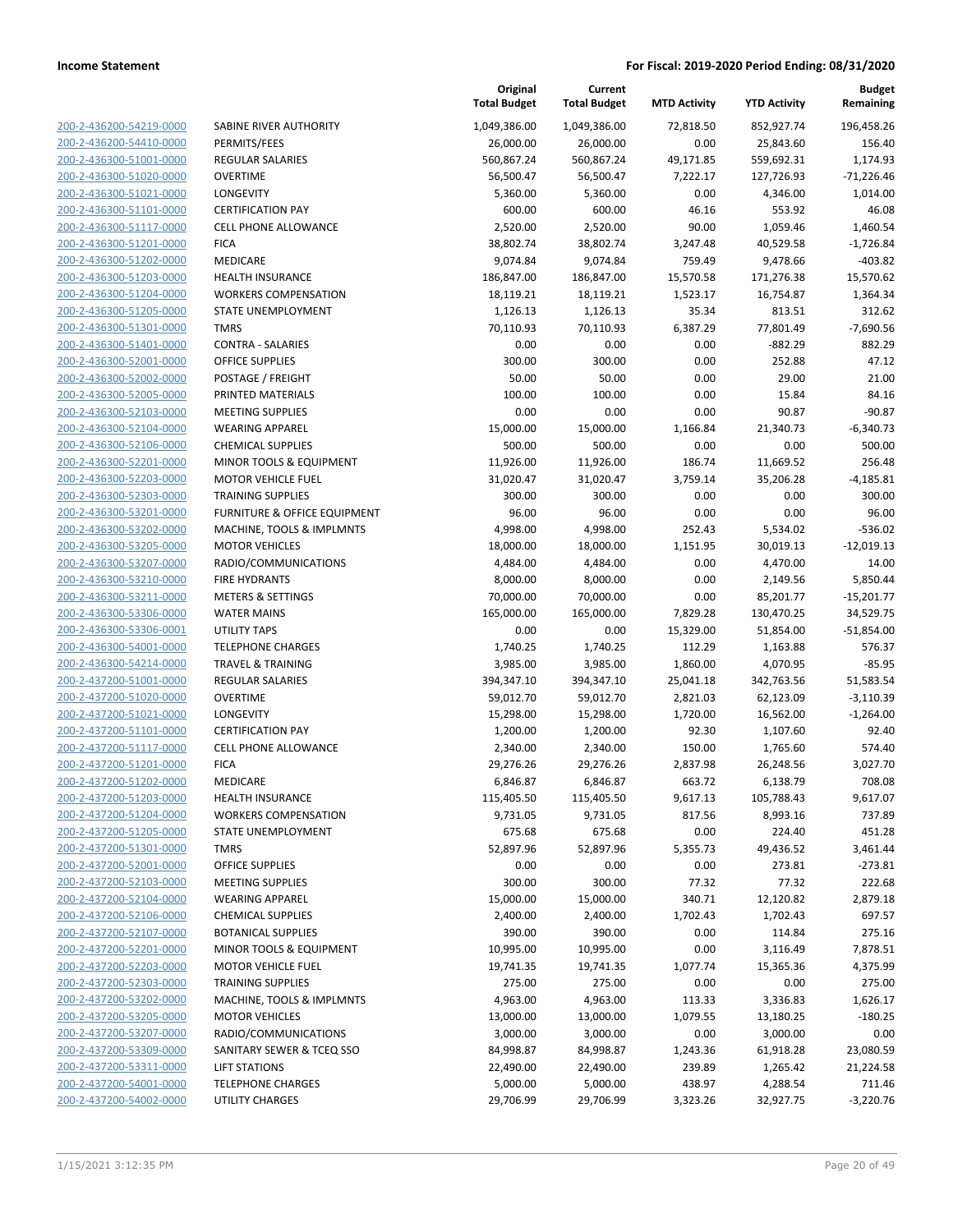| 200-2-436200-54219-0000        |
|--------------------------------|
| 200-2-436200-54410-0000        |
| 200-2-436300-51001-0000        |
| 200-2-436300-51020-0000        |
| <u>200-2-436300-51021-0000</u> |
| 200-2-436300-51101-0000        |
| 200-2-436300-51117-0000        |
| 200-2-436300-51201-0000        |
| 200-2-436300-51202-0000        |
| 200-2-436300-51203-0000        |
| 200-2-436300-51204-0000        |
| 200-2-436300-51205-0000        |
| 200-2-436300-51301-0000        |
| 200-2-436300-51401-0000        |
| <u>200-2-436300-52001-0000</u> |
| 200-2-436300-52002-0000        |
|                                |
| 200-2-436300-52005-0000        |
| 200-2-436300-52103-0000        |
| 200-2-436300-52104-0000        |
| 200-2-436300-52106-0000        |
| 200-2-436300-52201-0000        |
| 200-2-436300-52203-0000        |
| 200-2-436300-52303-0000        |
| 200-2-436300-53201-0000        |
| 200-2-436300-53202-0000        |
| 200-2-436300-53205-0000        |
| 200-2-436300-53207-0000        |
| 200-2-436300-53210-0000        |
| 200-2-436300-53211-0000        |
| 200-2-436300-53306-0000        |
| 200-2-436300-53306-0001        |
| 200-2-436300-54001-0000        |
| 200-2-436300-54214-0000        |
| 200-2-437200-51001-0000        |
| <u>200-2-437200-51020-0000</u> |
| 200-2-437200-51021-0000        |
| 200-2-437200-51101-0000        |
|                                |
| 200-2-437200-51117-0000        |
| 200-2-437200-51201-0000        |
| 200-2-437200-51202-0000        |
| 200-2-437200-51203-0000        |
| 200-2-437200-51204-0000        |
| 200-2-437200-51205-0000        |
| 200-2-437200-51301-0000        |
| <u>200-2-437200-52001-0000</u> |
| 200-2-437200-52103-0000        |
| 200-2-437200-52104-0000        |
| 200-2-437200-52106-0000        |
| 200-2-437200-52107-0000        |
| <u>200-2-437200-52201-0000</u> |
| <u>200-2-437200-52203-0000</u> |
| 200-2-437200-52303-0000        |
| 200-2-437200-53202-0000        |
| 200-2-437200-53205-0000        |
|                                |
| <u>200-2-437200-53207-0000</u> |
| <u>200-2-437200-53309-0000</u> |
| 200-2-437200-53311-0000        |
| 200-2-437200-54001-0000        |
| 200-2-437200-54002-0000        |

| SABINE RIVER AUTHORITY                                              |
|---------------------------------------------------------------------|
| PERMITS/FEES                                                        |
| <b>REGULAR SALARIES</b>                                             |
| <b>OVERTIME</b>                                                     |
| LONGEVITY                                                           |
| <b>CERTIFICATION PAY</b>                                            |
| <b>CELL PHONE ALLOWANCE</b>                                         |
| <b>FICA</b>                                                         |
| <b>MEDICARE</b>                                                     |
| <b>HEALTH INSURANCE</b>                                             |
| <b>WORKERS COMPENSATION</b>                                         |
| STATE UNEMPLOYMENT                                                  |
| <b>TMRS</b>                                                         |
| <b>CONTRA - SALARIES</b>                                            |
| <b>OFFICE SUPPLIES</b>                                              |
| POSTAGE / FREIGHT                                                   |
| PRINTED MATERIALS                                                   |
| <b>MEETING SUPPLIES</b>                                             |
| <b>WEARING APPAREL</b>                                              |
| <b>CHEMICAL SUPPLIES</b>                                            |
|                                                                     |
| <b>MINOR TOOLS &amp; EQUIPMENT</b>                                  |
| <b>MOTOR VEHICLE FUEL</b>                                           |
| <b>TRAINING SUPPLIES</b><br><b>FURNITURE &amp; OFFICE EQUIPMENT</b> |
| MACHINE, TOOLS & IMPLMNTS                                           |
| <b>MOTOR VEHICLES</b>                                               |
| RADIO/COMMUNICATIONS                                                |
| <b>FIRE HYDRANTS</b>                                                |
| <b>METERS &amp; SETTINGS</b>                                        |
| <b>WATER MAINS</b>                                                  |
| UTILITY TAPS                                                        |
| <b>TELEPHONE CHARGES</b>                                            |
| <b>TRAVEL &amp; TRAINING</b>                                        |
| <b>REGULAR SALARIES</b>                                             |
|                                                                     |
| OVERTIME<br><b>LONGEVITY</b>                                        |
|                                                                     |
| <b>CERTIFICATION PAY</b>                                            |
| <b>CELL PHONE ALLOWANCE</b>                                         |
| <b>FICA</b>                                                         |
| <b>MEDICARE</b>                                                     |
| HEALTH INSURANCE                                                    |
| <b>WORKERS COMPENSATION</b>                                         |
| STATE UNEMPLOYMENT                                                  |
| <b>TMRS</b>                                                         |
| OFFICE SUPPLIES                                                     |
| <b>MEETING SUPPLIES</b>                                             |
| <b>WEARING APPAREL</b>                                              |
| <b>CHEMICAL SUPPLIES</b>                                            |
| <b>BOTANICAL SUPPLIES</b>                                           |
| MINOR TOOLS & EQUIPMENT                                             |
| <b>MOTOR VEHICLE FUEL</b>                                           |
| <b>TRAINING SUPPLIES</b>                                            |
| MACHINE, TOOLS & IMPLMNTS                                           |
| <b>MOTOR VEHICLES</b>                                               |
| RADIO/COMMUNICATIONS                                                |
| SANITARY SEWER & TCEQ SSO                                           |
| <b>LIFT STATIONS</b>                                                |
| <b>TELEPHONE CHARGES</b>                                            |

|                                                    |                                                    | Original<br><b>Total Budget</b> | Current<br><b>Total Budget</b> | <b>MTD Activity</b> | <b>YTD Activity</b>     | <b>Budget</b><br>Remaining |
|----------------------------------------------------|----------------------------------------------------|---------------------------------|--------------------------------|---------------------|-------------------------|----------------------------|
| 200-2-436200-54219-0000                            | SABINE RIVER AUTHORITY                             | 1,049,386.00                    | 1,049,386.00                   | 72,818.50           | 852,927.74              | 196,458.26                 |
| 200-2-436200-54410-0000                            | PERMITS/FEES                                       | 26,000.00                       | 26,000.00                      | 0.00                | 25,843.60               | 156.40                     |
| 200-2-436300-51001-0000                            | <b>REGULAR SALARIES</b>                            | 560,867.24                      | 560,867.24                     | 49,171.85           | 559,692.31              | 1,174.93                   |
| 200-2-436300-51020-0000                            | <b>OVERTIME</b>                                    | 56,500.47                       | 56,500.47                      | 7,222.17            | 127,726.93              | $-71,226.46$               |
| 200-2-436300-51021-0000                            | LONGEVITY                                          | 5,360.00                        | 5,360.00                       | 0.00                | 4,346.00                | 1,014.00                   |
| 200-2-436300-51101-0000                            | <b>CERTIFICATION PAY</b>                           | 600.00                          | 600.00                         | 46.16               | 553.92                  | 46.08                      |
| 200-2-436300-51117-0000                            | <b>CELL PHONE ALLOWANCE</b>                        | 2,520.00                        | 2,520.00                       | 90.00               | 1,059.46                | 1,460.54                   |
| 200-2-436300-51201-0000                            | <b>FICA</b>                                        | 38,802.74                       | 38,802.74                      | 3,247.48            | 40,529.58               | $-1,726.84$                |
| 200-2-436300-51202-0000                            | MEDICARE                                           | 9,074.84                        | 9,074.84                       | 759.49              | 9,478.66                | $-403.82$                  |
| 200-2-436300-51203-0000                            | <b>HEALTH INSURANCE</b>                            | 186,847.00                      | 186,847.00                     | 15,570.58           | 171,276.38              | 15,570.62                  |
| 200-2-436300-51204-0000                            | <b>WORKERS COMPENSATION</b>                        | 18,119.21                       | 18,119.21                      | 1,523.17            | 16,754.87               | 1,364.34                   |
| 200-2-436300-51205-0000                            | STATE UNEMPLOYMENT                                 | 1,126.13                        | 1,126.13                       | 35.34               | 813.51                  | 312.62                     |
| 200-2-436300-51301-0000                            | <b>TMRS</b>                                        | 70,110.93                       | 70,110.93                      | 6,387.29            | 77,801.49               | $-7,690.56$                |
| 200-2-436300-51401-0000                            | <b>CONTRA - SALARIES</b>                           | 0.00                            | 0.00                           | 0.00                | $-882.29$               | 882.29                     |
| 200-2-436300-52001-0000                            | <b>OFFICE SUPPLIES</b>                             | 300.00                          | 300.00                         | 0.00                | 252.88                  | 47.12                      |
| 200-2-436300-52002-0000                            | POSTAGE / FREIGHT                                  | 50.00                           | 50.00                          | 0.00                | 29.00                   | 21.00                      |
| 200-2-436300-52005-0000                            | PRINTED MATERIALS                                  | 100.00                          | 100.00                         | 0.00                | 15.84                   | 84.16                      |
| 200-2-436300-52103-0000                            | <b>MEETING SUPPLIES</b>                            | 0.00                            | 0.00                           | 0.00                | 90.87                   | $-90.87$                   |
| 200-2-436300-52104-0000                            | <b>WEARING APPAREL</b>                             | 15,000.00                       | 15,000.00                      | 1,166.84            | 21,340.73               | $-6,340.73$                |
| 200-2-436300-52106-0000                            | <b>CHEMICAL SUPPLIES</b>                           | 500.00                          | 500.00                         | 0.00                | 0.00                    | 500.00                     |
| 200-2-436300-52201-0000                            | MINOR TOOLS & EQUIPMENT                            | 11,926.00                       | 11,926.00                      | 186.74              | 11,669.52               | 256.48                     |
| 200-2-436300-52203-0000                            | <b>MOTOR VEHICLE FUEL</b>                          | 31,020.47                       | 31,020.47                      | 3,759.14            | 35,206.28               | $-4,185.81$                |
| 200-2-436300-52303-0000                            | <b>TRAINING SUPPLIES</b>                           | 300.00                          | 300.00                         | 0.00                | 0.00                    | 300.00                     |
| 200-2-436300-53201-0000                            | <b>FURNITURE &amp; OFFICE EQUIPMENT</b>            | 96.00                           | 96.00                          | 0.00                | 0.00                    | 96.00                      |
| 200-2-436300-53202-0000                            | MACHINE, TOOLS & IMPLMNTS                          | 4,998.00                        | 4,998.00                       | 252.43              | 5,534.02                | $-536.02$                  |
| 200-2-436300-53205-0000                            | <b>MOTOR VEHICLES</b>                              | 18,000.00                       | 18,000.00                      | 1,151.95            | 30,019.13               | $-12,019.13$               |
| 200-2-436300-53207-0000                            | RADIO/COMMUNICATIONS                               | 4,484.00                        | 4,484.00                       | 0.00                | 4,470.00                | 14.00                      |
| 200-2-436300-53210-0000<br>200-2-436300-53211-0000 | <b>FIRE HYDRANTS</b>                               | 8,000.00                        | 8,000.00                       | 0.00                | 2,149.56                | 5,850.44                   |
| 200-2-436300-53306-0000                            | <b>METERS &amp; SETTINGS</b><br><b>WATER MAINS</b> | 70,000.00<br>165,000.00         | 70,000.00<br>165,000.00        | 0.00<br>7,829.28    | 85,201.77<br>130,470.25 | $-15,201.77$<br>34,529.75  |
| 200-2-436300-53306-0001                            | UTILITY TAPS                                       | 0.00                            | 0.00                           | 15,329.00           | 51,854.00               | $-51,854.00$               |
| 200-2-436300-54001-0000                            | <b>TELEPHONE CHARGES</b>                           | 1,740.25                        | 1,740.25                       | 112.29              | 1,163.88                | 576.37                     |
| 200-2-436300-54214-0000                            | <b>TRAVEL &amp; TRAINING</b>                       | 3,985.00                        | 3,985.00                       | 1,860.00            | 4,070.95                | $-85.95$                   |
| 200-2-437200-51001-0000                            | <b>REGULAR SALARIES</b>                            | 394,347.10                      | 394,347.10                     | 25,041.18           | 342,763.56              | 51,583.54                  |
| 200-2-437200-51020-0000                            | <b>OVERTIME</b>                                    | 59,012.70                       | 59,012.70                      | 2,821.03            | 62,123.09               | $-3,110.39$                |
| 200-2-437200-51021-0000                            | <b>LONGEVITY</b>                                   | 15,298.00                       | 15,298.00                      | 1,720.00            | 16,562.00               | $-1,264.00$                |
| 200-2-437200-51101-0000                            | <b>CERTIFICATION PAY</b>                           | 1,200.00                        | 1,200.00                       | 92.30               | 1,107.60                | 92.40                      |
| 200-2-437200-51117-0000                            | <b>CELL PHONE ALLOWANCE</b>                        | 2,340.00                        | 2,340.00                       | 150.00              | 1,765.60                | 574.40                     |
| 200-2-437200-51201-0000                            | <b>FICA</b>                                        | 29,276.26                       | 29,276.26                      | 2,837.98            | 26,248.56               | 3,027.70                   |
| 200-2-437200-51202-0000                            | <b>MEDICARE</b>                                    | 6,846.87                        | 6,846.87                       | 663.72              | 6,138.79                | 708.08                     |
| 200-2-437200-51203-0000                            | <b>HEALTH INSURANCE</b>                            | 115,405.50                      | 115,405.50                     | 9,617.13            | 105,788.43              | 9,617.07                   |
| 200-2-437200-51204-0000                            | <b>WORKERS COMPENSATION</b>                        | 9,731.05                        | 9,731.05                       | 817.56              | 8,993.16                | 737.89                     |
| 200-2-437200-51205-0000                            | STATE UNEMPLOYMENT                                 | 675.68                          | 675.68                         | 0.00                | 224.40                  | 451.28                     |
| 200-2-437200-51301-0000                            | <b>TMRS</b>                                        | 52,897.96                       | 52,897.96                      | 5,355.73            | 49,436.52               | 3,461.44                   |
| 200-2-437200-52001-0000                            | OFFICE SUPPLIES                                    | 0.00                            | 0.00                           | 0.00                | 273.81                  | $-273.81$                  |
| 200-2-437200-52103-0000                            | <b>MEETING SUPPLIES</b>                            | 300.00                          | 300.00                         | 77.32               | 77.32                   | 222.68                     |
| 200-2-437200-52104-0000                            | <b>WEARING APPAREL</b>                             | 15,000.00                       | 15,000.00                      | 340.71              | 12,120.82               | 2,879.18                   |
| 200-2-437200-52106-0000                            | <b>CHEMICAL SUPPLIES</b>                           | 2,400.00                        | 2,400.00                       | 1,702.43            | 1,702.43                | 697.57                     |
| 200-2-437200-52107-0000                            | <b>BOTANICAL SUPPLIES</b>                          | 390.00                          | 390.00                         | 0.00                | 114.84                  | 275.16                     |
| 200-2-437200-52201-0000                            | MINOR TOOLS & EQUIPMENT                            | 10,995.00                       | 10,995.00                      | 0.00                | 3,116.49                | 7,878.51                   |
| 200-2-437200-52203-0000                            | <b>MOTOR VEHICLE FUEL</b>                          | 19,741.35                       | 19,741.35                      | 1,077.74            | 15,365.36               | 4,375.99                   |
| 200-2-437200-52303-0000                            | <b>TRAINING SUPPLIES</b>                           | 275.00                          | 275.00                         | 0.00                | 0.00                    | 275.00                     |
| 200-2-437200-53202-0000                            | MACHINE, TOOLS & IMPLMNTS                          | 4,963.00                        | 4,963.00                       | 113.33              | 3,336.83                | 1,626.17                   |
| 200-2-437200-53205-0000                            | <b>MOTOR VEHICLES</b>                              | 13,000.00                       | 13,000.00                      | 1,079.55            | 13,180.25               | $-180.25$                  |
| 200-2-437200-53207-0000                            | RADIO/COMMUNICATIONS                               | 3,000.00                        | 3,000.00                       | 0.00                | 3,000.00                | 0.00                       |
| 200-2-437200-53309-0000                            | SANITARY SEWER & TCEQ SSO                          | 84,998.87                       | 84,998.87                      | 1,243.36            | 61,918.28               | 23,080.59                  |
| 200-2-437200-53311-0000                            | <b>LIFT STATIONS</b>                               | 22,490.00                       | 22,490.00                      | 239.89              | 1,265.42                | 21,224.58                  |
| 200-2-437200-54001-0000                            | <b>TELEPHONE CHARGES</b>                           | 5,000.00                        | 5,000.00                       | 438.97              | 4,288.54                | 711.46                     |
| 200-2-437200-54002-0000                            | <b>UTILITY CHARGES</b>                             | 29,706.99                       | 29,706.99                      | 3,323.26            | 32,927.75               | $-3,220.76$                |
|                                                    |                                                    |                                 |                                |                     |                         |                            |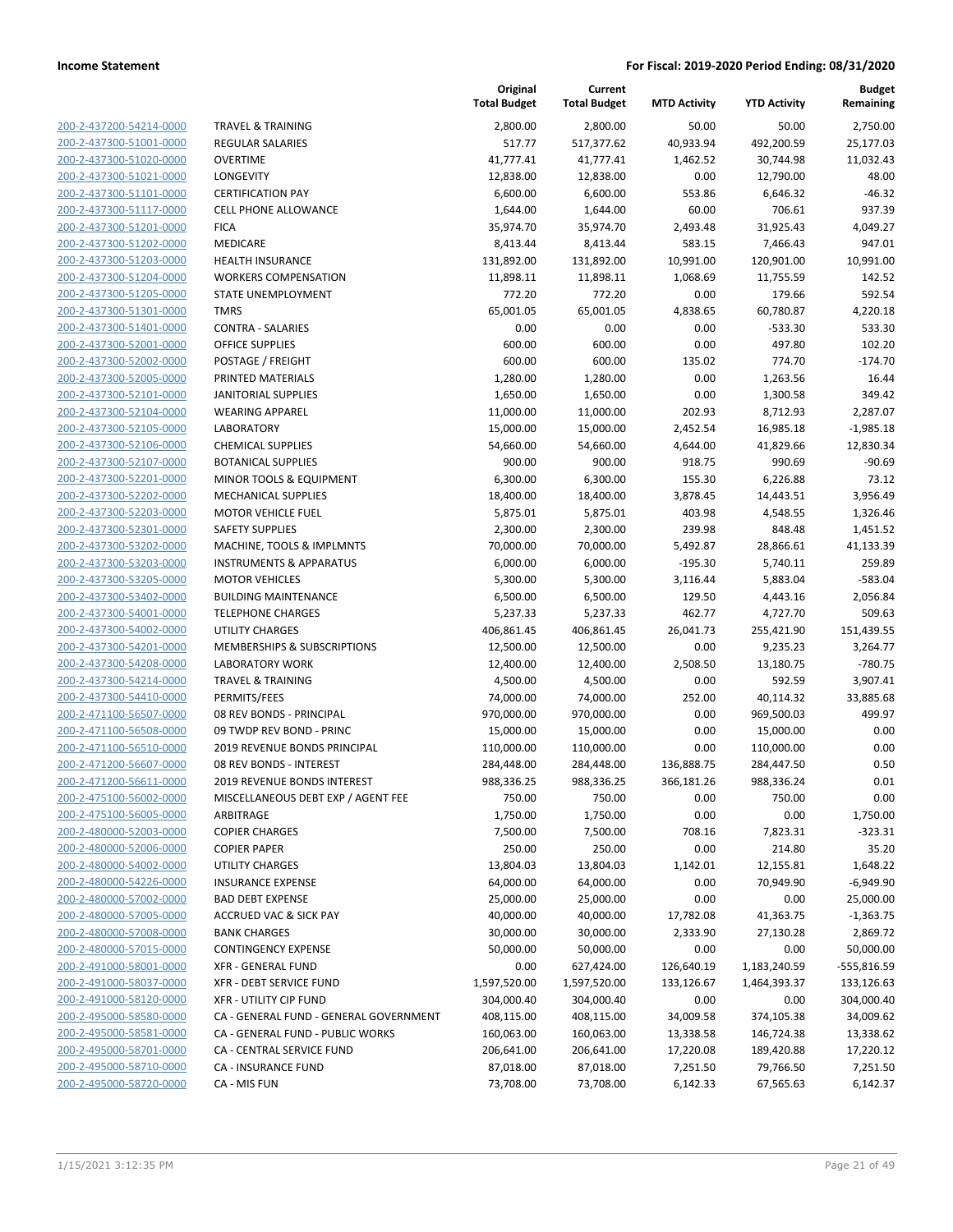| 200-2-437200-54214-0000<br>200-2-437300-51001-0000<br>200-2-437300-51020-0000<br>200-2-437300-51021-0000<br>200-2-437300-51101-0000<br>200-2-437300-51117-0000<br>200-2-437300-51201-0000<br>200-2-437300-51202-0000<br>200-2-437300-51203-0000<br>200-2-437300-51204-0000<br>200-2-437300-51205-0000<br>200-2-437300-51301-0000<br>200-2-437300-51401-0000<br>200-2-437300-52001-0000<br>200-2-437300-52002-0000<br>200-2-437300-52005-0000<br>200-2-437300-52101-0000<br>200-2-437300-52104-0000<br>200-2-437300-52105-0000<br>200-2-437300-52106-0000<br>200-2-437300-52107-0000<br>200-2-437300-52201-0000<br>200-2-437300-52202-0000<br>200-2-437300-52203-0000<br>200-2-437300-52301-0000 |
|-------------------------------------------------------------------------------------------------------------------------------------------------------------------------------------------------------------------------------------------------------------------------------------------------------------------------------------------------------------------------------------------------------------------------------------------------------------------------------------------------------------------------------------------------------------------------------------------------------------------------------------------------------------------------------------------------|
|                                                                                                                                                                                                                                                                                                                                                                                                                                                                                                                                                                                                                                                                                                 |
|                                                                                                                                                                                                                                                                                                                                                                                                                                                                                                                                                                                                                                                                                                 |
|                                                                                                                                                                                                                                                                                                                                                                                                                                                                                                                                                                                                                                                                                                 |
|                                                                                                                                                                                                                                                                                                                                                                                                                                                                                                                                                                                                                                                                                                 |
|                                                                                                                                                                                                                                                                                                                                                                                                                                                                                                                                                                                                                                                                                                 |
|                                                                                                                                                                                                                                                                                                                                                                                                                                                                                                                                                                                                                                                                                                 |
|                                                                                                                                                                                                                                                                                                                                                                                                                                                                                                                                                                                                                                                                                                 |
|                                                                                                                                                                                                                                                                                                                                                                                                                                                                                                                                                                                                                                                                                                 |
|                                                                                                                                                                                                                                                                                                                                                                                                                                                                                                                                                                                                                                                                                                 |
|                                                                                                                                                                                                                                                                                                                                                                                                                                                                                                                                                                                                                                                                                                 |
|                                                                                                                                                                                                                                                                                                                                                                                                                                                                                                                                                                                                                                                                                                 |
|                                                                                                                                                                                                                                                                                                                                                                                                                                                                                                                                                                                                                                                                                                 |
|                                                                                                                                                                                                                                                                                                                                                                                                                                                                                                                                                                                                                                                                                                 |
|                                                                                                                                                                                                                                                                                                                                                                                                                                                                                                                                                                                                                                                                                                 |
|                                                                                                                                                                                                                                                                                                                                                                                                                                                                                                                                                                                                                                                                                                 |
|                                                                                                                                                                                                                                                                                                                                                                                                                                                                                                                                                                                                                                                                                                 |
|                                                                                                                                                                                                                                                                                                                                                                                                                                                                                                                                                                                                                                                                                                 |
|                                                                                                                                                                                                                                                                                                                                                                                                                                                                                                                                                                                                                                                                                                 |
|                                                                                                                                                                                                                                                                                                                                                                                                                                                                                                                                                                                                                                                                                                 |
|                                                                                                                                                                                                                                                                                                                                                                                                                                                                                                                                                                                                                                                                                                 |
|                                                                                                                                                                                                                                                                                                                                                                                                                                                                                                                                                                                                                                                                                                 |
|                                                                                                                                                                                                                                                                                                                                                                                                                                                                                                                                                                                                                                                                                                 |
|                                                                                                                                                                                                                                                                                                                                                                                                                                                                                                                                                                                                                                                                                                 |
|                                                                                                                                                                                                                                                                                                                                                                                                                                                                                                                                                                                                                                                                                                 |
| 200-2-437300-53202-0000                                                                                                                                                                                                                                                                                                                                                                                                                                                                                                                                                                                                                                                                         |
| 200-2-437300-53203-0000                                                                                                                                                                                                                                                                                                                                                                                                                                                                                                                                                                                                                                                                         |
| 200-2-437300-53205-0000                                                                                                                                                                                                                                                                                                                                                                                                                                                                                                                                                                                                                                                                         |
| 200-2-437300-53402-0000                                                                                                                                                                                                                                                                                                                                                                                                                                                                                                                                                                                                                                                                         |
| 200-2-437300-54001-0000                                                                                                                                                                                                                                                                                                                                                                                                                                                                                                                                                                                                                                                                         |
| 200-2-437300-54002-0000                                                                                                                                                                                                                                                                                                                                                                                                                                                                                                                                                                                                                                                                         |
| 200-2-437300-54201-0000                                                                                                                                                                                                                                                                                                                                                                                                                                                                                                                                                                                                                                                                         |
| 200-2-437300-54208-0000                                                                                                                                                                                                                                                                                                                                                                                                                                                                                                                                                                                                                                                                         |
| 200-2-437300-54214-0000                                                                                                                                                                                                                                                                                                                                                                                                                                                                                                                                                                                                                                                                         |
| 200-2-437300-54410-0000                                                                                                                                                                                                                                                                                                                                                                                                                                                                                                                                                                                                                                                                         |
| 200-2-471100-56507-0000                                                                                                                                                                                                                                                                                                                                                                                                                                                                                                                                                                                                                                                                         |
| 200-2-471100-56508-0000                                                                                                                                                                                                                                                                                                                                                                                                                                                                                                                                                                                                                                                                         |
| 200-2-471100-56510-0000                                                                                                                                                                                                                                                                                                                                                                                                                                                                                                                                                                                                                                                                         |
| 200-2-471200-56607-0000                                                                                                                                                                                                                                                                                                                                                                                                                                                                                                                                                                                                                                                                         |
| 200-2-471200-56611-0000<br>200-2-475100-56002-0000                                                                                                                                                                                                                                                                                                                                                                                                                                                                                                                                                                                                                                              |
| 200-2-475100-56005-0000                                                                                                                                                                                                                                                                                                                                                                                                                                                                                                                                                                                                                                                                         |
| 200-2-480000-52003-0000                                                                                                                                                                                                                                                                                                                                                                                                                                                                                                                                                                                                                                                                         |
| <u>200-2-480000-52006-0000</u>                                                                                                                                                                                                                                                                                                                                                                                                                                                                                                                                                                                                                                                                  |
| 200-2-480000-54002-0000                                                                                                                                                                                                                                                                                                                                                                                                                                                                                                                                                                                                                                                                         |
| 200-2-480000-54226-0000                                                                                                                                                                                                                                                                                                                                                                                                                                                                                                                                                                                                                                                                         |
| 200-2-480000-57002-0000                                                                                                                                                                                                                                                                                                                                                                                                                                                                                                                                                                                                                                                                         |
| 200-2-480000-57005-0000                                                                                                                                                                                                                                                                                                                                                                                                                                                                                                                                                                                                                                                                         |
| <u>200-2-480000-57008-0000</u>                                                                                                                                                                                                                                                                                                                                                                                                                                                                                                                                                                                                                                                                  |
| 200-2-480000-57015-0000                                                                                                                                                                                                                                                                                                                                                                                                                                                                                                                                                                                                                                                                         |
| 200-2-491000-58001-0000                                                                                                                                                                                                                                                                                                                                                                                                                                                                                                                                                                                                                                                                         |
| 200-2-491000-58037-0000                                                                                                                                                                                                                                                                                                                                                                                                                                                                                                                                                                                                                                                                         |
| 200-2-491000-58120-0000                                                                                                                                                                                                                                                                                                                                                                                                                                                                                                                                                                                                                                                                         |
| 200-2-495000-58580-0000                                                                                                                                                                                                                                                                                                                                                                                                                                                                                                                                                                                                                                                                         |
|                                                                                                                                                                                                                                                                                                                                                                                                                                                                                                                                                                                                                                                                                                 |
| 200-2-495000-58581-0000                                                                                                                                                                                                                                                                                                                                                                                                                                                                                                                                                                                                                                                                         |
| 200-2-495000-58701-0000                                                                                                                                                                                                                                                                                                                                                                                                                                                                                                                                                                                                                                                                         |
| 200-2-495000-58710-0000                                                                                                                                                                                                                                                                                                                                                                                                                                                                                                                                                                                                                                                                         |

|                                                    |                                                             | Original<br><b>Total Budget</b> | Current<br><b>Total Budget</b> | <b>MTD Activity</b> | <b>YTD Activity</b>  | <b>Budget</b><br>Remaining |
|----------------------------------------------------|-------------------------------------------------------------|---------------------------------|--------------------------------|---------------------|----------------------|----------------------------|
| 200-2-437200-54214-0000                            | <b>TRAVEL &amp; TRAINING</b>                                | 2,800.00                        | 2,800.00                       | 50.00               | 50.00                | 2,750.00                   |
| 200-2-437300-51001-0000                            | <b>REGULAR SALARIES</b>                                     | 517.77                          | 517,377.62                     | 40,933.94           | 492,200.59           | 25,177.03                  |
| 200-2-437300-51020-0000                            | <b>OVERTIME</b>                                             | 41,777.41                       | 41,777.41                      | 1,462.52            | 30,744.98            | 11,032.43                  |
| 200-2-437300-51021-0000                            | LONGEVITY                                                   | 12,838.00                       | 12,838.00                      | 0.00                | 12,790.00            | 48.00                      |
| 200-2-437300-51101-0000                            | <b>CERTIFICATION PAY</b>                                    | 6,600.00                        | 6,600.00                       | 553.86              | 6,646.32             | $-46.32$                   |
| 200-2-437300-51117-0000                            | <b>CELL PHONE ALLOWANCE</b>                                 | 1,644.00                        | 1,644.00                       | 60.00               | 706.61               | 937.39                     |
| 200-2-437300-51201-0000                            | <b>FICA</b>                                                 | 35,974.70                       | 35,974.70                      | 2,493.48            | 31,925.43            | 4,049.27                   |
| 200-2-437300-51202-0000                            | MEDICARE                                                    | 8,413.44                        | 8,413.44                       | 583.15              | 7,466.43             | 947.01                     |
| 200-2-437300-51203-0000                            | <b>HEALTH INSURANCE</b>                                     | 131,892.00                      | 131,892.00                     | 10,991.00           | 120,901.00           | 10,991.00                  |
| 200-2-437300-51204-0000                            | <b>WORKERS COMPENSATION</b>                                 | 11,898.11                       | 11,898.11                      | 1,068.69            | 11,755.59            | 142.52                     |
| 200-2-437300-51205-0000                            | STATE UNEMPLOYMENT                                          | 772.20                          | 772.20                         | 0.00                | 179.66               | 592.54                     |
| 200-2-437300-51301-0000                            | <b>TMRS</b>                                                 | 65,001.05                       | 65,001.05                      | 4,838.65            | 60,780.87            | 4,220.18                   |
| 200-2-437300-51401-0000                            | <b>CONTRA - SALARIES</b>                                    | 0.00                            | 0.00                           | 0.00                | $-533.30$            | 533.30                     |
| 200-2-437300-52001-0000                            | <b>OFFICE SUPPLIES</b>                                      | 600.00                          | 600.00                         | 0.00                | 497.80               | 102.20                     |
| 200-2-437300-52002-0000                            | POSTAGE / FREIGHT                                           | 600.00                          | 600.00                         | 135.02              | 774.70               | $-174.70$                  |
| 200-2-437300-52005-0000                            | PRINTED MATERIALS                                           | 1,280.00                        | 1,280.00                       | 0.00                | 1,263.56             | 16.44                      |
| 200-2-437300-52101-0000                            | <b>JANITORIAL SUPPLIES</b>                                  | 1,650.00                        | 1,650.00                       | 0.00                | 1,300.58             | 349.42                     |
| 200-2-437300-52104-0000                            | <b>WEARING APPAREL</b>                                      | 11,000.00                       | 11,000.00                      | 202.93              | 8,712.93             | 2,287.07                   |
| 200-2-437300-52105-0000                            | <b>LABORATORY</b>                                           | 15,000.00                       | 15,000.00                      | 2,452.54            | 16,985.18            | $-1,985.18$                |
| 200-2-437300-52106-0000                            | <b>CHEMICAL SUPPLIES</b>                                    | 54,660.00                       | 54,660.00                      | 4,644.00            | 41,829.66            | 12,830.34                  |
| 200-2-437300-52107-0000                            | <b>BOTANICAL SUPPLIES</b>                                   | 900.00                          | 900.00                         | 918.75              | 990.69               | $-90.69$                   |
| 200-2-437300-52201-0000                            | MINOR TOOLS & EQUIPMENT                                     | 6,300.00                        | 6,300.00                       | 155.30              | 6,226.88             | 73.12                      |
| 200-2-437300-52202-0000                            | <b>MECHANICAL SUPPLIES</b>                                  | 18,400.00                       | 18,400.00                      | 3,878.45            | 14,443.51            | 3,956.49                   |
| 200-2-437300-52203-0000                            | <b>MOTOR VEHICLE FUEL</b>                                   | 5,875.01                        | 5,875.01                       | 403.98              | 4,548.55             | 1,326.46                   |
| 200-2-437300-52301-0000                            | <b>SAFETY SUPPLIES</b>                                      | 2,300.00                        | 2,300.00                       | 239.98              | 848.48               | 1,451.52                   |
| 200-2-437300-53202-0000                            | MACHINE, TOOLS & IMPLMNTS                                   | 70,000.00                       | 70,000.00                      | 5,492.87            | 28,866.61            | 41,133.39                  |
| 200-2-437300-53203-0000<br>200-2-437300-53205-0000 | <b>INSTRUMENTS &amp; APPARATUS</b><br><b>MOTOR VEHICLES</b> | 6,000.00                        | 6,000.00                       | $-195.30$           | 5,740.11             | 259.89                     |
| 200-2-437300-53402-0000                            | <b>BUILDING MAINTENANCE</b>                                 | 5,300.00<br>6,500.00            | 5,300.00<br>6,500.00           | 3,116.44<br>129.50  | 5,883.04<br>4,443.16 | $-583.04$<br>2,056.84      |
| 200-2-437300-54001-0000                            | <b>TELEPHONE CHARGES</b>                                    | 5,237.33                        | 5,237.33                       | 462.77              | 4,727.70             | 509.63                     |
| 200-2-437300-54002-0000                            | <b>UTILITY CHARGES</b>                                      | 406,861.45                      | 406,861.45                     | 26,041.73           | 255,421.90           | 151,439.55                 |
| 200-2-437300-54201-0000                            | <b>MEMBERSHIPS &amp; SUBSCRIPTIONS</b>                      | 12,500.00                       | 12,500.00                      | 0.00                | 9,235.23             | 3,264.77                   |
| 200-2-437300-54208-0000                            | <b>LABORATORY WORK</b>                                      | 12,400.00                       | 12,400.00                      | 2,508.50            | 13,180.75            | $-780.75$                  |
| 200-2-437300-54214-0000                            | <b>TRAVEL &amp; TRAINING</b>                                | 4,500.00                        | 4,500.00                       | 0.00                | 592.59               | 3,907.41                   |
| 200-2-437300-54410-0000                            | PERMITS/FEES                                                | 74,000.00                       | 74,000.00                      | 252.00              | 40,114.32            | 33,885.68                  |
| 200-2-471100-56507-0000                            | 08 REV BONDS - PRINCIPAL                                    | 970,000.00                      | 970,000.00                     | 0.00                | 969,500.03           | 499.97                     |
| 200-2-471100-56508-0000                            | 09 TWDP REV BOND - PRINC                                    | 15,000.00                       | 15,000.00                      | 0.00                | 15,000.00            | 0.00                       |
| 200-2-471100-56510-0000                            | 2019 REVENUE BONDS PRINCIPAL                                | 110,000.00                      | 110,000.00                     | 0.00                | 110,000.00           | 0.00                       |
| 200-2-471200-56607-0000                            | 08 REV BONDS - INTEREST                                     | 284,448.00                      | 284,448.00                     | 136,888.75          | 284,447.50           | 0.50                       |
| 200-2-471200-56611-0000                            | <b>2019 REVENUE BONDS INTEREST</b>                          | 988,336.25                      | 988,336.25                     | 366,181.26          | 988,336.24           | 0.01                       |
| 200-2-475100-56002-0000                            | MISCELLANEOUS DEBT EXP / AGENT FEE                          | 750.00                          | 750.00                         | 0.00                | 750.00               | 0.00                       |
| 200-2-475100-56005-0000                            | ARBITRAGE                                                   | 1,750.00                        | 1,750.00                       | 0.00                | 0.00                 | 1,750.00                   |
| 200-2-480000-52003-0000                            | <b>COPIER CHARGES</b>                                       | 7,500.00                        | 7,500.00                       | 708.16              | 7,823.31             | $-323.31$                  |
| 200-2-480000-52006-0000                            | <b>COPIER PAPER</b>                                         | 250.00                          | 250.00                         | 0.00                | 214.80               | 35.20                      |
| 200-2-480000-54002-0000                            | <b>UTILITY CHARGES</b>                                      | 13,804.03                       | 13,804.03                      | 1,142.01            | 12,155.81            | 1,648.22                   |
| 200-2-480000-54226-0000                            | <b>INSURANCE EXPENSE</b>                                    | 64,000.00                       | 64,000.00                      | 0.00                | 70,949.90            | $-6,949.90$                |
| 200-2-480000-57002-0000                            | <b>BAD DEBT EXPENSE</b>                                     | 25,000.00                       | 25,000.00                      | 0.00                | 0.00                 | 25,000.00                  |
| 200-2-480000-57005-0000                            | <b>ACCRUED VAC &amp; SICK PAY</b>                           | 40,000.00                       | 40,000.00                      | 17,782.08           | 41,363.75            | $-1,363.75$                |
| 200-2-480000-57008-0000                            | <b>BANK CHARGES</b>                                         | 30,000.00                       | 30,000.00                      | 2,333.90            | 27,130.28            | 2,869.72                   |
| 200-2-480000-57015-0000                            | <b>CONTINGENCY EXPENSE</b>                                  | 50,000.00                       | 50,000.00                      | 0.00                | 0.00                 | 50,000.00                  |
| 200-2-491000-58001-0000                            | <b>XFR - GENERAL FUND</b>                                   | 0.00                            | 627,424.00                     | 126,640.19          | 1,183,240.59         | -555,816.59                |
| 200-2-491000-58037-0000                            | XFR - DEBT SERVICE FUND                                     | 1,597,520.00                    | 1,597,520.00                   | 133,126.67          | 1,464,393.37         | 133,126.63                 |
| 200-2-491000-58120-0000                            | <b>XFR - UTILITY CIP FUND</b>                               | 304,000.40                      | 304,000.40                     | 0.00                | 0.00                 | 304,000.40                 |
| 200-2-495000-58580-0000                            | CA - GENERAL FUND - GENERAL GOVERNMENT                      | 408,115.00                      | 408,115.00                     | 34,009.58           | 374,105.38           | 34,009.62                  |
| 200-2-495000-58581-0000                            | CA - GENERAL FUND - PUBLIC WORKS                            | 160,063.00                      | 160,063.00                     | 13,338.58           | 146,724.38           | 13,338.62                  |
| 200-2-495000-58701-0000                            | CA - CENTRAL SERVICE FUND                                   | 206,641.00                      | 206,641.00                     | 17,220.08           | 189,420.88           | 17,220.12                  |
| 200-2-495000-58710-0000                            | <b>CA - INSURANCE FUND</b>                                  | 87,018.00                       | 87,018.00                      | 7,251.50            | 79,766.50            | 7,251.50                   |
| 200-2-495000-58720-0000                            | CA - MIS FUN                                                | 73,708.00                       | 73,708.00                      | 6,142.33            | 67,565.63            | 6,142.37                   |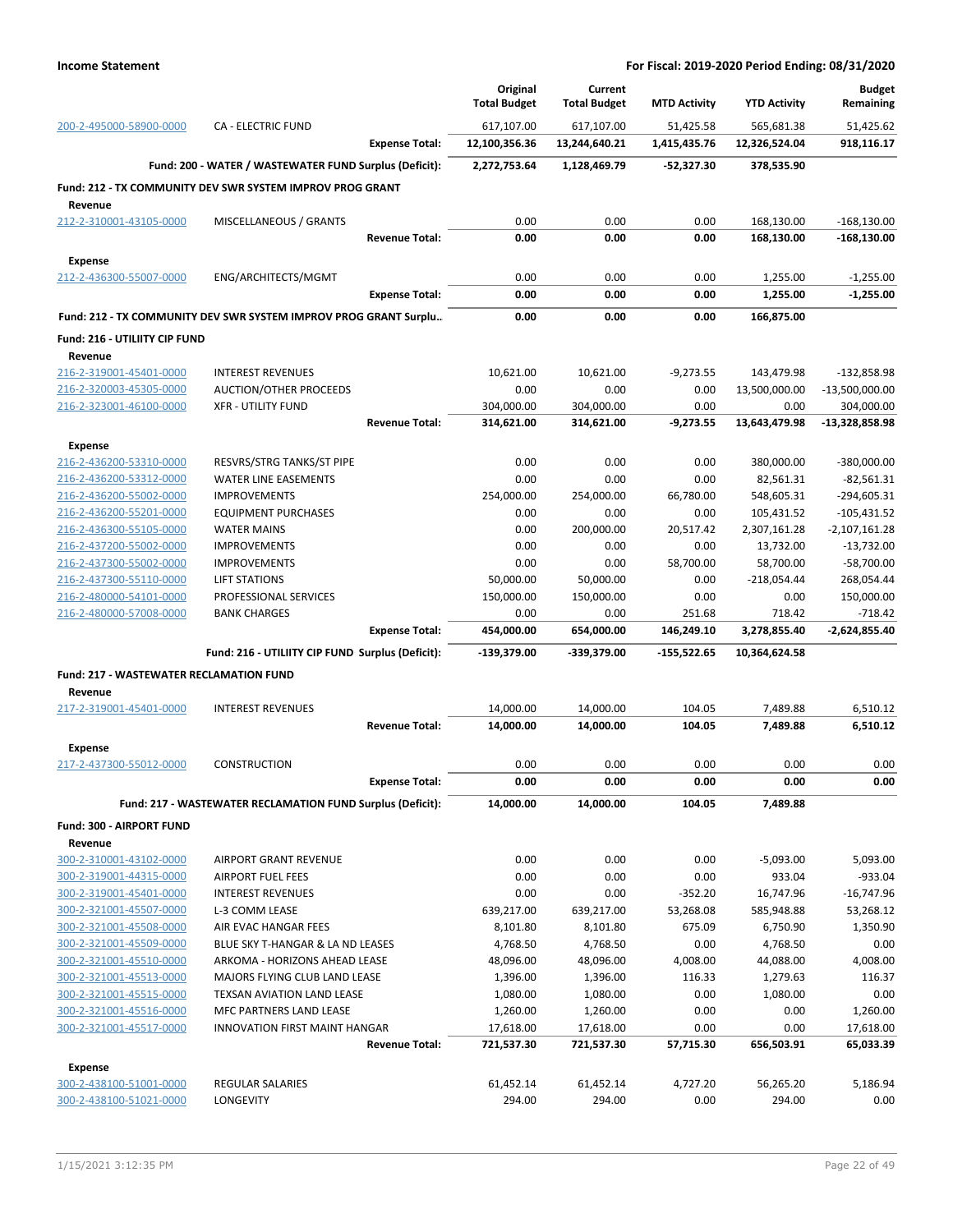|                                                           |                                                                  |                       | Original<br><b>Total Budget</b> | Current                     |                           | <b>YTD Activity</b>         | <b>Budget</b><br>Remaining     |
|-----------------------------------------------------------|------------------------------------------------------------------|-----------------------|---------------------------------|-----------------------------|---------------------------|-----------------------------|--------------------------------|
|                                                           |                                                                  |                       |                                 | <b>Total Budget</b>         | <b>MTD Activity</b>       |                             |                                |
| 200-2-495000-58900-0000                                   | <b>CA - ELECTRIC FUND</b>                                        | <b>Expense Total:</b> | 617,107.00<br>12,100,356.36     | 617,107.00<br>13,244,640.21 | 51,425.58<br>1,415,435.76 | 565,681.38<br>12,326,524.04 | 51,425.62<br>918,116.17        |
|                                                           | Fund: 200 - WATER / WASTEWATER FUND Surplus (Deficit):           |                       | 2,272,753.64                    | 1,128,469.79                | -52,327.30                | 378,535.90                  |                                |
|                                                           | Fund: 212 - TX COMMUNITY DEV SWR SYSTEM IMPROV PROG GRANT        |                       |                                 |                             |                           |                             |                                |
| Revenue                                                   |                                                                  |                       |                                 |                             |                           |                             |                                |
| 212-2-310001-43105-0000                                   | MISCELLANEOUS / GRANTS                                           |                       | 0.00                            | 0.00                        | 0.00                      | 168,130.00                  | $-168,130.00$                  |
|                                                           |                                                                  | <b>Revenue Total:</b> | 0.00                            | 0.00                        | 0.00                      | 168,130.00                  | $-168,130.00$                  |
| <b>Expense</b>                                            |                                                                  |                       |                                 |                             |                           |                             |                                |
| 212-2-436300-55007-0000                                   | ENG/ARCHITECTS/MGMT                                              |                       | 0.00                            | 0.00                        | 0.00                      | 1,255.00                    | $-1,255.00$                    |
|                                                           |                                                                  | <b>Expense Total:</b> | 0.00                            | 0.00                        | 0.00                      | 1,255.00                    | $-1,255.00$                    |
|                                                           | Fund: 212 - TX COMMUNITY DEV SWR SYSTEM IMPROV PROG GRANT Surplu |                       | 0.00                            | 0.00                        | 0.00                      | 166,875.00                  |                                |
| Fund: 216 - UTILIITY CIP FUND                             |                                                                  |                       |                                 |                             |                           |                             |                                |
| Revenue                                                   |                                                                  |                       |                                 |                             |                           |                             |                                |
| 216-2-319001-45401-0000                                   | <b>INTEREST REVENUES</b>                                         |                       | 10,621.00                       | 10,621.00                   | $-9,273.55$               | 143,479.98                  | $-132,858.98$                  |
| 216-2-320003-45305-0000<br>216-2-323001-46100-0000        | AUCTION/OTHER PROCEEDS<br><b>XFR - UTILITY FUND</b>              |                       | 0.00<br>304,000.00              | 0.00<br>304,000.00          | 0.00<br>0.00              | 13,500,000.00<br>0.00       | $-13,500,000.00$<br>304,000.00 |
|                                                           |                                                                  | <b>Revenue Total:</b> | 314,621.00                      | 314,621.00                  | $-9,273.55$               | 13,643,479.98               | $-13,328,858.98$               |
| <b>Expense</b>                                            |                                                                  |                       |                                 |                             |                           |                             |                                |
| 216-2-436200-53310-0000                                   | RESVRS/STRG TANKS/ST PIPE                                        |                       | 0.00                            | 0.00                        | 0.00                      | 380,000.00                  | $-380,000.00$                  |
| 216-2-436200-53312-0000                                   | <b>WATER LINE EASEMENTS</b>                                      |                       | 0.00                            | 0.00                        | 0.00                      | 82,561.31                   | $-82,561.31$                   |
| 216-2-436200-55002-0000                                   | <b>IMPROVEMENTS</b>                                              |                       | 254,000.00                      | 254,000.00                  | 66,780.00                 | 548,605.31                  | $-294,605.31$                  |
| 216-2-436200-55201-0000                                   | <b>EQUIPMENT PURCHASES</b>                                       |                       | 0.00                            | 0.00                        | 0.00                      | 105,431.52                  | $-105,431.52$                  |
| 216-2-436300-55105-0000                                   | <b>WATER MAINS</b>                                               |                       | 0.00                            | 200,000.00                  | 20,517.42                 | 2,307,161.28                | $-2,107,161.28$                |
| 216-2-437200-55002-0000                                   | <b>IMPROVEMENTS</b>                                              |                       | 0.00                            | 0.00                        | 0.00                      | 13,732.00                   | $-13,732.00$                   |
| 216-2-437300-55002-0000                                   | <b>IMPROVEMENTS</b>                                              |                       | 0.00                            | 0.00                        | 58,700.00                 | 58,700.00                   | $-58,700.00$                   |
| 216-2-437300-55110-0000                                   | <b>LIFT STATIONS</b>                                             |                       | 50,000.00                       | 50,000.00                   | 0.00                      | $-218,054.44$               | 268,054.44                     |
| 216-2-480000-54101-0000                                   | PROFESSIONAL SERVICES                                            |                       | 150,000.00                      | 150,000.00                  | 0.00                      | 0.00                        | 150,000.00                     |
| 216-2-480000-57008-0000                                   | <b>BANK CHARGES</b>                                              | <b>Expense Total:</b> | 0.00<br>454,000.00              | 0.00<br>654,000.00          | 251.68<br>146,249.10      | 718.42<br>3,278,855.40      | $-718.42$<br>-2,624,855.40     |
|                                                           | Fund: 216 - UTILIITY CIP FUND Surplus (Deficit):                 |                       | -139,379.00                     | -339,379.00                 | $-155,522.65$             | 10,364,624.58               |                                |
|                                                           |                                                                  |                       |                                 |                             |                           |                             |                                |
| <b>Fund: 217 - WASTEWATER RECLAMATION FUND</b><br>Revenue |                                                                  |                       |                                 |                             |                           |                             |                                |
| 217-2-319001-45401-0000                                   | <b>INTEREST REVENUES</b>                                         |                       | 14,000.00                       | 14,000.00                   | 104.05                    | 7,489.88                    | 6,510.12                       |
|                                                           |                                                                  | <b>Revenue Total:</b> | 14,000.00                       | 14,000.00                   | 104.05                    | 7,489.88                    | 6,510.12                       |
| <b>Expense</b>                                            |                                                                  |                       |                                 |                             |                           |                             |                                |
| 217-2-437300-55012-0000                                   | <b>CONSTRUCTION</b>                                              |                       | 0.00                            | 0.00                        | 0.00                      | 0.00                        | 0.00                           |
|                                                           |                                                                  | <b>Expense Total:</b> | 0.00                            | 0.00                        | 0.00                      | 0.00                        | 0.00                           |
|                                                           | Fund: 217 - WASTEWATER RECLAMATION FUND Surplus (Deficit):       |                       | 14,000.00                       | 14,000.00                   | 104.05                    | 7,489.88                    |                                |
| Fund: 300 - AIRPORT FUND                                  |                                                                  |                       |                                 |                             |                           |                             |                                |
| Revenue                                                   |                                                                  |                       |                                 |                             |                           |                             |                                |
| 300-2-310001-43102-0000                                   | AIRPORT GRANT REVENUE                                            |                       | 0.00                            | 0.00                        | 0.00                      | $-5,093.00$                 | 5,093.00                       |
| 300-2-319001-44315-0000                                   | <b>AIRPORT FUEL FEES</b>                                         |                       | 0.00                            | 0.00                        | 0.00                      | 933.04                      | $-933.04$                      |
| 300-2-319001-45401-0000                                   | <b>INTEREST REVENUES</b>                                         |                       | 0.00                            | 0.00                        | $-352.20$                 | 16,747.96                   | $-16,747.96$                   |
| 300-2-321001-45507-0000                                   | L-3 COMM LEASE                                                   |                       | 639,217.00                      | 639,217.00                  | 53,268.08                 | 585,948.88                  | 53,268.12                      |
| 300-2-321001-45508-0000                                   | AIR EVAC HANGAR FEES                                             |                       | 8,101.80                        | 8,101.80                    | 675.09                    | 6,750.90                    | 1,350.90                       |
| 300-2-321001-45509-0000                                   | BLUE SKY T-HANGAR & LA ND LEASES                                 |                       | 4,768.50                        | 4,768.50                    | 0.00                      | 4,768.50                    | 0.00                           |
| 300-2-321001-45510-0000<br>300-2-321001-45513-0000        | ARKOMA - HORIZONS AHEAD LEASE<br>MAJORS FLYING CLUB LAND LEASE   |                       | 48,096.00<br>1,396.00           | 48,096.00<br>1,396.00       | 4,008.00<br>116.33        | 44,088.00<br>1,279.63       | 4,008.00<br>116.37             |
| 300-2-321001-45515-0000                                   | TEXSAN AVIATION LAND LEASE                                       |                       | 1,080.00                        | 1,080.00                    | 0.00                      | 1,080.00                    | 0.00                           |
| 300-2-321001-45516-0000                                   | MFC PARTNERS LAND LEASE                                          |                       | 1,260.00                        | 1,260.00                    | 0.00                      | 0.00                        | 1,260.00                       |
| 300-2-321001-45517-0000                                   | INNOVATION FIRST MAINT HANGAR                                    |                       | 17,618.00                       | 17,618.00                   | 0.00                      | 0.00                        | 17,618.00                      |
|                                                           |                                                                  | <b>Revenue Total:</b> | 721,537.30                      | 721,537.30                  | 57,715.30                 | 656,503.91                  | 65,033.39                      |
| Expense                                                   |                                                                  |                       |                                 |                             |                           |                             |                                |
| 300-2-438100-51001-0000                                   | <b>REGULAR SALARIES</b>                                          |                       | 61,452.14                       | 61,452.14                   | 4,727.20                  | 56,265.20                   | 5,186.94                       |
| 300-2-438100-51021-0000                                   | LONGEVITY                                                        |                       | 294.00                          | 294.00                      | 0.00                      | 294.00                      | 0.00                           |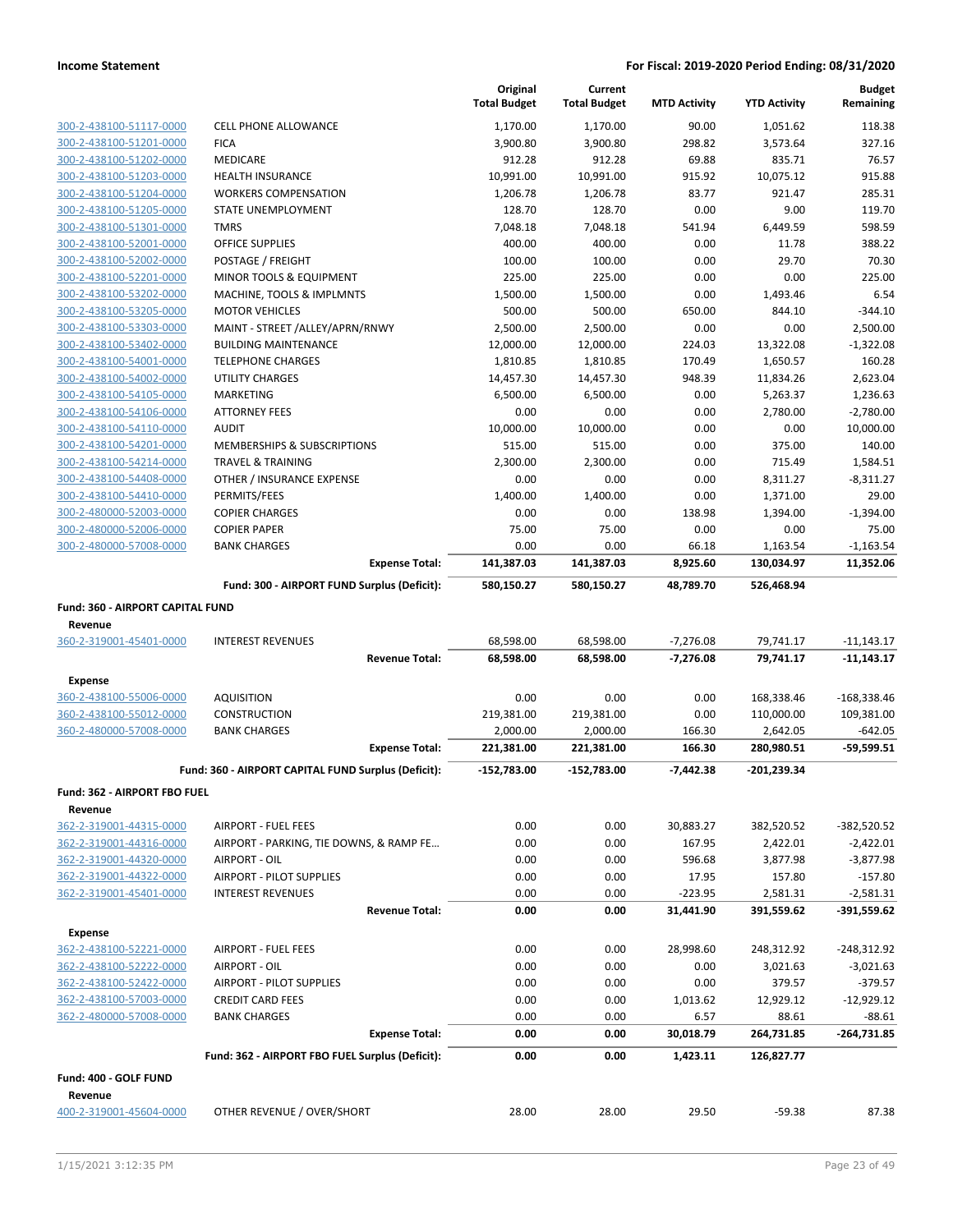|                                  |                                                     | Original<br><b>Total Budget</b> | Current<br><b>Total Budget</b> | <b>MTD Activity</b> | <b>YTD Activity</b> | <b>Budget</b><br>Remaining |
|----------------------------------|-----------------------------------------------------|---------------------------------|--------------------------------|---------------------|---------------------|----------------------------|
| 300-2-438100-51117-0000          | <b>CELL PHONE ALLOWANCE</b>                         | 1,170.00                        | 1,170.00                       | 90.00               | 1,051.62            | 118.38                     |
| 300-2-438100-51201-0000          | <b>FICA</b>                                         | 3,900.80                        | 3,900.80                       | 298.82              | 3,573.64            | 327.16                     |
| 300-2-438100-51202-0000          | MEDICARE                                            | 912.28                          | 912.28                         | 69.88               | 835.71              | 76.57                      |
| 300-2-438100-51203-0000          | <b>HEALTH INSURANCE</b>                             | 10,991.00                       | 10,991.00                      | 915.92              | 10,075.12           | 915.88                     |
| 300-2-438100-51204-0000          | <b>WORKERS COMPENSATION</b>                         | 1,206.78                        | 1,206.78                       | 83.77               | 921.47              | 285.31                     |
| 300-2-438100-51205-0000          | STATE UNEMPLOYMENT                                  | 128.70                          | 128.70                         | 0.00                | 9.00                | 119.70                     |
| 300-2-438100-51301-0000          | <b>TMRS</b>                                         | 7,048.18                        | 7,048.18                       | 541.94              | 6,449.59            | 598.59                     |
| 300-2-438100-52001-0000          | OFFICE SUPPLIES                                     | 400.00                          | 400.00                         | 0.00                | 11.78               | 388.22                     |
| 300-2-438100-52002-0000          | POSTAGE / FREIGHT                                   | 100.00                          | 100.00                         | 0.00                | 29.70               | 70.30                      |
| 300-2-438100-52201-0000          | MINOR TOOLS & EQUIPMENT                             | 225.00                          | 225.00                         | 0.00                | 0.00                | 225.00                     |
| 300-2-438100-53202-0000          | MACHINE, TOOLS & IMPLMNTS                           | 1,500.00                        | 1,500.00                       | 0.00                | 1,493.46            | 6.54                       |
| 300-2-438100-53205-0000          | <b>MOTOR VEHICLES</b>                               | 500.00                          | 500.00                         | 650.00              | 844.10              | $-344.10$                  |
| 300-2-438100-53303-0000          | MAINT - STREET /ALLEY/APRN/RNWY                     | 2,500.00                        | 2,500.00                       | 0.00                | 0.00                | 2,500.00                   |
| 300-2-438100-53402-0000          | <b>BUILDING MAINTENANCE</b>                         | 12,000.00                       | 12,000.00                      | 224.03              | 13,322.08           | $-1,322.08$                |
| 300-2-438100-54001-0000          | <b>TELEPHONE CHARGES</b>                            | 1,810.85                        | 1,810.85                       | 170.49              | 1,650.57            | 160.28                     |
| 300-2-438100-54002-0000          | UTILITY CHARGES                                     | 14,457.30                       | 14,457.30                      | 948.39              | 11,834.26           | 2,623.04                   |
| 300-2-438100-54105-0000          | MARKETING                                           | 6,500.00                        | 6,500.00                       | 0.00                | 5,263.37            | 1,236.63                   |
| 300-2-438100-54106-0000          | <b>ATTORNEY FEES</b>                                | 0.00                            | 0.00                           | 0.00                | 2,780.00            | $-2,780.00$                |
| 300-2-438100-54110-0000          | <b>AUDIT</b>                                        | 10,000.00                       | 10,000.00                      | 0.00                | 0.00                | 10,000.00                  |
| 300-2-438100-54201-0000          | MEMBERSHIPS & SUBSCRIPTIONS                         | 515.00                          | 515.00                         | 0.00                | 375.00              | 140.00                     |
| 300-2-438100-54214-0000          | <b>TRAVEL &amp; TRAINING</b>                        | 2,300.00                        | 2,300.00                       | 0.00                | 715.49              | 1,584.51                   |
| 300-2-438100-54408-0000          | OTHER / INSURANCE EXPENSE                           | 0.00                            | 0.00                           | 0.00                | 8,311.27            | $-8,311.27$                |
| 300-2-438100-54410-0000          | PERMITS/FEES                                        | 1,400.00                        | 1,400.00                       | 0.00                | 1,371.00            | 29.00                      |
| 300-2-480000-52003-0000          | <b>COPIER CHARGES</b>                               | 0.00                            | 0.00                           | 138.98              | 1,394.00            | $-1.394.00$                |
| 300-2-480000-52006-0000          | <b>COPIER PAPER</b>                                 | 75.00                           | 75.00                          | 0.00                | 0.00                | 75.00                      |
| 300-2-480000-57008-0000          | <b>BANK CHARGES</b>                                 | 0.00                            | 0.00                           | 66.18               | 1,163.54            | $-1,163.54$                |
|                                  | <b>Expense Total:</b>                               | 141,387.03                      | 141,387.03                     | 8,925.60            | 130,034.97          | 11,352.06                  |
|                                  | Fund: 300 - AIRPORT FUND Surplus (Deficit):         | 580,150.27                      | 580,150.27                     | 48,789.70           | 526,468.94          |                            |
| Fund: 360 - AIRPORT CAPITAL FUND |                                                     |                                 |                                |                     |                     |                            |
| Revenue                          |                                                     |                                 |                                |                     |                     |                            |
| 360-2-319001-45401-0000          | <b>INTEREST REVENUES</b>                            | 68,598.00                       | 68,598.00                      | $-7,276.08$         | 79,741.17           | $-11,143.17$               |
|                                  | <b>Revenue Total:</b>                               | 68,598.00                       | 68,598.00                      | $-7,276.08$         | 79,741.17           | $-11,143.17$               |
| Expense                          |                                                     |                                 |                                |                     |                     |                            |
| 360-2-438100-55006-0000          | <b>AQUISITION</b>                                   | 0.00                            | 0.00                           | 0.00                | 168,338.46          | $-168,338.46$              |
| 360-2-438100-55012-0000          | <b>CONSTRUCTION</b>                                 | 219,381.00                      | 219,381.00                     | 0.00                | 110,000.00          | 109,381.00                 |
| 360-2-480000-57008-0000          | <b>BANK CHARGES</b>                                 | 2,000.00                        | 2,000.00                       | 166.30              | 2,642.05            | $-642.05$                  |
|                                  | <b>Expense Total:</b>                               | 221,381.00                      | 221,381.00                     | 166.30              | 280,980.51          | $-59,599.51$               |
|                                  | Fund: 360 - AIRPORT CAPITAL FUND Surplus (Deficit): | -152,783.00                     | -152,783.00                    | $-7,442.38$         | -201,239.34         |                            |
| Fund: 362 - AIRPORT FBO FUEL     |                                                     |                                 |                                |                     |                     |                            |
| Revenue                          |                                                     |                                 |                                |                     |                     |                            |
| 362-2-319001-44315-0000          | <b>AIRPORT - FUEL FEES</b>                          | 0.00                            | 0.00                           | 30,883.27           | 382,520.52          | -382,520.52                |
| 362-2-319001-44316-0000          | AIRPORT - PARKING, TIE DOWNS, & RAMP FE             | 0.00                            | 0.00                           | 167.95              | 2,422.01            | $-2,422.01$                |
| 362-2-319001-44320-0000          | AIRPORT - OIL                                       | 0.00                            | 0.00                           | 596.68              | 3,877.98            | $-3,877.98$                |
| 362-2-319001-44322-0000          | <b>AIRPORT - PILOT SUPPLIES</b>                     | 0.00                            | 0.00                           | 17.95               | 157.80              | $-157.80$                  |
| 362-2-319001-45401-0000          | <b>INTEREST REVENUES</b>                            | 0.00                            | 0.00                           | $-223.95$           | 2,581.31            | $-2,581.31$                |
|                                  | <b>Revenue Total:</b>                               | 0.00                            | 0.00                           | 31,441.90           | 391,559.62          | -391,559.62                |
| <b>Expense</b>                   |                                                     |                                 |                                |                     |                     |                            |
| 362-2-438100-52221-0000          | <b>AIRPORT - FUEL FEES</b>                          | 0.00                            | 0.00                           | 28,998.60           | 248,312.92          | $-248,312.92$              |
| 362-2-438100-52222-0000          | AIRPORT - OIL                                       | 0.00                            | 0.00                           | 0.00                | 3,021.63            | $-3,021.63$                |
| 362-2-438100-52422-0000          | AIRPORT - PILOT SUPPLIES                            | 0.00                            | 0.00                           | 0.00                | 379.57              | $-379.57$                  |
| 362-2-438100-57003-0000          | <b>CREDIT CARD FEES</b>                             | 0.00                            | 0.00                           | 1,013.62            | 12,929.12           | $-12,929.12$               |
| 362-2-480000-57008-0000          | <b>BANK CHARGES</b>                                 | 0.00                            | 0.00                           | 6.57                | 88.61               | $-88.61$                   |
|                                  | <b>Expense Total:</b>                               | 0.00                            | 0.00                           | 30,018.79           | 264,731.85          | $-264,731.85$              |
|                                  | Fund: 362 - AIRPORT FBO FUEL Surplus (Deficit):     | 0.00                            | 0.00                           | 1,423.11            | 126,827.77          |                            |
| Fund: 400 - GOLF FUND            |                                                     |                                 |                                |                     |                     |                            |
| Revenue                          |                                                     |                                 |                                |                     |                     |                            |
| 400-2-319001-45604-0000          | OTHER REVENUE / OVER/SHORT                          | 28.00                           | 28.00                          | 29.50               | $-59.38$            | 87.38                      |
|                                  |                                                     |                                 |                                |                     |                     |                            |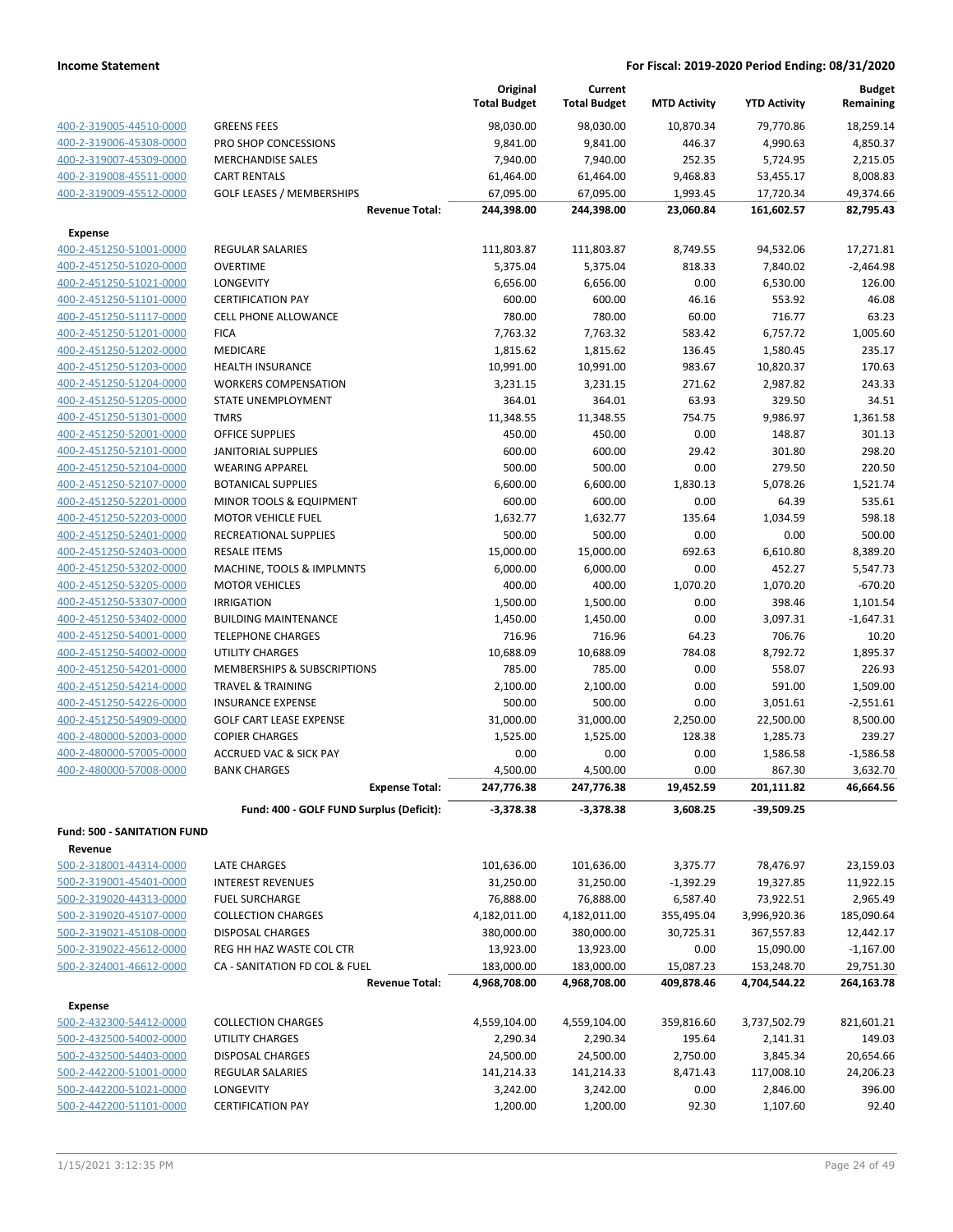|                                                    |                                                             | Original<br><b>Total Budget</b> | Current<br><b>Total Budget</b> | <b>MTD Activity</b> | <b>YTD Activity</b>   | <b>Budget</b><br>Remaining |
|----------------------------------------------------|-------------------------------------------------------------|---------------------------------|--------------------------------|---------------------|-----------------------|----------------------------|
| 400-2-319005-44510-0000                            | <b>GREENS FEES</b>                                          | 98,030.00                       | 98,030.00                      | 10,870.34           | 79,770.86             | 18,259.14                  |
| 400-2-319006-45308-0000                            | PRO SHOP CONCESSIONS                                        | 9,841.00                        | 9,841.00                       | 446.37              | 4,990.63              | 4,850.37                   |
| 400-2-319007-45309-0000                            | <b>MERCHANDISE SALES</b>                                    | 7,940.00                        | 7,940.00                       | 252.35              | 5,724.95              | 2,215.05                   |
| 400-2-319008-45511-0000                            | <b>CART RENTALS</b>                                         | 61,464.00                       | 61,464.00                      | 9,468.83            | 53,455.17             | 8,008.83                   |
| 400-2-319009-45512-0000                            | <b>GOLF LEASES / MEMBERSHIPS</b>                            | 67,095.00                       | 67,095.00                      | 1,993.45            | 17,720.34             | 49,374.66                  |
|                                                    | <b>Revenue Total:</b>                                       | 244,398.00                      | 244,398.00                     | 23,060.84           | 161,602.57            | 82,795.43                  |
| Expense                                            |                                                             |                                 |                                |                     |                       |                            |
| 400-2-451250-51001-0000                            | <b>REGULAR SALARIES</b>                                     | 111,803.87                      | 111,803.87                     | 8,749.55            | 94,532.06             | 17,271.81                  |
| 400-2-451250-51020-0000                            | <b>OVERTIME</b>                                             | 5,375.04                        | 5,375.04                       | 818.33              | 7,840.02              | $-2,464.98$                |
| 400-2-451250-51021-0000                            | LONGEVITY                                                   | 6,656.00                        | 6,656.00                       | 0.00                | 6,530.00              | 126.00                     |
| 400-2-451250-51101-0000                            | <b>CERTIFICATION PAY</b>                                    | 600.00                          | 600.00                         | 46.16               | 553.92                | 46.08                      |
| 400-2-451250-51117-0000                            | <b>CELL PHONE ALLOWANCE</b>                                 | 780.00                          | 780.00                         | 60.00               | 716.77                | 63.23                      |
| 400-2-451250-51201-0000                            | <b>FICA</b>                                                 | 7,763.32                        | 7,763.32                       | 583.42              | 6,757.72              | 1,005.60                   |
| 400-2-451250-51202-0000                            | MEDICARE                                                    | 1,815.62                        | 1,815.62                       | 136.45              | 1,580.45              | 235.17                     |
| 400-2-451250-51203-0000                            | <b>HEALTH INSURANCE</b>                                     | 10,991.00                       | 10,991.00                      | 983.67              | 10,820.37             | 170.63                     |
| 400-2-451250-51204-0000                            | <b>WORKERS COMPENSATION</b>                                 | 3,231.15                        | 3,231.15                       | 271.62              | 2,987.82              | 243.33                     |
| 400-2-451250-51205-0000                            | <b>STATE UNEMPLOYMENT</b>                                   | 364.01                          | 364.01                         | 63.93               | 329.50                | 34.51                      |
| 400-2-451250-51301-0000                            | <b>TMRS</b>                                                 | 11,348.55                       | 11,348.55                      | 754.75              | 9,986.97              | 1,361.58                   |
| 400-2-451250-52001-0000                            | <b>OFFICE SUPPLIES</b>                                      | 450.00                          | 450.00                         | 0.00                | 148.87                | 301.13                     |
| 400-2-451250-52101-0000                            | <b>JANITORIAL SUPPLIES</b>                                  | 600.00                          | 600.00                         | 29.42               | 301.80                | 298.20                     |
| 400-2-451250-52104-0000                            | <b>WEARING APPAREL</b>                                      | 500.00                          | 500.00                         | 0.00                | 279.50                | 220.50                     |
| 400-2-451250-52107-0000                            | <b>BOTANICAL SUPPLIES</b>                                   | 6,600.00                        | 6,600.00                       | 1,830.13            | 5,078.26              | 1,521.74                   |
| 400-2-451250-52201-0000                            | MINOR TOOLS & EQUIPMENT                                     | 600.00                          | 600.00                         | 0.00                | 64.39                 | 535.61                     |
| 400-2-451250-52203-0000                            | <b>MOTOR VEHICLE FUEL</b>                                   | 1,632.77                        | 1,632.77                       | 135.64              | 1,034.59              | 598.18                     |
| 400-2-451250-52401-0000                            | RECREATIONAL SUPPLIES                                       | 500.00                          | 500.00                         | 0.00                | 0.00                  | 500.00                     |
| 400-2-451250-52403-0000                            | <b>RESALE ITEMS</b>                                         | 15,000.00                       | 15,000.00                      | 692.63              | 6,610.80              | 8,389.20                   |
| 400-2-451250-53202-0000                            | MACHINE, TOOLS & IMPLMNTS                                   | 6,000.00                        | 6,000.00                       | 0.00                | 452.27                | 5,547.73                   |
| 400-2-451250-53205-0000                            | <b>MOTOR VEHICLES</b>                                       | 400.00                          | 400.00                         | 1,070.20            | 1,070.20              | $-670.20$                  |
| 400-2-451250-53307-0000                            | <b>IRRIGATION</b>                                           | 1,500.00                        | 1,500.00                       | 0.00                | 398.46                | 1,101.54                   |
| 400-2-451250-53402-0000                            | <b>BUILDING MAINTENANCE</b>                                 | 1,450.00                        | 1,450.00                       | 0.00                | 3,097.31              | $-1,647.31$                |
| 400-2-451250-54001-0000                            | <b>TELEPHONE CHARGES</b>                                    | 716.96                          | 716.96                         | 64.23               | 706.76                | 10.20                      |
| 400-2-451250-54002-0000                            | <b>UTILITY CHARGES</b>                                      | 10,688.09                       | 10,688.09                      | 784.08              | 8,792.72              | 1,895.37                   |
| 400-2-451250-54201-0000<br>400-2-451250-54214-0000 | MEMBERSHIPS & SUBSCRIPTIONS<br><b>TRAVEL &amp; TRAINING</b> | 785.00                          | 785.00                         | 0.00<br>0.00        | 558.07<br>591.00      | 226.93                     |
| 400-2-451250-54226-0000                            | <b>INSURANCE EXPENSE</b>                                    | 2,100.00                        | 2,100.00                       |                     |                       | 1,509.00                   |
|                                                    | <b>GOLF CART LEASE EXPENSE</b>                              | 500.00                          | 500.00                         | 0.00                | 3,051.61              | $-2,551.61$                |
| 400-2-451250-54909-0000<br>400-2-480000-52003-0000 | <b>COPIER CHARGES</b>                                       | 31,000.00                       | 31,000.00                      | 2,250.00            | 22,500.00<br>1,285.73 | 8,500.00<br>239.27         |
| 400-2-480000-57005-0000                            | <b>ACCRUED VAC &amp; SICK PAY</b>                           | 1,525.00<br>0.00                | 1,525.00<br>0.00               | 128.38<br>0.00      |                       | $-1,586.58$                |
| 400-2-480000-57008-0000                            | <b>BANK CHARGES</b>                                         | 4,500.00                        | 4,500.00                       | 0.00                | 1,586.58<br>867.30    | 3,632.70                   |
|                                                    | <b>Expense Total:</b>                                       | 247,776.38                      | 247,776.38                     | 19,452.59           | 201,111.82            | 46,664.56                  |
|                                                    | Fund: 400 - GOLF FUND Surplus (Deficit):                    | $-3,378.38$                     | $-3,378.38$                    | 3,608.25            | -39,509.25            |                            |
| <b>Fund: 500 - SANITATION FUND</b>                 |                                                             |                                 |                                |                     |                       |                            |
| Revenue                                            |                                                             |                                 |                                |                     |                       |                            |
| 500-2-318001-44314-0000                            | LATE CHARGES                                                | 101,636.00                      | 101,636.00                     | 3,375.77            | 78,476.97             | 23,159.03                  |
| 500-2-319001-45401-0000                            | <b>INTEREST REVENUES</b>                                    | 31,250.00                       | 31,250.00                      | $-1,392.29$         | 19,327.85             | 11,922.15                  |
| 500-2-319020-44313-0000                            | <b>FUEL SURCHARGE</b>                                       | 76,888.00                       | 76,888.00                      | 6,587.40            | 73,922.51             | 2,965.49                   |
| 500-2-319020-45107-0000                            | <b>COLLECTION CHARGES</b>                                   | 4,182,011.00                    | 4,182,011.00                   | 355,495.04          | 3,996,920.36          | 185,090.64                 |
| 500-2-319021-45108-0000                            | <b>DISPOSAL CHARGES</b>                                     | 380,000.00                      | 380,000.00                     | 30,725.31           | 367,557.83            | 12,442.17                  |
| 500-2-319022-45612-0000                            | REG HH HAZ WASTE COL CTR                                    | 13,923.00                       | 13,923.00                      | 0.00                | 15,090.00             | $-1,167.00$                |
| 500-2-324001-46612-0000                            | CA - SANITATION FD COL & FUEL                               | 183,000.00                      | 183,000.00                     | 15,087.23           | 153,248.70            | 29,751.30                  |
|                                                    | <b>Revenue Total:</b>                                       | 4,968,708.00                    | 4,968,708.00                   | 409,878.46          | 4,704,544.22          | 264,163.78                 |
| Expense                                            |                                                             |                                 |                                |                     |                       |                            |
| 500-2-432300-54412-0000                            | <b>COLLECTION CHARGES</b>                                   | 4,559,104.00                    | 4,559,104.00                   | 359,816.60          | 3,737,502.79          | 821,601.21                 |
| 500-2-432500-54002-0000                            | UTILITY CHARGES                                             | 2,290.34                        | 2,290.34                       | 195.64              | 2,141.31              | 149.03                     |
| 500-2-432500-54403-0000                            | <b>DISPOSAL CHARGES</b>                                     | 24,500.00                       | 24,500.00                      | 2,750.00            | 3,845.34              | 20,654.66                  |
| 500-2-442200-51001-0000                            | REGULAR SALARIES                                            | 141,214.33                      | 141,214.33                     | 8,471.43            | 117,008.10            | 24,206.23                  |
| 500-2-442200-51021-0000                            | LONGEVITY                                                   | 3,242.00                        | 3,242.00                       | 0.00                | 2,846.00              | 396.00                     |
| 500-2-442200-51101-0000                            | <b>CERTIFICATION PAY</b>                                    | 1,200.00                        | 1,200.00                       | 92.30               | 1,107.60              | 92.40                      |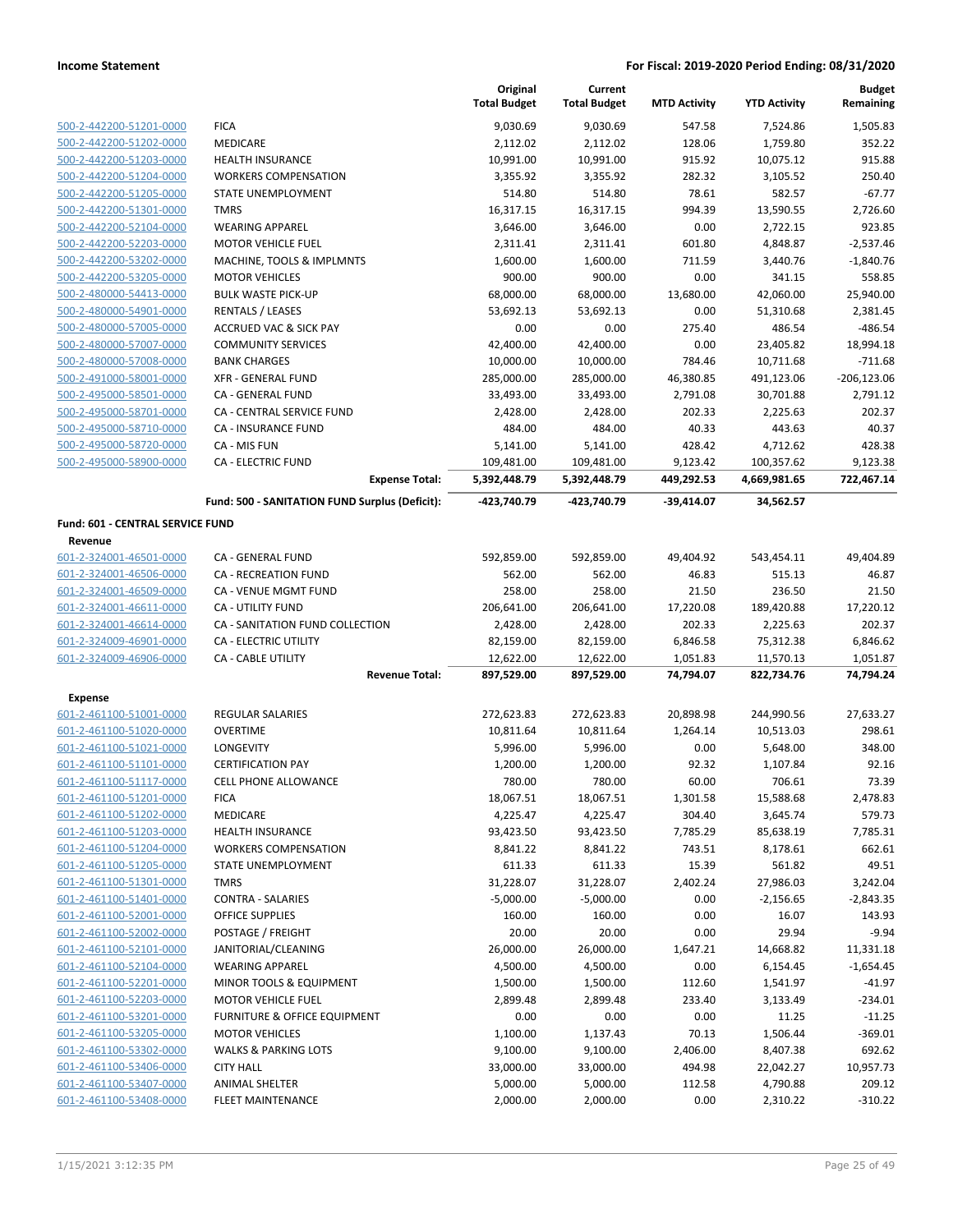|                                                    |                                                | Original<br><b>Total Budget</b> | Current<br><b>Total Budget</b> | <b>MTD Activity</b> | <b>YTD Activity</b>  | <b>Budget</b><br>Remaining |
|----------------------------------------------------|------------------------------------------------|---------------------------------|--------------------------------|---------------------|----------------------|----------------------------|
| 500-2-442200-51201-0000                            | <b>FICA</b>                                    | 9,030.69                        | 9,030.69                       | 547.58              | 7,524.86             | 1,505.83                   |
| 500-2-442200-51202-0000                            | MEDICARE                                       | 2,112.02                        | 2,112.02                       | 128.06              | 1,759.80             | 352.22                     |
| 500-2-442200-51203-0000                            | <b>HEALTH INSURANCE</b>                        | 10,991.00                       | 10,991.00                      | 915.92              | 10,075.12            | 915.88                     |
| 500-2-442200-51204-0000                            | <b>WORKERS COMPENSATION</b>                    | 3,355.92                        | 3,355.92                       | 282.32              | 3,105.52             | 250.40                     |
| 500-2-442200-51205-0000                            | STATE UNEMPLOYMENT                             | 514.80                          | 514.80                         | 78.61               | 582.57               | $-67.77$                   |
| 500-2-442200-51301-0000                            | <b>TMRS</b>                                    | 16,317.15                       | 16,317.15                      | 994.39              | 13,590.55            | 2,726.60                   |
| 500-2-442200-52104-0000                            | <b>WEARING APPAREL</b>                         | 3,646.00                        | 3,646.00                       | 0.00                | 2,722.15             | 923.85                     |
| 500-2-442200-52203-0000                            | <b>MOTOR VEHICLE FUEL</b>                      | 2,311.41                        | 2,311.41                       | 601.80              | 4,848.87             | $-2,537.46$                |
| 500-2-442200-53202-0000                            | MACHINE, TOOLS & IMPLMNTS                      | 1,600.00                        | 1,600.00                       | 711.59              | 3,440.76             | $-1,840.76$                |
| 500-2-442200-53205-0000                            | <b>MOTOR VEHICLES</b>                          | 900.00                          | 900.00                         | 0.00                | 341.15               | 558.85                     |
| 500-2-480000-54413-0000                            | <b>BULK WASTE PICK-UP</b>                      | 68,000.00                       | 68,000.00                      | 13,680.00           | 42,060.00            | 25,940.00                  |
| 500-2-480000-54901-0000                            | <b>RENTALS / LEASES</b>                        | 53,692.13                       | 53,692.13                      | 0.00                | 51,310.68            | 2,381.45                   |
| 500-2-480000-57005-0000                            | <b>ACCRUED VAC &amp; SICK PAY</b>              | 0.00                            | 0.00                           | 275.40              | 486.54               | $-486.54$                  |
| 500-2-480000-57007-0000                            | <b>COMMUNITY SERVICES</b>                      | 42,400.00                       | 42,400.00                      | 0.00                | 23,405.82            | 18,994.18                  |
| 500-2-480000-57008-0000                            | <b>BANK CHARGES</b>                            | 10,000.00                       | 10,000.00                      | 784.46              | 10,711.68            | $-711.68$                  |
| 500-2-491000-58001-0000                            | <b>XFR - GENERAL FUND</b>                      | 285,000.00                      | 285,000.00                     | 46,380.85           | 491,123.06           | $-206, 123.06$             |
| 500-2-495000-58501-0000                            | CA - GENERAL FUND                              | 33,493.00                       | 33,493.00                      | 2,791.08            | 30,701.88            | 2,791.12                   |
| 500-2-495000-58701-0000                            | CA - CENTRAL SERVICE FUND                      | 2,428.00                        | 2,428.00                       | 202.33              | 2,225.63             | 202.37                     |
| 500-2-495000-58710-0000                            | <b>CA - INSURANCE FUND</b>                     | 484.00                          | 484.00                         | 40.33               | 443.63               | 40.37                      |
| 500-2-495000-58720-0000                            | CA - MIS FUN                                   | 5,141.00                        | 5,141.00                       | 428.42              | 4,712.62             | 428.38                     |
| 500-2-495000-58900-0000                            | <b>CA - ELECTRIC FUND</b>                      | 109,481.00                      | 109,481.00                     | 9,123.42            | 100,357.62           | 9,123.38                   |
|                                                    | <b>Expense Total:</b>                          | 5,392,448.79                    | 5,392,448.79                   | 449,292.53          | 4,669,981.65         | 722,467.14                 |
|                                                    | Fund: 500 - SANITATION FUND Surplus (Deficit): | -423.740.79                     | -423,740.79                    | $-39,414.07$        | 34,562.57            |                            |
| Fund: 601 - CENTRAL SERVICE FUND                   |                                                |                                 |                                |                     |                      |                            |
| Revenue                                            | CA - GENERAL FUND                              |                                 |                                |                     |                      |                            |
| 601-2-324001-46501-0000<br>601-2-324001-46506-0000 | <b>CA - RECREATION FUND</b>                    | 592,859.00<br>562.00            | 592,859.00<br>562.00           | 49,404.92<br>46.83  | 543,454.11<br>515.13 | 49,404.89<br>46.87         |
| 601-2-324001-46509-0000                            | CA - VENUE MGMT FUND                           | 258.00                          | 258.00                         | 21.50               | 236.50               | 21.50                      |
| 601-2-324001-46611-0000                            | CA - UTILITY FUND                              | 206,641.00                      | 206,641.00                     | 17,220.08           | 189,420.88           | 17,220.12                  |
| 601-2-324001-46614-0000                            | CA - SANITATION FUND COLLECTION                | 2,428.00                        | 2,428.00                       | 202.33              | 2,225.63             | 202.37                     |
| 601-2-324009-46901-0000                            | CA - ELECTRIC UTILITY                          | 82,159.00                       | 82,159.00                      | 6,846.58            | 75,312.38            | 6,846.62                   |
| 601-2-324009-46906-0000                            | CA - CABLE UTILITY                             | 12,622.00                       | 12,622.00                      | 1,051.83            | 11,570.13            | 1,051.87                   |
|                                                    | <b>Revenue Total:</b>                          | 897,529.00                      | 897,529.00                     | 74,794.07           | 822,734.76           | 74,794.24                  |
| <b>Expense</b>                                     |                                                |                                 |                                |                     |                      |                            |
| 601-2-461100-51001-0000                            | REGULAR SALARIES                               | 272,623.83                      | 272,623.83                     | 20,898.98           | 244,990.56           | 27,633.27                  |
| 601-2-461100-51020-0000                            | <b>OVERTIME</b>                                | 10,811.64                       | 10,811.64                      | 1,264.14            | 10,513.03            | 298.61                     |
| 601-2-461100-51021-0000                            | LONGEVITY                                      | 5,996.00                        | 5,996.00                       | 0.00                | 5,648.00             | 348.00                     |
| 601-2-461100-51101-0000                            | <b>CERTIFICATION PAY</b>                       | 1,200.00                        | 1,200.00                       | 92.32               | 1,107.84             | 92.16                      |
| 601-2-461100-51117-0000                            | CELL PHONE ALLOWANCE                           | 780.00                          | 780.00                         | 60.00               | 706.61               | 73.39                      |
| 601-2-461100-51201-0000                            | <b>FICA</b>                                    | 18,067.51                       | 18,067.51                      | 1,301.58            | 15,588.68            | 2,478.83                   |
| 601-2-461100-51202-0000                            | <b>MEDICARE</b>                                | 4,225.47                        | 4,225.47                       | 304.40              | 3,645.74             | 579.73                     |
| 601-2-461100-51203-0000                            | <b>HEALTH INSURANCE</b>                        | 93,423.50                       | 93,423.50                      | 7,785.29            | 85,638.19            | 7,785.31                   |
| 601-2-461100-51204-0000                            | <b>WORKERS COMPENSATION</b>                    | 8,841.22                        | 8,841.22                       | 743.51              | 8,178.61             | 662.61                     |
| 601-2-461100-51205-0000                            | STATE UNEMPLOYMENT                             | 611.33                          | 611.33                         | 15.39               | 561.82               | 49.51                      |
| 601-2-461100-51301-0000                            | <b>TMRS</b>                                    | 31,228.07                       | 31,228.07                      | 2,402.24            | 27,986.03            | 3,242.04                   |
| 601-2-461100-51401-0000                            | <b>CONTRA - SALARIES</b>                       | $-5,000.00$                     | $-5,000.00$                    | 0.00                | $-2,156.65$          | $-2,843.35$                |
| 601-2-461100-52001-0000                            | <b>OFFICE SUPPLIES</b>                         | 160.00                          | 160.00                         | 0.00                | 16.07                | 143.93                     |
| 601-2-461100-52002-0000                            | POSTAGE / FREIGHT                              | 20.00                           | 20.00                          | 0.00                | 29.94                | $-9.94$                    |
| 601-2-461100-52101-0000                            | JANITORIAL/CLEANING                            | 26,000.00                       | 26,000.00                      | 1,647.21            | 14,668.82            | 11,331.18                  |
| 601-2-461100-52104-0000                            | <b>WEARING APPAREL</b>                         | 4,500.00                        | 4,500.00                       | 0.00                | 6,154.45             | $-1,654.45$                |
| 601-2-461100-52201-0000                            | MINOR TOOLS & EQUIPMENT                        | 1,500.00                        | 1,500.00                       | 112.60              | 1,541.97             | $-41.97$                   |
| 601-2-461100-52203-0000                            | <b>MOTOR VEHICLE FUEL</b>                      | 2,899.48                        | 2,899.48                       | 233.40              | 3,133.49             | $-234.01$                  |
| 601-2-461100-53201-0000                            | FURNITURE & OFFICE EQUIPMENT                   | 0.00                            | 0.00                           | 0.00                | 11.25                | $-11.25$                   |
| 601-2-461100-53205-0000                            | <b>MOTOR VEHICLES</b>                          | 1,100.00                        | 1,137.43                       | 70.13               | 1,506.44             | $-369.01$                  |
| 601-2-461100-53302-0000                            | <b>WALKS &amp; PARKING LOTS</b>                | 9,100.00                        | 9,100.00                       | 2,406.00            | 8,407.38             | 692.62                     |
| 601-2-461100-53406-0000                            | <b>CITY HALL</b>                               | 33,000.00                       | 33,000.00                      | 494.98              | 22,042.27            | 10,957.73                  |
| 601-2-461100-53407-0000                            | <b>ANIMAL SHELTER</b>                          | 5,000.00                        | 5,000.00                       | 112.58              | 4,790.88             | 209.12                     |
| 601-2-461100-53408-0000                            | FLEET MAINTENANCE                              | 2,000.00                        | 2,000.00                       | 0.00                | 2,310.22             | $-310.22$                  |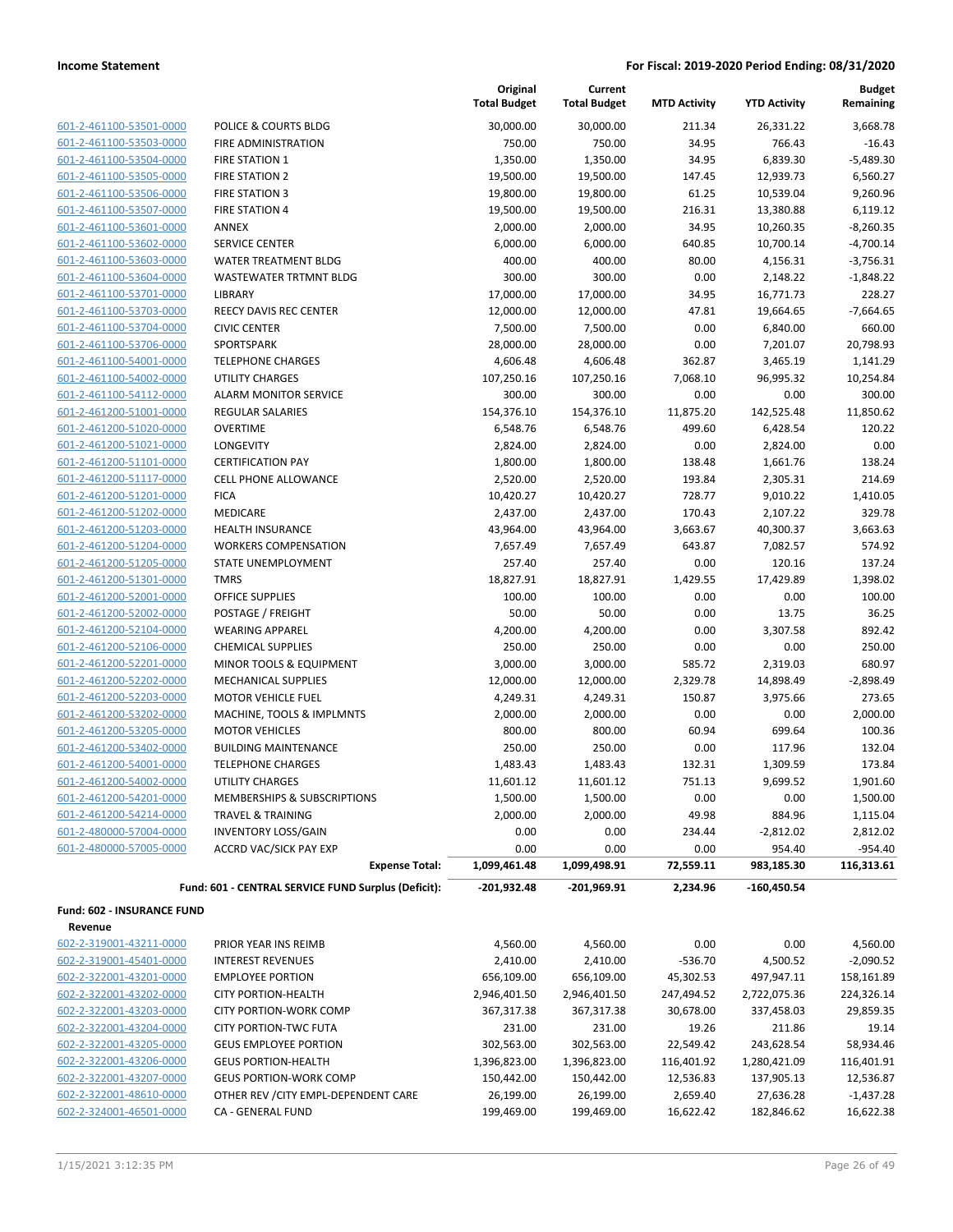| 601-2-461100-53501-0000        |
|--------------------------------|
| 601-2-461100-53503-0000        |
| 601-2-461100-53504-0000        |
| 601-2-461100-53505-0000        |
| 601-2-461100-53506-0000        |
| 601-2-461100-53507-0000        |
| 601-2-461100-53601-0000        |
| 601-2-461100-53602-0000        |
| 601-2-461100-53603-0000        |
| 601-2-461100-53604-0000        |
| 601-2-461100-53701-0000        |
| 601-2-461100-53703-0000        |
| 601-2-461100-53704-0000        |
| 2-461100-53706-0000<br>$601 -$ |
| 601-2-461100-54001-0000        |
| 601-2-461100-54002-0000        |
| 2-461100-54112-0000<br>$601 -$ |
| 601-2-461200-51001-0000        |
| 601-2-461200-51020-0000        |
| 601-2-461200-51021-0000        |
| 601-2-461200-51101-0000        |
| 601-2-461200-51117-0000        |
| 601-2-461200-51201-0000        |
| 601-2-461200-51202-0000        |
| 601-2-461200-51203-0000        |
| 601-2-461200-51204-0000        |
| 601-2-461200-51205-0000        |
| 601-2-461200-51301-0000        |
| 601-2-461200-52001-0000        |
| 601-2-461200-52002-0000        |
| 601-2-461200-52104-0000        |
| 601-2-461200-52106-0000        |
| 601-2-461200-52201-0000        |
| 601-2-461200-52202-0000        |
| 601-2-461200-52203-0000        |
| 601-2-461200-53202-0000        |
| 601-2-461200-53205-0000        |
| 601-2-461200-53402-0000        |
| 601-2-461200-54001-0000        |
| 601-2-461200-54002-0000        |
| 601-2-461200-54201-0000        |
| 601-2-461200-54214-0000        |
| 601-2-480000-57004-0000        |
| 601-2-480000-57005-0000        |
|                                |

|                                              |                                                        | Original<br><b>Total Budget</b> | Current<br><b>Total Budget</b> | <b>MTD Activity</b> | <b>YTD Activity</b>  | <b>Budget</b><br>Remaining |
|----------------------------------------------|--------------------------------------------------------|---------------------------------|--------------------------------|---------------------|----------------------|----------------------------|
| 601-2-461100-53501-0000                      | POLICE & COURTS BLDG                                   | 30,000.00                       | 30,000.00                      | 211.34              | 26,331.22            | 3,668.78                   |
| 601-2-461100-53503-0000                      | FIRE ADMINISTRATION                                    | 750.00                          | 750.00                         | 34.95               | 766.43               | $-16.43$                   |
| 601-2-461100-53504-0000                      | <b>FIRE STATION 1</b>                                  | 1,350.00                        | 1,350.00                       | 34.95               | 6,839.30             | $-5,489.30$                |
| 601-2-461100-53505-0000                      | <b>FIRE STATION 2</b>                                  | 19,500.00                       | 19,500.00                      | 147.45              | 12,939.73            | 6,560.27                   |
| 601-2-461100-53506-0000                      | <b>FIRE STATION 3</b>                                  | 19,800.00                       | 19,800.00                      | 61.25               | 10,539.04            | 9,260.96                   |
| 601-2-461100-53507-0000                      | <b>FIRE STATION 4</b>                                  | 19,500.00                       | 19,500.00                      | 216.31              | 13,380.88            | 6,119.12                   |
| 601-2-461100-53601-0000                      | <b>ANNEX</b>                                           | 2,000.00                        | 2,000.00                       | 34.95               | 10,260.35            | $-8,260.35$                |
| 601-2-461100-53602-0000                      | <b>SERVICE CENTER</b>                                  | 6,000.00                        | 6,000.00                       | 640.85              | 10,700.14            | $-4,700.14$                |
| 601-2-461100-53603-0000                      | <b>WATER TREATMENT BLDG</b>                            | 400.00                          | 400.00                         | 80.00               | 4,156.31             | $-3,756.31$                |
| 601-2-461100-53604-0000                      | WASTEWATER TRTMNT BLDG                                 | 300.00                          | 300.00                         | 0.00                | 2,148.22             | $-1,848.22$                |
| 601-2-461100-53701-0000                      | LIBRARY                                                | 17,000.00                       | 17,000.00                      | 34.95               | 16,771.73            | 228.27                     |
| 601-2-461100-53703-0000                      | REECY DAVIS REC CENTER                                 | 12,000.00                       | 12,000.00                      | 47.81               | 19,664.65            | $-7,664.65$                |
| 601-2-461100-53704-0000                      | <b>CIVIC CENTER</b>                                    | 7,500.00                        | 7,500.00                       | 0.00                | 6,840.00             | 660.00                     |
| 601-2-461100-53706-0000                      | SPORTSPARK                                             | 28,000.00                       | 28,000.00                      | 0.00                | 7,201.07             | 20,798.93                  |
| 601-2-461100-54001-0000                      | <b>TELEPHONE CHARGES</b>                               | 4,606.48                        | 4,606.48                       | 362.87              | 3,465.19             | 1,141.29                   |
| 601-2-461100-54002-0000                      | <b>UTILITY CHARGES</b>                                 | 107,250.16                      | 107,250.16                     | 7,068.10            | 96,995.32            | 10,254.84                  |
| 601-2-461100-54112-0000                      | ALARM MONITOR SERVICE                                  | 300.00                          | 300.00                         | 0.00                | 0.00                 | 300.00                     |
| 601-2-461200-51001-0000                      | <b>REGULAR SALARIES</b>                                | 154,376.10                      | 154,376.10                     | 11,875.20           | 142,525.48           | 11,850.62                  |
| 601-2-461200-51020-0000                      | <b>OVERTIME</b>                                        | 6,548.76                        | 6,548.76                       | 499.60              | 6,428.54             | 120.22                     |
| 601-2-461200-51021-0000                      | LONGEVITY                                              | 2,824.00                        | 2,824.00                       | 0.00                | 2,824.00             | 0.00                       |
| 601-2-461200-51101-0000                      | <b>CERTIFICATION PAY</b>                               | 1,800.00                        | 1,800.00                       | 138.48              | 1,661.76             | 138.24                     |
| 601-2-461200-51117-0000                      | CELL PHONE ALLOWANCE                                   | 2,520.00                        | 2,520.00                       | 193.84              | 2,305.31             | 214.69                     |
| 601-2-461200-51201-0000                      | <b>FICA</b>                                            | 10,420.27                       | 10,420.27                      | 728.77              | 9,010.22             | 1,410.05                   |
| 601-2-461200-51202-0000                      | <b>MEDICARE</b>                                        | 2,437.00                        | 2,437.00                       | 170.43              | 2,107.22             | 329.78                     |
| 601-2-461200-51203-0000                      | <b>HEALTH INSURANCE</b>                                | 43,964.00                       | 43,964.00                      | 3,663.67            | 40,300.37            | 3,663.63                   |
| 601-2-461200-51204-0000                      | <b>WORKERS COMPENSATION</b>                            | 7,657.49                        | 7,657.49                       | 643.87              | 7,082.57             | 574.92                     |
| 601-2-461200-51205-0000                      | STATE UNEMPLOYMENT                                     | 257.40                          | 257.40                         | 0.00                | 120.16               | 137.24                     |
| 601-2-461200-51301-0000                      | <b>TMRS</b>                                            | 18,827.91                       | 18,827.91                      | 1,429.55            | 17,429.89            | 1,398.02                   |
| 601-2-461200-52001-0000                      | <b>OFFICE SUPPLIES</b>                                 | 100.00                          | 100.00                         | 0.00                | 0.00                 | 100.00                     |
| 601-2-461200-52002-0000                      | POSTAGE / FREIGHT                                      | 50.00                           | 50.00                          | 0.00                | 13.75                | 36.25                      |
| 601-2-461200-52104-0000                      | <b>WEARING APPAREL</b>                                 | 4,200.00                        | 4,200.00                       | 0.00                | 3,307.58             | 892.42                     |
| 601-2-461200-52106-0000                      | <b>CHEMICAL SUPPLIES</b>                               | 250.00                          | 250.00                         | 0.00                | 0.00                 | 250.00                     |
| 601-2-461200-52201-0000                      | MINOR TOOLS & EQUIPMENT                                | 3,000.00                        | 3,000.00                       | 585.72              | 2,319.03             | 680.97                     |
| 601-2-461200-52202-0000                      | <b>MECHANICAL SUPPLIES</b>                             | 12,000.00                       | 12,000.00                      | 2,329.78            | 14,898.49            | $-2,898.49$                |
| 601-2-461200-52203-0000                      | <b>MOTOR VEHICLE FUEL</b>                              | 4,249.31                        | 4,249.31                       | 150.87              | 3,975.66             | 273.65                     |
| 601-2-461200-53202-0000                      | MACHINE, TOOLS & IMPLMNTS                              | 2,000.00                        | 2,000.00                       | 0.00                | 0.00                 | 2,000.00                   |
| 601-2-461200-53205-0000                      | <b>MOTOR VEHICLES</b>                                  | 800.00                          | 800.00                         | 60.94               | 699.64               | 100.36                     |
| 601-2-461200-53402-0000                      | <b>BUILDING MAINTENANCE</b>                            | 250.00                          | 250.00                         | 0.00                | 117.96               | 132.04                     |
| 601-2-461200-54001-0000                      | <b>TELEPHONE CHARGES</b>                               | 1,483.43                        | 1,483.43                       | 132.31              | 1,309.59             | 173.84                     |
| 601-2-461200-54002-0000                      | UTILITY CHARGES                                        | 11,601.12                       | 11,601.12                      | 751.13              | 9,699.52             | 1,901.60                   |
| 601-2-461200-54201-0000                      | MEMBERSHIPS & SUBSCRIPTIONS                            | 1,500.00                        | 1,500.00                       | 0.00                | 0.00                 | 1,500.00                   |
| 601-2-461200-54214-0000                      | TRAVEL & TRAINING                                      | 2,000.00                        | 2,000.00                       | 49.98               | 884.96               | 1,115.04                   |
| 601-2-480000-57004-0000                      | <b>INVENTORY LOSS/GAIN</b>                             | 0.00                            | 0.00                           | 234.44              | $-2,812.02$          | 2,812.02                   |
| 601-2-480000-57005-0000                      | <b>ACCRD VAC/SICK PAY EXP</b><br><b>Expense Total:</b> | 0.00<br>1,099,461.48            | 0.00<br>1,099,498.91           | 0.00<br>72,559.11   | 954.40<br>983,185.30 | $-954.40$<br>116,313.61    |
|                                              |                                                        | $-201,932.48$                   | $-201,969.91$                  |                     |                      |                            |
|                                              | Fund: 601 - CENTRAL SERVICE FUND Surplus (Deficit):    |                                 |                                | 2,234.96            | $-160,450.54$        |                            |
| <b>Fund: 602 - INSURANCE FUND</b><br>Revenue |                                                        |                                 |                                |                     |                      |                            |
| 602-2-319001-43211-0000                      | PRIOR YEAR INS REIMB                                   | 4,560.00                        | 4,560.00                       | 0.00                | 0.00                 | 4,560.00                   |
|                                              |                                                        |                                 |                                |                     |                      |                            |

602-2-319001-45401-0000 INTEREST REVENUES 2,410.00 2,410.00 -536.70 4,500.52 -2,090.52 602-2-322001-43201-0000 EMPLOYEE PORTION 656,109.00 656,109.00 45,302.53 497,947.11 158,161.89 602-2-322001-43202-0000 CITY PORTION-HEALTH 2,946,401.50 2,946,401.50 247,494.52 2,722,075.36 224,326.14 602-2-322001-43203-0000 CITY PORTION-WORK COMP 367,317.38 367,317.38 30,678.00 337,458.03 29,859.35 602-2-322001-43204-0000 CITY PORTION-TWC FUTA 231.00 231.00 19.26 211.86 19.14 602-2-322001-43205-0000 GEUS EMPLOYEE PORTION 302,563.00 302,563.00 22,549.42 243,628.54 58,934.46

| 602-2-322001-43206-0000 | <b>GEUS PORTION-HEALTH</b>           | 1,396,823.00 | 1,396,823.00 | 116.401.92 | 1.280.421.09 | 116,401.91  |
|-------------------------|--------------------------------------|--------------|--------------|------------|--------------|-------------|
| 602-2-322001-43207-0000 | <b>GEUS PORTION-WORK COMP</b>        | 150.442.00   | 150.442.00   | 12,536.83  | 137,905.13   | 12,536.87   |
| 602-2-322001-48610-0000 | OTHER REV / CITY EMPL-DEPENDENT CARE | 26.199.00    | 26.199.00    | 2.659.40   | 27.636.28    | $-1,437.28$ |
| 602-2-324001-46501-0000 | CA - GENERAL FUND                    | 199.469.00   | 199.469.00   | 16.622.42  | 182.846.62   | 16,622.38   |
|                         |                                      |              |              |            |              |             |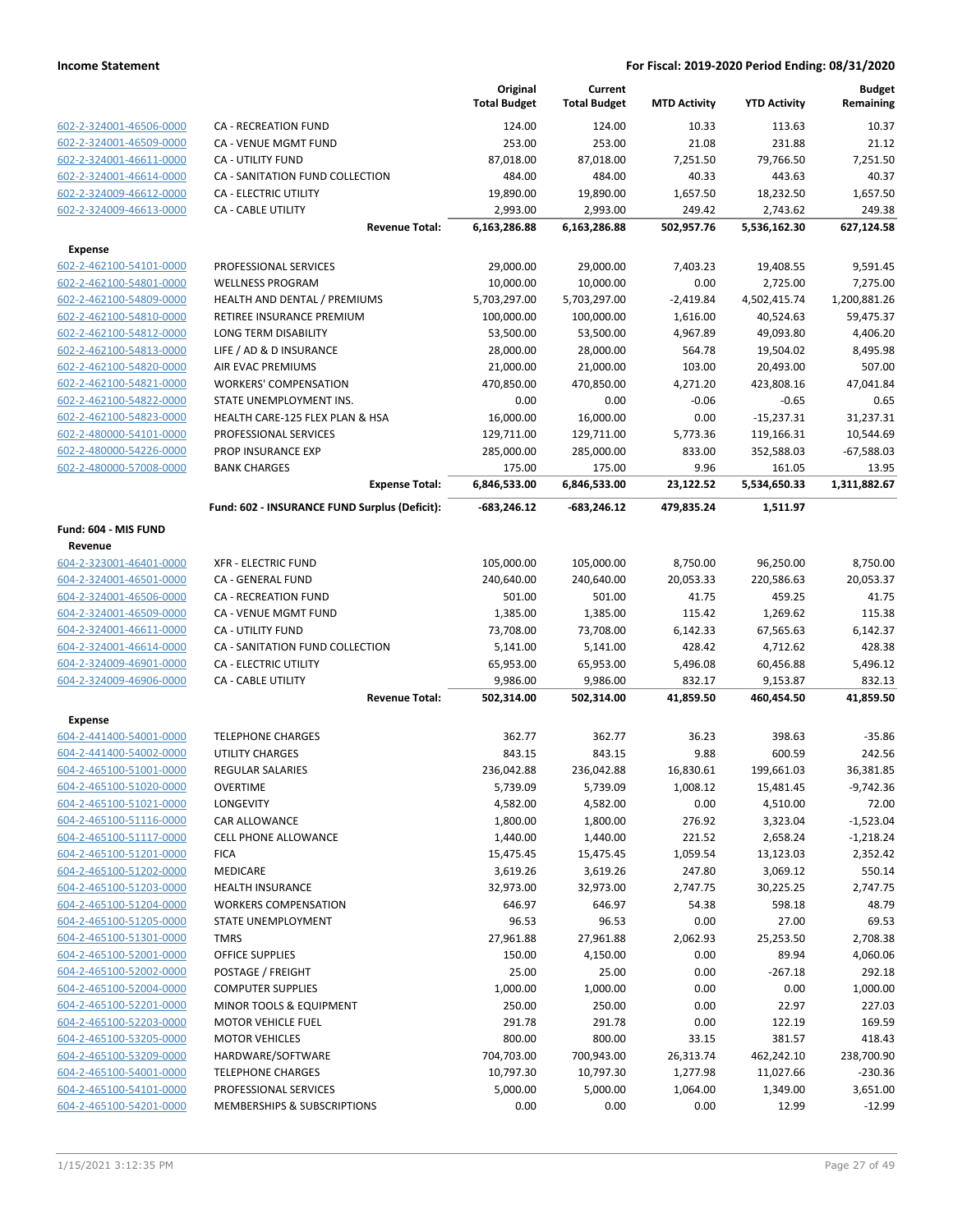|                         |                                               | Original<br><b>Total Budget</b> | Current<br><b>Total Budget</b> | <b>MTD Activity</b> | <b>YTD Activity</b> | <b>Budget</b><br>Remaining |
|-------------------------|-----------------------------------------------|---------------------------------|--------------------------------|---------------------|---------------------|----------------------------|
| 602-2-324001-46506-0000 | <b>CA - RECREATION FUND</b>                   | 124.00                          | 124.00                         | 10.33               | 113.63              | 10.37                      |
| 602-2-324001-46509-0000 | CA - VENUE MGMT FUND                          | 253.00                          | 253.00                         | 21.08               | 231.88              | 21.12                      |
| 602-2-324001-46611-0000 | CA - UTILITY FUND                             | 87,018.00                       | 87,018.00                      | 7,251.50            | 79,766.50           | 7,251.50                   |
| 602-2-324001-46614-0000 | CA - SANITATION FUND COLLECTION               | 484.00                          | 484.00                         | 40.33               | 443.63              | 40.37                      |
| 602-2-324009-46612-0000 | <b>CA - ELECTRIC UTILITY</b>                  | 19,890.00                       | 19,890.00                      | 1,657.50            | 18,232.50           | 1,657.50                   |
| 602-2-324009-46613-0000 | CA - CABLE UTILITY                            | 2,993.00                        | 2,993.00                       | 249.42              | 2,743.62            | 249.38                     |
|                         | <b>Revenue Total:</b>                         | 6,163,286.88                    | 6,163,286.88                   | 502,957.76          | 5,536,162.30        | 627,124.58                 |
| <b>Expense</b>          |                                               |                                 |                                |                     |                     |                            |
| 602-2-462100-54101-0000 | PROFESSIONAL SERVICES                         | 29,000.00                       | 29,000.00                      | 7,403.23            | 19,408.55           | 9,591.45                   |
| 602-2-462100-54801-0000 | <b>WELLNESS PROGRAM</b>                       | 10,000.00                       | 10,000.00                      | 0.00                | 2,725.00            | 7,275.00                   |
| 602-2-462100-54809-0000 | HEALTH AND DENTAL / PREMIUMS                  | 5,703,297.00                    | 5,703,297.00                   | $-2,419.84$         | 4,502,415.74        | 1,200,881.26               |
| 602-2-462100-54810-0000 | RETIREE INSURANCE PREMIUM                     | 100,000.00                      | 100,000.00                     | 1,616.00            | 40,524.63           | 59,475.37                  |
| 602-2-462100-54812-0000 | LONG TERM DISABILITY                          | 53,500.00                       | 53,500.00                      | 4,967.89            | 49,093.80           | 4,406.20                   |
| 602-2-462100-54813-0000 | LIFE / AD & D INSURANCE                       | 28,000.00                       | 28,000.00                      | 564.78              | 19,504.02           | 8,495.98                   |
| 602-2-462100-54820-0000 | AIR EVAC PREMIUMS                             | 21,000.00                       | 21,000.00                      | 103.00              | 20,493.00           | 507.00                     |
| 602-2-462100-54821-0000 | <b>WORKERS' COMPENSATION</b>                  | 470,850.00                      | 470,850.00                     | 4,271.20            | 423,808.16          | 47,041.84                  |
| 602-2-462100-54822-0000 | STATE UNEMPLOYMENT INS.                       | 0.00                            | 0.00                           | $-0.06$             | $-0.65$             | 0.65                       |
| 602-2-462100-54823-0000 | HEALTH CARE-125 FLEX PLAN & HSA               | 16,000.00                       | 16,000.00                      | 0.00                | $-15,237.31$        | 31,237.31                  |
| 602-2-480000-54101-0000 | PROFESSIONAL SERVICES                         | 129,711.00                      | 129,711.00                     | 5,773.36            | 119,166.31          | 10,544.69                  |
| 602-2-480000-54226-0000 | PROP INSURANCE EXP                            | 285,000.00                      | 285,000.00                     | 833.00              | 352,588.03          | $-67,588.03$               |
| 602-2-480000-57008-0000 | <b>BANK CHARGES</b>                           | 175.00                          | 175.00                         | 9.96                | 161.05              | 13.95                      |
|                         | <b>Expense Total:</b>                         | 6,846,533.00                    | 6,846,533.00                   | 23,122.52           | 5,534,650.33        | 1,311,882.67               |
|                         | Fund: 602 - INSURANCE FUND Surplus (Deficit): | $-683,246.12$                   | -683,246.12                    | 479,835.24          | 1,511.97            |                            |
| Fund: 604 - MIS FUND    |                                               |                                 |                                |                     |                     |                            |
| Revenue                 |                                               |                                 |                                |                     |                     |                            |
| 604-2-323001-46401-0000 | <b>XFR - ELECTRIC FUND</b>                    | 105,000.00                      | 105,000.00                     | 8,750.00            | 96,250.00           | 8,750.00                   |
| 604-2-324001-46501-0000 | CA - GENERAL FUND                             | 240,640.00                      | 240,640.00                     | 20,053.33           | 220,586.63          | 20,053.37                  |
| 604-2-324001-46506-0000 | <b>CA - RECREATION FUND</b>                   | 501.00                          | 501.00                         | 41.75               | 459.25              | 41.75                      |
| 604-2-324001-46509-0000 | CA - VENUE MGMT FUND                          | 1,385.00                        | 1,385.00                       | 115.42              | 1,269.62            | 115.38                     |
| 604-2-324001-46611-0000 | <b>CA - UTILITY FUND</b>                      | 73,708.00                       | 73,708.00                      | 6,142.33            | 67,565.63           | 6,142.37                   |
| 604-2-324001-46614-0000 | CA - SANITATION FUND COLLECTION               | 5,141.00                        | 5,141.00                       | 428.42              | 4,712.62            | 428.38                     |
| 604-2-324009-46901-0000 | CA - ELECTRIC UTILITY                         | 65,953.00                       | 65,953.00                      | 5,496.08            | 60,456.88           | 5,496.12                   |
| 604-2-324009-46906-0000 | CA - CABLE UTILITY                            | 9,986.00                        | 9,986.00                       | 832.17              | 9,153.87            | 832.13                     |
|                         | <b>Revenue Total:</b>                         | 502,314.00                      | 502,314.00                     | 41,859.50           | 460,454.50          | 41,859.50                  |
| <b>Expense</b>          |                                               |                                 |                                |                     |                     |                            |
| 604-2-441400-54001-0000 | <b>TELEPHONE CHARGES</b>                      | 362.77                          | 362.77                         | 36.23               | 398.63              | $-35.86$                   |
| 604-2-441400-54002-0000 | <b>UTILITY CHARGES</b>                        | 843.15                          | 843.15                         | 9.88                | 600.59              | 242.56                     |
| 604-2-465100-51001-0000 | <b>REGULAR SALARIES</b>                       | 236,042.88                      | 236,042.88                     | 16,830.61           | 199,661.03          | 36,381.85                  |
| 604-2-465100-51020-0000 | <b>OVERTIME</b>                               | 5,739.09                        | 5,739.09                       | 1,008.12            | 15,481.45           | $-9,742.36$                |
| 604-2-465100-51021-0000 | LONGEVITY                                     | 4,582.00                        | 4,582.00                       | 0.00                | 4,510.00            | 72.00                      |
| 604-2-465100-51116-0000 | <b>CAR ALLOWANCE</b>                          | 1,800.00                        | 1,800.00                       | 276.92              | 3,323.04            | $-1,523.04$                |
| 604-2-465100-51117-0000 | <b>CELL PHONE ALLOWANCE</b>                   | 1,440.00                        | 1,440.00                       | 221.52              | 2,658.24            | $-1,218.24$                |
| 604-2-465100-51201-0000 | <b>FICA</b>                                   | 15,475.45                       | 15,475.45                      | 1,059.54            | 13,123.03           | 2,352.42                   |
| 604-2-465100-51202-0000 | <b>MEDICARE</b>                               | 3,619.26                        | 3,619.26                       | 247.80              | 3,069.12            | 550.14                     |
| 604-2-465100-51203-0000 | <b>HEALTH INSURANCE</b>                       | 32,973.00                       | 32,973.00                      | 2,747.75            | 30,225.25           | 2,747.75                   |
| 604-2-465100-51204-0000 | <b>WORKERS COMPENSATION</b>                   | 646.97                          | 646.97                         | 54.38               | 598.18              | 48.79                      |
| 604-2-465100-51205-0000 | STATE UNEMPLOYMENT                            | 96.53                           | 96.53                          | 0.00                | 27.00               | 69.53                      |
| 604-2-465100-51301-0000 | <b>TMRS</b>                                   | 27,961.88                       | 27,961.88                      | 2,062.93            | 25,253.50           | 2,708.38                   |
| 604-2-465100-52001-0000 | OFFICE SUPPLIES                               | 150.00                          | 4,150.00                       | 0.00                | 89.94               | 4,060.06                   |
| 604-2-465100-52002-0000 | POSTAGE / FREIGHT                             | 25.00                           | 25.00                          | 0.00                | $-267.18$           | 292.18                     |
| 604-2-465100-52004-0000 | <b>COMPUTER SUPPLIES</b>                      | 1,000.00                        | 1,000.00                       | 0.00                | 0.00                | 1,000.00                   |
| 604-2-465100-52201-0000 | MINOR TOOLS & EQUIPMENT                       | 250.00                          | 250.00                         | 0.00                | 22.97               | 227.03                     |
| 604-2-465100-52203-0000 | <b>MOTOR VEHICLE FUEL</b>                     | 291.78                          | 291.78                         | 0.00                | 122.19              | 169.59                     |
| 604-2-465100-53205-0000 | <b>MOTOR VEHICLES</b>                         | 800.00                          | 800.00                         | 33.15               | 381.57              | 418.43                     |
| 604-2-465100-53209-0000 | HARDWARE/SOFTWARE                             | 704,703.00                      | 700,943.00                     | 26,313.74           | 462,242.10          | 238,700.90                 |
| 604-2-465100-54001-0000 | <b>TELEPHONE CHARGES</b>                      | 10,797.30                       | 10,797.30                      | 1,277.98            | 11,027.66           | $-230.36$                  |
| 604-2-465100-54101-0000 | PROFESSIONAL SERVICES                         | 5,000.00                        | 5,000.00                       | 1,064.00            | 1,349.00            | 3,651.00                   |
| 604-2-465100-54201-0000 | MEMBERSHIPS & SUBSCRIPTIONS                   | 0.00                            | 0.00                           | 0.00                | 12.99               | $-12.99$                   |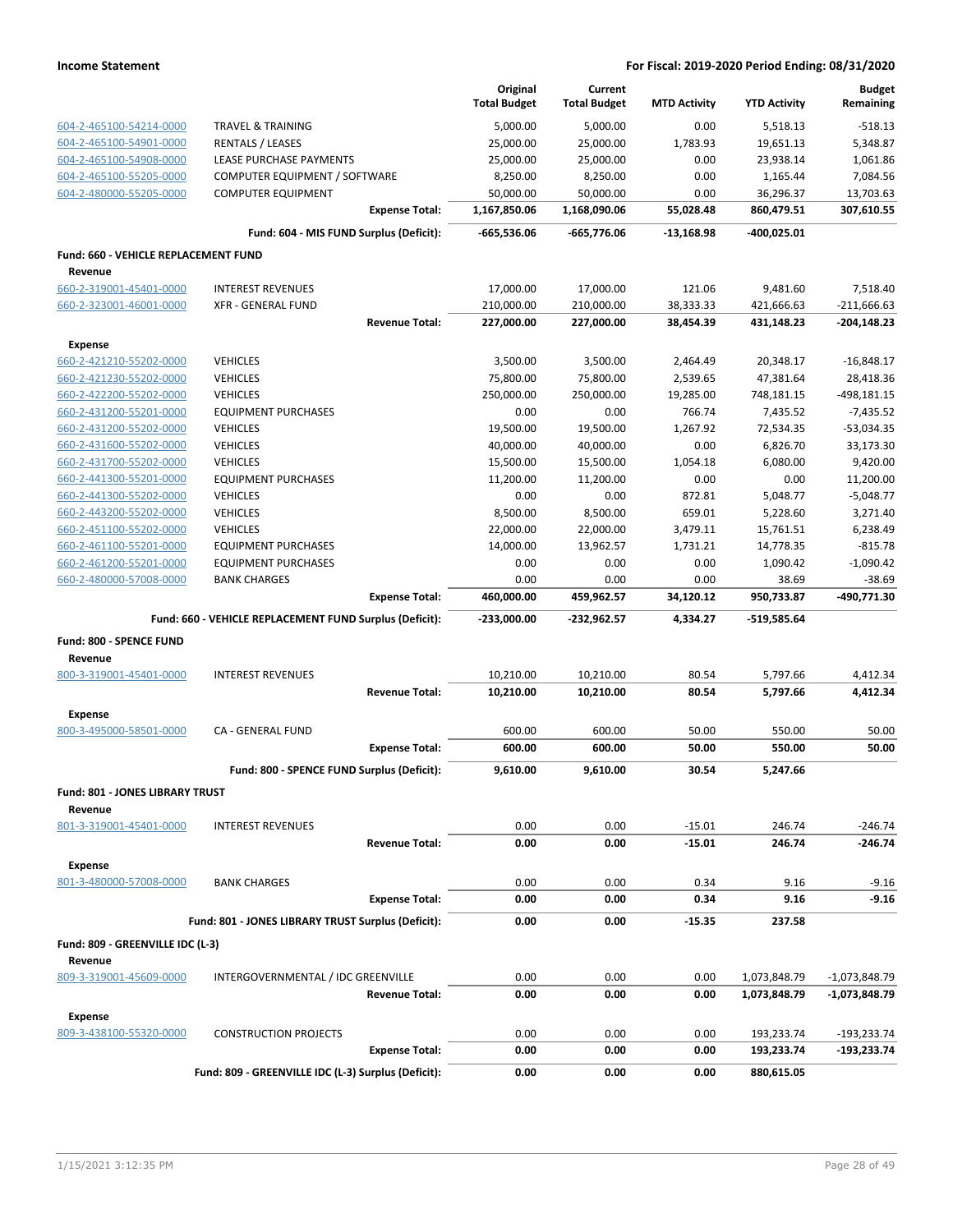|                                        |                                                         | Original<br><b>Total Budget</b> | Current<br><b>Total Budget</b> | <b>MTD Activity</b> | <b>YTD Activity</b> | <b>Budget</b><br>Remaining |
|----------------------------------------|---------------------------------------------------------|---------------------------------|--------------------------------|---------------------|---------------------|----------------------------|
| 604-2-465100-54214-0000                | <b>TRAVEL &amp; TRAINING</b>                            | 5,000.00                        | 5,000.00                       | 0.00                | 5,518.13            | $-518.13$                  |
| 604-2-465100-54901-0000                | <b>RENTALS / LEASES</b>                                 | 25,000.00                       | 25,000.00                      | 1,783.93            | 19,651.13           | 5,348.87                   |
| 604-2-465100-54908-0000                | LEASE PURCHASE PAYMENTS                                 | 25,000.00                       | 25,000.00                      | 0.00                | 23,938.14           | 1,061.86                   |
| 604-2-465100-55205-0000                | COMPUTER EQUIPMENT / SOFTWARE                           | 8,250.00                        | 8,250.00                       | 0.00                | 1,165.44            | 7,084.56                   |
| 604-2-480000-55205-0000                | <b>COMPUTER EQUIPMENT</b>                               | 50,000.00                       | 50,000.00                      | 0.00                | 36,296.37           | 13,703.63                  |
|                                        | <b>Expense Total:</b>                                   | 1,167,850.06                    | 1,168,090.06                   | 55,028.48           | 860,479.51          | 307,610.55                 |
|                                        | Fund: 604 - MIS FUND Surplus (Deficit):                 | -665,536.06                     | -665,776.06                    | -13,168.98          | -400,025.01         |                            |
| Fund: 660 - VEHICLE REPLACEMENT FUND   |                                                         |                                 |                                |                     |                     |                            |
| Revenue                                |                                                         |                                 |                                |                     |                     |                            |
| 660-2-319001-45401-0000                | <b>INTEREST REVENUES</b>                                | 17,000.00                       | 17,000.00                      | 121.06              | 9,481.60            | 7,518.40                   |
| 660-2-323001-46001-0000                | <b>XFR - GENERAL FUND</b>                               | 210,000.00                      | 210,000.00                     | 38,333.33           | 421,666.63          | $-211,666.63$              |
|                                        | <b>Revenue Total:</b>                                   | 227,000.00                      | 227,000.00                     | 38,454.39           | 431,148.23          | $-204,148.23$              |
| <b>Expense</b>                         |                                                         |                                 |                                |                     |                     |                            |
| 660-2-421210-55202-0000                | <b>VEHICLES</b>                                         | 3,500.00                        | 3,500.00                       | 2,464.49            | 20,348.17           | $-16,848.17$               |
| 660-2-421230-55202-0000                | <b>VEHICLES</b>                                         | 75,800.00                       | 75,800.00                      | 2,539.65            | 47,381.64           | 28,418.36                  |
| 660-2-422200-55202-0000                | <b>VEHICLES</b>                                         | 250,000.00                      | 250,000.00                     | 19,285.00           | 748,181.15          | $-498, 181.15$             |
| 660-2-431200-55201-0000                | <b>EQUIPMENT PURCHASES</b>                              | 0.00                            | 0.00                           | 766.74              | 7,435.52            | $-7,435.52$                |
| 660-2-431200-55202-0000                | <b>VEHICLES</b>                                         | 19,500.00                       | 19,500.00                      | 1,267.92            | 72,534.35           | $-53,034.35$               |
| 660-2-431600-55202-0000                | <b>VEHICLES</b>                                         | 40,000.00                       | 40,000.00                      | 0.00                | 6,826.70            | 33,173.30                  |
| 660-2-431700-55202-0000                | <b>VEHICLES</b>                                         | 15,500.00                       | 15,500.00                      | 1,054.18            | 6,080.00            | 9,420.00                   |
| 660-2-441300-55201-0000                | <b>EQUIPMENT PURCHASES</b>                              | 11,200.00                       | 11,200.00                      | 0.00                | 0.00                | 11,200.00                  |
| 660-2-441300-55202-0000                | <b>VEHICLES</b>                                         | 0.00                            | 0.00                           | 872.81              | 5,048.77            | $-5,048.77$                |
| 660-2-443200-55202-0000                | <b>VEHICLES</b>                                         | 8,500.00                        | 8,500.00                       | 659.01              | 5,228.60            | 3,271.40                   |
| 660-2-451100-55202-0000                | <b>VEHICLES</b>                                         | 22,000.00                       | 22,000.00                      | 3,479.11            | 15,761.51           | 6,238.49                   |
| 660-2-461100-55201-0000                | <b>EQUIPMENT PURCHASES</b>                              | 14,000.00                       | 13,962.57                      | 1,731.21            | 14,778.35           | -815.78                    |
| 660-2-461200-55201-0000                | <b>EQUIPMENT PURCHASES</b>                              | 0.00                            | 0.00                           | 0.00                | 1,090.42            | $-1,090.42$                |
| 660-2-480000-57008-0000                | <b>BANK CHARGES</b>                                     | 0.00                            | 0.00                           | 0.00                | 38.69               | $-38.69$                   |
|                                        | <b>Expense Total:</b>                                   | 460,000.00                      | 459,962.57                     | 34,120.12           | 950,733.87          | -490,771.30                |
|                                        | Fund: 660 - VEHICLE REPLACEMENT FUND Surplus (Deficit): | $-233,000.00$                   | -232,962.57                    | 4,334.27            | $-519,585.64$       |                            |
| Fund: 800 - SPENCE FUND                |                                                         |                                 |                                |                     |                     |                            |
| Revenue                                |                                                         |                                 |                                |                     |                     |                            |
| 800-3-319001-45401-0000                | <b>INTEREST REVENUES</b>                                | 10,210.00                       | 10,210.00                      | 80.54               | 5,797.66            | 4,412.34                   |
|                                        | <b>Revenue Total:</b>                                   | 10,210.00                       | 10,210.00                      | 80.54               | 5,797.66            | 4,412.34                   |
| Expense                                |                                                         |                                 |                                |                     |                     |                            |
| 800-3-495000-58501-0000                | CA - GENERAL FUND                                       | 600.00                          | 600.00                         | 50.00               | 550.00              | 50.00                      |
|                                        | <b>Expense Total:</b>                                   | 600.00                          | 600.00                         | 50.00               | 550.00              | 50.00                      |
|                                        | Fund: 800 - SPENCE FUND Surplus (Deficit):              | 9,610.00                        | 9,610.00                       | 30.54               | 5,247.66            |                            |
| <b>Fund: 801 - JONES LIBRARY TRUST</b> |                                                         |                                 |                                |                     |                     |                            |
| Revenue                                |                                                         |                                 |                                |                     |                     |                            |
| 801-3-319001-45401-0000                | <b>INTEREST REVENUES</b>                                | 0.00                            | 0.00                           | $-15.01$            | 246.74              | $-246.74$                  |
|                                        | <b>Revenue Total:</b>                                   | 0.00                            | 0.00                           | $-15.01$            | 246.74              | $-246.74$                  |
| <b>Expense</b>                         |                                                         |                                 |                                |                     |                     |                            |
| 801-3-480000-57008-0000                | <b>BANK CHARGES</b>                                     | 0.00                            | 0.00                           | 0.34                | 9.16                | $-9.16$                    |
|                                        | <b>Expense Total:</b>                                   | 0.00                            | 0.00                           | 0.34                | 9.16                | $-9.16$                    |
|                                        | Fund: 801 - JONES LIBRARY TRUST Surplus (Deficit):      | 0.00                            | 0.00                           | $-15.35$            | 237.58              |                            |
| Fund: 809 - GREENVILLE IDC (L-3)       |                                                         |                                 |                                |                     |                     |                            |
| Revenue                                |                                                         |                                 |                                |                     |                     |                            |
| 809-3-319001-45609-0000                | INTERGOVERNMENTAL / IDC GREENVILLE                      | 0.00                            | 0.00                           | 0.00                | 1,073,848.79        | -1,073,848.79              |
|                                        | <b>Revenue Total:</b>                                   | 0.00                            | 0.00                           | 0.00                | 1,073,848.79        | -1,073,848.79              |
| <b>Expense</b>                         |                                                         |                                 |                                |                     |                     |                            |
| 809-3-438100-55320-0000                | <b>CONSTRUCTION PROJECTS</b>                            | 0.00                            | 0.00                           | 0.00                | 193,233.74          | -193,233.74                |
|                                        | <b>Expense Total:</b>                                   | 0.00                            | 0.00                           | 0.00                | 193,233.74          | -193,233.74                |
|                                        | Fund: 809 - GREENVILLE IDC (L-3) Surplus (Deficit):     | 0.00                            | 0.00                           | 0.00                | 880,615.05          |                            |
|                                        |                                                         |                                 |                                |                     |                     |                            |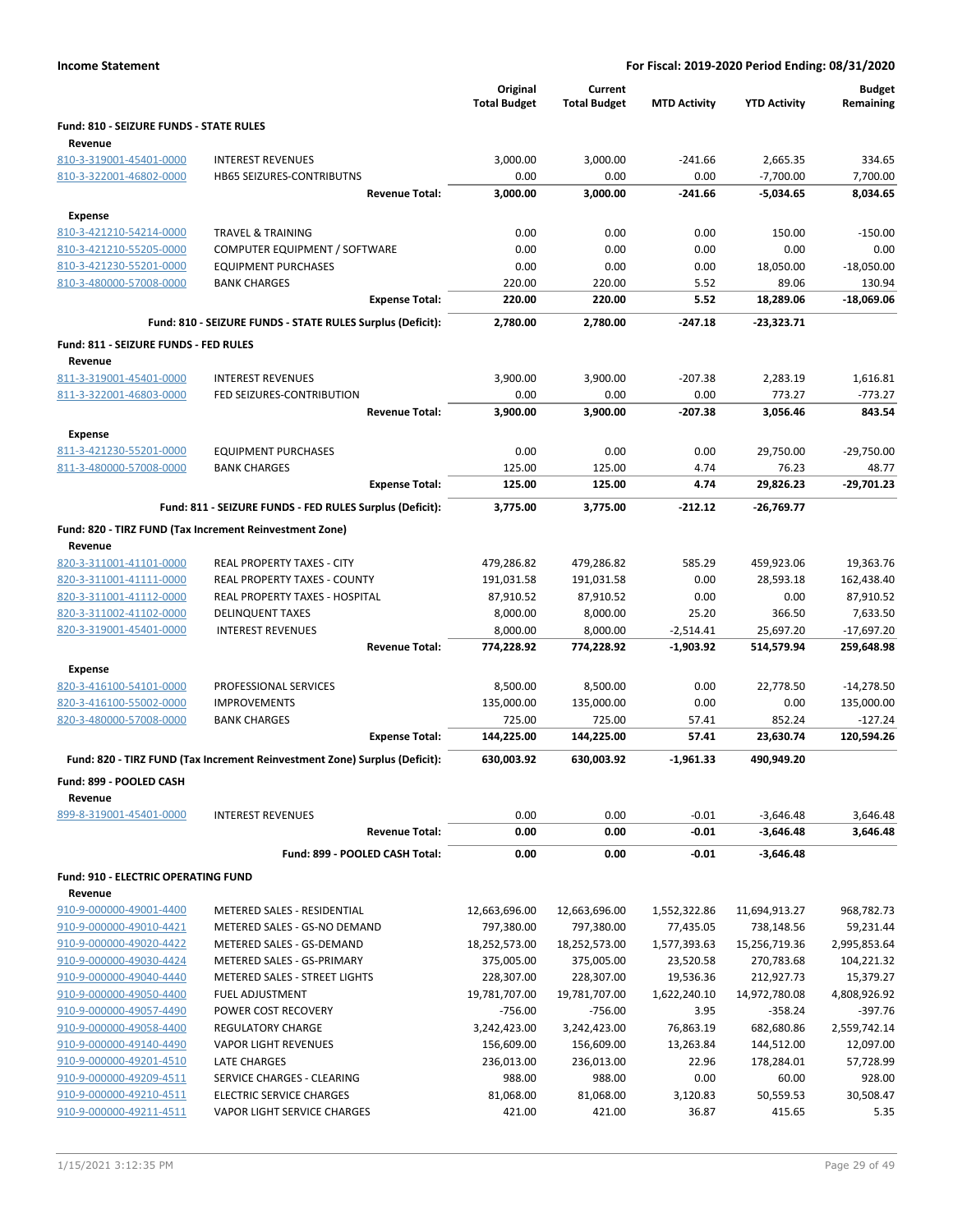|                                         |                                                                            | Original<br><b>Total Budget</b> | Current<br><b>Total Budget</b> | <b>MTD Activity</b> | <b>YTD Activity</b> | <b>Budget</b><br>Remaining |
|-----------------------------------------|----------------------------------------------------------------------------|---------------------------------|--------------------------------|---------------------|---------------------|----------------------------|
| Fund: 810 - SEIZURE FUNDS - STATE RULES |                                                                            |                                 |                                |                     |                     |                            |
| Revenue                                 |                                                                            |                                 |                                |                     |                     |                            |
| 810-3-319001-45401-0000                 | <b>INTEREST REVENUES</b>                                                   | 3,000.00                        | 3,000.00                       | $-241.66$           | 2,665.35            | 334.65                     |
| 810-3-322001-46802-0000                 | <b>HB65 SEIZURES-CONTRIBUTNS</b>                                           | 0.00                            | 0.00                           | 0.00                | $-7,700.00$         | 7.700.00                   |
|                                         | <b>Revenue Total:</b>                                                      | 3,000.00                        | 3,000.00                       | -241.66             | $-5,034.65$         | 8,034.65                   |
| <b>Expense</b>                          |                                                                            |                                 |                                |                     |                     |                            |
| 810-3-421210-54214-0000                 | <b>TRAVEL &amp; TRAINING</b>                                               | 0.00                            | 0.00                           | 0.00                | 150.00              | $-150.00$                  |
| 810-3-421210-55205-0000                 | COMPUTER EQUIPMENT / SOFTWARE                                              | 0.00                            | 0.00                           | 0.00                | 0.00                | 0.00                       |
| 810-3-421230-55201-0000                 | <b>EQUIPMENT PURCHASES</b>                                                 | 0.00                            | 0.00                           | 0.00                | 18,050.00           | $-18,050.00$               |
| 810-3-480000-57008-0000                 | <b>BANK CHARGES</b>                                                        | 220.00                          | 220.00                         | 5.52                | 89.06<br>18,289.06  | 130.94                     |
|                                         | <b>Expense Total:</b>                                                      | 220.00                          | 220.00                         | 5.52                |                     | $-18,069.06$               |
|                                         | Fund: 810 - SEIZURE FUNDS - STATE RULES Surplus (Deficit):                 | 2,780.00                        | 2,780.00                       | $-247.18$           | $-23,323.71$        |                            |
| Fund: 811 - SEIZURE FUNDS - FED RULES   |                                                                            |                                 |                                |                     |                     |                            |
| Revenue                                 |                                                                            |                                 |                                |                     |                     |                            |
| 811-3-319001-45401-0000                 | <b>INTEREST REVENUES</b>                                                   | 3,900.00                        | 3,900.00                       | $-207.38$           | 2,283.19            | 1,616.81                   |
| 811-3-322001-46803-0000                 | FED SEIZURES-CONTRIBUTION                                                  | 0.00                            | 0.00                           | 0.00                | 773.27              | $-773.27$                  |
|                                         | <b>Revenue Total:</b>                                                      | 3,900.00                        | 3,900.00                       | $-207.38$           | 3,056.46            | 843.54                     |
| <b>Expense</b>                          |                                                                            |                                 |                                |                     |                     |                            |
| 811-3-421230-55201-0000                 | <b>EQUIPMENT PURCHASES</b>                                                 | 0.00                            | 0.00                           | 0.00                | 29,750.00           | $-29,750.00$               |
| 811-3-480000-57008-0000                 | <b>BANK CHARGES</b>                                                        | 125.00                          | 125.00                         | 4.74                | 76.23               | 48.77                      |
|                                         | <b>Expense Total:</b>                                                      | 125.00                          | 125.00                         | 4.74                | 29,826.23           | -29,701.23                 |
|                                         | Fund: 811 - SEIZURE FUNDS - FED RULES Surplus (Deficit):                   | 3,775.00                        | 3,775.00                       | $-212.12$           | $-26,769.77$        |                            |
|                                         | Fund: 820 - TIRZ FUND (Tax Increment Reinvestment Zone)                    |                                 |                                |                     |                     |                            |
| Revenue                                 |                                                                            |                                 |                                |                     |                     |                            |
| 820-3-311001-41101-0000                 | REAL PROPERTY TAXES - CITY                                                 | 479,286.82                      | 479,286.82                     | 585.29              | 459,923.06          | 19,363.76                  |
| 820-3-311001-41111-0000                 | REAL PROPERTY TAXES - COUNTY                                               | 191,031.58                      | 191,031.58                     | 0.00                | 28,593.18           | 162,438.40                 |
| 820-3-311001-41112-0000                 | REAL PROPERTY TAXES - HOSPITAL                                             | 87,910.52                       | 87,910.52                      | 0.00                | 0.00                | 87,910.52                  |
| 820-3-311002-41102-0000                 | <b>DELINQUENT TAXES</b>                                                    | 8,000.00                        | 8,000.00                       | 25.20               | 366.50              | 7,633.50                   |
| 820-3-319001-45401-0000                 | <b>INTEREST REVENUES</b>                                                   | 8,000.00                        | 8,000.00                       | $-2,514.41$         | 25,697.20           | $-17,697.20$               |
|                                         | <b>Revenue Total:</b>                                                      | 774,228.92                      | 774,228.92                     | $-1,903.92$         | 514,579.94          | 259,648.98                 |
| <b>Expense</b>                          |                                                                            |                                 |                                |                     |                     |                            |
| 820-3-416100-54101-0000                 | PROFESSIONAL SERVICES                                                      | 8,500.00                        | 8,500.00                       | 0.00                | 22,778.50           | $-14,278.50$               |
| 820-3-416100-55002-0000                 | <b>IMPROVEMENTS</b>                                                        | 135,000.00                      | 135,000.00                     | 0.00                | 0.00                | 135,000.00                 |
| 820-3-480000-57008-0000                 | <b>BANK CHARGES</b>                                                        | 725.00                          | 725.00                         | 57.41               | 852.24              | $-127.24$                  |
|                                         | <b>Expense Total:</b>                                                      | 144,225.00                      | 144,225.00                     | 57.41               | 23,630.74           | 120,594.26                 |
|                                         | Fund: 820 - TIRZ FUND (Tax Increment Reinvestment Zone) Surplus (Deficit): | 630,003.92                      | 630,003.92                     | $-1,961.33$         | 490,949.20          |                            |
| <b>Fund: 899 - POOLED CASH</b>          |                                                                            |                                 |                                |                     |                     |                            |
| Revenue                                 |                                                                            |                                 |                                |                     |                     |                            |
| 899-8-319001-45401-0000                 | <b>INTEREST REVENUES</b>                                                   | 0.00                            | 0.00                           | $-0.01$             | $-3,646.48$         | 3,646.48                   |
|                                         | <b>Revenue Total:</b>                                                      | 0.00                            | 0.00                           | $-0.01$             | $-3,646.48$         | 3,646.48                   |
|                                         | Fund: 899 - POOLED CASH Total:                                             | 0.00                            | 0.00                           | -0.01               | $-3,646.48$         |                            |
| Fund: 910 - ELECTRIC OPERATING FUND     |                                                                            |                                 |                                |                     |                     |                            |
| Revenue                                 |                                                                            |                                 |                                |                     |                     |                            |
| 910-9-000000-49001-4400                 | METERED SALES - RESIDENTIAL                                                | 12,663,696.00                   | 12,663,696.00                  | 1,552,322.86        | 11,694,913.27       | 968,782.73                 |
| 910-9-000000-49010-4421                 | METERED SALES - GS-NO DEMAND                                               | 797,380.00                      | 797,380.00                     | 77,435.05           | 738,148.56          | 59,231.44                  |
| 910-9-000000-49020-4422                 | METERED SALES - GS-DEMAND                                                  | 18,252,573.00                   | 18,252,573.00                  | 1,577,393.63        | 15,256,719.36       | 2,995,853.64               |
| 910-9-000000-49030-4424                 | METERED SALES - GS-PRIMARY                                                 | 375,005.00                      | 375,005.00                     | 23,520.58           | 270,783.68          | 104,221.32                 |
| 910-9-000000-49040-4440                 | METERED SALES - STREET LIGHTS                                              | 228,307.00                      | 228,307.00                     | 19,536.36           | 212,927.73          | 15,379.27                  |
| 910-9-000000-49050-4400                 | <b>FUEL ADJUSTMENT</b>                                                     | 19,781,707.00                   | 19,781,707.00                  | 1,622,240.10        | 14,972,780.08       | 4,808,926.92               |
| 910-9-000000-49057-4490                 | POWER COST RECOVERY                                                        | $-756.00$                       | $-756.00$                      | 3.95                | $-358.24$           | $-397.76$                  |
| 910-9-000000-49058-4400                 | REGULATORY CHARGE                                                          | 3,242,423.00                    | 3,242,423.00                   | 76,863.19           | 682,680.86          | 2,559,742.14               |
| 910-9-000000-49140-4490                 | <b>VAPOR LIGHT REVENUES</b>                                                | 156,609.00                      | 156,609.00                     | 13,263.84           | 144,512.00          | 12,097.00                  |
| 910-9-000000-49201-4510                 | LATE CHARGES                                                               | 236,013.00                      | 236,013.00                     | 22.96               | 178,284.01          | 57,728.99                  |
| 910-9-000000-49209-4511                 | SERVICE CHARGES - CLEARING                                                 | 988.00                          | 988.00                         | 0.00                | 60.00               | 928.00                     |
| 910-9-000000-49210-4511                 | <b>ELECTRIC SERVICE CHARGES</b>                                            | 81,068.00                       | 81,068.00                      | 3,120.83            | 50,559.53           | 30,508.47                  |

910-9-000000-49211-4511 VAPOR LIGHT SERVICE CHARGES 421.00 421.00 36.87 415.65 5.35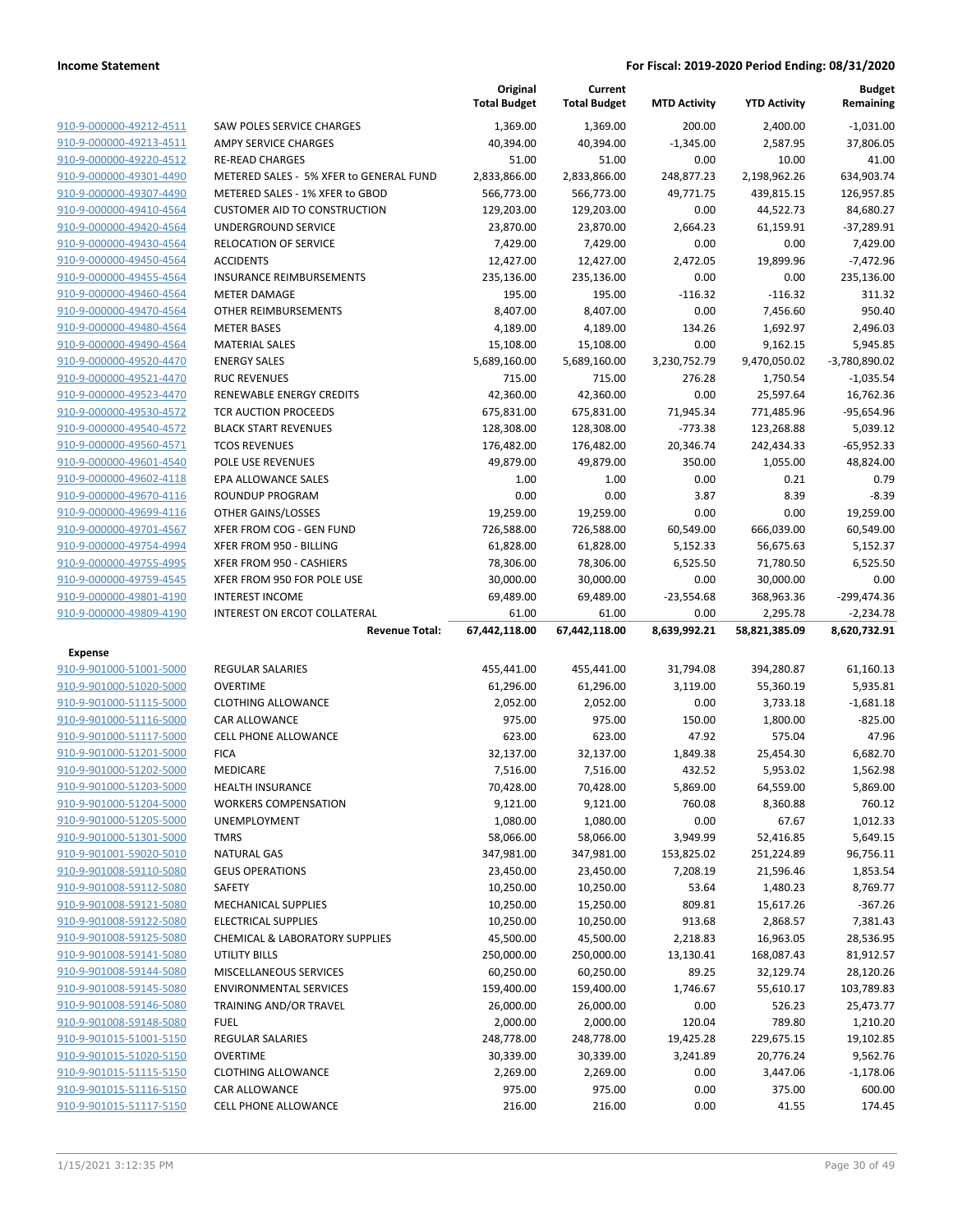|                                                                                                          |                                                                         | Original<br><b>Total Budget</b> | Current<br><b>Total Budget</b> | <b>MTD Activity</b>    | <b>YTD Activity</b>      | <b>Budget</b><br>Remaining |
|----------------------------------------------------------------------------------------------------------|-------------------------------------------------------------------------|---------------------------------|--------------------------------|------------------------|--------------------------|----------------------------|
| 910-9-000000-49212-4511                                                                                  | SAW POLES SERVICE CHARGES                                               | 1,369.00                        | 1,369.00                       | 200.00                 | 2,400.00                 | $-1,031.00$                |
| 910-9-000000-49213-4511                                                                                  | AMPY SERVICE CHARGES                                                    | 40,394.00                       | 40,394.00                      | $-1,345.00$            | 2,587.95                 | 37,806.05                  |
| 910-9-000000-49220-4512                                                                                  | <b>RE-READ CHARGES</b>                                                  | 51.00                           | 51.00                          | 0.00                   | 10.00                    | 41.00                      |
| 910-9-000000-49301-4490                                                                                  | METERED SALES - 5% XFER to GENERAL FUND                                 | 2,833,866.00                    | 2,833,866.00                   | 248,877.23             | 2,198,962.26             | 634,903.74                 |
| 910-9-000000-49307-4490                                                                                  | METERED SALES - 1% XFER to GBOD                                         | 566,773.00                      | 566,773.00                     | 49,771.75              | 439,815.15               | 126,957.85                 |
| 910-9-000000-49410-4564                                                                                  | <b>CUSTOMER AID TO CONSTRUCTION</b>                                     | 129,203.00                      | 129,203.00                     | 0.00                   | 44,522.73                | 84,680.27                  |
| 910-9-000000-49420-4564                                                                                  | UNDERGROUND SERVICE                                                     | 23,870.00                       | 23,870.00                      | 2,664.23               | 61,159.91                | $-37,289.91$               |
| 910-9-000000-49430-4564                                                                                  | RELOCATION OF SERVICE                                                   | 7,429.00                        | 7,429.00                       | 0.00                   | 0.00                     | 7,429.00                   |
| 910-9-000000-49450-4564                                                                                  | <b>ACCIDENTS</b>                                                        | 12,427.00                       | 12,427.00                      | 2,472.05               | 19,899.96                | $-7,472.96$                |
| 910-9-000000-49455-4564                                                                                  | <b>INSURANCE REIMBURSEMENTS</b>                                         | 235,136.00                      | 235,136.00                     | 0.00                   | 0.00                     | 235,136.00                 |
| 910-9-000000-49460-4564                                                                                  | <b>METER DAMAGE</b>                                                     | 195.00                          | 195.00                         | $-116.32$              | $-116.32$                | 311.32                     |
| 910-9-000000-49470-4564                                                                                  | OTHER REIMBURSEMENTS                                                    | 8,407.00                        | 8,407.00                       | 0.00                   | 7,456.60                 | 950.40                     |
| 910-9-000000-49480-4564                                                                                  | <b>METER BASES</b>                                                      | 4,189.00                        | 4,189.00                       | 134.26                 | 1,692.97                 | 2,496.03                   |
| 910-9-000000-49490-4564                                                                                  | <b>MATERIAL SALES</b>                                                   | 15,108.00                       | 15,108.00                      | 0.00                   | 9,162.15                 | 5,945.85                   |
| 910-9-000000-49520-4470                                                                                  | <b>ENERGY SALES</b>                                                     | 5,689,160.00                    | 5,689,160.00                   | 3,230,752.79           | 9,470,050.02             | $-3,780,890.02$            |
| 910-9-000000-49521-4470                                                                                  | <b>RUC REVENUES</b>                                                     | 715.00                          | 715.00                         | 276.28                 | 1,750.54                 | $-1,035.54$                |
| 910-9-000000-49523-4470<br>910-9-000000-49530-4572                                                       | RENEWABLE ENERGY CREDITS<br><b>TCR AUCTION PROCEEDS</b>                 | 42,360.00                       | 42,360.00                      | 0.00                   | 25,597.64                | 16,762.36                  |
| 910-9-000000-49540-4572                                                                                  | <b>BLACK START REVENUES</b>                                             | 675,831.00<br>128,308.00        | 675,831.00<br>128,308.00       | 71,945.34<br>$-773.38$ | 771,485.96<br>123,268.88 | $-95,654.96$<br>5,039.12   |
| 910-9-000000-49560-4571                                                                                  | <b>TCOS REVENUES</b>                                                    | 176,482.00                      | 176,482.00                     | 20,346.74              | 242,434.33               | $-65,952.33$               |
| 910-9-000000-49601-4540                                                                                  | POLE USE REVENUES                                                       | 49,879.00                       | 49,879.00                      | 350.00                 | 1,055.00                 | 48,824.00                  |
| 910-9-000000-49602-4118                                                                                  | EPA ALLOWANCE SALES                                                     | 1.00                            | 1.00                           | 0.00                   | 0.21                     | 0.79                       |
| 910-9-000000-49670-4116                                                                                  | <b>ROUNDUP PROGRAM</b>                                                  | 0.00                            | 0.00                           | 3.87                   | 8.39                     | $-8.39$                    |
| 910-9-000000-49699-4116                                                                                  | OTHER GAINS/LOSSES                                                      | 19,259.00                       | 19,259.00                      | 0.00                   | 0.00                     | 19,259.00                  |
| 910-9-000000-49701-4567                                                                                  | XFER FROM COG - GEN FUND                                                | 726,588.00                      | 726,588.00                     | 60,549.00              | 666,039.00               | 60,549.00                  |
| 910-9-000000-49754-4994                                                                                  | XFER FROM 950 - BILLING                                                 | 61,828.00                       | 61,828.00                      | 5,152.33               | 56,675.63                | 5,152.37                   |
| 910-9-000000-49755-4995                                                                                  | XFER FROM 950 - CASHIERS                                                | 78,306.00                       | 78,306.00                      | 6,525.50               | 71,780.50                | 6,525.50                   |
| 910-9-000000-49759-4545                                                                                  | XFER FROM 950 FOR POLE USE                                              | 30,000.00                       | 30,000.00                      | 0.00                   | 30,000.00                | 0.00                       |
| 910-9-000000-49801-4190                                                                                  | <b>INTEREST INCOME</b>                                                  | 69,489.00                       | 69,489.00                      | $-23,554.68$           | 368,963.36               | -299,474.36                |
| 910-9-000000-49809-4190                                                                                  | INTEREST ON ERCOT COLLATERAL                                            | 61.00                           | 61.00                          | 0.00                   | 2,295.78                 | $-2,234.78$                |
|                                                                                                          | <b>Revenue Total:</b>                                                   | 67,442,118.00                   | 67,442,118.00                  | 8,639,992.21           | 58,821,385.09            | 8,620,732.91               |
| Expense                                                                                                  |                                                                         |                                 |                                |                        |                          |                            |
| 910-9-901000-51001-5000                                                                                  | <b>REGULAR SALARIES</b>                                                 | 455,441.00                      | 455,441.00                     | 31,794.08              | 394,280.87               | 61,160.13                  |
| 910-9-901000-51020-5000                                                                                  | <b>OVERTIME</b>                                                         | 61,296.00                       | 61,296.00                      | 3,119.00               | 55,360.19                | 5,935.81                   |
| 910-9-901000-51115-5000                                                                                  | <b>CLOTHING ALLOWANCE</b>                                               | 2,052.00                        | 2,052.00                       | 0.00                   | 3,733.18                 | $-1,681.18$                |
| 910-9-901000-51116-5000                                                                                  | <b>CAR ALLOWANCE</b>                                                    | 975.00                          | 975.00                         | 150.00                 | 1,800.00                 | $-825.00$                  |
| 910-9-901000-51117-5000                                                                                  | <b>CELL PHONE ALLOWANCE</b>                                             | 623.00                          |                                |                        |                          |                            |
| 910-9-901000-51201-5000                                                                                  |                                                                         |                                 | 623.00                         | 47.92                  | 575.04                   | 47.96                      |
|                                                                                                          | <b>FICA</b>                                                             | 32,137.00                       | 32,137.00                      | 1,849.38               | 25,454.30                | 6,682.70                   |
| 910-9-901000-51202-5000                                                                                  | MEDICARE                                                                | 7,516.00                        | 7,516.00                       | 432.52                 | 5,953.02                 | 1,562.98                   |
| <u>910-9-901000-51203-5000</u>                                                                           | <b>HEALTH INSURANCE</b>                                                 | 70,428.00                       | 70,428.00                      | 5,869.00               | 64,559.00                | 5,869.00                   |
| 910-9-901000-51204-5000                                                                                  | <b>WORKERS COMPENSATION</b>                                             | 9,121.00                        | 9,121.00                       | 760.08                 | 8,360.88                 | 760.12                     |
| 910-9-901000-51205-5000                                                                                  | UNEMPLOYMENT                                                            | 1,080.00                        | 1,080.00                       | 0.00                   | 67.67                    | 1,012.33                   |
| 910-9-901000-51301-5000                                                                                  | <b>TMRS</b>                                                             | 58,066.00                       | 58,066.00                      | 3,949.99               | 52,416.85                | 5,649.15                   |
| 910-9-901001-59020-5010                                                                                  | <b>NATURAL GAS</b>                                                      | 347,981.00                      | 347,981.00                     | 153,825.02             | 251,224.89               | 96,756.11                  |
| 910-9-901008-59110-5080                                                                                  | <b>GEUS OPERATIONS</b>                                                  | 23,450.00                       | 23,450.00                      | 7,208.19               | 21,596.46                | 1,853.54                   |
| 910-9-901008-59112-5080                                                                                  | SAFETY                                                                  | 10,250.00                       | 10,250.00                      | 53.64                  | 1,480.23                 | 8,769.77                   |
| 910-9-901008-59121-5080<br>910-9-901008-59122-5080                                                       | <b>MECHANICAL SUPPLIES</b>                                              | 10,250.00                       | 15,250.00                      | 809.81                 | 15,617.26                | $-367.26$                  |
| 910-9-901008-59125-5080                                                                                  | <b>ELECTRICAL SUPPLIES</b><br><b>CHEMICAL &amp; LABORATORY SUPPLIES</b> | 10,250.00<br>45,500.00          | 10,250.00                      | 913.68                 | 2,868.57                 | 7,381.43<br>28,536.95      |
| 910-9-901008-59141-5080                                                                                  | <b>UTILITY BILLS</b>                                                    | 250,000.00                      | 45,500.00<br>250,000.00        | 2,218.83<br>13,130.41  | 16,963.05<br>168,087.43  | 81,912.57                  |
| 910-9-901008-59144-5080                                                                                  | MISCELLANEOUS SERVICES                                                  | 60,250.00                       | 60,250.00                      | 89.25                  | 32,129.74                | 28,120.26                  |
| 910-9-901008-59145-5080                                                                                  | <b>ENVIRONMENTAL SERVICES</b>                                           | 159,400.00                      | 159,400.00                     | 1,746.67               | 55,610.17                | 103,789.83                 |
| 910-9-901008-59146-5080                                                                                  | TRAINING AND/OR TRAVEL                                                  | 26,000.00                       | 26,000.00                      | 0.00                   | 526.23                   | 25,473.77                  |
| 910-9-901008-59148-5080                                                                                  | <b>FUEL</b>                                                             | 2,000.00                        | 2,000.00                       | 120.04                 | 789.80                   | 1,210.20                   |
|                                                                                                          | <b>REGULAR SALARIES</b>                                                 | 248,778.00                      | 248,778.00                     | 19,425.28              | 229,675.15               | 19,102.85                  |
|                                                                                                          | <b>OVERTIME</b>                                                         | 30,339.00                       | 30,339.00                      | 3,241.89               | 20,776.24                | 9,562.76                   |
|                                                                                                          | <b>CLOTHING ALLOWANCE</b>                                               | 2,269.00                        | 2,269.00                       | 0.00                   | 3,447.06                 | $-1,178.06$                |
| 910-9-901015-51001-5150<br>910-9-901015-51020-5150<br>910-9-901015-51115-5150<br>910-9-901015-51116-5150 | <b>CAR ALLOWANCE</b>                                                    | 975.00                          | 975.00                         | 0.00                   | 375.00                   | 600.00                     |
| 910-9-901015-51117-5150                                                                                  | CELL PHONE ALLOWANCE                                                    | 216.00                          | 216.00                         | 0.00                   | 41.55                    | 174.45                     |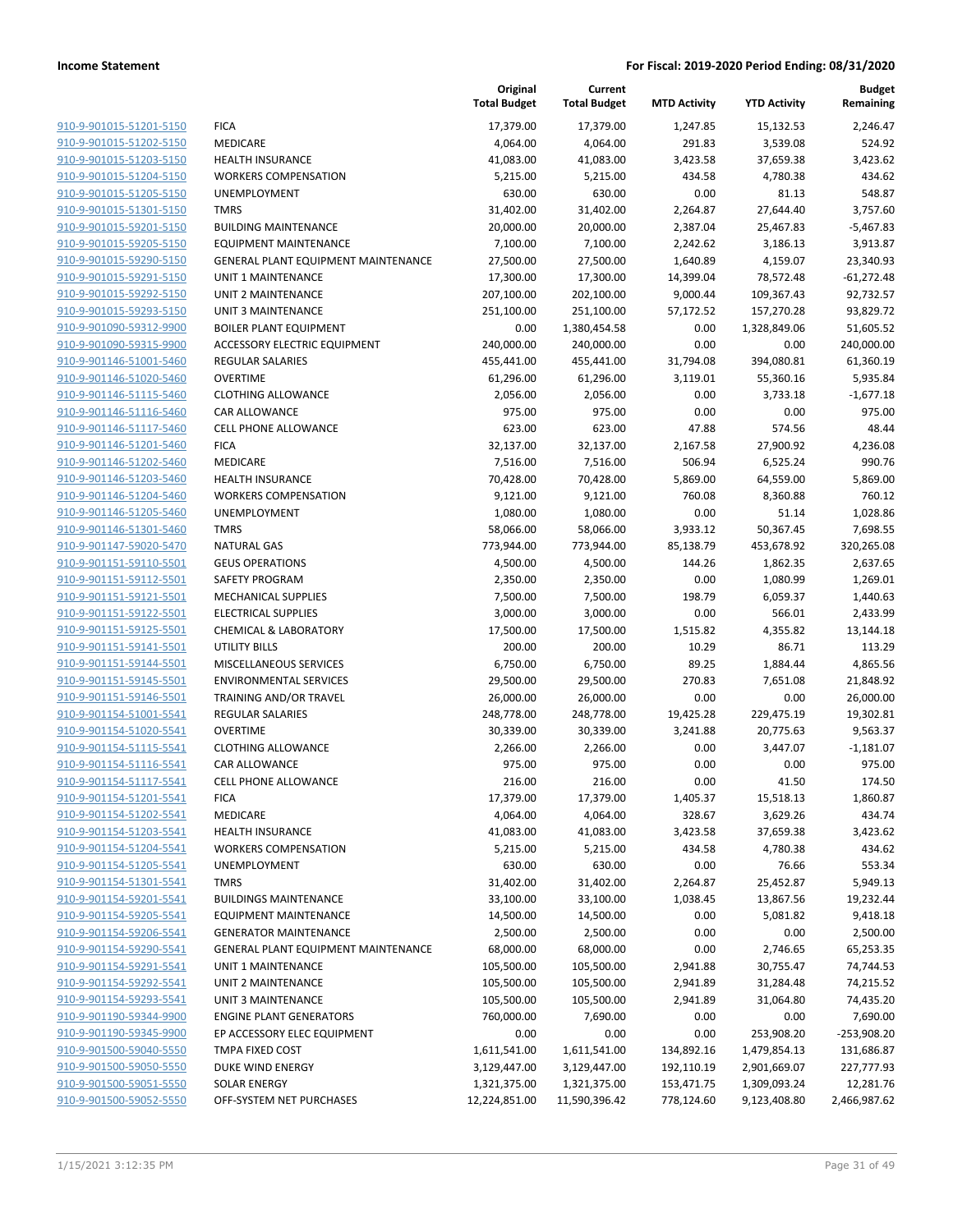|                         |                                     | Original<br><b>Total Budget</b> | Current<br><b>Total Budget</b> | <b>MTD Activity</b> | <b>YTD Activity</b> | <b>Budget</b><br>Remaining |
|-------------------------|-------------------------------------|---------------------------------|--------------------------------|---------------------|---------------------|----------------------------|
| 910-9-901015-51201-5150 | <b>FICA</b>                         | 17,379.00                       | 17,379.00                      | 1,247.85            | 15,132.53           | 2,246.47                   |
| 910-9-901015-51202-5150 | MEDICARE                            | 4,064.00                        | 4,064.00                       | 291.83              | 3,539.08            | 524.92                     |
| 910-9-901015-51203-5150 | <b>HEALTH INSURANCE</b>             | 41,083.00                       | 41,083.00                      | 3,423.58            | 37,659.38           | 3,423.62                   |
| 910-9-901015-51204-5150 | <b>WORKERS COMPENSATION</b>         | 5,215.00                        | 5,215.00                       | 434.58              | 4,780.38            | 434.62                     |
| 910-9-901015-51205-5150 | UNEMPLOYMENT                        | 630.00                          | 630.00                         | 0.00                | 81.13               | 548.87                     |
| 910-9-901015-51301-5150 | <b>TMRS</b>                         | 31,402.00                       | 31,402.00                      | 2,264.87            | 27,644.40           | 3,757.60                   |
| 910-9-901015-59201-5150 | <b>BUILDING MAINTENANCE</b>         | 20,000.00                       | 20,000.00                      | 2,387.04            | 25,467.83           | $-5,467.83$                |
| 910-9-901015-59205-5150 | <b>EQUIPMENT MAINTENANCE</b>        | 7,100.00                        | 7,100.00                       | 2,242.62            | 3,186.13            | 3,913.87                   |
| 910-9-901015-59290-5150 | GENERAL PLANT EQUIPMENT MAINTENANCE | 27,500.00                       | 27,500.00                      | 1,640.89            | 4,159.07            | 23,340.93                  |
| 910-9-901015-59291-5150 | <b>UNIT 1 MAINTENANCE</b>           | 17,300.00                       | 17,300.00                      | 14,399.04           | 78,572.48           | $-61,272.48$               |
| 910-9-901015-59292-5150 | <b>UNIT 2 MAINTENANCE</b>           | 207,100.00                      | 202,100.00                     | 9,000.44            | 109,367.43          | 92,732.57                  |
| 910-9-901015-59293-5150 | <b>UNIT 3 MAINTENANCE</b>           | 251,100.00                      | 251,100.00                     | 57,172.52           | 157,270.28          | 93,829.72                  |
| 910-9-901090-59312-9900 | <b>BOILER PLANT EQUIPMENT</b>       | 0.00                            | 1,380,454.58                   | 0.00                | 1,328,849.06        | 51,605.52                  |
| 910-9-901090-59315-9900 | ACCESSORY ELECTRIC EQUIPMENT        | 240,000.00                      | 240,000.00                     | 0.00                | 0.00                | 240,000.00                 |
| 910-9-901146-51001-5460 | <b>REGULAR SALARIES</b>             | 455,441.00                      | 455,441.00                     | 31,794.08           | 394,080.81          | 61,360.19                  |
| 910-9-901146-51020-5460 | <b>OVERTIME</b>                     | 61,296.00                       | 61,296.00                      | 3,119.01            | 55,360.16           | 5,935.84                   |
| 910-9-901146-51115-5460 | <b>CLOTHING ALLOWANCE</b>           | 2,056.00                        | 2,056.00                       | 0.00                | 3,733.18            | $-1,677.18$                |
| 910-9-901146-51116-5460 | CAR ALLOWANCE                       | 975.00                          | 975.00                         | 0.00                | 0.00                | 975.00                     |
| 910-9-901146-51117-5460 | <b>CELL PHONE ALLOWANCE</b>         | 623.00                          | 623.00                         | 47.88               | 574.56              | 48.44                      |
| 910-9-901146-51201-5460 | <b>FICA</b>                         | 32,137.00                       | 32,137.00                      | 2,167.58            | 27,900.92           | 4,236.08                   |
| 910-9-901146-51202-5460 | MEDICARE                            | 7,516.00                        | 7,516.00                       | 506.94              | 6,525.24            | 990.76                     |
| 910-9-901146-51203-5460 | <b>HEALTH INSURANCE</b>             | 70,428.00                       | 70,428.00                      | 5,869.00            | 64,559.00           | 5,869.00                   |
| 910-9-901146-51204-5460 | <b>WORKERS COMPENSATION</b>         | 9,121.00                        | 9,121.00                       | 760.08              | 8,360.88            | 760.12                     |
| 910-9-901146-51205-5460 | UNEMPLOYMENT                        | 1,080.00                        | 1,080.00                       | 0.00                | 51.14               | 1,028.86                   |
| 910-9-901146-51301-5460 | <b>TMRS</b>                         | 58,066.00                       | 58,066.00                      | 3,933.12            | 50,367.45           | 7,698.55                   |
| 910-9-901147-59020-5470 | <b>NATURAL GAS</b>                  | 773,944.00                      | 773,944.00                     | 85,138.79           | 453,678.92          | 320,265.08                 |
| 910-9-901151-59110-5501 | <b>GEUS OPERATIONS</b>              | 4,500.00                        | 4,500.00                       | 144.26              | 1,862.35            | 2,637.65                   |
| 910-9-901151-59112-5501 | SAFETY PROGRAM                      | 2,350.00                        | 2,350.00                       | 0.00                | 1,080.99            | 1,269.01                   |
| 910-9-901151-59121-5501 | MECHANICAL SUPPLIES                 | 7,500.00                        | 7,500.00                       | 198.79              | 6,059.37            | 1,440.63                   |
| 910-9-901151-59122-5501 | <b>ELECTRICAL SUPPLIES</b>          | 3,000.00                        | 3,000.00                       | 0.00                | 566.01              | 2,433.99                   |
| 910-9-901151-59125-5501 | <b>CHEMICAL &amp; LABORATORY</b>    | 17,500.00                       | 17,500.00                      | 1,515.82            | 4,355.82            | 13,144.18                  |
| 910-9-901151-59141-5501 | <b>UTILITY BILLS</b>                | 200.00                          | 200.00                         | 10.29               | 86.71               | 113.29                     |
| 910-9-901151-59144-5501 | MISCELLANEOUS SERVICES              | 6,750.00                        | 6,750.00                       | 89.25               | 1,884.44            | 4,865.56                   |
| 910-9-901151-59145-5501 | <b>ENVIRONMENTAL SERVICES</b>       | 29,500.00                       | 29,500.00                      | 270.83              | 7,651.08            | 21,848.92                  |
| 910-9-901151-59146-5501 | TRAINING AND/OR TRAVEL              | 26,000.00                       | 26,000.00                      | 0.00                | 0.00                | 26,000.00                  |
| 910-9-901154-51001-5541 | REGULAR SALARIES                    | 248,778.00                      | 248,778.00                     | 19,425.28           | 229,475.19          | 19,302.81                  |
| 910-9-901154-51020-5541 | <b>OVERTIME</b>                     | 30,339.00                       | 30,339.00                      | 3,241.88            | 20,775.63           | 9,563.37                   |
| 910-9-901154-51115-5541 | <b>CLOTHING ALLOWANCE</b>           | 2,266.00                        | 2,266.00                       | 0.00                | 3,447.07            | $-1,181.07$                |
| 910-9-901154-51116-5541 | CAR ALLOWANCE                       | 975.00                          | 975.00                         | 0.00                | 0.00                | 975.00                     |
| 910-9-901154-51117-5541 | <b>CELL PHONE ALLOWANCE</b>         | 216.00                          | 216.00                         | 0.00                | 41.50               | 174.50                     |
| 910-9-901154-51201-5541 | <b>FICA</b>                         | 17,379.00                       | 17,379.00                      | 1,405.37            | 15,518.13           | 1,860.87                   |
| 910-9-901154-51202-5541 | MEDICARE                            | 4,064.00                        | 4,064.00                       | 328.67              | 3,629.26            | 434.74                     |
| 910-9-901154-51203-5541 | <b>HEALTH INSURANCE</b>             | 41,083.00                       | 41,083.00                      | 3,423.58            | 37,659.38           | 3,423.62                   |
| 910-9-901154-51204-5541 | <b>WORKERS COMPENSATION</b>         | 5,215.00                        | 5,215.00                       | 434.58              | 4,780.38            | 434.62                     |
| 910-9-901154-51205-5541 | UNEMPLOYMENT                        | 630.00                          | 630.00                         | 0.00                | 76.66               | 553.34                     |
| 910-9-901154-51301-5541 | <b>TMRS</b>                         | 31,402.00                       | 31,402.00                      | 2,264.87            | 25,452.87           | 5,949.13                   |
| 910-9-901154-59201-5541 | <b>BUILDINGS MAINTENANCE</b>        | 33,100.00                       | 33,100.00                      | 1,038.45            | 13,867.56           | 19,232.44                  |
| 910-9-901154-59205-5541 | <b>EQUIPMENT MAINTENANCE</b>        | 14,500.00                       | 14,500.00                      | 0.00                | 5,081.82            | 9,418.18                   |
| 910-9-901154-59206-5541 | <b>GENERATOR MAINTENANCE</b>        | 2,500.00                        | 2,500.00                       | 0.00                | 0.00                | 2,500.00                   |
| 910-9-901154-59290-5541 | GENERAL PLANT EQUIPMENT MAINTENANCE | 68,000.00                       | 68,000.00                      | 0.00                | 2,746.65            | 65,253.35                  |
| 910-9-901154-59291-5541 | UNIT 1 MAINTENANCE                  | 105,500.00                      | 105,500.00                     | 2,941.88            | 30,755.47           | 74,744.53                  |
| 910-9-901154-59292-5541 | UNIT 2 MAINTENANCE                  | 105,500.00                      | 105,500.00                     | 2,941.89            | 31,284.48           | 74,215.52                  |
| 910-9-901154-59293-5541 | <b>UNIT 3 MAINTENANCE</b>           | 105,500.00                      | 105,500.00                     | 2,941.89            | 31,064.80           | 74,435.20                  |
| 910-9-901190-59344-9900 | <b>ENGINE PLANT GENERATORS</b>      | 760,000.00                      | 7,690.00                       | 0.00                | 0.00                | 7,690.00                   |
| 910-9-901190-59345-9900 | EP ACCESSORY ELEC EQUIPMENT         | 0.00                            | 0.00                           | 0.00                | 253,908.20          | -253,908.20                |
| 910-9-901500-59040-5550 | TMPA FIXED COST                     | 1,611,541.00                    | 1,611,541.00                   | 134,892.16          | 1,479,854.13        | 131,686.87                 |
| 910-9-901500-59050-5550 | DUKE WIND ENERGY                    | 3,129,447.00                    | 3,129,447.00                   | 192,110.19          | 2,901,669.07        | 227,777.93                 |
| 910-9-901500-59051-5550 | <b>SOLAR ENERGY</b>                 | 1,321,375.00                    | 1,321,375.00                   | 153,471.75          | 1,309,093.24        | 12,281.76                  |
| 910-9-901500-59052-5550 | OFF-SYSTEM NET PURCHASES            | 12,224,851.00                   | 11,590,396.42                  | 778,124.60          | 9,123,408.80        | 2,466,987.62               |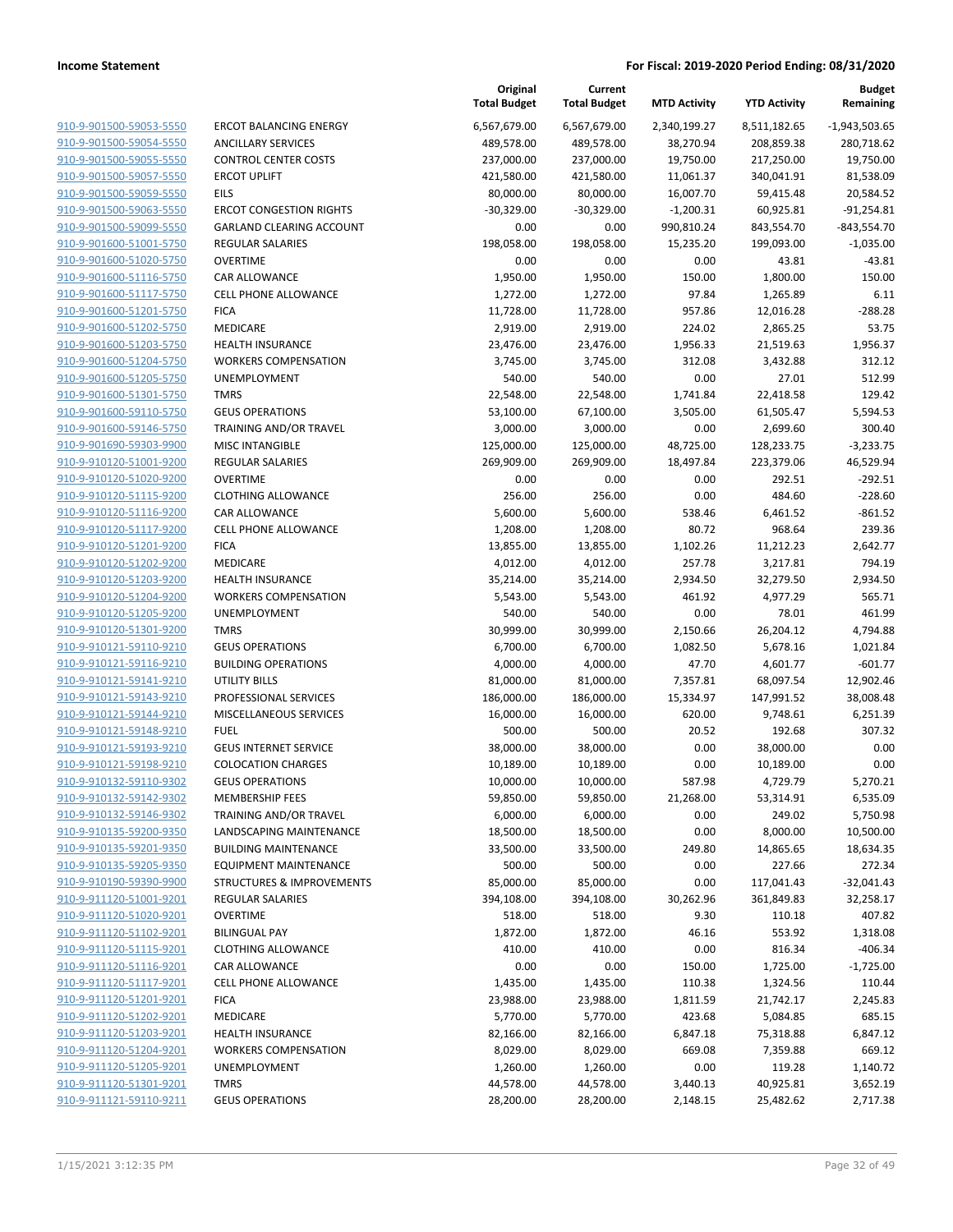| 910-9-901500-59053-5550        | Ε |
|--------------------------------|---|
| 910-9-901500-59054-5550        | F |
| 910-9-901500-59055-5550        | C |
| 910-9-901500-59057-5550        | E |
| 910-9-901500-59059-5550        | E |
| 910-9-901500-59063-5550        | Ε |
| 910-9-901500-59099-5550        | c |
| 910-9-901600-51001-5750        | F |
| 910-9-901600-51020-5750        | C |
| 910-9-901600-51116-5750        | C |
| 910-9-901600-51117-5750        | C |
| 910-9-901600-51201-5750        | F |
| 910-9-901600-51202-5750        | Ŋ |
| 910-9-901600-51203-5750        | ۲ |
| 910-9-901600-51204-5750        | ١ |
| 910-9-901600-51205-5750        | ι |
| 910-9-901600-51301-5750        | ī |
| 910-9-901600-59110-5750        | C |
| 910-9-901600-59146-5750        | T |
| 910-9-901690-59303-9900        | N |
| 910-9-910120-51001-9200        | F |
| 910-9-910120-51020-9200        | C |
| 910-9-910120-51115-9200        | C |
| 910-9-910120-51116-9200        | C |
| 910-9-910120-51117-9200        | C |
| 910-9-910120-51201-9200        | F |
| 910-9-910120-51202-9200        | Ŋ |
| 910-9-910120-51203-9200        | ŀ |
| 910-9-910120-51204-9200        | ١ |
| 910-9-910120-51205-9200        | ι |
| 910-9-910120-51301-9200        | T |
| 910-9-910121-59110-9210        | c |
| 910-9-910121-59116-9210        | E |
| 910-9-910121-59141-9210        | ι |
| 910-9-910121-59143-9210        | F |
| 910-9-910121-59144-9210        | Ŋ |
| 910-9-910121-59148-9210        | F |
| 910-9-910121-59193-9210        | C |
| 910-9-910121-59198-9210        | C |
| 910-9-910132-59110-9302        | C |
| 910-9-910132-59142-9302        | Ŋ |
| 910-9-910132-59146-9302        | T |
| 910-9-910135-59200-9350        | L |
| 910-9-910135-59201-9350        | E |
| 910-9-910135-59205-9350        | Е |
| 910-9-910190-59390-9900        | S |
| 910-9-911120-51001-9201        | F |
| 910-9-911120-51020-9201        | c |
| 910-9-911120-51102-9201        | E |
| 910-9-911120-51115-9201        | c |
| 910-9-911120-51116-9201        | c |
| 910-9-911120-51117-9201        | c |
| <u>910-9-911120-51201-9201</u> | F |
| 910-9-911120-51202-9201        | ٨ |
| 910-9-911120-51203-9201        | ۲ |
| 910-9-911120-51204-9201        | ١ |
| 910-9-911120-51205-9201        |   |
| 910-9-911120-51301-9201        | T |
| 910-9-911121-59110-9211        | C |
|                                |   |

| RCOT BALANCING ENERGY                              |
|----------------------------------------------------|
| <b>NCILLARY SERVICES</b>                           |
| <b>CONTROL CENTER COSTS</b>                        |
| <b>RCOT UPLIFT</b>                                 |
| ils                                                |
| RCOT CONGESTION RIGHTS                             |
| GARLAND CLEARING ACCOUNT                           |
| <b>EGULAR SALARIES</b>                             |
| <b>OVERTIME</b>                                    |
| AR ALLOWANCE:                                      |
| <b>ELL PHONE ALLOWANCE</b>                         |
| ICA                                                |
| <i><b><i>A</i>EDICARE</b></i>                      |
| IEALTH INSURANCE                                   |
| <b>VORKERS COMPENSATION</b>                        |
| JNEMPLOYMENT                                       |
| <b>MRS</b>                                         |
| <b>EUS OPERATIONS</b>                              |
| RAINING AND/OR TRAVEL                              |
| <b><i>AISC INTANGIBLE</i></b>                      |
| <b>EGULAR SALARIES</b><br><b>OVERTIME</b>          |
| LOTHING ALLOWANCE                                  |
| AR ALLOWANCE                                       |
| <b>ELL PHONE ALLOWANCE</b>                         |
| ICA                                                |
| <i><b>AEDICARE</b></i>                             |
| IEALTH INSURANCE                                   |
| VORKERS COMPENSATION                               |
| JNEMPLOYMENT                                       |
| <b>MRS</b>                                         |
| EUS OPERATIONS                                     |
| UILDING OPERATIONS                                 |
| JTILITY BILLS                                      |
| ROFESSIONAL SERVICES                               |
| <i>AISCELLANEOUS SERVICES</i>                      |
| UEL                                                |
| <b>GEUS INTERNET SERVICE</b>                       |
| <b>COLOCATION CHARGES</b>                          |
| EUS OPERATIONS                                     |
| <i><b><i>AEMBERSHIP FEES</i></b></i>               |
| RAINING AND/OR TRAVEL                              |
| ANDSCAPING MAINTENANCE                             |
| <b>UILDING MAINTENANCE</b>                         |
| <b>QUIPMENT MAINTENANCE</b>                        |
| TRUCTURES & IMPROVEMENTS<br><b>EGULAR SALARIES</b> |
| <b>OVERTIME</b>                                    |
| <b>ILINGUAL PAY</b>                                |
| LOTHING ALLOWANCE                                  |
| AR ALLOWANCE:                                      |
| <b>ELL PHONE ALLOWANCE</b>                         |
| ICA                                                |
| <i><b>AEDICARE</b></i>                             |
| IEALTH INSURANCE                                   |
| VORKERS COMPENSATION                               |
| <b>JNEMPLOYMENT</b>                                |
| <b>MRS</b>                                         |
| <b>EUS OPERATIONS</b>                              |
|                                                    |

|                                                    |                                                        | Original<br><b>Total Budget</b> | Current<br><b>Total Budget</b> | <b>MTD Activity</b> | <b>YTD Activity</b> | <b>Budget</b><br>Remaining |
|----------------------------------------------------|--------------------------------------------------------|---------------------------------|--------------------------------|---------------------|---------------------|----------------------------|
| 910-9-901500-59053-5550                            | <b>ERCOT BALANCING ENERGY</b>                          | 6,567,679.00                    | 6,567,679.00                   | 2,340,199.27        | 8,511,182.65        | $-1,943,503.65$            |
| 910-9-901500-59054-5550                            | <b>ANCILLARY SERVICES</b>                              | 489,578.00                      | 489,578.00                     | 38,270.94           | 208,859.38          | 280,718.62                 |
| 910-9-901500-59055-5550                            | <b>CONTROL CENTER COSTS</b>                            | 237,000.00                      | 237,000.00                     | 19,750.00           | 217,250.00          | 19,750.00                  |
| 910-9-901500-59057-5550                            | <b>ERCOT UPLIFT</b>                                    | 421,580.00                      | 421,580.00                     | 11,061.37           | 340,041.91          | 81,538.09                  |
| 910-9-901500-59059-5550                            | EILS                                                   | 80,000.00                       | 80,000.00                      | 16,007.70           | 59,415.48           | 20,584.52                  |
| 910-9-901500-59063-5550                            | <b>ERCOT CONGESTION RIGHTS</b>                         | $-30,329.00$                    | $-30,329.00$                   | $-1,200.31$         | 60,925.81           | $-91,254.81$               |
| 910-9-901500-59099-5550                            | <b>GARLAND CLEARING ACCOUNT</b>                        | 0.00                            | 0.00                           | 990,810.24          | 843,554.70          | $-843,554.70$              |
| 910-9-901600-51001-5750                            | <b>REGULAR SALARIES</b>                                | 198,058.00                      | 198,058.00                     | 15,235.20           | 199,093.00          | $-1,035.00$                |
| 910-9-901600-51020-5750                            | <b>OVERTIME</b>                                        | 0.00                            | 0.00                           | 0.00                | 43.81               | $-43.81$                   |
| 910-9-901600-51116-5750                            | CAR ALLOWANCE                                          | 1,950.00                        | 1,950.00                       | 150.00              | 1,800.00            | 150.00                     |
| 910-9-901600-51117-5750                            | <b>CELL PHONE ALLOWANCE</b>                            | 1,272.00                        | 1,272.00                       | 97.84               | 1,265.89            | 6.11                       |
| 910-9-901600-51201-5750                            | <b>FICA</b>                                            | 11,728.00                       | 11,728.00                      | 957.86              | 12,016.28           | $-288.28$                  |
| 910-9-901600-51202-5750                            | MEDICARE                                               | 2,919.00                        | 2,919.00                       | 224.02              | 2,865.25            | 53.75                      |
| 910-9-901600-51203-5750                            | <b>HEALTH INSURANCE</b>                                | 23,476.00                       | 23,476.00                      | 1,956.33            | 21,519.63           | 1,956.37                   |
| 910-9-901600-51204-5750                            | <b>WORKERS COMPENSATION</b>                            | 3,745.00                        | 3,745.00                       | 312.08              | 3,432.88            | 312.12                     |
| 910-9-901600-51205-5750                            | UNEMPLOYMENT                                           | 540.00                          | 540.00                         | 0.00                | 27.01               | 512.99                     |
| 910-9-901600-51301-5750                            | <b>TMRS</b>                                            | 22,548.00                       | 22,548.00                      | 1,741.84            | 22,418.58           | 129.42                     |
| 910-9-901600-59110-5750                            | <b>GEUS OPERATIONS</b>                                 | 53,100.00                       | 67,100.00                      | 3,505.00            | 61,505.47           | 5,594.53                   |
| 910-9-901600-59146-5750                            | TRAINING AND/OR TRAVEL                                 | 3,000.00                        | 3,000.00                       | 0.00                | 2,699.60            | 300.40                     |
| 910-9-901690-59303-9900                            | <b>MISC INTANGIBLE</b>                                 | 125,000.00                      | 125,000.00                     | 48,725.00           | 128,233.75          | $-3,233.75$                |
| 910-9-910120-51001-9200                            | REGULAR SALARIES                                       | 269,909.00                      | 269,909.00                     | 18,497.84           | 223,379.06          | 46,529.94                  |
| 910-9-910120-51020-9200                            | <b>OVERTIME</b>                                        | 0.00                            | 0.00                           | 0.00                | 292.51              | $-292.51$                  |
| 910-9-910120-51115-9200                            | <b>CLOTHING ALLOWANCE</b>                              | 256.00                          | 256.00                         | 0.00                | 484.60              | $-228.60$                  |
| 910-9-910120-51116-9200                            | CAR ALLOWANCE                                          | 5,600.00                        | 5,600.00                       | 538.46              | 6,461.52            | $-861.52$                  |
| 910-9-910120-51117-9200                            | <b>CELL PHONE ALLOWANCE</b>                            | 1,208.00                        | 1,208.00                       | 80.72               | 968.64              | 239.36                     |
| 910-9-910120-51201-9200                            | <b>FICA</b>                                            | 13,855.00                       | 13,855.00                      | 1,102.26            | 11,212.23           | 2,642.77                   |
| 910-9-910120-51202-9200                            | MEDICARE                                               | 4,012.00                        | 4,012.00                       | 257.78              | 3,217.81            | 794.19                     |
| 910-9-910120-51203-9200                            | <b>HEALTH INSURANCE</b>                                | 35,214.00                       | 35,214.00                      | 2,934.50            | 32,279.50           | 2,934.50                   |
| 910-9-910120-51204-9200                            | <b>WORKERS COMPENSATION</b>                            | 5,543.00                        | 5,543.00                       | 461.92              | 4,977.29            | 565.71                     |
| 910-9-910120-51205-9200                            | UNEMPLOYMENT                                           | 540.00                          | 540.00                         | 0.00                | 78.01               | 461.99                     |
| 910-9-910120-51301-9200                            | <b>TMRS</b>                                            | 30,999.00                       | 30,999.00                      | 2,150.66            | 26,204.12           | 4,794.88                   |
| 910-9-910121-59110-9210                            | <b>GEUS OPERATIONS</b>                                 | 6,700.00                        | 6,700.00                       | 1,082.50            | 5,678.16            | 1,021.84                   |
| 910-9-910121-59116-9210                            | <b>BUILDING OPERATIONS</b>                             | 4,000.00                        | 4,000.00                       | 47.70               | 4,601.77            | $-601.77$                  |
| 910-9-910121-59141-9210                            | <b>UTILITY BILLS</b>                                   | 81,000.00                       | 81,000.00                      | 7,357.81            | 68,097.54           | 12,902.46                  |
| 910-9-910121-59143-9210                            | PROFESSIONAL SERVICES                                  | 186,000.00                      | 186,000.00                     | 15,334.97           | 147,991.52          | 38,008.48                  |
| 910-9-910121-59144-9210                            | MISCELLANEOUS SERVICES                                 | 16,000.00                       | 16,000.00                      | 620.00              | 9,748.61            | 6,251.39                   |
| 910-9-910121-59148-9210                            | <b>FUEL</b>                                            | 500.00                          | 500.00                         | 20.52               | 192.68              | 307.32                     |
| 910-9-910121-59193-9210                            | <b>GEUS INTERNET SERVICE</b>                           | 38,000.00                       | 38,000.00                      | 0.00                | 38,000.00           | 0.00                       |
| 910-9-910121-59198-9210                            | <b>COLOCATION CHARGES</b>                              | 10,189.00                       | 10,189.00                      | 0.00                | 10,189.00           | 0.00                       |
| 910-9-910132-59110-9302                            | <b>GEUS OPERATIONS</b>                                 | 10,000.00                       | 10,000.00                      | 587.98              | 4,729.79            | 5,270.21                   |
| 910-9-910132-59142-9302                            | <b>MEMBERSHIP FEES</b>                                 | 59,850.00                       | 59,850.00                      | 21,268.00           | 53,314.91           | 6,535.09                   |
| 910-9-910132-59146-9302                            | TRAINING AND/OR TRAVEL                                 | 6,000.00                        | 6,000.00                       | 0.00                | 249.02              | 5,750.98                   |
| 910-9-910135-59200-9350<br>910-9-910135-59201-9350 | LANDSCAPING MAINTENANCE<br><b>BUILDING MAINTENANCE</b> | 18,500.00                       | 18,500.00<br>33,500.00         | 0.00                | 8,000.00            | 10,500.00                  |
| 910-9-910135-59205-9350                            | <b>EQUIPMENT MAINTENANCE</b>                           | 33,500.00<br>500.00             | 500.00                         | 249.80<br>0.00      | 14,865.65<br>227.66 | 18,634.35<br>272.34        |
| 910-9-910190-59390-9900                            | STRUCTURES & IMPROVEMENTS                              | 85,000.00                       | 85,000.00                      | 0.00                | 117,041.43          | $-32,041.43$               |
| 910-9-911120-51001-9201                            | <b>REGULAR SALARIES</b>                                | 394,108.00                      | 394,108.00                     | 30,262.96           | 361,849.83          | 32,258.17                  |
| 910-9-911120-51020-9201                            | <b>OVERTIME</b>                                        | 518.00                          | 518.00                         | 9.30                | 110.18              | 407.82                     |
| 910-9-911120-51102-9201                            | <b>BILINGUAL PAY</b>                                   | 1,872.00                        | 1,872.00                       | 46.16               | 553.92              | 1,318.08                   |
| 910-9-911120-51115-9201                            | <b>CLOTHING ALLOWANCE</b>                              | 410.00                          | 410.00                         | 0.00                | 816.34              | $-406.34$                  |
| 910-9-911120-51116-9201                            | CAR ALLOWANCE                                          | 0.00                            | 0.00                           | 150.00              | 1,725.00            | $-1,725.00$                |
| 910-9-911120-51117-9201                            | <b>CELL PHONE ALLOWANCE</b>                            | 1,435.00                        | 1,435.00                       | 110.38              | 1,324.56            | 110.44                     |
| 910-9-911120-51201-9201                            | <b>FICA</b>                                            | 23,988.00                       | 23,988.00                      | 1,811.59            | 21,742.17           | 2,245.83                   |
| 910-9-911120-51202-9201                            | MEDICARE                                               | 5,770.00                        | 5,770.00                       | 423.68              | 5,084.85            | 685.15                     |
| 910-9-911120-51203-9201                            | <b>HEALTH INSURANCE</b>                                | 82,166.00                       | 82,166.00                      | 6,847.18            | 75,318.88           | 6,847.12                   |
| 910-9-911120-51204-9201                            | <b>WORKERS COMPENSATION</b>                            | 8,029.00                        | 8,029.00                       | 669.08              | 7,359.88            | 669.12                     |
| 910-9-911120-51205-9201                            | UNEMPLOYMENT                                           | 1,260.00                        | 1,260.00                       | 0.00                | 119.28              | 1,140.72                   |
| 910-9-911120-51301-9201                            | <b>TMRS</b>                                            | 44,578.00                       | 44,578.00                      | 3,440.13            | 40,925.81           | 3,652.19                   |
| 910-9-911121-59110-9211                            | <b>GEUS OPERATIONS</b>                                 | 28,200.00                       | 28,200.00                      | 2,148.15            | 25,482.62           | 2,717.38                   |
|                                                    |                                                        |                                 |                                |                     |                     |                            |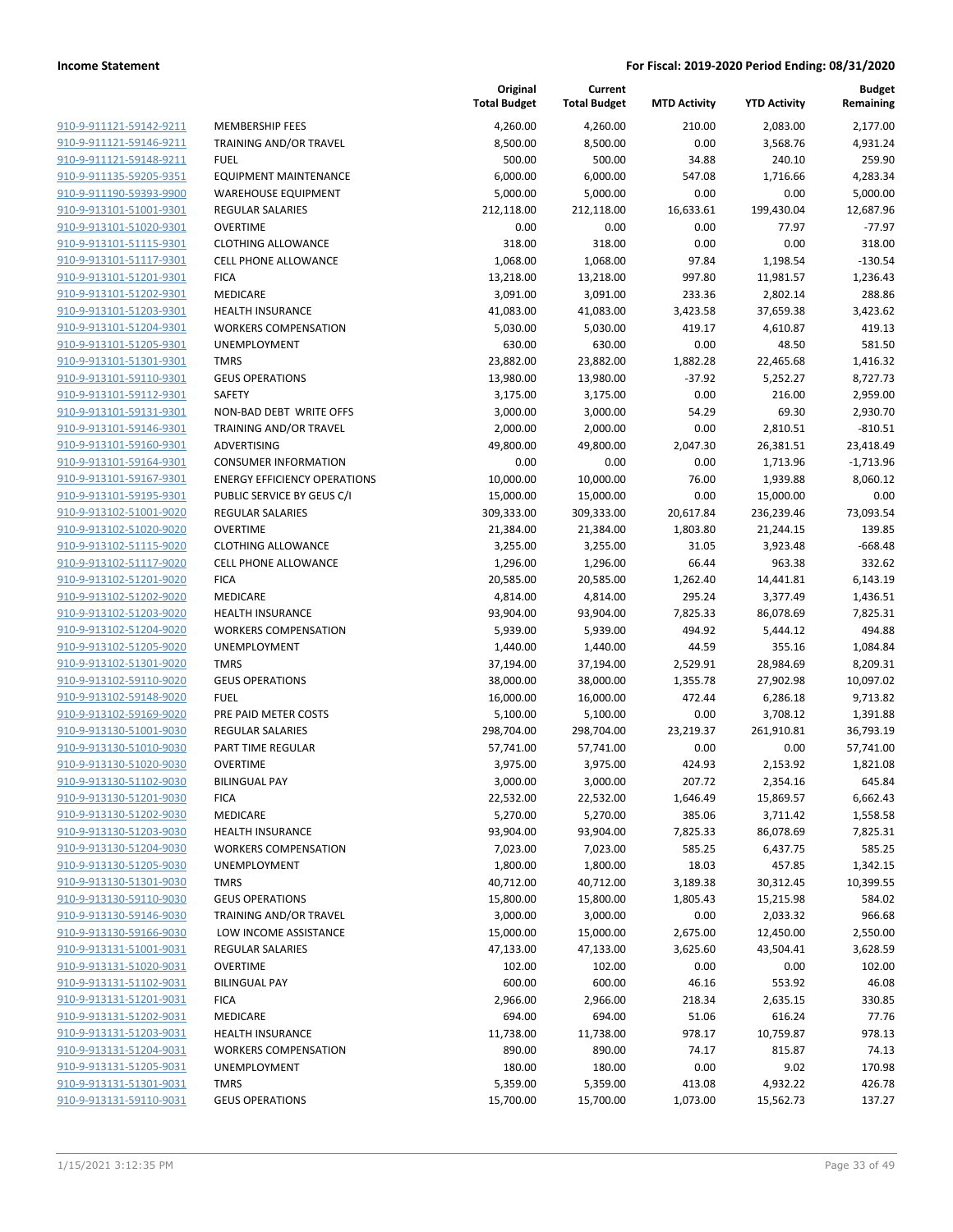| <u>910-9-911121-59142-9211</u>                     | MEMBERSHIP FEE                    |
|----------------------------------------------------|-----------------------------------|
| 910-9-911121-59146-9211                            | TRAINING AND/OI                   |
| 910-9-911121-59148-9211                            | <b>FUEL</b>                       |
| 910-9-911135-59205-9351                            | <b>EQUIPMENT MAIN</b>             |
| 910-9-911190-59393-9900                            | WAREHOUSE EQU                     |
| <u>910-9-913101-51001-9301</u>                     | <b>REGULAR SALARIE</b>            |
| 910-9-913101-51020-9301                            | OVERTIME                          |
| 910-9-913101-51115-9301                            | <b>CLOTHING ALLOW</b>             |
| 910-9-913101-51117-9301                            | <b>CELL PHONE ALLO</b>            |
| 910-9-913101-51201-9301                            | <b>FICA</b>                       |
| <u>910-9-913101-51202-9301</u>                     | <b>MEDICARE</b>                   |
| 910-9-913101-51203-9301                            | <b>HEALTH INSURAN</b>             |
| 910-9-913101-51204-9301                            | <b>WORKERS COMPE</b>              |
| 910-9-913101-51205-9301                            | UNEMPLOYMENT                      |
| 910-9-913101-51301-9301                            | TMRS                              |
| <u>910-9-913101-59110-9301</u>                     | <b>GEUS OPERATION</b>             |
| 910-9-913101-59112-9301                            | SAFETY                            |
| 910-9-913101-59131-9301                            | NON-BAD DEBT V                    |
| 910-9-913101-59146-9301                            | <b>TRAINING AND/OI</b>            |
| 910-9-913101-59160-9301                            | ADVERTISING                       |
| <u>910-9-913101-59164-9301</u>                     | <b>CONSUMER INFOR</b>             |
| 910-9-913101-59167-9301                            | <b>ENERGY EFFICIEN</b>            |
| 910-9-913101-59195-9301                            | PUBLIC SERVICE B'                 |
| 910-9-913102-51001-9020                            | REGULAR SALARIE                   |
| 910-9-913102-51020-9020                            | OVERTIME                          |
| <u>910-9-913102-51115-9020</u>                     | <b>CLOTHING ALLOW</b>             |
| 910-9-913102-51117-9020                            | <b>CELL PHONE ALLO</b>            |
| 910-9-913102-51201-9020                            | <b>FICA</b>                       |
| 910-9-913102-51202-9020                            | MEDICARE                          |
| 910-9-913102-51203-9020                            | <b>HEALTH INSURAN</b>             |
| <u>910-9-913102-51204-9020</u>                     | <b>WORKERS COMPE</b>              |
| 910-9-913102-51205-9020                            | UNEMPLOYMENT                      |
| 910-9-913102-51301-9020                            | TMRS                              |
| 910-9-913102-59110-9020                            | <b>GEUS OPERATION</b>             |
| 910-9-913102-59148-9020                            | FUEL                              |
| <u>910-9-913102-59169-9020</u>                     | PRE PAID METER (                  |
| 910-9-913130-51001-9030                            | <b>REGULAR SALARIE</b>            |
| 910-9-913130-51010-9030                            | PART TIME REGUL                   |
| 910-9-913130-51020-9030                            | OVERTIME                          |
| 910-9-913130-51102-9030                            | <b>BILINGUAL PAY</b>              |
| 910-9-913130-51201-9030                            | <b>FICA</b>                       |
| 910-9-913130-51202-9030                            | MEDICARE                          |
| 910-9-913130-51203-9030                            | <b>HEALTH INSURAN</b>             |
| 910-9-913130-51204-9030                            | <b>WORKERS COMPE</b>              |
| 910-9-913130-51205-9030                            | UNEMPLOYMENT                      |
| 910-9-913130-51301-9030                            | TMRS                              |
| 910-9-913130-59110-9030                            | <b>GEUS OPERATION</b>             |
| 910-9-913130-59146-9030                            | <b>TRAINING AND/OI</b>            |
| 910-9-913130-59166-9030<br>910-9-913131-51001-9031 | LOW INCOME ASS<br>REGULAR SALARIE |
| 910-9-913131-51020-9031                            | <b>OVERTIME</b>                   |
| 910-9-913131-51102-9031                            | <b>BILINGUAL PAY</b>              |
| 910-9-913131-51201-9031                            | <b>FICA</b>                       |
| 910-9-913131-51202-9031                            | <b>MEDICARE</b>                   |
| 910-9-913131-51203-9031                            | <b>HEALTH INSURAN</b>             |
| 910-9-913131-51204-9031                            | <b>WORKERS COMPE</b>              |
| 910-9-913131-51205-9031                            | <b>UNEMPLOYMENT</b>               |
| 910-9-913131-51301-9031                            | TMRS                              |
| 910-9-913131-59110-9031                            | <b>GEUS OPERATION</b>             |
|                                                    |                                   |

|                                                    |                                       | Original<br><b>Total Budget</b> | Current<br><b>Total Budget</b> | <b>MTD Activity</b>  | <b>YTD Activity</b>  | Budget<br>Remaining   |
|----------------------------------------------------|---------------------------------------|---------------------------------|--------------------------------|----------------------|----------------------|-----------------------|
| 910-9-911121-59142-9211                            | <b>MEMBERSHIP FEES</b>                | 4,260.00                        | 4,260.00                       | 210.00               | 2,083.00             | 2,177.00              |
| 910-9-911121-59146-9211                            | TRAINING AND/OR TRAVEL                | 8,500.00                        | 8,500.00                       | 0.00                 | 3,568.76             | 4,931.24              |
| 910-9-911121-59148-9211                            | <b>FUEL</b>                           | 500.00                          | 500.00                         | 34.88                | 240.10               | 259.90                |
| 910-9-911135-59205-9351                            | <b>EQUIPMENT MAINTENANCE</b>          | 6,000.00                        | 6,000.00                       | 547.08               | 1,716.66             | 4,283.34              |
| 910-9-911190-59393-9900                            | <b>WAREHOUSE EQUIPMENT</b>            | 5,000.00                        | 5,000.00                       | 0.00                 | 0.00                 | 5,000.00              |
| 910-9-913101-51001-9301                            | <b>REGULAR SALARIES</b>               | 212,118.00                      | 212,118.00                     | 16,633.61            | 199,430.04           | 12,687.96             |
| 910-9-913101-51020-9301                            | <b>OVERTIME</b>                       | 0.00                            | 0.00                           | 0.00                 | 77.97                | $-77.97$              |
| 910-9-913101-51115-9301                            | <b>CLOTHING ALLOWANCE</b>             | 318.00                          | 318.00                         | 0.00                 | 0.00                 | 318.00                |
| 910-9-913101-51117-9301                            | <b>CELL PHONE ALLOWANCE</b>           | 1,068.00                        | 1,068.00                       | 97.84                | 1,198.54             | $-130.54$             |
| 910-9-913101-51201-9301                            | <b>FICA</b>                           | 13,218.00                       | 13,218.00                      | 997.80               | 11,981.57            | 1,236.43              |
| 910-9-913101-51202-9301                            | MEDICARE                              | 3,091.00                        | 3,091.00                       | 233.36               | 2,802.14             | 288.86                |
| 910-9-913101-51203-9301                            | <b>HEALTH INSURANCE</b>               | 41,083.00                       | 41,083.00                      | 3,423.58             | 37,659.38            | 3,423.62              |
| 910-9-913101-51204-9301                            | <b>WORKERS COMPENSATION</b>           | 5,030.00                        | 5,030.00                       | 419.17               | 4,610.87             | 419.13                |
| 910-9-913101-51205-9301                            | UNEMPLOYMENT                          | 630.00                          | 630.00                         | 0.00                 | 48.50                | 581.50                |
| 910-9-913101-51301-9301                            | <b>TMRS</b>                           | 23,882.00                       | 23,882.00                      | 1,882.28             | 22,465.68            | 1,416.32              |
| 910-9-913101-59110-9301                            | <b>GEUS OPERATIONS</b>                | 13,980.00                       | 13,980.00                      | $-37.92$             | 5,252.27             | 8,727.73              |
| 910-9-913101-59112-9301                            | SAFETY                                | 3,175.00                        | 3,175.00                       | 0.00                 | 216.00               | 2,959.00              |
| 910-9-913101-59131-9301                            | NON-BAD DEBT WRITE OFFS               | 3,000.00                        | 3,000.00                       | 54.29                | 69.30                | 2,930.70              |
| 910-9-913101-59146-9301                            | <b>TRAINING AND/OR TRAVEL</b>         | 2,000.00                        | 2,000.00                       | 0.00                 | 2,810.51             | $-810.51$             |
| 910-9-913101-59160-9301                            | ADVERTISING                           | 49,800.00                       | 49,800.00                      | 2,047.30             | 26,381.51            | 23,418.49             |
| 910-9-913101-59164-9301                            | <b>CONSUMER INFORMATION</b>           | 0.00                            | 0.00                           | 0.00                 | 1,713.96             | $-1,713.96$           |
| 910-9-913101-59167-9301                            | <b>ENERGY EFFICIENCY OPERATIONS</b>   | 10,000.00                       | 10,000.00                      | 76.00                | 1,939.88             | 8,060.12              |
| 910-9-913101-59195-9301                            | PUBLIC SERVICE BY GEUS C/I            | 15,000.00                       | 15,000.00                      | 0.00                 | 15,000.00            | 0.00                  |
| 910-9-913102-51001-9020                            | <b>REGULAR SALARIES</b>               | 309,333.00                      | 309,333.00                     | 20,617.84            | 236,239.46           | 73,093.54             |
| 910-9-913102-51020-9020                            | <b>OVERTIME</b>                       | 21,384.00                       | 21,384.00                      | 1,803.80             | 21,244.15            | 139.85                |
| 910-9-913102-51115-9020                            | <b>CLOTHING ALLOWANCE</b>             | 3,255.00                        | 3,255.00                       | 31.05                | 3,923.48             | $-668.48$             |
| 910-9-913102-51117-9020                            | <b>CELL PHONE ALLOWANCE</b>           | 1,296.00                        | 1,296.00                       | 66.44                | 963.38               | 332.62                |
| 910-9-913102-51201-9020                            | <b>FICA</b>                           | 20,585.00                       | 20,585.00                      | 1,262.40             | 14,441.81            | 6,143.19              |
| 910-9-913102-51202-9020                            | MEDICARE                              | 4,814.00                        | 4,814.00                       | 295.24               | 3,377.49             | 1,436.51              |
| 910-9-913102-51203-9020                            | <b>HEALTH INSURANCE</b>               | 93,904.00                       | 93,904.00                      | 7,825.33             | 86,078.69            | 7,825.31              |
| 910-9-913102-51204-9020                            | <b>WORKERS COMPENSATION</b>           | 5,939.00                        | 5,939.00                       | 494.92               | 5,444.12             | 494.88                |
| 910-9-913102-51205-9020                            | UNEMPLOYMENT                          | 1,440.00                        | 1,440.00                       | 44.59                | 355.16               | 1,084.84              |
| 910-9-913102-51301-9020<br>910-9-913102-59110-9020 | <b>TMRS</b><br><b>GEUS OPERATIONS</b> | 37,194.00                       | 37,194.00                      | 2,529.91<br>1,355.78 | 28,984.69            | 8,209.31<br>10,097.02 |
| 910-9-913102-59148-9020                            | <b>FUEL</b>                           | 38,000.00<br>16,000.00          | 38,000.00                      | 472.44               | 27,902.98            | 9,713.82              |
| 910-9-913102-59169-9020                            | PRE PAID METER COSTS                  | 5,100.00                        | 16,000.00<br>5,100.00          | 0.00                 | 6,286.18<br>3,708.12 | 1,391.88              |
| 910-9-913130-51001-9030                            | REGULAR SALARIES                      | 298,704.00                      | 298,704.00                     | 23,219.37            | 261,910.81           | 36,793.19             |
| 910-9-913130-51010-9030                            | PART TIME REGULAR                     | 57,741.00                       | 57,741.00                      | 0.00                 | 0.00                 | 57,741.00             |
| 910-9-913130-51020-9030                            | <b>OVERTIME</b>                       | 3,975.00                        | 3,975.00                       | 424.93               | 2,153.92             | 1,821.08              |
| 910-9-913130-51102-9030                            | <b>BILINGUAL PAY</b>                  | 3,000.00                        | 3,000.00                       | 207.72               | 2,354.16             | 645.84                |
| 910-9-913130-51201-9030                            | <b>FICA</b>                           | 22,532.00                       | 22,532.00                      | 1,646.49             | 15,869.57            | 6,662.43              |
| 910-9-913130-51202-9030                            | MEDICARE                              | 5,270.00                        | 5,270.00                       | 385.06               | 3,711.42             | 1,558.58              |
| 910-9-913130-51203-9030                            | HEALTH INSURANCE                      | 93,904.00                       | 93,904.00                      | 7,825.33             | 86,078.69            | 7,825.31              |
| 910-9-913130-51204-9030                            | <b>WORKERS COMPENSATION</b>           | 7,023.00                        | 7,023.00                       | 585.25               | 6,437.75             | 585.25                |
| 910-9-913130-51205-9030                            | UNEMPLOYMENT                          | 1,800.00                        | 1,800.00                       | 18.03                | 457.85               | 1,342.15              |
| 910-9-913130-51301-9030                            | <b>TMRS</b>                           | 40,712.00                       | 40,712.00                      | 3,189.38             | 30,312.45            | 10,399.55             |
| 910-9-913130-59110-9030                            | <b>GEUS OPERATIONS</b>                | 15,800.00                       | 15,800.00                      | 1,805.43             | 15,215.98            | 584.02                |
| 910-9-913130-59146-9030                            | TRAINING AND/OR TRAVEL                | 3,000.00                        | 3,000.00                       | 0.00                 | 2,033.32             | 966.68                |
| 910-9-913130-59166-9030                            | LOW INCOME ASSISTANCE                 | 15,000.00                       | 15,000.00                      | 2,675.00             | 12,450.00            | 2,550.00              |
| 910-9-913131-51001-9031                            | <b>REGULAR SALARIES</b>               | 47,133.00                       | 47,133.00                      | 3,625.60             | 43,504.41            | 3,628.59              |
| 910-9-913131-51020-9031                            | <b>OVERTIME</b>                       | 102.00                          | 102.00                         | 0.00                 | 0.00                 | 102.00                |
| 910-9-913131-51102-9031                            | <b>BILINGUAL PAY</b>                  | 600.00                          | 600.00                         | 46.16                | 553.92               | 46.08                 |
| 910-9-913131-51201-9031                            | <b>FICA</b>                           | 2,966.00                        | 2,966.00                       | 218.34               | 2,635.15             | 330.85                |
| 910-9-913131-51202-9031                            | MEDICARE                              | 694.00                          | 694.00                         | 51.06                | 616.24               | 77.76                 |
| 910-9-913131-51203-9031                            | <b>HEALTH INSURANCE</b>               | 11,738.00                       | 11,738.00                      | 978.17               | 10,759.87            | 978.13                |
| 910-9-913131-51204-9031                            | <b>WORKERS COMPENSATION</b>           | 890.00                          | 890.00                         | 74.17                | 815.87               | 74.13                 |
| 910-9-913131-51205-9031                            | UNEMPLOYMENT                          | 180.00                          | 180.00                         | 0.00                 | 9.02                 | 170.98                |
| 910-9-913131-51301-9031                            | <b>TMRS</b>                           |                                 |                                |                      |                      |                       |
| 910-9-913131-59110-9031                            |                                       | 5,359.00                        | 5,359.00                       | 413.08               | 4,932.22             | 426.78                |
|                                                    | <b>GEUS OPERATIONS</b>                | 15,700.00                       | 15,700.00                      | 1,073.00             | 15,562.73            | 137.27                |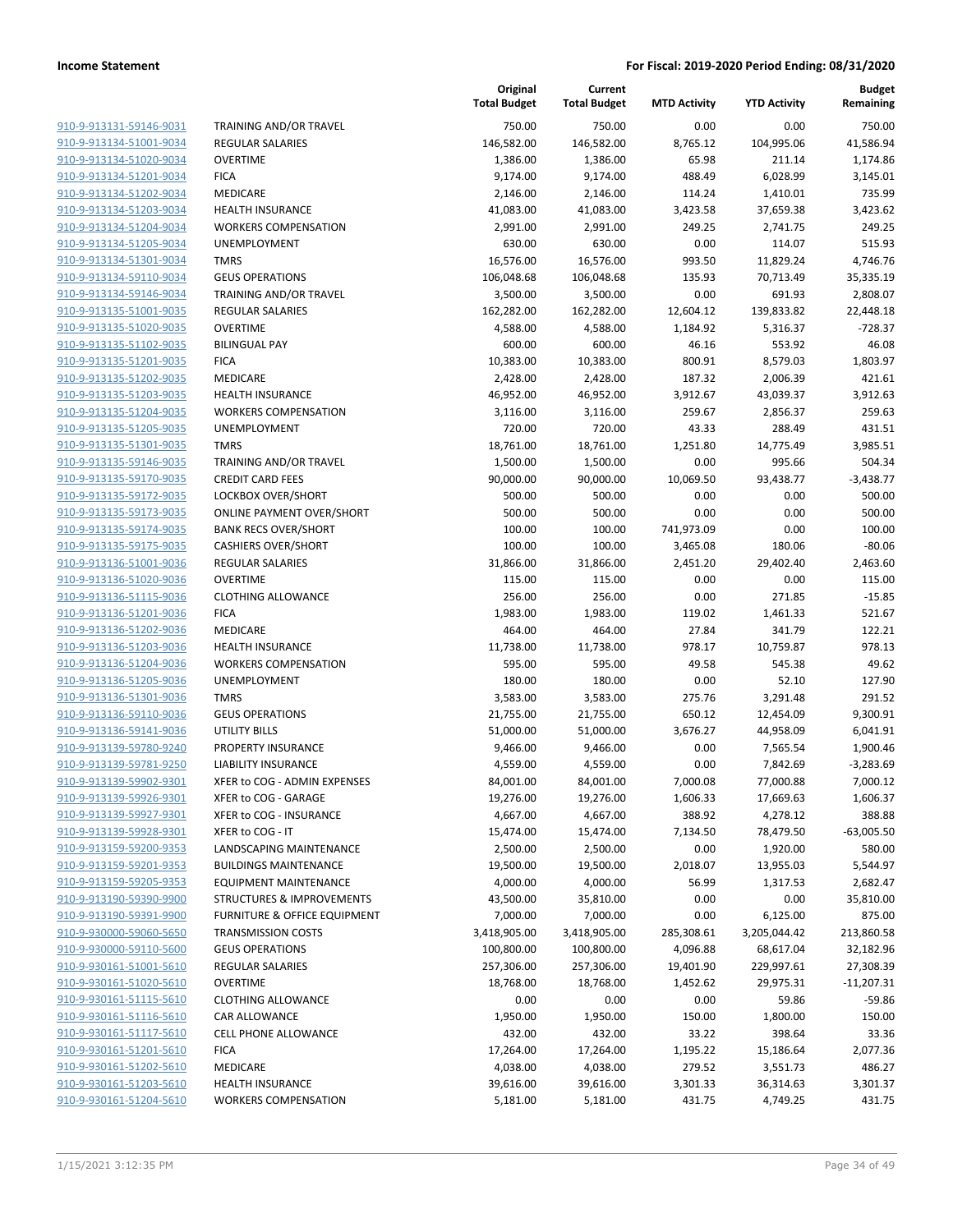| 910-9-913131-59146-9031        |
|--------------------------------|
| 910-9-913134-51001-9034        |
| 910-9-913134-51020-9034        |
| 910-9-913134-51201-9034        |
| 910-9-913134-51202-9034        |
| 910-9-913134-51203-9034        |
| 910-9-913134-51204-9034        |
| 910-9-913134-51205-9034        |
| 910-9-913134-51301-9034        |
| 910-9-913134-59110-9034        |
| 910-9-913134-59146-9034        |
| 910-9-913135-51001-9035        |
| 910-9-913135-51020-9035        |
| 910-9-913135-51102-9035        |
| 910-9-913135-51201-9035        |
| 910-9-913135-51202-9035        |
| 910-9-913135-51203-9035        |
| 910-9-913135-51204-9035        |
| 910-9-913135-51205-9035        |
| 910-9-913135-51301-9035        |
| 910-9-913135-59146-9035        |
| 910-9-913135-59170-9035        |
| 910-9-913135-59172-9035        |
| 910-9-913135-59173-9035        |
| 910-9-913135-59174-9035        |
| 910-9-913135-59175-9035        |
| 910-9-913136-51001-9036        |
| 910-9-913136-51020-9036        |
| 910-9-913136-51115-9036        |
| 910-9-913136-51201-9036        |
| 910-9-913136-51202-9036        |
| 910-9-913136-51203-9036        |
| 910-9-913136-51204-9036        |
| 910-9-913136-51205-9036        |
| 910-9-913136-51301-9036        |
| 910-9-913136-59110-9036        |
| 910-9-913136-59141-9036        |
| 910-9-913139-59780-9240        |
| 910-9-913139-59781-9250        |
| 910-9-913139-59902-9301        |
| 910-9-913139-59926-9301        |
| <u>910-9-913139-59927-9301</u> |
| <u>910-9-913139-59928-9301</u> |
| 910-9-913159-59200-9353        |
| <u>910-9-913159-59201-9353</u> |
| 910-9-913159-59205-9353        |
| <u>910-9-913190-59390-9900</u> |
| <u>910-9-913190-59391-9900</u> |
| 910-9-930000-59060-5650        |
| 910-9-930000-59110-5600        |
| <u>910-9-930161-51001-5610</u> |
| <u>910-9-930161-51020-5610</u> |
| <u>910-9-930161-51115-5610</u> |
| 910-9-930161-51116-5610        |
| 910-9-930161-51117-5610        |
| <u>910-9-930161-51201-5610</u> |
| <u>910-9-930161-51202-5610</u> |
| <u>910-9-930161-51203-5610</u> |
| 910-9-930161-51204-5610        |
|                                |

|                         |                                         | Original<br><b>Total Budget</b> | Current<br><b>Total Budget</b> | <b>MTD Activity</b> | <b>YTD Activity</b> | <b>Budget</b><br>Remaining |
|-------------------------|-----------------------------------------|---------------------------------|--------------------------------|---------------------|---------------------|----------------------------|
| 910-9-913131-59146-9031 | <b>TRAINING AND/OR TRAVEL</b>           | 750.00                          | 750.00                         | 0.00                | 0.00                | 750.00                     |
| 910-9-913134-51001-9034 | <b>REGULAR SALARIES</b>                 | 146,582.00                      | 146,582.00                     | 8,765.12            | 104,995.06          | 41,586.94                  |
| 910-9-913134-51020-9034 | <b>OVERTIME</b>                         | 1,386.00                        | 1,386.00                       | 65.98               | 211.14              | 1,174.86                   |
| 910-9-913134-51201-9034 | <b>FICA</b>                             | 9,174.00                        | 9,174.00                       | 488.49              | 6,028.99            | 3,145.01                   |
| 910-9-913134-51202-9034 | MEDICARE                                | 2,146.00                        | 2,146.00                       | 114.24              | 1,410.01            | 735.99                     |
| 910-9-913134-51203-9034 | <b>HEALTH INSURANCE</b>                 | 41,083.00                       | 41,083.00                      | 3,423.58            | 37,659.38           | 3,423.62                   |
| 910-9-913134-51204-9034 | <b>WORKERS COMPENSATION</b>             | 2,991.00                        | 2,991.00                       | 249.25              | 2,741.75            | 249.25                     |
| 910-9-913134-51205-9034 | <b>UNEMPLOYMENT</b>                     | 630.00                          | 630.00                         | 0.00                | 114.07              | 515.93                     |
| 910-9-913134-51301-9034 | <b>TMRS</b>                             | 16,576.00                       | 16,576.00                      | 993.50              | 11,829.24           | 4,746.76                   |
| 910-9-913134-59110-9034 | <b>GEUS OPERATIONS</b>                  | 106,048.68                      | 106,048.68                     | 135.93              | 70,713.49           | 35,335.19                  |
| 910-9-913134-59146-9034 | TRAINING AND/OR TRAVEL                  | 3,500.00                        | 3,500.00                       | 0.00                | 691.93              | 2,808.07                   |
| 910-9-913135-51001-9035 | <b>REGULAR SALARIES</b>                 | 162,282.00                      | 162,282.00                     | 12,604.12           | 139,833.82          | 22,448.18                  |
| 910-9-913135-51020-9035 | <b>OVERTIME</b>                         | 4,588.00                        | 4,588.00                       | 1,184.92            | 5,316.37            | $-728.37$                  |
| 910-9-913135-51102-9035 | <b>BILINGUAL PAY</b>                    | 600.00                          | 600.00                         | 46.16               | 553.92              | 46.08                      |
| 910-9-913135-51201-9035 | <b>FICA</b>                             | 10,383.00                       | 10,383.00                      | 800.91              | 8,579.03            | 1,803.97                   |
| 910-9-913135-51202-9035 | MEDICARE                                | 2,428.00                        | 2,428.00                       | 187.32              | 2,006.39            | 421.61                     |
| 910-9-913135-51203-9035 | <b>HEALTH INSURANCE</b>                 | 46,952.00                       | 46,952.00                      | 3,912.67            | 43,039.37           | 3,912.63                   |
| 910-9-913135-51204-9035 | <b>WORKERS COMPENSATION</b>             | 3,116.00                        | 3,116.00                       | 259.67              | 2,856.37            | 259.63                     |
| 910-9-913135-51205-9035 | <b>UNEMPLOYMENT</b>                     | 720.00                          | 720.00                         | 43.33               | 288.49              | 431.51                     |
| 910-9-913135-51301-9035 | <b>TMRS</b>                             | 18,761.00                       | 18,761.00                      | 1,251.80            | 14,775.49           | 3,985.51                   |
| 910-9-913135-59146-9035 | <b>TRAINING AND/OR TRAVEL</b>           | 1,500.00                        | 1,500.00                       | 0.00                | 995.66              | 504.34                     |
| 910-9-913135-59170-9035 | <b>CREDIT CARD FEES</b>                 | 90,000.00                       | 90,000.00                      | 10,069.50           | 93,438.77           | $-3,438.77$                |
| 910-9-913135-59172-9035 | LOCKBOX OVER/SHORT                      | 500.00                          | 500.00                         | 0.00                | 0.00                | 500.00                     |
| 910-9-913135-59173-9035 | <b>ONLINE PAYMENT OVER/SHORT</b>        | 500.00                          | 500.00                         | 0.00                | 0.00                | 500.00                     |
| 910-9-913135-59174-9035 | <b>BANK RECS OVER/SHORT</b>             | 100.00                          | 100.00                         | 741,973.09          | 0.00                | 100.00                     |
| 910-9-913135-59175-9035 | <b>CASHIERS OVER/SHORT</b>              | 100.00                          | 100.00                         | 3,465.08            | 180.06              | $-80.06$                   |
| 910-9-913136-51001-9036 | <b>REGULAR SALARIES</b>                 | 31,866.00                       | 31,866.00                      | 2,451.20            | 29,402.40           | 2,463.60                   |
| 910-9-913136-51020-9036 | <b>OVERTIME</b>                         | 115.00                          | 115.00                         | 0.00                | 0.00                | 115.00                     |
| 910-9-913136-51115-9036 | <b>CLOTHING ALLOWANCE</b>               | 256.00                          | 256.00                         | 0.00                | 271.85              | $-15.85$                   |
| 910-9-913136-51201-9036 | <b>FICA</b>                             | 1,983.00                        | 1,983.00                       | 119.02              | 1,461.33            | 521.67                     |
| 910-9-913136-51202-9036 | MEDICARE                                | 464.00                          | 464.00                         | 27.84               | 341.79              | 122.21                     |
| 910-9-913136-51203-9036 | <b>HEALTH INSURANCE</b>                 | 11,738.00                       | 11,738.00                      | 978.17              | 10,759.87           | 978.13                     |
| 910-9-913136-51204-9036 | <b>WORKERS COMPENSATION</b>             | 595.00                          | 595.00                         | 49.58               | 545.38              | 49.62                      |
| 910-9-913136-51205-9036 | UNEMPLOYMENT                            | 180.00                          | 180.00                         | 0.00                | 52.10               | 127.90                     |
| 910-9-913136-51301-9036 | <b>TMRS</b>                             | 3,583.00                        | 3,583.00                       | 275.76              | 3,291.48            | 291.52                     |
| 910-9-913136-59110-9036 | <b>GEUS OPERATIONS</b>                  | 21,755.00                       | 21,755.00                      | 650.12              | 12,454.09           | 9,300.91                   |
| 910-9-913136-59141-9036 | UTILITY BILLS                           | 51,000.00                       | 51,000.00                      | 3,676.27            | 44,958.09           | 6,041.91                   |
| 910-9-913139-59780-9240 | PROPERTY INSURANCE                      | 9,466.00                        | 9,466.00                       | 0.00                | 7,565.54            | 1,900.46                   |
| 910-9-913139-59781-9250 | <b>LIABILITY INSURANCE</b>              | 4,559.00                        | 4,559.00                       | 0.00                | 7,842.69            | -3,283.69                  |
| 910-9-913139-59902-9301 | XFER to COG - ADMIN EXPENSES            | 84,001.00                       | 84,001.00                      | 7,000.08            | 77,000.88           | 7,000.12                   |
| 910-9-913139-59926-9301 | XFER to COG - GARAGE                    | 19,276.00                       | 19,276.00                      | 1,606.33            | 17,669.63           | 1,606.37                   |
| 910-9-913139-59927-9301 | XFER to COG - INSURANCE                 | 4,667.00                        | 4,667.00                       | 388.92              | 4,278.12            | 388.88                     |
| 910-9-913139-59928-9301 | XFER to COG - IT                        | 15,474.00                       | 15,474.00                      | 7,134.50            | 78,479.50           | $-63,005.50$               |
| 910-9-913159-59200-9353 | LANDSCAPING MAINTENANCE                 | 2,500.00                        | 2,500.00                       | 0.00                | 1,920.00            | 580.00                     |
| 910-9-913159-59201-9353 | <b>BUILDINGS MAINTENANCE</b>            | 19,500.00                       | 19,500.00                      | 2,018.07            | 13,955.03           | 5,544.97                   |
| 910-9-913159-59205-9353 | <b>EQUIPMENT MAINTENANCE</b>            | 4,000.00                        | 4,000.00                       | 56.99               | 1,317.53            | 2,682.47                   |
| 910-9-913190-59390-9900 | <b>STRUCTURES &amp; IMPROVEMENTS</b>    | 43,500.00                       | 35,810.00                      | 0.00                | 0.00                | 35,810.00                  |
| 910-9-913190-59391-9900 | <b>FURNITURE &amp; OFFICE EQUIPMENT</b> | 7,000.00                        | 7,000.00                       | 0.00                | 6,125.00            | 875.00                     |
| 910-9-930000-59060-5650 | <b>TRANSMISSION COSTS</b>               | 3,418,905.00                    | 3,418,905.00                   | 285,308.61          | 3,205,044.42        | 213,860.58                 |
| 910-9-930000-59110-5600 | <b>GEUS OPERATIONS</b>                  | 100,800.00                      | 100,800.00                     | 4,096.88            | 68,617.04           | 32,182.96                  |
| 910-9-930161-51001-5610 | <b>REGULAR SALARIES</b>                 | 257,306.00                      | 257,306.00                     | 19,401.90           | 229,997.61          | 27,308.39                  |
| 910-9-930161-51020-5610 | <b>OVERTIME</b>                         | 18,768.00                       | 18,768.00                      | 1,452.62            | 29,975.31           | $-11,207.31$               |
| 910-9-930161-51115-5610 | <b>CLOTHING ALLOWANCE</b>               | 0.00                            | 0.00                           | 0.00                | 59.86               | $-59.86$                   |
| 910-9-930161-51116-5610 | CAR ALLOWANCE                           | 1,950.00                        | 1,950.00                       | 150.00              | 1,800.00            | 150.00                     |
| 910-9-930161-51117-5610 | CELL PHONE ALLOWANCE                    | 432.00                          | 432.00                         | 33.22               | 398.64              | 33.36                      |
| 910-9-930161-51201-5610 | <b>FICA</b>                             | 17,264.00                       | 17,264.00                      | 1,195.22            | 15,186.64           | 2,077.36                   |
| 910-9-930161-51202-5610 | MEDICARE                                | 4,038.00                        | 4,038.00                       | 279.52              | 3,551.73            | 486.27                     |
| 910-9-930161-51203-5610 | <b>HEALTH INSURANCE</b>                 | 39,616.00                       | 39,616.00                      | 3,301.33            | 36,314.63           | 3,301.37                   |
| 910-9-930161-51204-5610 | <b>WORKERS COMPENSATION</b>             | 5,181.00                        | 5,181.00                       | 431.75              | 4,749.25            | 431.75                     |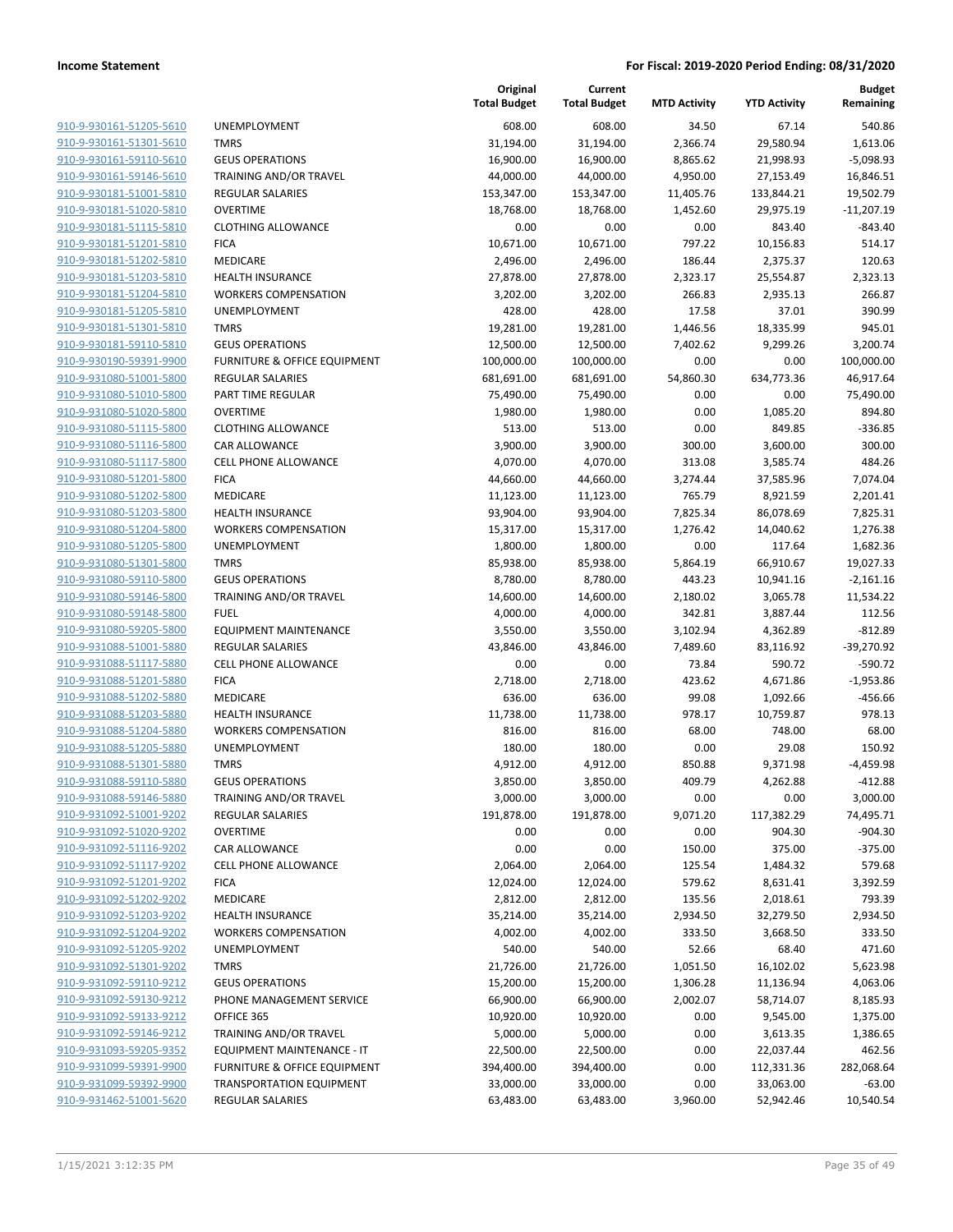**Budget Remaining**

| 910-9-930161-51205-5610             |
|-------------------------------------|
| 910-9-930161-51301-5610             |
| 910-9-930161-59110-5610             |
| 910-9-930161-59146-5610             |
| <u>910-9-930181-51001-5810</u>      |
| 910-9-930181-51020-5810             |
| 910-9-930181-51115-5810             |
| 910-9-930181-51201-5810             |
| 910-9-930181-51202-5810             |
| 910-9-930181-51203-5810             |
| 910-9-930181-51204-5810             |
| 910-9-930181-51205-5810             |
| 910-9-930181-51301-5810             |
| 910-9-930181-59110-5810             |
|                                     |
| <u>910-9-930190-59391-9900</u>      |
| 910-9-931080-51001-5800             |
| 910-9-931080-51010-5800             |
| 910-9-931080-51020-5800             |
| 910-9-931080-51115-5800             |
| <u>910-9-931080-51116-5800</u>      |
| 910-9-931080-51117-5800             |
| 910-9-931080-51201-<br>$-5800$      |
| 910-9-931080-51202-5800             |
| 910-9-931080-51203-5800             |
| 910-9-931080-51204-5800             |
| 910-9-931080-51205-5800             |
| 910-9-931080-51301-5800             |
| 910-9-931080-59110-5800             |
| 910-9-931080-59146-5800             |
| <u>910-9-931080-59148-5800</u>      |
| 910-9-931080-59205-5800             |
|                                     |
| 910-9-931088-51001-5880             |
| 910-9-931088-51117-5880             |
| 910-9-931088-51201-5880             |
| <u>910-9-931088-51202-5880</u>      |
| 910-9-931088-51203-5880             |
| 910-9-931088-51204-5880             |
| 910-9-931088-51205-5880             |
| 910-9-931088-51301-5880             |
| <u>910-9-931088-59110-5880</u>      |
| 910-9-931088-59146-5880             |
| 910-9-931092-51001-9202             |
| 910-9-931092-51020-9202             |
| <u>910-9-931092-51116-9202</u>      |
| <u>910-9-931092-51117-9202</u>      |
| <u>910-9-931092-51201-9202</u>      |
|                                     |
| 910-9-931092-51202-9202             |
| 910-9-931092-51203-9202             |
| <u>910-9-931092-51204-9202</u>      |
| <u>910-9-931092-51205-9202</u>      |
| <u>910-9-931092-51301-9202</u>      |
| 910-9-931092-59110-9212             |
| 910-9-931092-59130-9212             |
| <u>910-9-931092-59133-9212</u>      |
| <u>910-9-931092-59146-9212</u>      |
| <u>910-9-931093-59205-9352</u>      |
| <u>910-9-931099-59391-</u><br>9900- |
| <u>910-9-931099-59392-9900</u>      |
| <u>910-9-931462-51001-5620</u>      |
|                                     |

|                         |                                 | Original<br><b>Total Budget</b> | Current<br><b>Total Budget</b> | <b>MTD Activity</b> | <b>YTD Activity</b> | <b>Budget</b><br>Remaining |
|-------------------------|---------------------------------|---------------------------------|--------------------------------|---------------------|---------------------|----------------------------|
| 910-9-930161-51205-5610 | UNEMPLOYMENT                    | 608.00                          | 608.00                         | 34.50               | 67.14               | 540.86                     |
| 910-9-930161-51301-5610 | <b>TMRS</b>                     | 31,194.00                       | 31,194.00                      | 2,366.74            | 29,580.94           | 1,613.06                   |
| 910-9-930161-59110-5610 | <b>GEUS OPERATIONS</b>          | 16,900.00                       | 16,900.00                      | 8,865.62            | 21,998.93           | $-5,098.93$                |
| 910-9-930161-59146-5610 | <b>TRAINING AND/OR TRAVEL</b>   | 44,000.00                       | 44,000.00                      | 4,950.00            | 27,153.49           | 16,846.51                  |
| 910-9-930181-51001-5810 | <b>REGULAR SALARIES</b>         | 153,347.00                      | 153,347.00                     | 11,405.76           | 133,844.21          | 19,502.79                  |
| 910-9-930181-51020-5810 | <b>OVERTIME</b>                 | 18,768.00                       | 18,768.00                      | 1,452.60            | 29,975.19           | $-11,207.19$               |
| 910-9-930181-51115-5810 | <b>CLOTHING ALLOWANCE</b>       | 0.00                            | 0.00                           | 0.00                | 843.40              | $-843.40$                  |
| 910-9-930181-51201-5810 | <b>FICA</b>                     | 10,671.00                       | 10,671.00                      | 797.22              | 10,156.83           | 514.17                     |
| 910-9-930181-51202-5810 | <b>MEDICARE</b>                 | 2,496.00                        | 2,496.00                       | 186.44              | 2,375.37            | 120.63                     |
| 910-9-930181-51203-5810 | <b>HEALTH INSURANCE</b>         | 27,878.00                       | 27,878.00                      | 2,323.17            | 25,554.87           | 2,323.13                   |
| 910-9-930181-51204-5810 | <b>WORKERS COMPENSATION</b>     | 3,202.00                        | 3,202.00                       | 266.83              | 2,935.13            | 266.87                     |
| 910-9-930181-51205-5810 | UNEMPLOYMENT                    | 428.00                          | 428.00                         | 17.58               | 37.01               | 390.99                     |
| 910-9-930181-51301-5810 | <b>TMRS</b>                     | 19,281.00                       | 19,281.00                      | 1,446.56            | 18,335.99           | 945.01                     |
| 910-9-930181-59110-5810 | <b>GEUS OPERATIONS</b>          | 12,500.00                       | 12,500.00                      | 7,402.62            | 9,299.26            | 3,200.74                   |
| 910-9-930190-59391-9900 | FURNITURE & OFFICE EQUIPMENT    | 100,000.00                      | 100,000.00                     | 0.00                | 0.00                | 100,000.00                 |
| 910-9-931080-51001-5800 | <b>REGULAR SALARIES</b>         | 681,691.00                      | 681,691.00                     | 54,860.30           | 634,773.36          | 46,917.64                  |
| 910-9-931080-51010-5800 | PART TIME REGULAR               | 75,490.00                       | 75,490.00                      | 0.00                | 0.00                | 75,490.00                  |
| 910-9-931080-51020-5800 | <b>OVERTIME</b>                 | 1,980.00                        | 1,980.00                       | 0.00                | 1,085.20            | 894.80                     |
| 910-9-931080-51115-5800 | <b>CLOTHING ALLOWANCE</b>       | 513.00                          | 513.00                         | 0.00                | 849.85              | $-336.85$                  |
| 910-9-931080-51116-5800 | CAR ALLOWANCE                   | 3,900.00                        | 3,900.00                       | 300.00              | 3,600.00            | 300.00                     |
| 910-9-931080-51117-5800 | <b>CELL PHONE ALLOWANCE</b>     | 4,070.00                        | 4,070.00                       | 313.08              | 3,585.74            | 484.26                     |
| 910-9-931080-51201-5800 | <b>FICA</b>                     | 44,660.00                       | 44,660.00                      | 3,274.44            | 37,585.96           | 7,074.04                   |
| 910-9-931080-51202-5800 | MEDICARE                        | 11,123.00                       | 11,123.00                      | 765.79              | 8,921.59            | 2,201.41                   |
| 910-9-931080-51203-5800 | <b>HEALTH INSURANCE</b>         | 93,904.00                       | 93,904.00                      | 7,825.34            | 86,078.69           | 7,825.31                   |
| 910-9-931080-51204-5800 | <b>WORKERS COMPENSATION</b>     | 15,317.00                       | 15,317.00                      | 1,276.42            | 14,040.62           | 1,276.38                   |
| 910-9-931080-51205-5800 | UNEMPLOYMENT                    | 1,800.00                        | 1,800.00                       | 0.00                | 117.64              | 1,682.36                   |
| 910-9-931080-51301-5800 | <b>TMRS</b>                     | 85,938.00                       | 85,938.00                      | 5,864.19            | 66,910.67           | 19,027.33                  |
| 910-9-931080-59110-5800 | <b>GEUS OPERATIONS</b>          | 8,780.00                        | 8,780.00                       | 443.23              | 10,941.16           | $-2,161.16$                |
| 910-9-931080-59146-5800 | TRAINING AND/OR TRAVEL          | 14,600.00                       | 14,600.00                      | 2,180.02            | 3,065.78            | 11,534.22                  |
| 910-9-931080-59148-5800 | <b>FUEL</b>                     | 4,000.00                        | 4,000.00                       | 342.81              | 3,887.44            | 112.56                     |
| 910-9-931080-59205-5800 | <b>EQUIPMENT MAINTENANCE</b>    | 3,550.00                        | 3,550.00                       | 3,102.94            | 4,362.89            | $-812.89$                  |
| 910-9-931088-51001-5880 | <b>REGULAR SALARIES</b>         | 43,846.00                       | 43,846.00                      | 7,489.60            | 83,116.92           | $-39,270.92$               |
| 910-9-931088-51117-5880 | <b>CELL PHONE ALLOWANCE</b>     | 0.00                            | 0.00                           | 73.84               | 590.72              | $-590.72$                  |
| 910-9-931088-51201-5880 | <b>FICA</b>                     | 2,718.00                        | 2,718.00                       | 423.62              | 4,671.86            | $-1,953.86$                |
| 910-9-931088-51202-5880 | MEDICARE                        | 636.00                          | 636.00                         | 99.08               | 1,092.66            | $-456.66$                  |
| 910-9-931088-51203-5880 | <b>HEALTH INSURANCE</b>         | 11,738.00                       | 11,738.00                      | 978.17              | 10,759.87           | 978.13                     |
| 910-9-931088-51204-5880 | <b>WORKERS COMPENSATION</b>     | 816.00                          | 816.00                         | 68.00               | 748.00              | 68.00                      |
| 910-9-931088-51205-5880 | UNEMPLOYMENT                    | 180.00                          | 180.00                         | 0.00                | 29.08               | 150.92                     |
| 910-9-931088-51301-5880 | <b>TMRS</b>                     | 4,912.00                        | 4,912.00                       | 850.88              | 9,371.98            | $-4,459.98$                |
| 910-9-931088-59110-5880 | <b>GEUS OPERATIONS</b>          | 3,850.00                        | 3,850.00                       | 409.79              | 4,262.88            | $-412.88$                  |
| 910-9-931088-59146-5880 | TRAINING AND/OR TRAVEL          | 3,000.00                        | 3,000.00                       | 0.00                | 0.00                | 3,000.00                   |
| 910-9-931092-51001-9202 | <b>REGULAR SALARIES</b>         | 191,878.00                      | 191,878.00                     | 9,071.20            | 117,382.29          | 74,495.71                  |
| 910-9-931092-51020-9202 | <b>OVERTIME</b>                 | 0.00                            | 0.00                           | 0.00                | 904.30              | $-904.30$                  |
| 910-9-931092-51116-9202 | <b>CAR ALLOWANCE</b>            | 0.00                            | 0.00                           | 150.00              | 375.00              | $-375.00$                  |
| 910-9-931092-51117-9202 | <b>CELL PHONE ALLOWANCE</b>     | 2,064.00                        | 2,064.00                       | 125.54              | 1,484.32            | 579.68                     |
| 910-9-931092-51201-9202 | <b>FICA</b>                     | 12,024.00                       | 12,024.00                      | 579.62              | 8,631.41            | 3,392.59                   |
| 910-9-931092-51202-9202 | MEDICARE                        | 2,812.00                        | 2,812.00                       | 135.56              | 2,018.61            | 793.39                     |
| 910-9-931092-51203-9202 | HEALTH INSURANCE                | 35,214.00                       | 35,214.00                      | 2,934.50            | 32,279.50           | 2,934.50                   |
| 910-9-931092-51204-9202 | <b>WORKERS COMPENSATION</b>     | 4,002.00                        | 4,002.00                       | 333.50              | 3,668.50            | 333.50                     |
| 910-9-931092-51205-9202 | <b>UNEMPLOYMENT</b>             | 540.00                          | 540.00                         | 52.66               | 68.40               | 471.60                     |
| 910-9-931092-51301-9202 | <b>TMRS</b>                     | 21,726.00                       | 21,726.00                      | 1,051.50            | 16,102.02           | 5,623.98                   |
| 910-9-931092-59110-9212 | <b>GEUS OPERATIONS</b>          | 15,200.00                       | 15,200.00                      | 1,306.28            | 11,136.94           | 4,063.06                   |
| 910-9-931092-59130-9212 | PHONE MANAGEMENT SERVICE        | 66,900.00                       | 66,900.00                      | 2,002.07            | 58,714.07           | 8,185.93                   |
| 910-9-931092-59133-9212 | OFFICE 365                      | 10,920.00                       | 10,920.00                      | 0.00                | 9,545.00            | 1,375.00                   |
| 910-9-931092-59146-9212 | TRAINING AND/OR TRAVEL          | 5,000.00                        | 5,000.00                       | 0.00                | 3,613.35            | 1,386.65                   |
| 910-9-931093-59205-9352 | EQUIPMENT MAINTENANCE - IT      | 22,500.00                       | 22,500.00                      | 0.00                | 22,037.44           | 462.56                     |
| 910-9-931099-59391-9900 | FURNITURE & OFFICE EQUIPMENT    | 394,400.00                      | 394,400.00                     | 0.00                | 112,331.36          | 282,068.64                 |
| 910-9-931099-59392-9900 | <b>TRANSPORTATION EQUIPMENT</b> | 33,000.00                       | 33,000.00                      | 0.00                | 33,063.00           | $-63.00$                   |
| 910-9-931462-51001-5620 | REGULAR SALARIES                | 63,483.00                       | 63,483.00                      | 3,960.00            | 52,942.46           | 10,540.54                  |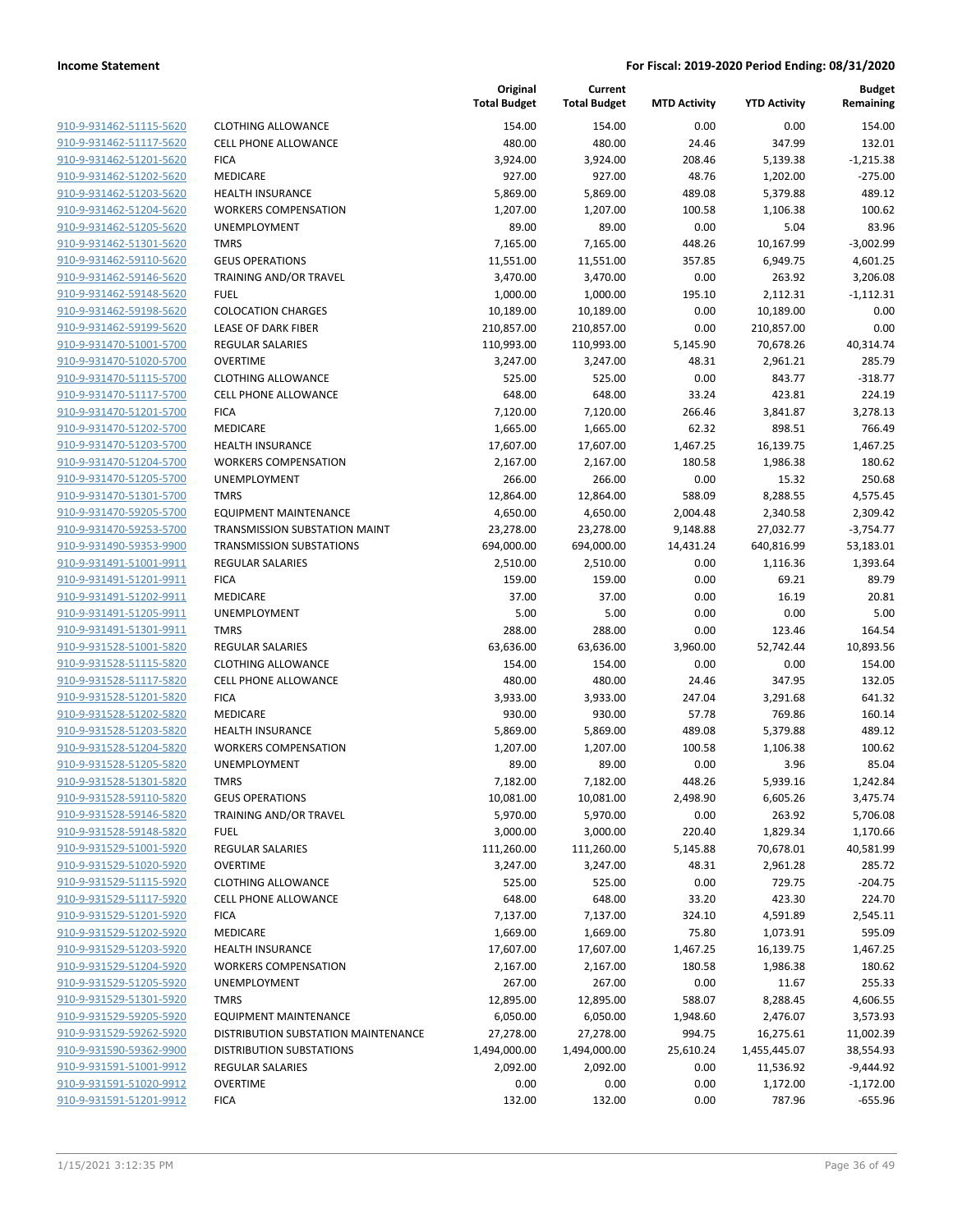| 910-9-931462-51115-5620                                   |
|-----------------------------------------------------------|
| 910-9-931462-51117-5620                                   |
| 910-9-931462-51201-5620                                   |
| 910-9-931462-51202-5620                                   |
| <u>910-9-931462-51203-5620</u>                            |
| 910-9-931462-51204-5620                                   |
| 910-9-931462-51205-5620                                   |
| 910-9-931462-51301-5620                                   |
| 910-9-931462-59110-5620                                   |
| <u>910-9-931462-59146-5620</u>                            |
| 910-9-931462-59148-5620                                   |
| 910-9-931462-59198-5620                                   |
| 910-9-931462-59199-5620                                   |
| 910-9-931470-51001-5700                                   |
|                                                           |
| 910-9-931470-51020-5700                                   |
| 910-9-931470-51115-5700                                   |
| 910-9-931470-51117-5700                                   |
| 910-9-931470-51201-5700                                   |
| 910-9-931470-51202-5700                                   |
| 910-9-931470-51203-5700                                   |
| 910-9-931470-51204-5700                                   |
| 910-9-931470-51205-5700                                   |
| 910-9-931470-51301-5700                                   |
| 910-9-931470-59205-5700                                   |
| 910-9-931470-59253-5700                                   |
| 910-9-931490-59353-9900                                   |
| 910-9-931491-51001-9911                                   |
| 910-9-931491-51201-9911                                   |
| 910-9-931491-51202-9911                                   |
| 910-9-931491-51205-9911                                   |
| 910-9-931491-51301-9911                                   |
| 910-9-931528-51001-5820                                   |
| 910-9-931528-51115-5820                                   |
| 910-9-931528-51117-5820                                   |
| <u>910-9-931528-51201-5820</u>                            |
| 910-9-931528-51202-5820                                   |
| 910-9-931528-51203-5820                                   |
|                                                           |
| 910-9-931528-51204-5820                                   |
| 910-9-931528-51205-5820                                   |
| 910-9-931528-51301-5820                                   |
| 910-9-931528-59110-5820                                   |
| 910-9-931528-59146-5820                                   |
| 910-9-931528-59148-5820                                   |
| 910-9-931529-51001-5920                                   |
| <u>910-9-931529-51020-5920</u>                            |
| 910-9-931529-51115-5920                                   |
| 910-9-931529-51117-5920                                   |
| <u>910-9-931529-51201-5920</u>                            |
| 910-9-931529-51202-5920                                   |
| <u>910-9-931529-51203-5920</u>                            |
| <u>910-9-931529-51204-5920</u>                            |
| 910-9-931529-51205-5920                                   |
| 910-9-931529-51301-5920                                   |
| <u>910-9-931529-59205-5920</u>                            |
| <u>910-9-931529-59262-5920</u>                            |
| 910-9-931590-59362-9900                                   |
| <u>910-9-931591-51001-9912</u>                            |
|                                                           |
|                                                           |
| <u>910-9-931591-51020-9912</u><br>910-9-931591-51201-9912 |

|                         |                                                                     | Original<br><b>Total Budget</b> | Current<br><b>Total Budget</b> | <b>MTD Activity</b> | <b>YTD Activity</b> | <b>Budget</b><br>Remaining |
|-------------------------|---------------------------------------------------------------------|---------------------------------|--------------------------------|---------------------|---------------------|----------------------------|
| 910-9-931462-51115-5620 | <b>CLOTHING ALLOWANCE</b>                                           | 154.00                          | 154.00                         | 0.00                | 0.00                | 154.00                     |
| 910-9-931462-51117-5620 | <b>CELL PHONE ALLOWANCE</b>                                         | 480.00                          | 480.00                         | 24.46               | 347.99              | 132.01                     |
| 910-9-931462-51201-5620 | <b>FICA</b>                                                         | 3,924.00                        | 3,924.00                       | 208.46              | 5,139.38            | $-1,215.38$                |
| 910-9-931462-51202-5620 | MEDICARE                                                            | 927.00                          | 927.00                         | 48.76               | 1,202.00            | $-275.00$                  |
| 910-9-931462-51203-5620 | <b>HEALTH INSURANCE</b>                                             | 5,869.00                        | 5,869.00                       | 489.08              | 5,379.88            | 489.12                     |
| 910-9-931462-51204-5620 | <b>WORKERS COMPENSATION</b>                                         | 1,207.00                        | 1,207.00                       | 100.58              | 1,106.38            | 100.62                     |
| 910-9-931462-51205-5620 | <b>UNEMPLOYMENT</b>                                                 | 89.00                           | 89.00                          | 0.00                | 5.04                | 83.96                      |
| 910-9-931462-51301-5620 | <b>TMRS</b>                                                         | 7,165.00                        | 7,165.00                       | 448.26              | 10,167.99           | $-3,002.99$                |
| 910-9-931462-59110-5620 | <b>GEUS OPERATIONS</b>                                              | 11,551.00                       | 11,551.00                      | 357.85              | 6,949.75            | 4,601.25                   |
| 910-9-931462-59146-5620 | <b>TRAINING AND/OR TRAVEL</b>                                       | 3,470.00                        | 3,470.00                       | 0.00                | 263.92              | 3,206.08                   |
| 910-9-931462-59148-5620 | <b>FUEL</b>                                                         | 1,000.00                        | 1,000.00                       | 195.10              | 2,112.31            | $-1,112.31$                |
| 910-9-931462-59198-5620 | <b>COLOCATION CHARGES</b>                                           | 10,189.00                       | 10,189.00                      | 0.00                | 10,189.00           | 0.00                       |
| 910-9-931462-59199-5620 | LEASE OF DARK FIBER                                                 | 210,857.00                      | 210,857.00                     | 0.00                | 210,857.00          | 0.00                       |
| 910-9-931470-51001-5700 | REGULAR SALARIES                                                    | 110,993.00                      | 110,993.00                     | 5,145.90            | 70,678.26           | 40,314.74                  |
| 910-9-931470-51020-5700 | <b>OVERTIME</b>                                                     | 3,247.00                        | 3,247.00                       | 48.31               | 2,961.21            | 285.79                     |
| 910-9-931470-51115-5700 | <b>CLOTHING ALLOWANCE</b>                                           | 525.00                          | 525.00                         | 0.00                | 843.77              | $-318.77$                  |
| 910-9-931470-51117-5700 | <b>CELL PHONE ALLOWANCE</b>                                         | 648.00                          | 648.00                         | 33.24               | 423.81              | 224.19                     |
| 910-9-931470-51201-5700 | <b>FICA</b>                                                         | 7,120.00                        | 7,120.00                       | 266.46              | 3,841.87            | 3,278.13                   |
| 910-9-931470-51202-5700 | MEDICARE                                                            | 1,665.00                        | 1,665.00                       | 62.32               | 898.51              | 766.49                     |
| 910-9-931470-51203-5700 | <b>HEALTH INSURANCE</b>                                             | 17,607.00                       | 17,607.00                      | 1,467.25            | 16,139.75           | 1,467.25                   |
| 910-9-931470-51204-5700 | <b>WORKERS COMPENSATION</b>                                         | 2,167.00                        | 2,167.00                       | 180.58              | 1,986.38            | 180.62                     |
| 910-9-931470-51205-5700 | <b>UNEMPLOYMENT</b>                                                 | 266.00                          | 266.00                         | 0.00                | 15.32               | 250.68                     |
| 910-9-931470-51301-5700 | <b>TMRS</b>                                                         | 12,864.00                       | 12,864.00                      | 588.09              | 8,288.55            | 4,575.45                   |
| 910-9-931470-59205-5700 | <b>EQUIPMENT MAINTENANCE</b>                                        | 4,650.00                        | 4,650.00                       | 2,004.48            | 2,340.58            | 2,309.42                   |
| 910-9-931470-59253-5700 | TRANSMISSION SUBSTATION MAINT                                       | 23,278.00                       | 23,278.00                      | 9,148.88            | 27,032.77           | $-3,754.77$                |
| 910-9-931490-59353-9900 | <b>TRANSMISSION SUBSTATIONS</b>                                     | 694,000.00                      | 694,000.00                     | 14,431.24           | 640,816.99          | 53,183.01                  |
| 910-9-931491-51001-9911 | <b>REGULAR SALARIES</b>                                             | 2,510.00                        | 2,510.00                       | 0.00                | 1,116.36            | 1,393.64                   |
| 910-9-931491-51201-9911 | <b>FICA</b>                                                         | 159.00                          | 159.00                         | 0.00                | 69.21               | 89.79                      |
| 910-9-931491-51202-9911 | MEDICARE                                                            | 37.00                           | 37.00                          | 0.00                | 16.19               | 20.81                      |
| 910-9-931491-51205-9911 | UNEMPLOYMENT                                                        | 5.00                            | 5.00                           | 0.00                | 0.00                | 5.00                       |
| 910-9-931491-51301-9911 | <b>TMRS</b>                                                         | 288.00                          | 288.00                         | 0.00                | 123.46              | 164.54                     |
| 910-9-931528-51001-5820 | <b>REGULAR SALARIES</b>                                             | 63,636.00                       | 63,636.00                      | 3,960.00            | 52,742.44           | 10,893.56                  |
| 910-9-931528-51115-5820 | <b>CLOTHING ALLOWANCE</b>                                           | 154.00                          | 154.00                         | 0.00                | 0.00                | 154.00                     |
| 910-9-931528-51117-5820 | <b>CELL PHONE ALLOWANCE</b>                                         | 480.00                          | 480.00                         | 24.46               | 347.95              | 132.05                     |
| 910-9-931528-51201-5820 | <b>FICA</b>                                                         | 3,933.00                        | 3,933.00                       | 247.04              | 3,291.68            | 641.32                     |
| 910-9-931528-51202-5820 | MEDICARE                                                            | 930.00                          | 930.00                         | 57.78               | 769.86              | 160.14                     |
| 910-9-931528-51203-5820 | <b>HEALTH INSURANCE</b>                                             | 5,869.00                        | 5,869.00                       | 489.08              | 5,379.88            | 489.12                     |
| 910-9-931528-51204-5820 | <b>WORKERS COMPENSATION</b>                                         | 1,207.00                        | 1,207.00                       | 100.58              | 1,106.38            | 100.62                     |
| 910-9-931528-51205-5820 | UNEMPLOYMENT                                                        | 89.00                           | 89.00                          | 0.00                | 3.96                | 85.04                      |
| 910-9-931528-51301-5820 | <b>TMRS</b>                                                         | 7,182.00                        | 7,182.00                       | 448.26              | 5,939.16            | 1,242.84                   |
| 910-9-931528-59110-5820 | <b>GEUS OPERATIONS</b>                                              | 10,081.00                       | 10,081.00                      | 2,498.90            | 6,605.26            | 3,475.74                   |
| 910-9-931528-59146-5820 | TRAINING AND/OR TRAVEL                                              | 5,970.00                        | 5,970.00                       | 0.00                | 263.92              | 5,706.08                   |
| 910-9-931528-59148-5820 | <b>FUEL</b>                                                         | 3,000.00                        | 3,000.00                       | 220.40              | 1,829.34            | 1,170.66                   |
| 910-9-931529-51001-5920 | REGULAR SALARIES                                                    | 111,260.00                      | 111,260.00                     | 5,145.88            | 70,678.01           | 40,581.99                  |
| 910-9-931529-51020-5920 | <b>OVERTIME</b>                                                     | 3,247.00                        | 3,247.00                       | 48.31               | 2,961.28            | 285.72                     |
| 910-9-931529-51115-5920 | <b>CLOTHING ALLOWANCE</b>                                           | 525.00                          | 525.00                         | 0.00                | 729.75              | $-204.75$                  |
| 910-9-931529-51117-5920 | <b>CELL PHONE ALLOWANCE</b>                                         | 648.00                          | 648.00                         | 33.20               | 423.30              | 224.70                     |
| 910-9-931529-51201-5920 | <b>FICA</b>                                                         | 7,137.00                        | 7,137.00                       | 324.10              | 4,591.89            | 2,545.11                   |
| 910-9-931529-51202-5920 | MEDICARE                                                            | 1,669.00                        | 1,669.00                       | 75.80               | 1,073.91            | 595.09                     |
| 910-9-931529-51203-5920 | <b>HEALTH INSURANCE</b>                                             | 17,607.00                       | 17,607.00                      | 1,467.25            | 16,139.75           | 1,467.25                   |
| 910-9-931529-51204-5920 | <b>WORKERS COMPENSATION</b>                                         | 2,167.00                        | 2,167.00                       | 180.58              | 1,986.38            | 180.62                     |
| 910-9-931529-51205-5920 | UNEMPLOYMENT                                                        | 267.00                          | 267.00                         | 0.00                | 11.67               | 255.33                     |
| 910-9-931529-51301-5920 | <b>TMRS</b>                                                         | 12,895.00                       | 12,895.00                      | 588.07              | 8,288.45            | 4,606.55                   |
| 910-9-931529-59205-5920 |                                                                     | 6,050.00                        | 6,050.00                       |                     | 2,476.07            | 3,573.93                   |
| 910-9-931529-59262-5920 | <b>EQUIPMENT MAINTENANCE</b><br>DISTRIBUTION SUBSTATION MAINTENANCE | 27,278.00                       | 27,278.00                      | 1,948.60<br>994.75  | 16,275.61           | 11,002.39                  |
| 910-9-931590-59362-9900 | <b>DISTRIBUTION SUBSTATIONS</b>                                     |                                 |                                |                     |                     |                            |
|                         |                                                                     | 1,494,000.00                    | 1,494,000.00                   | 25,610.24           | 1,455,445.07        | 38,554.93                  |
| 910-9-931591-51001-9912 | <b>REGULAR SALARIES</b>                                             | 2,092.00                        | 2,092.00                       | 0.00                | 11,536.92           | $-9,444.92$                |
| 910-9-931591-51020-9912 | <b>OVERTIME</b>                                                     | 0.00                            | 0.00                           | 0.00                | 1,172.00            | $-1,172.00$                |
| 910-9-931591-51201-9912 | <b>FICA</b>                                                         | 132.00                          | 132.00                         | 0.00                | 787.96              | $-655.96$                  |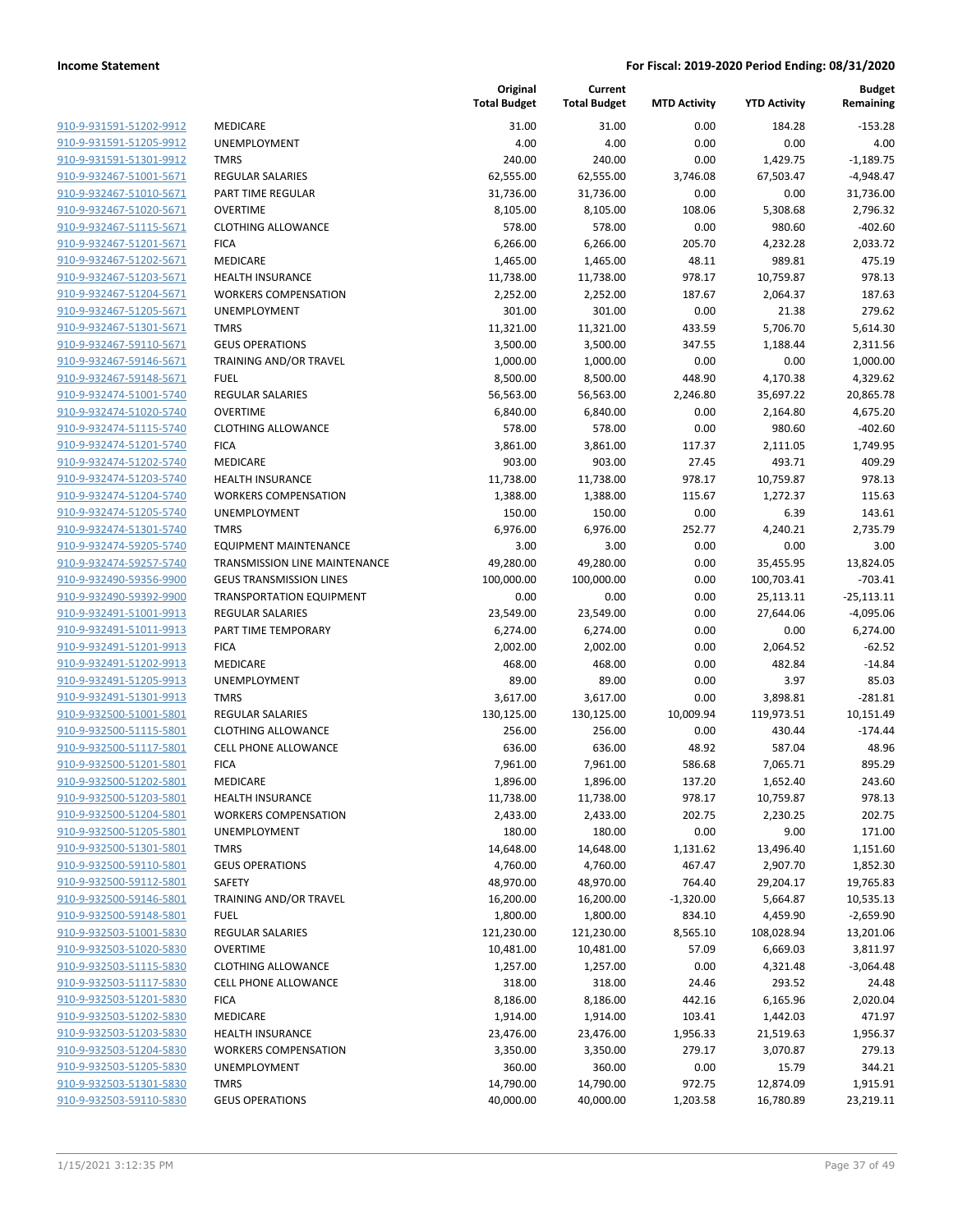| 910-9-931591-51202-9912        |
|--------------------------------|
| 910-9-931591-51205-9912        |
| 910-9-931591-51301-9912        |
| 910-9-932467-51001-5671        |
| <u>910-9-932467-51010-5671</u> |
| 910-9-932467-51020-5671        |
| 910-9-932467-51115-5671        |
| 910-9-932467-51201-5671        |
| 910-9-932467-51202-5671        |
| <u>910-9-932467-51203-5671</u> |
| 910-9-932467-51204-5671        |
| 910-9-932467-51205-5671        |
| 910-9-932467-51301-5671        |
|                                |
| 910-9-932467-59110-5671        |
| <u>910-9-932467-59146-5671</u> |
| 910-9-932467-59148-5671        |
| 910-9-932474-51001-5740        |
| 910-9-932474-51020-5740        |
| 910-9-932474-51115-5740        |
| <u>910-9-932474-51201-5740</u> |
| 910-9-932474-51202-5740        |
| 910-9-932474-51203-5740        |
| 910-9-932474-51204-5740        |
| 910-9-932474-51205-5740        |
| 910-9-932474-51301-5740        |
| 910-9-932474-59205-5740        |
| 910-9-932474-59257-5740        |
| 910-9-932490-59356-9900        |
| 910-9-932490-59392-9900        |
| 910-9-932491-51001-9913        |
| 910-9-932491-51011-9913        |
| 910-9-932491-51201-9913        |
| 910-9-932491-51202-9913        |
| 910-9-932491-51205-9913        |
|                                |
| <u>910-9-932491-51301-9913</u> |
| 910-9-932500-51001-5801        |
| 910-9-932500-51115-5801        |
| 910-9-932500-51117-5801        |
| 910-9-932500-51201-5801        |
| 910-9-932500-51202-5801        |
| 910-9-932500-51203-5801        |
| 910-9-932500-51204-5801        |
| 910-9-932500-51205-5801        |
| 910-9-932500-51301-5801        |
| 910-9-932500-59110-5801        |
| 910-9-932500-59112-5801        |
| 910-9-932500-59146-5801        |
| 910-9-932500-59148-5801        |
| 910-9-932503-51001-5830        |
| <u>910-9-932503-51020-5830</u> |
| 910-9-932503-51115-5830        |
| 910-9-932503-51117-5830        |
| 910-9-932503-51201-5830        |
|                                |
| 910-9-932503-51202-5830        |
| <u>910-9-932503-51203-5830</u> |
| 910-9-932503-51204-5830        |
| 910-9-932503-51205-5830        |
| <u>910-9-932503-51301-5830</u> |
| 910-9-932503-59110-5830        |
|                                |

|                         |                                 | Original<br><b>Total Budget</b> | Current<br><b>Total Budget</b> | <b>MTD Activity</b> | <b>YTD Activity</b> | <b>Budget</b><br>Remaining |
|-------------------------|---------------------------------|---------------------------------|--------------------------------|---------------------|---------------------|----------------------------|
| 910-9-931591-51202-9912 | MEDICARE                        | 31.00                           | 31.00                          | 0.00                | 184.28              | $-153.28$                  |
| 910-9-931591-51205-9912 | <b>UNEMPLOYMENT</b>             | 4.00                            | 4.00                           | 0.00                | 0.00                | 4.00                       |
| 910-9-931591-51301-9912 | <b>TMRS</b>                     | 240.00                          | 240.00                         | 0.00                | 1,429.75            | $-1,189.75$                |
| 910-9-932467-51001-5671 | <b>REGULAR SALARIES</b>         | 62,555.00                       | 62,555.00                      | 3,746.08            | 67,503.47           | $-4,948.47$                |
| 910-9-932467-51010-5671 | PART TIME REGULAR               | 31,736.00                       | 31,736.00                      | 0.00                | 0.00                | 31,736.00                  |
| 910-9-932467-51020-5671 | <b>OVERTIME</b>                 | 8,105.00                        | 8,105.00                       | 108.06              | 5,308.68            | 2,796.32                   |
| 910-9-932467-51115-5671 | <b>CLOTHING ALLOWANCE</b>       | 578.00                          | 578.00                         | 0.00                | 980.60              | $-402.60$                  |
| 910-9-932467-51201-5671 | <b>FICA</b>                     | 6,266.00                        | 6,266.00                       | 205.70              | 4,232.28            | 2,033.72                   |
| 910-9-932467-51202-5671 | MEDICARE                        | 1,465.00                        | 1,465.00                       | 48.11               | 989.81              | 475.19                     |
| 910-9-932467-51203-5671 | <b>HEALTH INSURANCE</b>         | 11,738.00                       | 11,738.00                      | 978.17              | 10,759.87           | 978.13                     |
| 910-9-932467-51204-5671 | <b>WORKERS COMPENSATION</b>     | 2,252.00                        | 2,252.00                       | 187.67              | 2,064.37            | 187.63                     |
| 910-9-932467-51205-5671 | UNEMPLOYMENT                    | 301.00                          | 301.00                         | 0.00                | 21.38               | 279.62                     |
| 910-9-932467-51301-5671 | <b>TMRS</b>                     | 11,321.00                       | 11,321.00                      | 433.59              | 5,706.70            | 5,614.30                   |
| 910-9-932467-59110-5671 | <b>GEUS OPERATIONS</b>          | 3,500.00                        | 3,500.00                       | 347.55              | 1,188.44            | 2,311.56                   |
| 910-9-932467-59146-5671 | TRAINING AND/OR TRAVEL          | 1,000.00                        | 1,000.00                       | 0.00                | 0.00                | 1,000.00                   |
| 910-9-932467-59148-5671 | <b>FUEL</b>                     | 8,500.00                        | 8,500.00                       | 448.90              | 4,170.38            | 4,329.62                   |
| 910-9-932474-51001-5740 | <b>REGULAR SALARIES</b>         | 56,563.00                       | 56,563.00                      | 2,246.80            | 35,697.22           | 20,865.78                  |
| 910-9-932474-51020-5740 | <b>OVERTIME</b>                 | 6,840.00                        | 6,840.00                       | 0.00                | 2,164.80            | 4,675.20                   |
| 910-9-932474-51115-5740 | <b>CLOTHING ALLOWANCE</b>       | 578.00                          | 578.00                         | 0.00                | 980.60              | $-402.60$                  |
| 910-9-932474-51201-5740 | <b>FICA</b>                     | 3,861.00                        | 3,861.00                       | 117.37              | 2,111.05            | 1,749.95                   |
| 910-9-932474-51202-5740 | <b>MEDICARE</b>                 | 903.00                          | 903.00                         | 27.45               | 493.71              | 409.29                     |
| 910-9-932474-51203-5740 | <b>HEALTH INSURANCE</b>         | 11,738.00                       | 11,738.00                      | 978.17              | 10,759.87           | 978.13                     |
| 910-9-932474-51204-5740 | <b>WORKERS COMPENSATION</b>     | 1,388.00                        | 1,388.00                       | 115.67              | 1,272.37            | 115.63                     |
| 910-9-932474-51205-5740 | UNEMPLOYMENT                    | 150.00                          | 150.00                         | 0.00                | 6.39                | 143.61                     |
| 910-9-932474-51301-5740 | <b>TMRS</b>                     | 6,976.00                        | 6,976.00                       | 252.77              | 4,240.21            | 2,735.79                   |
| 910-9-932474-59205-5740 | <b>EQUIPMENT MAINTENANCE</b>    | 3.00                            | 3.00                           | 0.00                | 0.00                | 3.00                       |
| 910-9-932474-59257-5740 | TRANSMISSION LINE MAINTENANCE   | 49,280.00                       | 49,280.00                      | 0.00                | 35,455.95           | 13,824.05                  |
| 910-9-932490-59356-9900 | <b>GEUS TRANSMISSION LINES</b>  | 100,000.00                      | 100,000.00                     | 0.00                | 100,703.41          | $-703.41$                  |
| 910-9-932490-59392-9900 | <b>TRANSPORTATION EQUIPMENT</b> | 0.00                            | 0.00                           | 0.00                | 25,113.11           | $-25,113.11$               |
| 910-9-932491-51001-9913 | <b>REGULAR SALARIES</b>         | 23,549.00                       | 23,549.00                      | 0.00                | 27,644.06           | $-4,095.06$                |
| 910-9-932491-51011-9913 | PART TIME TEMPORARY             | 6,274.00                        | 6,274.00                       | 0.00                | 0.00                | 6,274.00                   |
| 910-9-932491-51201-9913 | <b>FICA</b>                     | 2,002.00                        | 2,002.00                       | 0.00                | 2,064.52            | $-62.52$                   |
| 910-9-932491-51202-9913 | MEDICARE                        | 468.00                          | 468.00                         | 0.00                | 482.84              | $-14.84$                   |
| 910-9-932491-51205-9913 | UNEMPLOYMENT                    | 89.00                           | 89.00                          | 0.00                | 3.97                | 85.03                      |
| 910-9-932491-51301-9913 | <b>TMRS</b>                     | 3,617.00                        | 3,617.00                       | 0.00                | 3,898.81            | $-281.81$                  |
| 910-9-932500-51001-5801 | <b>REGULAR SALARIES</b>         | 130,125.00                      | 130,125.00                     | 10,009.94           | 119,973.51          | 10,151.49                  |
| 910-9-932500-51115-5801 | <b>CLOTHING ALLOWANCE</b>       | 256.00                          | 256.00                         | 0.00                | 430.44              | $-174.44$                  |
| 910-9-932500-51117-5801 | <b>CELL PHONE ALLOWANCE</b>     | 636.00                          | 636.00                         | 48.92               | 587.04              | 48.96                      |
| 910-9-932500-51201-5801 | <b>FICA</b>                     | 7,961.00                        | 7,961.00                       | 586.68              | 7,065.71            | 895.29                     |
| 910-9-932500-51202-5801 | MEDICARE                        | 1,896.00                        | 1,896.00                       | 137.20              | 1,652.40            | 243.60                     |
| 910-9-932500-51203-5801 | <b>HEALTH INSURANCE</b>         | 11,738.00                       | 11,738.00                      | 978.17              | 10,759.87           | 978.13                     |
| 910-9-932500-51204-5801 | <b>WORKERS COMPENSATION</b>     | 2,433.00                        | 2,433.00                       | 202.75              | 2,230.25            | 202.75                     |
| 910-9-932500-51205-5801 | <b>UNEMPLOYMENT</b>             | 180.00                          | 180.00                         | 0.00                | 9.00                | 171.00                     |
| 910-9-932500-51301-5801 | <b>TMRS</b>                     | 14,648.00                       | 14,648.00                      | 1,131.62            | 13,496.40           | 1,151.60                   |
| 910-9-932500-59110-5801 | <b>GEUS OPERATIONS</b>          | 4,760.00                        | 4,760.00                       | 467.47              | 2,907.70            | 1,852.30                   |
| 910-9-932500-59112-5801 | SAFETY                          | 48,970.00                       | 48,970.00                      | 764.40              | 29,204.17           | 19,765.83                  |
| 910-9-932500-59146-5801 | TRAINING AND/OR TRAVEL          | 16,200.00                       | 16,200.00                      | $-1,320.00$         | 5,664.87            | 10,535.13                  |
| 910-9-932500-59148-5801 | <b>FUEL</b>                     | 1,800.00                        | 1,800.00                       | 834.10              | 4,459.90            | $-2,659.90$                |
| 910-9-932503-51001-5830 | <b>REGULAR SALARIES</b>         | 121,230.00                      | 121,230.00                     | 8,565.10            | 108,028.94          | 13,201.06                  |
| 910-9-932503-51020-5830 | <b>OVERTIME</b>                 | 10,481.00                       | 10,481.00                      | 57.09               | 6,669.03            | 3,811.97                   |
| 910-9-932503-51115-5830 | <b>CLOTHING ALLOWANCE</b>       | 1,257.00                        | 1,257.00                       | 0.00                | 4,321.48            | $-3,064.48$                |
| 910-9-932503-51117-5830 | <b>CELL PHONE ALLOWANCE</b>     | 318.00                          | 318.00                         | 24.46               | 293.52              | 24.48                      |
| 910-9-932503-51201-5830 | <b>FICA</b>                     | 8,186.00                        | 8,186.00                       | 442.16              | 6,165.96            | 2,020.04                   |
| 910-9-932503-51202-5830 | MEDICARE                        | 1,914.00                        | 1,914.00                       | 103.41              | 1,442.03            | 471.97                     |
| 910-9-932503-51203-5830 | <b>HEALTH INSURANCE</b>         | 23,476.00                       | 23,476.00                      | 1,956.33            | 21,519.63           | 1,956.37                   |
| 910-9-932503-51204-5830 | <b>WORKERS COMPENSATION</b>     | 3,350.00                        | 3,350.00                       | 279.17              | 3,070.87            | 279.13                     |
| 910-9-932503-51205-5830 | UNEMPLOYMENT                    | 360.00                          | 360.00                         | 0.00                | 15.79               | 344.21                     |
| 910-9-932503-51301-5830 | <b>TMRS</b>                     | 14,790.00                       | 14,790.00                      | 972.75              | 12,874.09           | 1,915.91                   |
| 910-9-932503-59110-5830 | <b>GEUS OPERATIONS</b>          | 40,000.00                       | 40,000.00                      | 1,203.58            | 16,780.89           | 23,219.11                  |
|                         |                                 |                                 |                                |                     |                     |                            |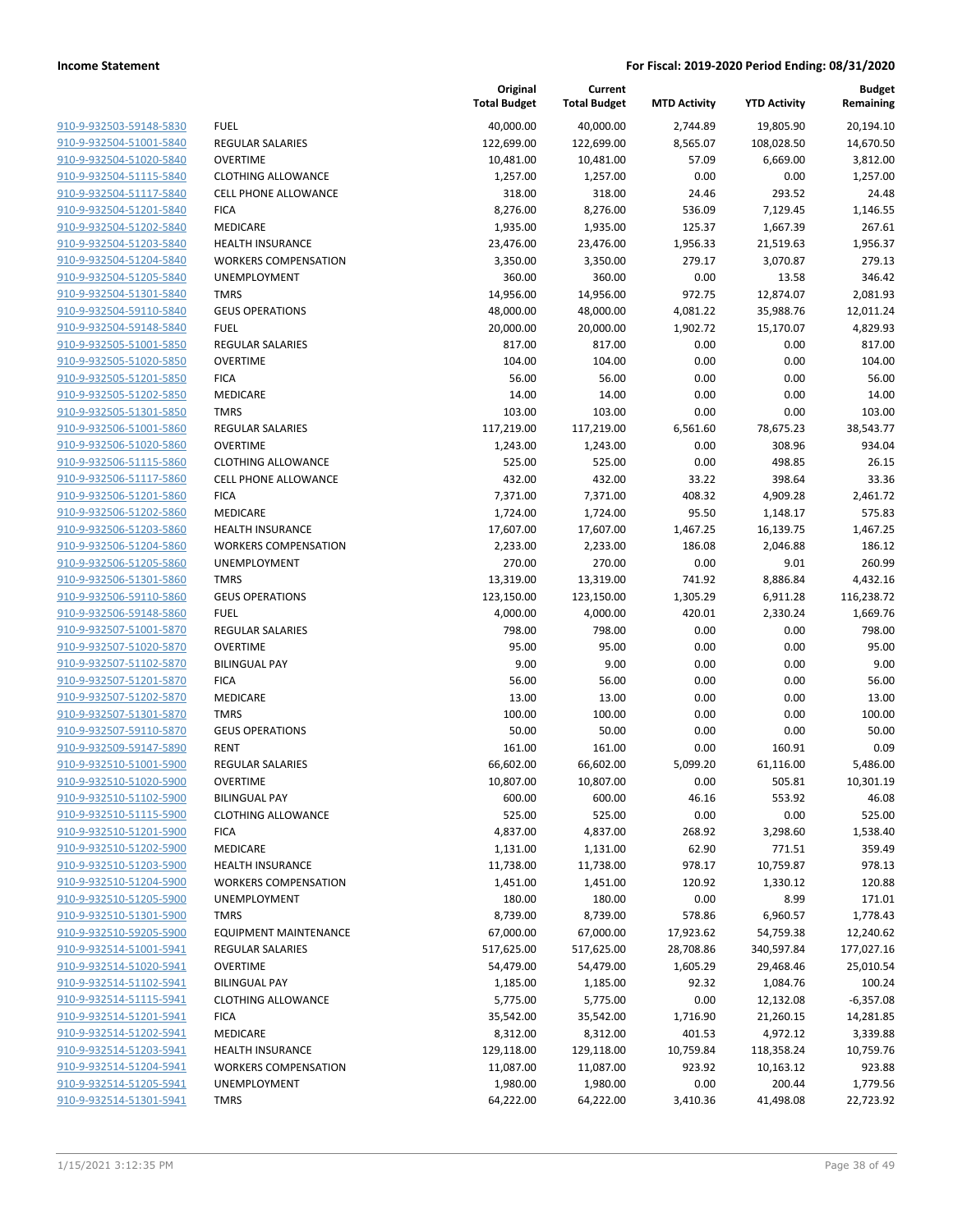| 910-9-932503-59148-5830        |
|--------------------------------|
| 910-9-932504-51001-5840        |
| 910-9-932504-51020-5840        |
| 910-9-932504-51115-5840        |
| 910-9-932504-51117-5840        |
| 910-9-932504-51201-5840        |
| 910-9-932504-51202-5840        |
| 910-9-932504-51203-5840        |
| 910-9-932504-51204-5840        |
| 910-9-932504-51205-5840        |
| 910-9-932504-51301-5840        |
| 910-9-932504-59110-5840        |
| 910-9-932504-59148-5840        |
| 910-9-932505-51001-5850        |
| 910-9-932505-51020-5850        |
| 910-9-932505-51201-5850        |
| <u>910-9-932505-51202-5850</u> |
| 910-9-932505-51301-5850        |
| 910-9-932506-51001-5860        |
| 910-9-932506-51020-5860        |
| 910-9-932506-51115-5860        |
| 910-9-932506-51117-5860        |
| 910-9-932506-51201-5860        |
| 910-9-932506-51202-5860        |
| 910-9-932506-51203-5860        |
| 910-9-932506-51204-5860        |
| 910-9-932506-51205-5860        |
| 910-9-932506-51301-5860        |
| 910-9-932506-59110-5860        |
| 910-9-932506-59148-5860        |
| 910-9-932507-51001-5870        |
| 910-9-932507-51020-5870        |
| 910-9-932507-51102-5870        |
| 910-9-932507-51201-5870        |
| 910-9-932507-51202-5870        |
| 910-9-932507-51301-5870        |
| 910-9-932507-59110-5870        |
| 910-9-932509-59147-5890        |
| 910-9-932510-51001-5900        |
| 910-9-932510-51020-5900        |
| 910-9-932510-51102-5900        |
| 910-9-932510-51115-5900        |
| 910-9-932510-51201-5900        |
| 910-9-932510-51202-5900        |
| 910-9-932510-51203-5900        |
|                                |
| 910-9-932510-51204-5900        |
| 910-9-932510-51205-5900        |
| 910-9-932510-51301-5900        |
| 910-9-932510-59205-5900        |
| 910-9-932514-51001-5941        |
| 910-9-932514-51020-5941        |
| 910-9-932514-51102-5941        |
| 910-9-932514-51115-5941        |
| 910-9-932514-51201-5941        |
| 910-9-932514-51202-5941        |
| <u>910-9-932514-51203-5941</u> |
| 910-9-932514-51204-5941        |
| 910-9-932514-51205-5941        |
| 910-9-932514-51301-5941        |
|                                |

|                         |                              | Original<br><b>Total Budget</b> | Current<br><b>Total Budget</b> | <b>MTD Activity</b> | <b>YTD Activity</b> | <b>Budget</b><br>Remaining |
|-------------------------|------------------------------|---------------------------------|--------------------------------|---------------------|---------------------|----------------------------|
| 910-9-932503-59148-5830 | <b>FUEL</b>                  | 40,000.00                       | 40,000.00                      | 2,744.89            | 19,805.90           | 20,194.10                  |
| 910-9-932504-51001-5840 | REGULAR SALARIES             | 122,699.00                      | 122,699.00                     | 8,565.07            | 108,028.50          | 14,670.50                  |
| 910-9-932504-51020-5840 | <b>OVERTIME</b>              | 10,481.00                       | 10,481.00                      | 57.09               | 6,669.00            | 3,812.00                   |
| 910-9-932504-51115-5840 | <b>CLOTHING ALLOWANCE</b>    | 1,257.00                        | 1,257.00                       | 0.00                | 0.00                | 1,257.00                   |
| 910-9-932504-51117-5840 | <b>CELL PHONE ALLOWANCE</b>  | 318.00                          | 318.00                         | 24.46               | 293.52              | 24.48                      |
| 910-9-932504-51201-5840 | <b>FICA</b>                  | 8,276.00                        | 8,276.00                       | 536.09              | 7,129.45            | 1,146.55                   |
| 910-9-932504-51202-5840 | MEDICARE                     | 1,935.00                        | 1,935.00                       | 125.37              | 1,667.39            | 267.61                     |
| 910-9-932504-51203-5840 | <b>HEALTH INSURANCE</b>      | 23,476.00                       | 23,476.00                      | 1,956.33            | 21,519.63           | 1,956.37                   |
| 910-9-932504-51204-5840 | <b>WORKERS COMPENSATION</b>  | 3,350.00                        | 3,350.00                       | 279.17              | 3,070.87            | 279.13                     |
| 910-9-932504-51205-5840 | <b>UNEMPLOYMENT</b>          | 360.00                          | 360.00                         | 0.00                | 13.58               | 346.42                     |
| 910-9-932504-51301-5840 | <b>TMRS</b>                  | 14,956.00                       | 14,956.00                      | 972.75              | 12,874.07           | 2,081.93                   |
| 910-9-932504-59110-5840 | <b>GEUS OPERATIONS</b>       | 48,000.00                       | 48,000.00                      | 4,081.22            | 35,988.76           | 12,011.24                  |
| 910-9-932504-59148-5840 | <b>FUEL</b>                  | 20,000.00                       | 20,000.00                      | 1,902.72            | 15,170.07           | 4,829.93                   |
| 910-9-932505-51001-5850 | <b>REGULAR SALARIES</b>      | 817.00                          | 817.00                         | 0.00                | 0.00                | 817.00                     |
| 910-9-932505-51020-5850 | <b>OVERTIME</b>              | 104.00                          | 104.00                         | 0.00                | 0.00                | 104.00                     |
| 910-9-932505-51201-5850 | <b>FICA</b>                  | 56.00                           | 56.00                          | 0.00                | 0.00                | 56.00                      |
| 910-9-932505-51202-5850 | MEDICARE                     | 14.00                           | 14.00                          | 0.00                | 0.00                | 14.00                      |
| 910-9-932505-51301-5850 | <b>TMRS</b>                  | 103.00                          | 103.00                         | 0.00                | 0.00                | 103.00                     |
| 910-9-932506-51001-5860 | <b>REGULAR SALARIES</b>      | 117,219.00                      | 117,219.00                     | 6,561.60            | 78,675.23           | 38,543.77                  |
| 910-9-932506-51020-5860 | <b>OVERTIME</b>              | 1,243.00                        | 1,243.00                       | 0.00                | 308.96              | 934.04                     |
| 910-9-932506-51115-5860 | <b>CLOTHING ALLOWANCE</b>    | 525.00                          | 525.00                         | 0.00                | 498.85              | 26.15                      |
| 910-9-932506-51117-5860 | CELL PHONE ALLOWANCE         | 432.00                          | 432.00                         | 33.22               | 398.64              | 33.36                      |
| 910-9-932506-51201-5860 | <b>FICA</b>                  | 7,371.00                        | 7,371.00                       | 408.32              | 4,909.28            | 2,461.72                   |
| 910-9-932506-51202-5860 | MEDICARE                     | 1,724.00                        | 1,724.00                       | 95.50               | 1,148.17            | 575.83                     |
| 910-9-932506-51203-5860 | <b>HEALTH INSURANCE</b>      | 17,607.00                       | 17,607.00                      | 1,467.25            | 16,139.75           | 1,467.25                   |
| 910-9-932506-51204-5860 | <b>WORKERS COMPENSATION</b>  | 2,233.00                        | 2,233.00                       | 186.08              | 2,046.88            | 186.12                     |
| 910-9-932506-51205-5860 | UNEMPLOYMENT                 | 270.00                          | 270.00                         | 0.00                | 9.01                | 260.99                     |
| 910-9-932506-51301-5860 | <b>TMRS</b>                  | 13,319.00                       | 13,319.00                      | 741.92              | 8,886.84            | 4,432.16                   |
| 910-9-932506-59110-5860 | <b>GEUS OPERATIONS</b>       | 123,150.00                      | 123,150.00                     | 1,305.29            | 6,911.28            | 116,238.72                 |
| 910-9-932506-59148-5860 | <b>FUEL</b>                  | 4,000.00                        | 4,000.00                       | 420.01              | 2,330.24            | 1,669.76                   |
| 910-9-932507-51001-5870 | <b>REGULAR SALARIES</b>      | 798.00                          | 798.00                         | 0.00                | 0.00                | 798.00                     |
| 910-9-932507-51020-5870 | <b>OVERTIME</b>              | 95.00                           | 95.00                          | 0.00                | 0.00                | 95.00                      |
| 910-9-932507-51102-5870 | <b>BILINGUAL PAY</b>         | 9.00                            | 9.00                           | 0.00                | 0.00                | 9.00                       |
| 910-9-932507-51201-5870 | <b>FICA</b>                  | 56.00                           | 56.00                          | 0.00                | 0.00                | 56.00                      |
| 910-9-932507-51202-5870 | MEDICARE                     | 13.00                           | 13.00                          | 0.00                | 0.00                | 13.00                      |
| 910-9-932507-51301-5870 | <b>TMRS</b>                  | 100.00                          | 100.00                         | 0.00                | 0.00                | 100.00                     |
| 910-9-932507-59110-5870 | <b>GEUS OPERATIONS</b>       | 50.00                           | 50.00                          | 0.00                | 0.00                | 50.00                      |
| 910-9-932509-59147-5890 | <b>RENT</b>                  | 161.00                          | 161.00                         | 0.00                | 160.91              | 0.09                       |
| 910-9-932510-51001-5900 | <b>REGULAR SALARIES</b>      | 66,602.00                       | 66,602.00                      | 5,099.20            | 61,116.00           | 5,486.00                   |
| 910-9-932510-51020-5900 | <b>OVERTIME</b>              | 10,807.00                       | 10,807.00                      | 0.00                | 505.81              | 10,301.19                  |
| 910-9-932510-51102-5900 | <b>BILINGUAL PAY</b>         | 600.00                          | 600.00                         | 46.16               | 553.92              | 46.08                      |
| 910-9-932510-51115-5900 | <b>CLOTHING ALLOWANCE</b>    | 525.00                          | 525.00                         | 0.00                | 0.00                | 525.00                     |
| 910-9-932510-51201-5900 | <b>FICA</b>                  | 4,837.00                        | 4,837.00                       | 268.92              | 3,298.60            | 1,538.40                   |
| 910-9-932510-51202-5900 | <b>MEDICARE</b>              | 1,131.00                        | 1,131.00                       | 62.90               | 771.51              | 359.49                     |
| 910-9-932510-51203-5900 | <b>HEALTH INSURANCE</b>      | 11,738.00                       | 11,738.00                      | 978.17              | 10,759.87           | 978.13                     |
| 910-9-932510-51204-5900 | <b>WORKERS COMPENSATION</b>  | 1,451.00                        | 1,451.00                       | 120.92              | 1,330.12            | 120.88                     |
| 910-9-932510-51205-5900 | <b>UNEMPLOYMENT</b>          | 180.00                          | 180.00                         | 0.00                | 8.99                | 171.01                     |
| 910-9-932510-51301-5900 | <b>TMRS</b>                  | 8,739.00                        | 8,739.00                       | 578.86              | 6,960.57            | 1,778.43                   |
| 910-9-932510-59205-5900 | <b>EQUIPMENT MAINTENANCE</b> | 67,000.00                       | 67,000.00                      | 17,923.62           | 54,759.38           | 12,240.62                  |
| 910-9-932514-51001-5941 | <b>REGULAR SALARIES</b>      | 517,625.00                      | 517,625.00                     | 28,708.86           | 340,597.84          | 177,027.16                 |
| 910-9-932514-51020-5941 | <b>OVERTIME</b>              | 54,479.00                       | 54,479.00                      | 1,605.29            | 29,468.46           | 25,010.54                  |
| 910-9-932514-51102-5941 | <b>BILINGUAL PAY</b>         | 1,185.00                        | 1,185.00                       | 92.32               | 1,084.76            | 100.24                     |
| 910-9-932514-51115-5941 | <b>CLOTHING ALLOWANCE</b>    | 5,775.00                        | 5,775.00                       | 0.00                | 12,132.08           | $-6,357.08$                |
| 910-9-932514-51201-5941 | <b>FICA</b>                  | 35,542.00                       | 35,542.00                      | 1,716.90            | 21,260.15           | 14,281.85                  |
| 910-9-932514-51202-5941 | MEDICARE                     | 8,312.00                        | 8,312.00                       | 401.53              | 4,972.12            | 3,339.88                   |
| 910-9-932514-51203-5941 | <b>HEALTH INSURANCE</b>      | 129,118.00                      | 129,118.00                     | 10,759.84           | 118,358.24          | 10,759.76                  |
| 910-9-932514-51204-5941 | <b>WORKERS COMPENSATION</b>  | 11,087.00                       | 11,087.00                      | 923.92              | 10,163.12           | 923.88                     |
| 910-9-932514-51205-5941 | UNEMPLOYMENT                 | 1,980.00                        | 1,980.00                       | 0.00                | 200.44              | 1,779.56                   |
| 910-9-932514-51301-5941 | <b>TMRS</b>                  | 64,222.00                       | 64,222.00                      | 3,410.36            | 41,498.08           | 22,723.92                  |
|                         |                              |                                 |                                |                     |                     |                            |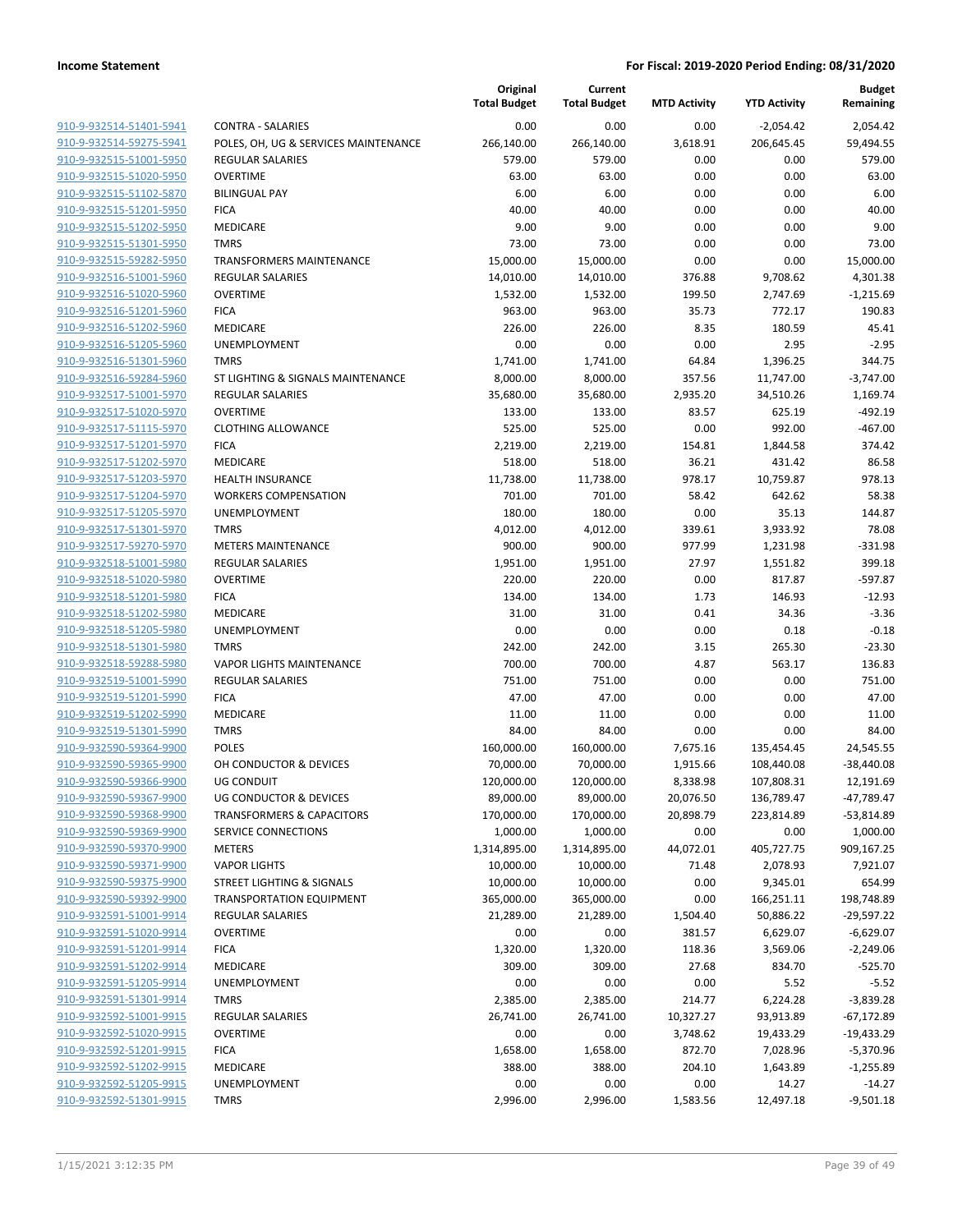|                         |                                      | Original<br><b>Total Budget</b> | Current<br><b>Total Budget</b> | <b>MTD Activity</b> | <b>YTD Activity</b> | <b>Budget</b><br>Remaining |
|-------------------------|--------------------------------------|---------------------------------|--------------------------------|---------------------|---------------------|----------------------------|
| 910-9-932514-51401-5941 | <b>CONTRA - SALARIES</b>             | 0.00                            | 0.00                           | 0.00                | $-2,054.42$         | 2,054.42                   |
| 910-9-932514-59275-5941 | POLES, OH, UG & SERVICES MAINTENANCE | 266,140.00                      | 266,140.00                     | 3,618.91            | 206,645.45          | 59,494.55                  |
| 910-9-932515-51001-5950 | <b>REGULAR SALARIES</b>              | 579.00                          | 579.00                         | 0.00                | 0.00                | 579.00                     |
| 910-9-932515-51020-5950 | <b>OVERTIME</b>                      | 63.00                           | 63.00                          | 0.00                | 0.00                | 63.00                      |
| 910-9-932515-51102-5870 | <b>BILINGUAL PAY</b>                 | 6.00                            | 6.00                           | 0.00                | 0.00                | 6.00                       |
| 910-9-932515-51201-5950 | <b>FICA</b>                          | 40.00                           | 40.00                          | 0.00                | 0.00                | 40.00                      |
| 910-9-932515-51202-5950 | MEDICARE                             | 9.00                            | 9.00                           | 0.00                | 0.00                | 9.00                       |
| 910-9-932515-51301-5950 | <b>TMRS</b>                          | 73.00                           | 73.00                          | 0.00                | 0.00                | 73.00                      |
| 910-9-932515-59282-5950 | <b>TRANSFORMERS MAINTENANCE</b>      | 15,000.00                       | 15,000.00                      | 0.00                | 0.00                | 15,000.00                  |
| 910-9-932516-51001-5960 | <b>REGULAR SALARIES</b>              | 14,010.00                       | 14,010.00                      | 376.88              | 9,708.62            | 4,301.38                   |
| 910-9-932516-51020-5960 | <b>OVERTIME</b>                      | 1,532.00                        | 1,532.00                       | 199.50              | 2,747.69            | $-1,215.69$                |
| 910-9-932516-51201-5960 | <b>FICA</b>                          | 963.00                          | 963.00                         | 35.73               | 772.17              | 190.83                     |
| 910-9-932516-51202-5960 | MEDICARE                             | 226.00                          | 226.00                         | 8.35                | 180.59              | 45.41                      |
| 910-9-932516-51205-5960 | UNEMPLOYMENT                         | 0.00                            | 0.00                           | 0.00                | 2.95                | $-2.95$                    |
| 910-9-932516-51301-5960 | <b>TMRS</b>                          | 1,741.00                        | 1,741.00                       | 64.84               | 1,396.25            | 344.75                     |
| 910-9-932516-59284-5960 | ST LIGHTING & SIGNALS MAINTENANCE    | 8,000.00                        | 8,000.00                       | 357.56              | 11,747.00           | $-3,747.00$                |
| 910-9-932517-51001-5970 | <b>REGULAR SALARIES</b>              | 35,680.00                       | 35,680.00                      | 2,935.20            | 34,510.26           | 1,169.74                   |
| 910-9-932517-51020-5970 | <b>OVERTIME</b>                      | 133.00                          | 133.00                         | 83.57               | 625.19              | $-492.19$                  |
| 910-9-932517-51115-5970 | <b>CLOTHING ALLOWANCE</b>            | 525.00                          | 525.00                         | 0.00                | 992.00              | $-467.00$                  |
| 910-9-932517-51201-5970 | <b>FICA</b>                          | 2,219.00                        | 2,219.00                       | 154.81              | 1,844.58            | 374.42                     |
| 910-9-932517-51202-5970 | MEDICARE                             | 518.00                          | 518.00                         | 36.21               | 431.42              | 86.58                      |
| 910-9-932517-51203-5970 | <b>HEALTH INSURANCE</b>              | 11,738.00                       | 11,738.00                      | 978.17              | 10,759.87           | 978.13                     |
| 910-9-932517-51204-5970 | <b>WORKERS COMPENSATION</b>          | 701.00                          | 701.00                         | 58.42               | 642.62              | 58.38                      |
| 910-9-932517-51205-5970 | UNEMPLOYMENT                         | 180.00                          | 180.00                         | 0.00                | 35.13               | 144.87                     |
| 910-9-932517-51301-5970 | <b>TMRS</b>                          | 4,012.00                        | 4,012.00                       | 339.61              | 3,933.92            | 78.08                      |
| 910-9-932517-59270-5970 | <b>METERS MAINTENANCE</b>            | 900.00                          | 900.00                         | 977.99              | 1,231.98            | $-331.98$                  |
| 910-9-932518-51001-5980 | <b>REGULAR SALARIES</b>              | 1,951.00                        | 1,951.00                       | 27.97               | 1,551.82            | 399.18                     |
| 910-9-932518-51020-5980 | <b>OVERTIME</b>                      | 220.00                          | 220.00                         | 0.00                | 817.87              | $-597.87$                  |
| 910-9-932518-51201-5980 | <b>FICA</b>                          | 134.00                          | 134.00                         | 1.73                | 146.93              | $-12.93$                   |
| 910-9-932518-51202-5980 | MEDICARE                             | 31.00                           | 31.00                          | 0.41                | 34.36               | $-3.36$                    |
| 910-9-932518-51205-5980 | <b>UNEMPLOYMENT</b>                  | 0.00                            | 0.00                           | 0.00                | 0.18                | $-0.18$                    |
| 910-9-932518-51301-5980 | <b>TMRS</b>                          | 242.00                          | 242.00                         | 3.15                | 265.30              | $-23.30$                   |
| 910-9-932518-59288-5980 | <b>VAPOR LIGHTS MAINTENANCE</b>      | 700.00                          | 700.00                         | 4.87                | 563.17              | 136.83                     |
| 910-9-932519-51001-5990 | <b>REGULAR SALARIES</b>              | 751.00                          | 751.00                         | 0.00                | 0.00                | 751.00                     |
| 910-9-932519-51201-5990 | <b>FICA</b>                          | 47.00                           | 47.00                          | 0.00                | 0.00                | 47.00                      |
| 910-9-932519-51202-5990 | <b>MEDICARE</b>                      | 11.00                           | 11.00                          | 0.00                | 0.00                | 11.00                      |
| 910-9-932519-51301-5990 | <b>TMRS</b>                          | 84.00                           | 84.00                          | 0.00                | 0.00                | 84.00                      |
| 910-9-932590-59364-9900 | <b>POLES</b>                         | 160,000.00                      | 160,000.00                     | 7,675.16            | 135,454.45          | 24,545.55                  |
| 910-9-932590-59365-9900 | OH CONDUCTOR & DEVICES               | 70,000.00                       | 70,000.00                      | 1,915.66            | 108,440.08          | $-38,440.08$               |
| 910-9-932590-59366-9900 | <b>UG CONDUIT</b>                    | 120,000.00                      | 120,000.00                     | 8,338.98            | 107,808.31          | 12,191.69                  |
| 910-9-932590-59367-9900 | <b>UG CONDUCTOR &amp; DEVICES</b>    | 89,000.00                       | 89,000.00                      | 20,076.50           | 136,789.47          | -47,789.47                 |
| 910-9-932590-59368-9900 | <b>TRANSFORMERS &amp; CAPACITORS</b> | 170,000.00                      | 170,000.00                     | 20,898.79           | 223,814.89          | $-53,814.89$               |
| 910-9-932590-59369-9900 | <b>SERVICE CONNECTIONS</b>           | 1,000.00                        | 1,000.00                       | 0.00                | 0.00                | 1,000.00                   |
| 910-9-932590-59370-9900 | <b>METERS</b>                        | 1,314,895.00                    | 1,314,895.00                   | 44,072.01           | 405,727.75          | 909,167.25                 |
| 910-9-932590-59371-9900 | <b>VAPOR LIGHTS</b>                  | 10,000.00                       | 10,000.00                      | 71.48               | 2,078.93            | 7,921.07                   |
| 910-9-932590-59375-9900 | STREET LIGHTING & SIGNALS            | 10,000.00                       | 10,000.00                      | 0.00                | 9,345.01            | 654.99                     |
| 910-9-932590-59392-9900 | <b>TRANSPORTATION EQUIPMENT</b>      | 365,000.00                      | 365,000.00                     | 0.00                | 166,251.11          | 198,748.89                 |
| 910-9-932591-51001-9914 | <b>REGULAR SALARIES</b>              | 21,289.00                       | 21,289.00                      | 1,504.40            | 50,886.22           | $-29,597.22$               |
| 910-9-932591-51020-9914 | <b>OVERTIME</b>                      | 0.00                            | 0.00                           | 381.57              | 6,629.07            | $-6,629.07$                |
| 910-9-932591-51201-9914 | <b>FICA</b>                          | 1,320.00                        | 1,320.00                       | 118.36              | 3,569.06            | $-2,249.06$                |
| 910-9-932591-51202-9914 | MEDICARE                             | 309.00                          | 309.00                         | 27.68               | 834.70              | $-525.70$                  |
| 910-9-932591-51205-9914 | UNEMPLOYMENT                         | 0.00                            | 0.00                           | 0.00                | 5.52                | $-5.52$                    |
| 910-9-932591-51301-9914 | <b>TMRS</b>                          | 2,385.00                        | 2,385.00                       | 214.77              | 6,224.28            | $-3,839.28$                |
| 910-9-932592-51001-9915 | <b>REGULAR SALARIES</b>              | 26,741.00                       | 26,741.00                      | 10,327.27           | 93,913.89           | $-67,172.89$               |
| 910-9-932592-51020-9915 | <b>OVERTIME</b>                      | 0.00                            | 0.00                           | 3,748.62            | 19,433.29           | $-19,433.29$               |
| 910-9-932592-51201-9915 | <b>FICA</b>                          | 1,658.00                        | 1,658.00                       | 872.70              | 7,028.96            | $-5,370.96$                |
| 910-9-932592-51202-9915 | MEDICARE                             | 388.00                          | 388.00                         | 204.10              | 1,643.89            | $-1,255.89$                |
| 910-9-932592-51205-9915 | UNEMPLOYMENT                         | 0.00                            | 0.00                           | 0.00                | 14.27               | $-14.27$                   |
| 910-9-932592-51301-9915 | <b>TMRS</b>                          | 2,996.00                        | 2,996.00                       | 1,583.56            | 12,497.18           | $-9,501.18$                |
|                         |                                      |                                 |                                |                     |                     |                            |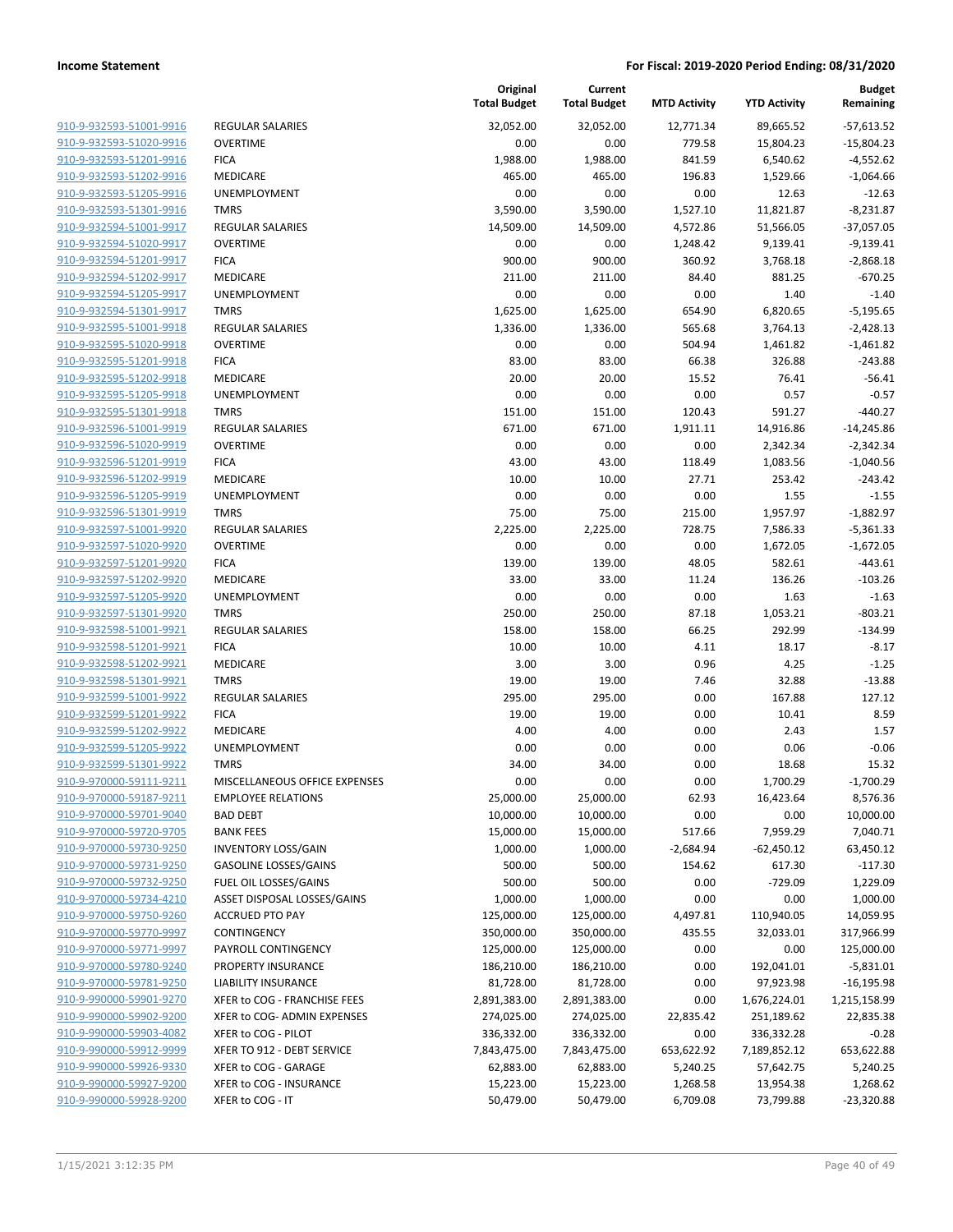| 910-9-932593-51001-9916                            |
|----------------------------------------------------|
| 910-9-932593-51020-9916                            |
| 910-9-932593-51201-9916                            |
| 910-9-932593-51202-9916                            |
| 910-9-932593-51205-9916                            |
| 910-9-932593-51301-9916                            |
| 910-9-932594-51001-9917                            |
| 910-9-932594-51020-9917                            |
| 910-9-932594-51201-9917                            |
| 910-9-932594-51202-9917                            |
| 910-9-932594-51205-9917                            |
| 910-9-932594-51301-9917                            |
| 910-9-932595-51001-9918                            |
| 910-9-932595-51020-9918                            |
| 910-9-932595-51201-9918                            |
| 910-9-932595-51202-9918                            |
| 910-9-932595-51205-9918                            |
| 910-9-932595-51301-9918                            |
| 910-9-932596-51001-9919                            |
| 910-9-932596-51020-9919                            |
| 910-9-932596-51201-9919                            |
| 910-9-932596-51202-9919                            |
| 910-9-932596-51205-9919                            |
| 910-9-932596-51301-9919                            |
| 910-9-932597-51001-9920                            |
| 910-9-932597-51020-9920                            |
| 910-9-932597-51201-9920                            |
| 910-9-932597-51202-9920                            |
| 910-9-932597-51205-9920                            |
| 910-9-932597-51301-9920                            |
| 910-9-932598-51001-9921                            |
| 910-9-932598-51201-9921                            |
| 910-9-932598-51202-9921                            |
| 910-9-932598-51301-9921                            |
| 910-9-932599-51001-9922                            |
| 910-9-932599-51201-9922                            |
| 910-9-932599-51202-9922<br>910-9-932599-51205-9922 |
| 910-9-932599-51301-9922                            |
| 910-9-970000-59111-9211                            |
| 910-9-970000-59187-921<br>1                        |
| 910-9-970000-59701-9040                            |
| 910-9-970000-59720-9705                            |
| 910-9-970000-59730-9250                            |
| 910-9-970000-59731-9250                            |
| 910-9-970000-59732-9250                            |
| 910-9-970000-59734-4210                            |
| 910-9-970000-59750-9260                            |
| 910-9-970000-59770-9997                            |
| 910-9-970000-59771-9997                            |
| <u>910-9-970000-59780-9240</u>                     |
| 910-9-970000-59781-9250                            |
| 910-9-990000-59901-9270                            |
| 910-9-990000-59902-9200                            |
| 910-9-990000-59903-4082                            |
| 910-9-990000-59912-9999                            |
| 910-9-990000-59926-9330                            |
| 910-9-990000-59927-9200                            |
| 910-9-990000-59928-9200                            |
|                                                    |

|                         |                               | Original<br><b>Total Budget</b> | Current<br><b>Total Budget</b> | <b>MTD Activity</b> | <b>YTD Activity</b> | <b>Budget</b><br>Remaining |
|-------------------------|-------------------------------|---------------------------------|--------------------------------|---------------------|---------------------|----------------------------|
| 910-9-932593-51001-9916 | <b>REGULAR SALARIES</b>       | 32,052.00                       | 32,052.00                      | 12,771.34           | 89,665.52           | $-57,613.52$               |
| 910-9-932593-51020-9916 | <b>OVERTIME</b>               | 0.00                            | 0.00                           | 779.58              | 15,804.23           | $-15,804.23$               |
| 910-9-932593-51201-9916 | <b>FICA</b>                   | 1,988.00                        | 1,988.00                       | 841.59              | 6,540.62            | $-4,552.62$                |
| 910-9-932593-51202-9916 | MEDICARE                      | 465.00                          | 465.00                         | 196.83              | 1,529.66            | $-1,064.66$                |
| 910-9-932593-51205-9916 | UNEMPLOYMENT                  | 0.00                            | 0.00                           | 0.00                | 12.63               | $-12.63$                   |
| 910-9-932593-51301-9916 | <b>TMRS</b>                   | 3,590.00                        | 3,590.00                       | 1,527.10            | 11,821.87           | $-8,231.87$                |
| 910-9-932594-51001-9917 | REGULAR SALARIES              | 14,509.00                       | 14,509.00                      | 4,572.86            | 51,566.05           | $-37,057.05$               |
| 910-9-932594-51020-9917 | <b>OVERTIME</b>               | 0.00                            | 0.00                           | 1,248.42            | 9,139.41            | $-9,139.41$                |
| 910-9-932594-51201-9917 | <b>FICA</b>                   | 900.00                          | 900.00                         | 360.92              | 3,768.18            | $-2,868.18$                |
| 910-9-932594-51202-9917 | MEDICARE                      | 211.00                          | 211.00                         | 84.40               | 881.25              | $-670.25$                  |
| 910-9-932594-51205-9917 | UNEMPLOYMENT                  | 0.00                            | 0.00                           | 0.00                | 1.40                | $-1.40$                    |
| 910-9-932594-51301-9917 | <b>TMRS</b>                   | 1,625.00                        | 1,625.00                       | 654.90              | 6,820.65            | $-5,195.65$                |
| 910-9-932595-51001-9918 | <b>REGULAR SALARIES</b>       | 1,336.00                        | 1,336.00                       | 565.68              | 3,764.13            | $-2,428.13$                |
| 910-9-932595-51020-9918 | <b>OVERTIME</b>               | 0.00                            | 0.00                           | 504.94              | 1,461.82            | $-1,461.82$                |
| 910-9-932595-51201-9918 | <b>FICA</b>                   | 83.00                           | 83.00                          | 66.38               | 326.88              | $-243.88$                  |
| 910-9-932595-51202-9918 | MEDICARE                      | 20.00                           | 20.00                          | 15.52               | 76.41               | $-56.41$                   |
| 910-9-932595-51205-9918 | UNEMPLOYMENT                  | 0.00                            | 0.00                           | 0.00                | 0.57                | $-0.57$                    |
| 910-9-932595-51301-9918 | <b>TMRS</b>                   | 151.00                          | 151.00                         | 120.43              | 591.27              | $-440.27$                  |
| 910-9-932596-51001-9919 | <b>REGULAR SALARIES</b>       | 671.00                          | 671.00                         | 1,911.11            | 14,916.86           | $-14,245.86$               |
| 910-9-932596-51020-9919 | <b>OVERTIME</b>               | 0.00                            | 0.00                           | 0.00                | 2,342.34            | $-2,342.34$                |
| 910-9-932596-51201-9919 | <b>FICA</b>                   | 43.00                           | 43.00                          | 118.49              | 1,083.56            | $-1,040.56$                |
| 910-9-932596-51202-9919 | MEDICARE                      | 10.00                           | 10.00                          | 27.71               | 253.42              | $-243.42$                  |
| 910-9-932596-51205-9919 | UNEMPLOYMENT                  | 0.00                            | 0.00                           | 0.00                | 1.55                | $-1.55$                    |
| 910-9-932596-51301-9919 | <b>TMRS</b>                   | 75.00                           | 75.00                          | 215.00              | 1,957.97            | $-1,882.97$                |
| 910-9-932597-51001-9920 | REGULAR SALARIES              | 2,225.00                        | 2,225.00                       | 728.75              | 7,586.33            | $-5,361.33$                |
| 910-9-932597-51020-9920 | <b>OVERTIME</b>               | 0.00                            | 0.00                           | 0.00                | 1,672.05            | $-1,672.05$                |
| 910-9-932597-51201-9920 | <b>FICA</b>                   | 139.00                          | 139.00                         | 48.05               | 582.61              | $-443.61$                  |
| 910-9-932597-51202-9920 | MEDICARE                      | 33.00                           | 33.00                          | 11.24               | 136.26              | $-103.26$                  |
| 910-9-932597-51205-9920 | UNEMPLOYMENT                  | 0.00                            | 0.00                           | 0.00                | 1.63                | $-1.63$                    |
| 910-9-932597-51301-9920 | <b>TMRS</b>                   | 250.00                          | 250.00                         | 87.18               | 1,053.21            | $-803.21$                  |
| 910-9-932598-51001-9921 | <b>REGULAR SALARIES</b>       | 158.00                          | 158.00                         | 66.25               | 292.99              | $-134.99$                  |
| 910-9-932598-51201-9921 | <b>FICA</b>                   | 10.00                           | 10.00                          | 4.11                | 18.17               | $-8.17$                    |
| 910-9-932598-51202-9921 | MEDICARE                      | 3.00                            | 3.00                           | 0.96                | 4.25                | $-1.25$                    |
| 910-9-932598-51301-9921 | <b>TMRS</b>                   | 19.00                           | 19.00                          | 7.46                | 32.88               | $-13.88$                   |
| 910-9-932599-51001-9922 | <b>REGULAR SALARIES</b>       | 295.00                          | 295.00                         | 0.00                | 167.88              | 127.12                     |
| 910-9-932599-51201-9922 | <b>FICA</b>                   | 19.00                           | 19.00                          | 0.00                | 10.41               | 8.59                       |
| 910-9-932599-51202-9922 | MEDICARE                      | 4.00                            | 4.00                           | 0.00                | 2.43                | 1.57                       |
| 910-9-932599-51205-9922 | UNEMPLOYMENT                  | 0.00                            | 0.00                           | 0.00                | 0.06                | $-0.06$                    |
| 910-9-932599-51301-9922 | <b>TMRS</b>                   | 34.00                           | 34.00                          | 0.00                | 18.68               | 15.32                      |
| 910-9-970000-59111-9211 | MISCELLANEOUS OFFICE EXPENSES | 0.00                            | 0.00                           | 0.00                | 1,700.29            | $-1,700.29$                |
| 910-9-970000-59187-9211 | <b>EMPLOYEE RELATIONS</b>     | 25,000.00                       | 25,000.00                      | 62.93               | 16,423.64           | 8,576.36                   |
| 910-9-970000-59701-9040 | <b>BAD DEBT</b>               | 10,000.00                       | 10,000.00                      | 0.00                | 0.00                | 10,000.00                  |
| 910-9-970000-59720-9705 | <b>BANK FEES</b>              | 15,000.00                       | 15,000.00                      | 517.66              | 7,959.29            | 7,040.71                   |
| 910-9-970000-59730-9250 | <b>INVENTORY LOSS/GAIN</b>    | 1,000.00                        | 1,000.00                       | $-2,684.94$         | $-62,450.12$        | 63,450.12                  |
| 910-9-970000-59731-9250 | <b>GASOLINE LOSSES/GAINS</b>  | 500.00                          | 500.00                         | 154.62              | 617.30              | $-117.30$                  |
| 910-9-970000-59732-9250 | FUEL OIL LOSSES/GAINS         | 500.00                          | 500.00                         | 0.00                | $-729.09$           | 1,229.09                   |
| 910-9-970000-59734-4210 | ASSET DISPOSAL LOSSES/GAINS   | 1,000.00                        | 1,000.00                       | 0.00                | 0.00                | 1,000.00                   |
| 910-9-970000-59750-9260 | <b>ACCRUED PTO PAY</b>        | 125,000.00                      | 125,000.00                     | 4,497.81            | 110,940.05          | 14,059.95                  |
| 910-9-970000-59770-9997 | CONTINGENCY                   | 350,000.00                      | 350,000.00                     | 435.55              | 32,033.01           | 317,966.99                 |
| 910-9-970000-59771-9997 | PAYROLL CONTINGENCY           | 125,000.00                      | 125,000.00                     | 0.00                | 0.00                | 125,000.00                 |
| 910-9-970000-59780-9240 | PROPERTY INSURANCE            | 186,210.00                      | 186,210.00                     | 0.00                | 192,041.01          | $-5,831.01$                |
| 910-9-970000-59781-9250 | LIABILITY INSURANCE           | 81,728.00                       | 81,728.00                      | 0.00                | 97,923.98           | $-16, 195.98$              |
| 910-9-990000-59901-9270 | XFER to COG - FRANCHISE FEES  | 2,891,383.00                    | 2,891,383.00                   | 0.00                | 1,676,224.01        | 1,215,158.99               |
| 910-9-990000-59902-9200 | XFER to COG- ADMIN EXPENSES   | 274,025.00                      | 274,025.00                     | 22,835.42           | 251,189.62          | 22,835.38                  |
| 910-9-990000-59903-4082 | XFER to COG - PILOT           | 336,332.00                      | 336,332.00                     | 0.00                | 336,332.28          | $-0.28$                    |
| 910-9-990000-59912-9999 | XFER TO 912 - DEBT SERVICE    | 7,843,475.00                    | 7,843,475.00                   | 653,622.92          | 7,189,852.12        | 653,622.88                 |
| 910-9-990000-59926-9330 | XFER to COG - GARAGE          | 62,883.00                       | 62,883.00                      | 5,240.25            | 57,642.75           | 5,240.25                   |
| 910-9-990000-59927-9200 | XFER to COG - INSURANCE       | 15,223.00                       | 15,223.00                      | 1,268.58            | 13,954.38           | 1,268.62                   |
| 910-9-990000-59928-9200 | XFER to COG - IT              | 50,479.00                       | 50,479.00                      | 6,709.08            | 73,799.88           | $-23,320.88$               |
|                         |                               |                                 |                                |                     |                     |                            |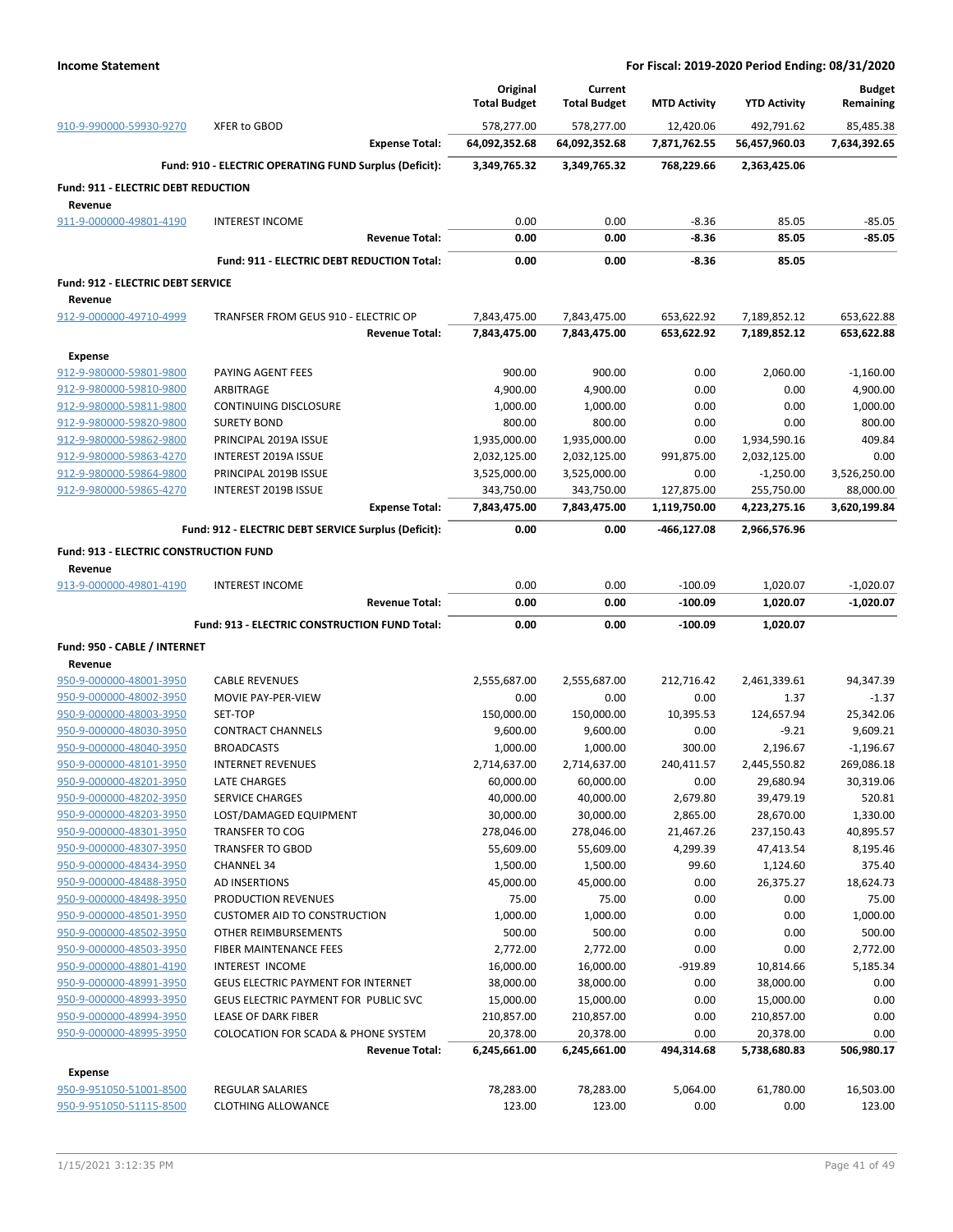|                                                    |                                                        |                       | Original                    | Current                     |                           |                             | <b>Budget</b>             |
|----------------------------------------------------|--------------------------------------------------------|-----------------------|-----------------------------|-----------------------------|---------------------------|-----------------------------|---------------------------|
|                                                    |                                                        |                       | <b>Total Budget</b>         | <b>Total Budget</b>         | <b>MTD Activity</b>       | <b>YTD Activity</b>         | Remaining                 |
| 910-9-990000-59930-9270                            | XFER to GBOD                                           | <b>Expense Total:</b> | 578,277.00<br>64,092,352.68 | 578,277.00<br>64,092,352.68 | 12,420.06<br>7,871,762.55 | 492,791.62<br>56,457,960.03 | 85,485.38<br>7,634,392.65 |
|                                                    |                                                        |                       |                             |                             |                           |                             |                           |
|                                                    | Fund: 910 - ELECTRIC OPERATING FUND Surplus (Deficit): |                       | 3,349,765.32                | 3,349,765.32                | 768,229.66                | 2,363,425.06                |                           |
| Fund: 911 - ELECTRIC DEBT REDUCTION<br>Revenue     |                                                        |                       |                             |                             |                           |                             |                           |
| 911-9-000000-49801-4190                            | <b>INTEREST INCOME</b>                                 |                       | 0.00                        | 0.00                        | $-8.36$                   | 85.05                       | $-85.05$                  |
|                                                    |                                                        | <b>Revenue Total:</b> | 0.00                        | 0.00                        | $-8.36$                   | 85.05                       | $-85.05$                  |
|                                                    | Fund: 911 - ELECTRIC DEBT REDUCTION Total:             |                       | 0.00                        | 0.00                        | $-8.36$                   | 85.05                       |                           |
| <b>Fund: 912 - ELECTRIC DEBT SERVICE</b>           |                                                        |                       |                             |                             |                           |                             |                           |
| Revenue                                            |                                                        |                       |                             |                             |                           |                             |                           |
| 912-9-000000-49710-4999                            | TRANFSER FROM GEUS 910 - ELECTRIC OP                   |                       | 7,843,475.00                | 7,843,475.00                | 653,622.92                | 7,189,852.12                | 653,622.88                |
|                                                    |                                                        | <b>Revenue Total:</b> | 7,843,475.00                | 7,843,475.00                | 653,622.92                | 7,189,852.12                | 653,622.88                |
| <b>Expense</b>                                     |                                                        |                       |                             |                             |                           |                             |                           |
| 912-9-980000-59801-9800                            | PAYING AGENT FEES                                      |                       | 900.00                      | 900.00                      | 0.00                      | 2,060.00                    | $-1,160.00$               |
| 912-9-980000-59810-9800                            | ARBITRAGE                                              |                       | 4,900.00                    | 4,900.00                    | 0.00                      | 0.00                        | 4,900.00                  |
| 912-9-980000-59811-9800                            | <b>CONTINUING DISCLOSURE</b>                           |                       | 1,000.00                    | 1,000.00                    | 0.00                      | 0.00                        | 1,000.00                  |
| 912-9-980000-59820-9800                            | <b>SURETY BOND</b>                                     |                       | 800.00                      | 800.00                      | 0.00                      | 0.00                        | 800.00                    |
| 912-9-980000-59862-9800                            | PRINCIPAL 2019A ISSUE                                  |                       | 1,935,000.00                | 1,935,000.00                | 0.00                      | 1,934,590.16                | 409.84                    |
| 912-9-980000-59863-4270                            | INTEREST 2019A ISSUE                                   |                       | 2,032,125.00                | 2,032,125.00                | 991,875.00                | 2,032,125.00                | 0.00                      |
| 912-9-980000-59864-9800                            | PRINCIPAL 2019B ISSUE                                  |                       | 3,525,000.00                | 3,525,000.00                | 0.00                      | $-1,250.00$                 | 3,526,250.00              |
| 912-9-980000-59865-4270                            | <b>INTEREST 2019B ISSUE</b>                            |                       | 343,750.00                  | 343,750.00                  | 127,875.00                | 255,750.00                  | 88,000.00                 |
|                                                    |                                                        | <b>Expense Total:</b> | 7,843,475.00                | 7,843,475.00                | 1,119,750.00              | 4,223,275.16                | 3,620,199.84              |
|                                                    | Fund: 912 - ELECTRIC DEBT SERVICE Surplus (Deficit):   |                       | 0.00                        | 0.00                        | -466,127.08               | 2,966,576.96                |                           |
| <b>Fund: 913 - ELECTRIC CONSTRUCTION FUND</b>      |                                                        |                       |                             |                             |                           |                             |                           |
| Revenue                                            |                                                        |                       |                             |                             |                           |                             |                           |
| 913-9-000000-49801-4190                            | <b>INTEREST INCOME</b>                                 |                       | 0.00                        | 0.00                        | $-100.09$                 | 1,020.07                    | $-1,020.07$               |
|                                                    |                                                        | <b>Revenue Total:</b> | 0.00                        | 0.00                        | $-100.09$                 | 1,020.07                    | $-1,020.07$               |
|                                                    |                                                        |                       |                             |                             |                           |                             |                           |
|                                                    | Fund: 913 - ELECTRIC CONSTRUCTION FUND Total:          |                       | 0.00                        | 0.00                        | $-100.09$                 | 1,020.07                    |                           |
| Fund: 950 - CABLE / INTERNET                       |                                                        |                       |                             |                             |                           |                             |                           |
| Revenue                                            |                                                        |                       |                             |                             |                           |                             |                           |
| 950-9-000000-48001-3950                            | <b>CABLE REVENUES</b>                                  |                       | 2,555,687.00                | 2,555,687.00                | 212,716.42                | 2,461,339.61                | 94,347.39                 |
| 950-9-000000-48002-3950                            | MOVIE PAY-PER-VIEW                                     |                       | 0.00                        | 0.00                        | 0.00                      | 1.37                        | $-1.37$                   |
| 950-9-000000-48003-3950                            | SET-TOP                                                |                       | 150,000.00                  | 150,000.00                  | 10,395.53                 | 124,657.94                  | 25,342.06                 |
| 950-9-000000-48030-3950                            | <b>CONTRACT CHANNELS</b>                               |                       | 9,600.00                    | 9,600.00                    | 0.00                      | $-9.21$                     | 9,609.21                  |
| 950-9-000000-48040-3950                            | <b>BROADCASTS</b>                                      |                       | 1,000.00                    | 1,000.00                    | 300.00                    | 2,196.67                    | $-1,196.67$               |
| 950-9-000000-48101-3950                            | <b>INTERNET REVENUES</b>                               |                       | 2,714,637.00                | 2,714,637.00                | 240,411.57                | 2,445,550.82                | 269,086.18                |
| 950-9-000000-48201-3950                            | LATE CHARGES                                           |                       | 60,000.00                   | 60,000.00                   | 0.00                      | 29,680.94                   | 30,319.06                 |
| 950-9-000000-48202-3950                            | <b>SERVICE CHARGES</b><br>LOST/DAMAGED EQUIPMENT       |                       | 40,000.00                   | 40,000.00                   | 2,679.80                  | 39,479.19                   | 520.81                    |
| 950-9-000000-48203-3950<br>950-9-000000-48301-3950 | <b>TRANSFER TO COG</b>                                 |                       | 30,000.00<br>278,046.00     | 30,000.00<br>278,046.00     | 2,865.00<br>21,467.26     | 28,670.00<br>237,150.43     | 1,330.00<br>40,895.57     |
| 950-9-000000-48307-3950                            | <b>TRANSFER TO GBOD</b>                                |                       | 55,609.00                   | 55,609.00                   | 4,299.39                  | 47,413.54                   | 8,195.46                  |
| 950-9-000000-48434-3950                            | <b>CHANNEL 34</b>                                      |                       | 1,500.00                    | 1,500.00                    | 99.60                     | 1,124.60                    | 375.40                    |
| 950-9-000000-48488-3950                            | <b>AD INSERTIONS</b>                                   |                       | 45,000.00                   | 45,000.00                   | 0.00                      | 26,375.27                   | 18,624.73                 |
| 950-9-000000-48498-3950                            | PRODUCTION REVENUES                                    |                       | 75.00                       | 75.00                       | 0.00                      | 0.00                        | 75.00                     |
| 950-9-000000-48501-3950                            | <b>CUSTOMER AID TO CONSTRUCTION</b>                    |                       | 1,000.00                    | 1,000.00                    | 0.00                      | 0.00                        | 1,000.00                  |
| 950-9-000000-48502-3950                            | <b>OTHER REIMBURSEMENTS</b>                            |                       | 500.00                      | 500.00                      | 0.00                      | 0.00                        | 500.00                    |
| 950-9-000000-48503-3950                            | FIBER MAINTENANCE FEES                                 |                       | 2,772.00                    | 2,772.00                    | 0.00                      | 0.00                        | 2,772.00                  |
| 950-9-000000-48801-4190                            | INTEREST INCOME                                        |                       | 16,000.00                   | 16,000.00                   | $-919.89$                 | 10,814.66                   | 5,185.34                  |
| 950-9-000000-48991-3950                            | <b>GEUS ELECTRIC PAYMENT FOR INTERNET</b>              |                       | 38,000.00                   | 38,000.00                   | 0.00                      | 38,000.00                   | 0.00                      |
| 950-9-000000-48993-3950                            | GEUS ELECTRIC PAYMENT FOR PUBLIC SVC                   |                       | 15,000.00                   | 15,000.00                   | 0.00                      | 15,000.00                   | 0.00                      |
| 950-9-000000-48994-3950                            | LEASE OF DARK FIBER                                    |                       | 210,857.00                  | 210,857.00                  | 0.00                      | 210,857.00                  | 0.00                      |
| 950-9-000000-48995-3950                            | <b>COLOCATION FOR SCADA &amp; PHONE SYSTEM</b>         |                       | 20,378.00                   | 20,378.00                   | 0.00                      | 20,378.00                   | 0.00                      |
|                                                    |                                                        | <b>Revenue Total:</b> | 6,245,661.00                | 6,245,661.00                | 494,314.68                | 5,738,680.83                | 506,980.17                |
| Expense                                            |                                                        |                       |                             |                             |                           |                             |                           |
| 950-9-951050-51001-8500<br>950-9-951050-51115-8500 | REGULAR SALARIES<br><b>CLOTHING ALLOWANCE</b>          |                       | 78,283.00<br>123.00         | 78,283.00<br>123.00         | 5,064.00<br>0.00          | 61,780.00<br>0.00           | 16,503.00<br>123.00       |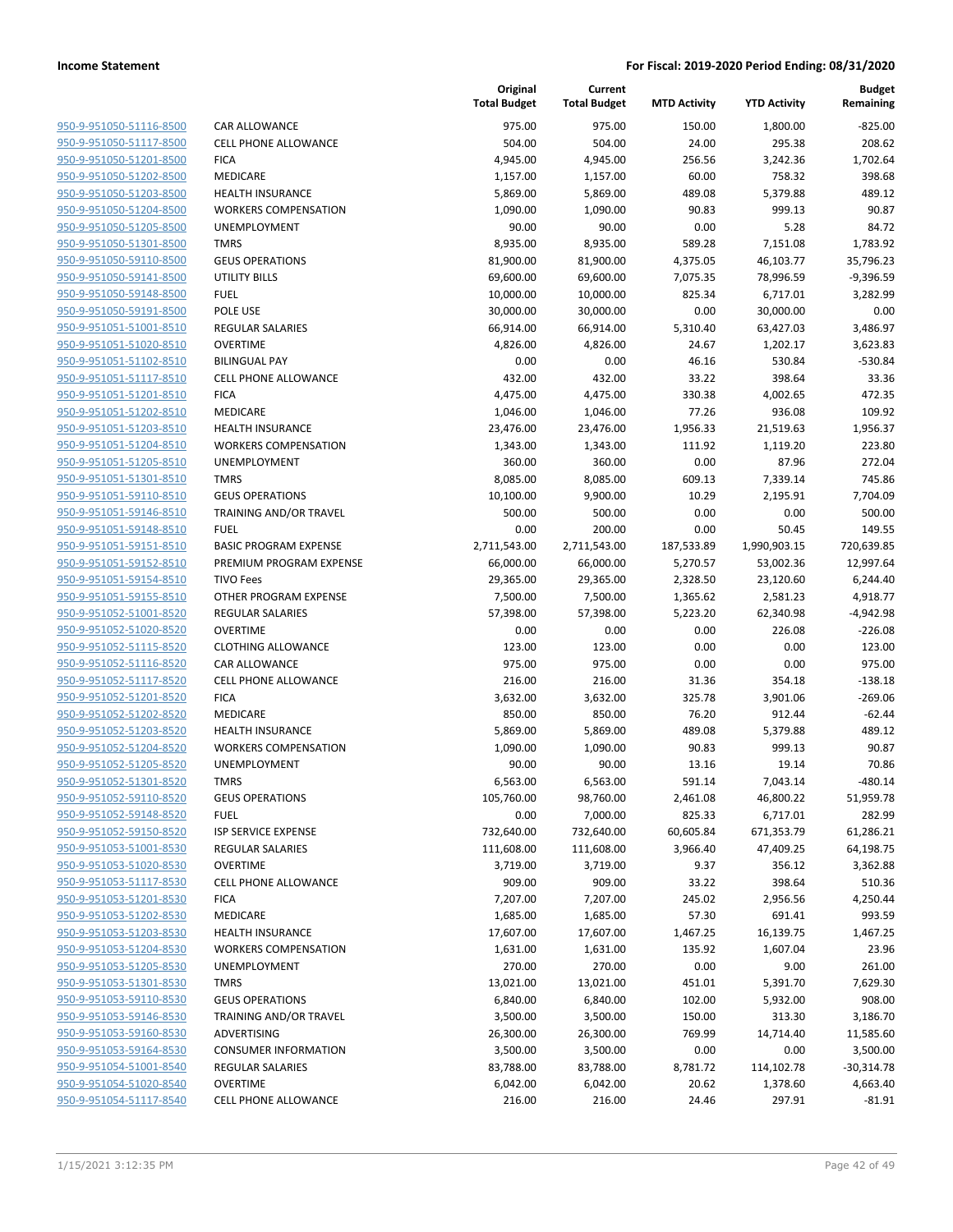| 950-9-951050-51116-8500                            |
|----------------------------------------------------|
| 950-9-951050-51117-8500                            |
| 950-9-951050-51201-8500                            |
| 950-9-951050-51202-8500                            |
| 950-9-951050-51203-8500                            |
| <u>950-9-951050-51204-8500</u>                     |
| 950-9-951050-51205-8500                            |
| 950-9-951050-51301-8500                            |
| 950-9-951050-59110-8500                            |
| 950-9-951050-59141-8500                            |
| 950-9-951050-59148-8500                            |
| 950-9-951050-59191-8500                            |
| 950-9-951051-51001-8510                            |
| 950-9-951051-51020-8510                            |
| 950-9-951051-51102-8510                            |
| 950-9-951051-51117-8510                            |
| 950-9-951051-51201-8510                            |
| 950-9-951051-51202-8510                            |
| 950-9-951051-51203-8510                            |
| 950-9-951051-51204-8510                            |
| 950-9-951051-51205-8510                            |
| 950-9-951051-51301-8510                            |
| 950-9-951051-59110-8510                            |
| 950-9-951051-59146-8510                            |
| 950-9-951051-59148-8510                            |
| 950-9-951051-59151-8510                            |
| 950-9-951051-59152-8510                            |
| 950-9-951051-59154-8510                            |
| 950-9-951051-59155-8510                            |
| 950-9-951052-51001-8520                            |
| 950-9-951052-51020-8520                            |
| 950-9-951052-51115-8520                            |
| 950-9-951052-51116-8520                            |
| 950-9-951052-51117-8520                            |
| 950-9-951052-51201-8520                            |
| 950-9-951052-51202-8520                            |
| 950-9-951052-51203-8520                            |
| 950-9-951052-51204-8520                            |
| 950-9-951052-51205-8520                            |
| 950-9-951052-51301-8520                            |
| 950-9-951052-59110-8520                            |
| 950-9-951052-59148-8520                            |
| 950-9-951052-59150-8520                            |
| 950-9-951053-51001-8530                            |
| 950-9-951053-51020-8530                            |
| 950-9-951053-51117-8530                            |
| 950-9-951053-51201-8530                            |
| 950-9-951053-51202-8530                            |
| 950-9-951053-51203-8530                            |
| 950-9-951053-51204-8530                            |
| 950-9-951053-51205-8530<br>950-9-951053-51301-8530 |
| 950-9-951053-59110-8530                            |
| 950-9-951053-59146-8530                            |
| 950-9-951053-59160-8530                            |
| 950-9-951053-59164-8530                            |
| 950-9-951054-51001-8540                            |
| 950-9-951054-51020-8540                            |
| 950-9-951054-51117-8540                            |
|                                                    |

|                         |                                | Original<br><b>Total Budget</b> | Current<br><b>Total Budget</b> | <b>MTD Activity</b> | <b>YTD Activity</b> | <b>Budget</b><br>Remaining |
|-------------------------|--------------------------------|---------------------------------|--------------------------------|---------------------|---------------------|----------------------------|
| 950-9-951050-51116-8500 | CAR ALLOWANCE                  | 975.00                          | 975.00                         | 150.00              | 1,800.00            | $-825.00$                  |
| 950-9-951050-51117-8500 | <b>CELL PHONE ALLOWANCE</b>    | 504.00                          | 504.00                         | 24.00               | 295.38              | 208.62                     |
| 950-9-951050-51201-8500 | <b>FICA</b>                    | 4,945.00                        | 4,945.00                       | 256.56              | 3,242.36            | 1,702.64                   |
| 950-9-951050-51202-8500 | MEDICARE                       | 1,157.00                        | 1,157.00                       | 60.00               | 758.32              | 398.68                     |
| 950-9-951050-51203-8500 | <b>HEALTH INSURANCE</b>        | 5,869.00                        | 5,869.00                       | 489.08              | 5,379.88            | 489.12                     |
| 950-9-951050-51204-8500 | <b>WORKERS COMPENSATION</b>    | 1,090.00                        | 1,090.00                       | 90.83               | 999.13              | 90.87                      |
| 950-9-951050-51205-8500 | UNEMPLOYMENT                   | 90.00                           | 90.00                          | 0.00                | 5.28                | 84.72                      |
| 950-9-951050-51301-8500 | <b>TMRS</b>                    | 8,935.00                        | 8,935.00                       | 589.28              | 7,151.08            | 1,783.92                   |
| 950-9-951050-59110-8500 | <b>GEUS OPERATIONS</b>         | 81,900.00                       | 81,900.00                      | 4,375.05            | 46,103.77           | 35,796.23                  |
| 950-9-951050-59141-8500 | <b>UTILITY BILLS</b>           | 69,600.00                       | 69,600.00                      | 7,075.35            | 78,996.59           | $-9,396.59$                |
| 950-9-951050-59148-8500 | <b>FUEL</b>                    | 10,000.00                       | 10,000.00                      | 825.34              | 6,717.01            | 3,282.99                   |
| 950-9-951050-59191-8500 | POLE USE                       | 30,000.00                       | 30,000.00                      | 0.00                | 30,000.00           | 0.00                       |
| 950-9-951051-51001-8510 | <b>REGULAR SALARIES</b>        | 66,914.00                       | 66,914.00                      | 5,310.40            | 63,427.03           | 3,486.97                   |
| 950-9-951051-51020-8510 | <b>OVERTIME</b>                | 4,826.00                        | 4,826.00                       | 24.67               | 1,202.17            | 3,623.83                   |
| 950-9-951051-51102-8510 | <b>BILINGUAL PAY</b>           | 0.00                            | 0.00                           | 46.16               | 530.84              | $-530.84$                  |
| 950-9-951051-51117-8510 | <b>CELL PHONE ALLOWANCE</b>    | 432.00                          | 432.00                         | 33.22               | 398.64              | 33.36                      |
| 950-9-951051-51201-8510 | <b>FICA</b>                    | 4,475.00                        | 4,475.00                       | 330.38              | 4,002.65            | 472.35                     |
| 950-9-951051-51202-8510 | MEDICARE                       | 1,046.00                        | 1,046.00                       | 77.26               | 936.08              | 109.92                     |
| 950-9-951051-51203-8510 | <b>HEALTH INSURANCE</b>        | 23,476.00                       | 23,476.00                      | 1,956.33            | 21,519.63           | 1,956.37                   |
| 950-9-951051-51204-8510 | <b>WORKERS COMPENSATION</b>    | 1,343.00                        | 1,343.00                       | 111.92              | 1,119.20            | 223.80                     |
| 950-9-951051-51205-8510 | UNEMPLOYMENT                   | 360.00                          | 360.00                         | 0.00                | 87.96               | 272.04                     |
| 950-9-951051-51301-8510 | <b>TMRS</b>                    | 8,085.00                        | 8,085.00                       | 609.13              | 7,339.14            | 745.86                     |
| 950-9-951051-59110-8510 | <b>GEUS OPERATIONS</b>         | 10,100.00                       | 9,900.00                       | 10.29               | 2,195.91            | 7,704.09                   |
| 950-9-951051-59146-8510 | TRAINING AND/OR TRAVEL         | 500.00                          | 500.00                         | 0.00                | 0.00                | 500.00                     |
| 950-9-951051-59148-8510 | <b>FUEL</b>                    | 0.00                            | 200.00                         | 0.00                | 50.45               | 149.55                     |
| 950-9-951051-59151-8510 | <b>BASIC PROGRAM EXPENSE</b>   | 2,711,543.00                    | 2,711,543.00                   | 187,533.89          | 1,990,903.15        | 720,639.85                 |
| 950-9-951051-59152-8510 | PREMIUM PROGRAM EXPENSE        | 66,000.00                       | 66,000.00                      | 5,270.57            | 53,002.36           | 12,997.64                  |
| 950-9-951051-59154-8510 | <b>TIVO Fees</b>               | 29,365.00                       | 29,365.00                      | 2,328.50            | 23,120.60           | 6,244.40                   |
| 950-9-951051-59155-8510 | OTHER PROGRAM EXPENSE          | 7,500.00                        | 7,500.00                       | 1,365.62            | 2,581.23            | 4,918.77                   |
| 950-9-951052-51001-8520 | <b>REGULAR SALARIES</b>        | 57,398.00                       | 57,398.00                      | 5,223.20            | 62,340.98           | $-4,942.98$                |
| 950-9-951052-51020-8520 | <b>OVERTIME</b>                | 0.00                            | 0.00                           | 0.00                | 226.08              | $-226.08$                  |
| 950-9-951052-51115-8520 | <b>CLOTHING ALLOWANCE</b>      | 123.00                          | 123.00                         | 0.00                | 0.00                | 123.00                     |
| 950-9-951052-51116-8520 | <b>CAR ALLOWANCE</b>           | 975.00                          | 975.00                         | 0.00                | 0.00                | 975.00                     |
| 950-9-951052-51117-8520 | <b>CELL PHONE ALLOWANCE</b>    | 216.00                          | 216.00                         | 31.36               | 354.18              | $-138.18$                  |
| 950-9-951052-51201-8520 | <b>FICA</b>                    | 3,632.00                        | 3,632.00                       | 325.78              | 3,901.06            | $-269.06$                  |
| 950-9-951052-51202-8520 | <b>MEDICARE</b>                | 850.00                          | 850.00                         | 76.20               | 912.44              | $-62.44$                   |
| 950-9-951052-51203-8520 | <b>HEALTH INSURANCE</b>        | 5,869.00                        | 5,869.00                       | 489.08              | 5,379.88            | 489.12                     |
| 950-9-951052-51204-8520 | <b>WORKERS COMPENSATION</b>    | 1,090.00                        | 1,090.00                       | 90.83               | 999.13              | 90.87                      |
| 950-9-951052-51205-8520 | UNEMPLOYMENT                   | 90.00                           | 90.00                          | 13.16               | 19.14               | 70.86                      |
| 950-9-951052-51301-8520 | <b>TMRS</b>                    | 6,563.00                        | 6,563.00                       | 591.14              | 7,043.14            | -480.14                    |
| 950-9-951052-59110-8520 | <b>GEUS OPERATIONS</b>         | 105,760.00                      | 98,760.00                      | 2,461.08            | 46,800.22           | 51,959.78                  |
| 950-9-951052-59148-8520 | <b>FUEL</b>                    | 0.00                            | 7,000.00                       | 825.33              | 6,717.01            | 282.99                     |
| 950-9-951052-59150-8520 | ISP SERVICE EXPENSE            | 732,640.00                      | 732,640.00                     | 60,605.84           | 671,353.79          | 61,286.21                  |
| 950-9-951053-51001-8530 | REGULAR SALARIES               | 111,608.00                      | 111,608.00                     | 3,966.40            | 47,409.25           | 64,198.75                  |
| 950-9-951053-51020-8530 | <b>OVERTIME</b>                | 3,719.00                        | 3,719.00                       | 9.37                | 356.12              | 3,362.88                   |
| 950-9-951053-51117-8530 | <b>CELL PHONE ALLOWANCE</b>    | 909.00                          | 909.00                         | 33.22               | 398.64              | 510.36                     |
| 950-9-951053-51201-8530 | <b>FICA</b><br><b>MEDICARE</b> | 7,207.00                        | 7,207.00                       | 245.02              | 2,956.56            | 4,250.44                   |
| 950-9-951053-51202-8530 |                                | 1,685.00                        | 1,685.00                       | 57.30               | 691.41              | 993.59                     |
| 950-9-951053-51203-8530 | <b>HEALTH INSURANCE</b>        | 17,607.00                       | 17,607.00                      | 1,467.25            | 16,139.75           | 1,467.25                   |
| 950-9-951053-51204-8530 | <b>WORKERS COMPENSATION</b>    | 1,631.00                        | 1,631.00                       | 135.92              | 1,607.04            | 23.96                      |
| 950-9-951053-51205-8530 | <b>UNEMPLOYMENT</b>            | 270.00                          | 270.00                         | 0.00                | 9.00                | 261.00                     |
| 950-9-951053-51301-8530 | <b>TMRS</b>                    | 13,021.00                       | 13,021.00                      | 451.01              | 5,391.70            | 7,629.30                   |
| 950-9-951053-59110-8530 | <b>GEUS OPERATIONS</b>         | 6,840.00                        | 6,840.00                       | 102.00              | 5,932.00            | 908.00                     |
| 950-9-951053-59146-8530 | TRAINING AND/OR TRAVEL         | 3,500.00                        | 3,500.00                       | 150.00              | 313.30              | 3,186.70                   |
| 950-9-951053-59160-8530 | ADVERTISING                    | 26,300.00                       | 26,300.00                      | 769.99              | 14,714.40           | 11,585.60                  |
| 950-9-951053-59164-8530 | <b>CONSUMER INFORMATION</b>    | 3,500.00                        | 3,500.00                       | 0.00                | 0.00                | 3,500.00                   |
| 950-9-951054-51001-8540 | REGULAR SALARIES               | 83,788.00                       | 83,788.00                      | 8,781.72            | 114,102.78          | $-30,314.78$               |
| 950-9-951054-51020-8540 | <b>OVERTIME</b>                | 6,042.00                        | 6,042.00                       | 20.62               | 1,378.60            | 4,663.40                   |
| 950-9-951054-51117-8540 | <b>CELL PHONE ALLOWANCE</b>    | 216.00                          | 216.00                         | 24.46               | 297.91              | $-81.91$                   |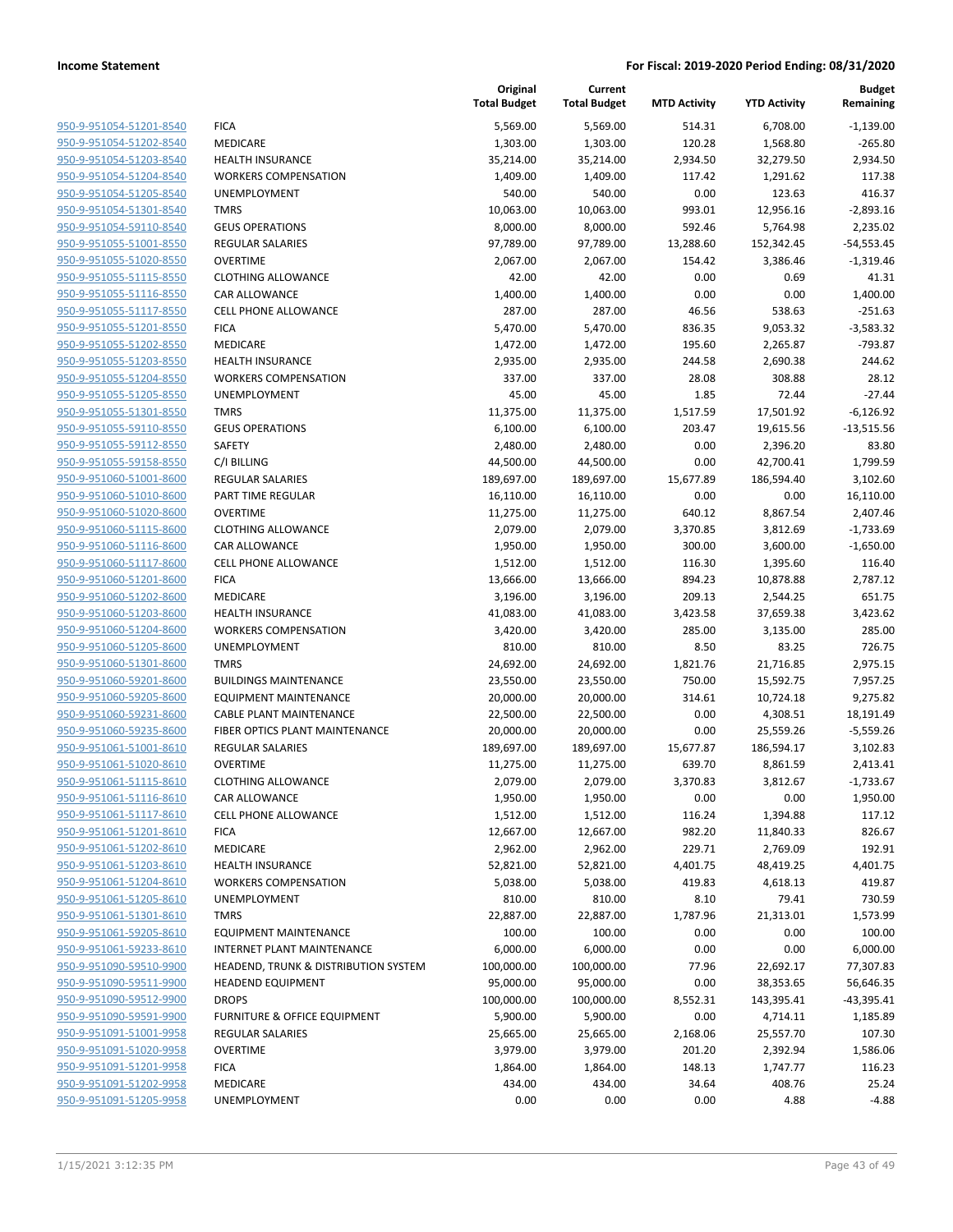|                                                    |                                                                | Original<br><b>Total Budget</b> | Current<br><b>Total Budget</b> | <b>MTD Activity</b> | <b>YTD Activity</b>   | <b>Budget</b><br>Remaining |
|----------------------------------------------------|----------------------------------------------------------------|---------------------------------|--------------------------------|---------------------|-----------------------|----------------------------|
| 950-9-951054-51201-8540                            | <b>FICA</b>                                                    | 5,569.00                        | 5,569.00                       | 514.31              | 6,708.00              | $-1,139.00$                |
| 950-9-951054-51202-8540                            | <b>MEDICARE</b>                                                | 1,303.00                        | 1,303.00                       | 120.28              | 1,568.80              | $-265.80$                  |
| 950-9-951054-51203-8540                            | <b>HEALTH INSURANCE</b>                                        | 35,214.00                       | 35,214.00                      | 2,934.50            | 32,279.50             | 2,934.50                   |
| 950-9-951054-51204-8540                            | <b>WORKERS COMPENSATION</b>                                    | 1,409.00                        | 1,409.00                       | 117.42              | 1,291.62              | 117.38                     |
| 950-9-951054-51205-8540                            | UNEMPLOYMENT                                                   | 540.00                          | 540.00                         | 0.00                | 123.63                | 416.37                     |
| 950-9-951054-51301-8540                            | <b>TMRS</b>                                                    | 10,063.00                       | 10,063.00                      | 993.01              | 12,956.16             | $-2,893.16$                |
| 950-9-951054-59110-8540                            | <b>GEUS OPERATIONS</b>                                         | 8,000.00                        | 8,000.00                       | 592.46              | 5,764.98              | 2,235.02                   |
| 950-9-951055-51001-8550                            | <b>REGULAR SALARIES</b>                                        | 97,789.00                       | 97,789.00                      | 13,288.60           | 152,342.45            | $-54,553.45$               |
| 950-9-951055-51020-8550                            | <b>OVERTIME</b>                                                | 2,067.00                        | 2,067.00                       | 154.42              | 3,386.46              | $-1,319.46$                |
| 950-9-951055-51115-8550                            | <b>CLOTHING ALLOWANCE</b>                                      | 42.00                           | 42.00                          | 0.00                | 0.69                  | 41.31                      |
| 950-9-951055-51116-8550                            | <b>CAR ALLOWANCE</b>                                           | 1,400.00                        | 1,400.00                       | 0.00                | 0.00                  | 1,400.00                   |
| 950-9-951055-51117-8550                            | <b>CELL PHONE ALLOWANCE</b>                                    | 287.00                          | 287.00                         | 46.56               | 538.63                | $-251.63$                  |
| 950-9-951055-51201-8550                            | <b>FICA</b>                                                    | 5,470.00                        | 5,470.00                       | 836.35              | 9,053.32              | $-3,583.32$                |
| 950-9-951055-51202-8550                            | MEDICARE                                                       | 1,472.00                        | 1,472.00                       | 195.60              | 2,265.87              | $-793.87$                  |
| 950-9-951055-51203-8550                            | <b>HEALTH INSURANCE</b>                                        | 2,935.00                        | 2,935.00                       | 244.58              | 2,690.38              | 244.62                     |
| 950-9-951055-51204-8550                            | <b>WORKERS COMPENSATION</b>                                    | 337.00                          | 337.00                         | 28.08               | 308.88                | 28.12                      |
| 950-9-951055-51205-8550                            | UNEMPLOYMENT                                                   | 45.00                           | 45.00                          | 1.85                | 72.44                 | $-27.44$                   |
| 950-9-951055-51301-8550                            | <b>TMRS</b>                                                    | 11,375.00                       | 11,375.00                      | 1,517.59            | 17,501.92             | $-6,126.92$                |
| 950-9-951055-59110-8550                            | <b>GEUS OPERATIONS</b>                                         | 6,100.00                        | 6,100.00                       | 203.47              | 19,615.56             | $-13,515.56$               |
| 950-9-951055-59112-8550                            | <b>SAFETY</b>                                                  | 2,480.00                        | 2,480.00                       | 0.00                | 2,396.20              | 83.80                      |
| 950-9-951055-59158-8550                            | C/I BILLING                                                    | 44,500.00                       | 44,500.00                      | 0.00                | 42,700.41             | 1,799.59                   |
| 950-9-951060-51001-8600                            | REGULAR SALARIES                                               | 189,697.00                      | 189,697.00                     | 15,677.89           | 186,594.40            | 3,102.60                   |
| 950-9-951060-51010-8600                            | PART TIME REGULAR                                              | 16,110.00                       | 16,110.00                      | 0.00                | 0.00                  | 16,110.00                  |
| 950-9-951060-51020-8600                            | <b>OVERTIME</b>                                                | 11,275.00                       | 11,275.00                      | 640.12              | 8,867.54              | 2,407.46                   |
| 950-9-951060-51115-8600                            | <b>CLOTHING ALLOWANCE</b>                                      | 2,079.00                        | 2,079.00                       | 3,370.85            | 3,812.69              | $-1,733.69$                |
| 950-9-951060-51116-8600                            | <b>CAR ALLOWANCE</b>                                           | 1,950.00                        | 1,950.00                       | 300.00              | 3,600.00              | $-1,650.00$                |
| 950-9-951060-51117-8600                            | <b>CELL PHONE ALLOWANCE</b>                                    | 1,512.00                        | 1,512.00                       | 116.30              | 1,395.60              | 116.40                     |
| 950-9-951060-51201-8600                            | <b>FICA</b>                                                    | 13,666.00                       | 13,666.00                      | 894.23              | 10,878.88             | 2,787.12                   |
| 950-9-951060-51202-8600                            | MEDICARE                                                       | 3,196.00                        | 3,196.00                       | 209.13              | 2,544.25              | 651.75                     |
| 950-9-951060-51203-8600                            | <b>HEALTH INSURANCE</b>                                        | 41,083.00                       | 41,083.00                      | 3,423.58            | 37,659.38             | 3,423.62                   |
| 950-9-951060-51204-8600                            | <b>WORKERS COMPENSATION</b>                                    | 3,420.00                        | 3,420.00                       | 285.00              | 3,135.00              | 285.00                     |
| 950-9-951060-51205-8600                            | UNEMPLOYMENT                                                   | 810.00                          | 810.00                         | 8.50                | 83.25                 | 726.75                     |
| 950-9-951060-51301-8600                            | <b>TMRS</b>                                                    | 24,692.00                       | 24,692.00                      | 1,821.76            | 21,716.85             | 2,975.15                   |
| 950-9-951060-59201-8600                            | <b>BUILDINGS MAINTENANCE</b>                                   | 23,550.00                       | 23,550.00                      | 750.00              | 15,592.75             | 7,957.25                   |
| 950-9-951060-59205-8600                            | <b>EQUIPMENT MAINTENANCE</b><br><b>CABLE PLANT MAINTENANCE</b> | 20,000.00                       | 20,000.00                      | 314.61<br>0.00      | 10,724.18             | 9,275.82                   |
| 950-9-951060-59231-8600<br>950-9-951060-59235-8600 | FIBER OPTICS PLANT MAINTENANCE                                 | 22,500.00<br>20,000.00          | 22,500.00<br>20,000.00         | 0.00                | 4,308.51<br>25,559.26 | 18,191.49<br>$-5,559.26$   |
| 950-9-951061-51001-8610                            | <b>REGULAR SALARIES</b>                                        | 189,697.00                      | 189,697.00                     | 15,677.87           | 186,594.17            | 3,102.83                   |
| 950-9-951061-51020-8610                            | <b>OVERTIME</b>                                                | 11,275.00                       | 11,275.00                      | 639.70              | 8,861.59              | 2,413.41                   |
| 950-9-951061-51115-8610                            | <b>CLOTHING ALLOWANCE</b>                                      | 2,079.00                        | 2,079.00                       | 3,370.83            | 3,812.67              | $-1,733.67$                |
| 950-9-951061-51116-8610                            | CAR ALLOWANCE                                                  | 1,950.00                        | 1,950.00                       | 0.00                | 0.00                  | 1,950.00                   |
| 950-9-951061-51117-8610                            | <b>CELL PHONE ALLOWANCE</b>                                    | 1,512.00                        | 1,512.00                       | 116.24              | 1,394.88              | 117.12                     |
| 950-9-951061-51201-8610                            | <b>FICA</b>                                                    | 12,667.00                       | 12,667.00                      | 982.20              | 11,840.33             | 826.67                     |
| 950-9-951061-51202-8610                            | MEDICARE                                                       | 2,962.00                        | 2,962.00                       | 229.71              | 2,769.09              | 192.91                     |
| 950-9-951061-51203-8610                            | <b>HEALTH INSURANCE</b>                                        | 52,821.00                       | 52,821.00                      | 4,401.75            | 48,419.25             | 4,401.75                   |
| 950-9-951061-51204-8610                            | <b>WORKERS COMPENSATION</b>                                    | 5,038.00                        | 5,038.00                       | 419.83              | 4,618.13              | 419.87                     |
| 950-9-951061-51205-8610                            | UNEMPLOYMENT                                                   | 810.00                          | 810.00                         | 8.10                | 79.41                 | 730.59                     |
| 950-9-951061-51301-8610                            | <b>TMRS</b>                                                    | 22,887.00                       | 22,887.00                      | 1,787.96            | 21,313.01             | 1,573.99                   |
| 950-9-951061-59205-8610                            | <b>EQUIPMENT MAINTENANCE</b>                                   | 100.00                          | 100.00                         | 0.00                | 0.00                  | 100.00                     |
| 950-9-951061-59233-8610                            | INTERNET PLANT MAINTENANCE                                     | 6,000.00                        | 6,000.00                       | 0.00                | 0.00                  | 6,000.00                   |
| 950-9-951090-59510-9900                            | HEADEND, TRUNK & DISTRIBUTION SYSTEM                           | 100,000.00                      | 100,000.00                     | 77.96               | 22,692.17             | 77,307.83                  |
| 950-9-951090-59511-9900                            | HEADEND EQUIPMENT                                              | 95,000.00                       | 95,000.00                      | 0.00                | 38,353.65             | 56,646.35                  |
| 950-9-951090-59512-9900                            | <b>DROPS</b>                                                   | 100,000.00                      | 100,000.00                     | 8,552.31            | 143,395.41            | $-43,395.41$               |
| 950-9-951090-59591-9900                            | FURNITURE & OFFICE EQUIPMENT                                   | 5,900.00                        | 5,900.00                       | 0.00                | 4,714.11              | 1,185.89                   |
| 950-9-951091-51001-9958                            | REGULAR SALARIES                                               | 25,665.00                       | 25,665.00                      | 2,168.06            | 25,557.70             | 107.30                     |
| 950-9-951091-51020-9958                            | <b>OVERTIME</b>                                                | 3,979.00                        | 3,979.00                       | 201.20              | 2,392.94              | 1,586.06                   |
| 950-9-951091-51201-9958                            | <b>FICA</b>                                                    | 1,864.00                        | 1,864.00                       | 148.13              | 1,747.77              | 116.23                     |
| 950-9-951091-51202-9958                            | MEDICARE                                                       | 434.00                          | 434.00                         | 34.64               | 408.76                | 25.24                      |
| 950-9-951091-51205-9958                            | UNEMPLOYMENT                                                   | 0.00                            | 0.00                           | 0.00                | 4.88                  | $-4.88$                    |
|                                                    |                                                                |                                 |                                |                     |                       |                            |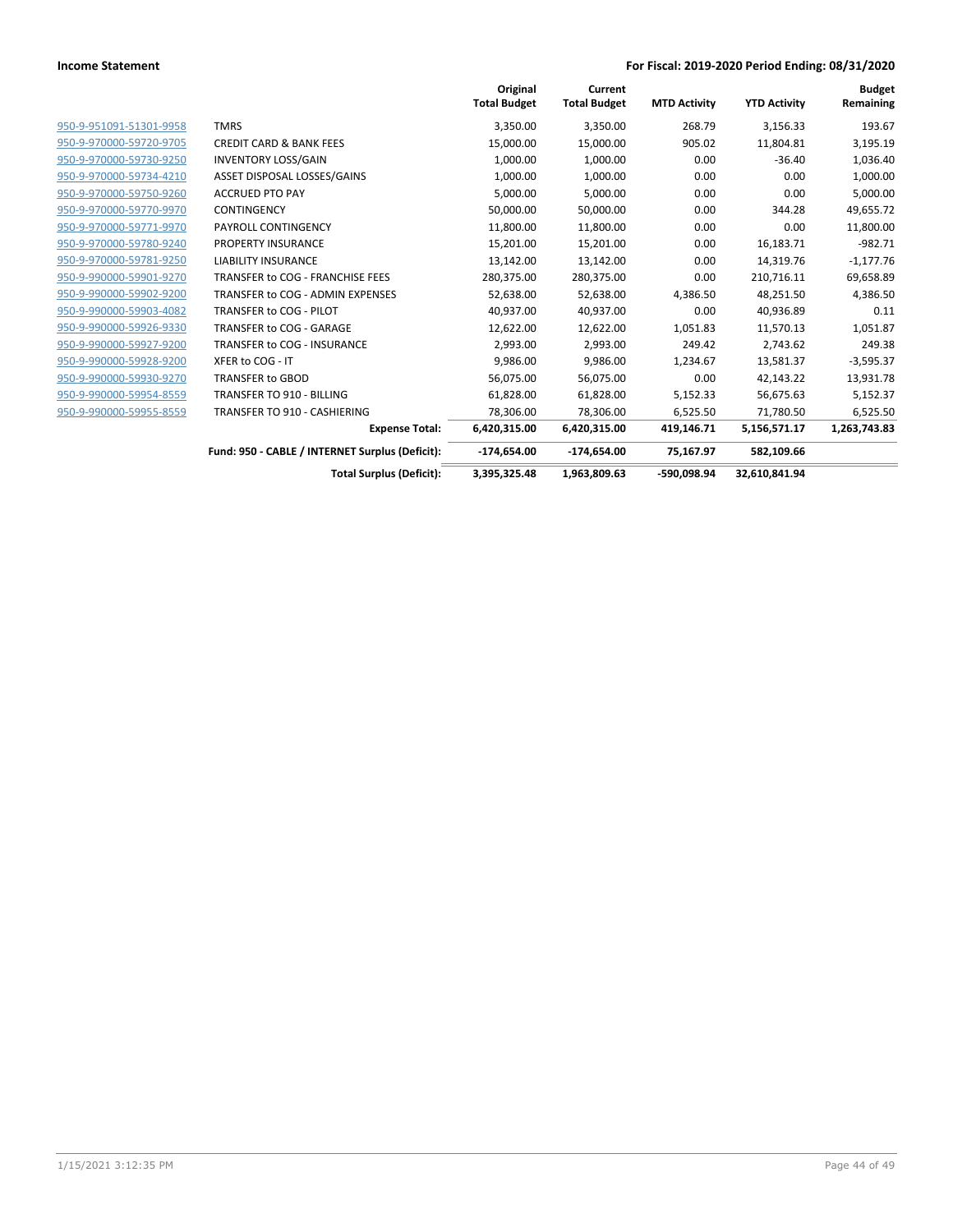|                         |                                                 | Original<br><b>Total Budget</b> | Current<br><b>Total Budget</b> | <b>MTD Activity</b> | <b>YTD Activity</b> | <b>Budget</b><br>Remaining |
|-------------------------|-------------------------------------------------|---------------------------------|--------------------------------|---------------------|---------------------|----------------------------|
| 950-9-951091-51301-9958 | <b>TMRS</b>                                     | 3,350.00                        | 3,350.00                       | 268.79              | 3,156.33            | 193.67                     |
| 950-9-970000-59720-9705 | <b>CREDIT CARD &amp; BANK FEES</b>              | 15,000.00                       | 15,000.00                      | 905.02              | 11,804.81           | 3,195.19                   |
| 950-9-970000-59730-9250 | <b>INVENTORY LOSS/GAIN</b>                      | 1,000.00                        | 1,000.00                       | 0.00                | $-36.40$            | 1,036.40                   |
| 950-9-970000-59734-4210 | ASSET DISPOSAL LOSSES/GAINS                     | 1,000.00                        | 1,000.00                       | 0.00                | 0.00                | 1,000.00                   |
| 950-9-970000-59750-9260 | <b>ACCRUED PTO PAY</b>                          | 5,000.00                        | 5,000.00                       | 0.00                | 0.00                | 5,000.00                   |
| 950-9-970000-59770-9970 | <b>CONTINGENCY</b>                              | 50,000.00                       | 50,000.00                      | 0.00                | 344.28              | 49,655.72                  |
| 950-9-970000-59771-9970 | PAYROLL CONTINGENCY                             | 11,800.00                       | 11,800.00                      | 0.00                | 0.00                | 11,800.00                  |
| 950-9-970000-59780-9240 | PROPERTY INSURANCE                              | 15,201.00                       | 15,201.00                      | 0.00                | 16,183.71           | $-982.71$                  |
| 950-9-970000-59781-9250 | <b>LIABILITY INSURANCE</b>                      | 13,142.00                       | 13,142.00                      | 0.00                | 14,319.76           | $-1,177.76$                |
| 950-9-990000-59901-9270 | TRANSFER to COG - FRANCHISE FEES                | 280,375.00                      | 280,375.00                     | 0.00                | 210,716.11          | 69,658.89                  |
| 950-9-990000-59902-9200 | TRANSFER to COG - ADMIN EXPENSES                | 52,638.00                       | 52,638.00                      | 4,386.50            | 48,251.50           | 4,386.50                   |
| 950-9-990000-59903-4082 | TRANSFER to COG - PILOT                         | 40,937.00                       | 40,937.00                      | 0.00                | 40,936.89           | 0.11                       |
| 950-9-990000-59926-9330 | TRANSFER to COG - GARAGE                        | 12,622.00                       | 12,622.00                      | 1,051.83            | 11,570.13           | 1,051.87                   |
| 950-9-990000-59927-9200 | TRANSFER to COG - INSURANCE                     | 2,993.00                        | 2,993.00                       | 249.42              | 2,743.62            | 249.38                     |
| 950-9-990000-59928-9200 | XFER to COG - IT                                | 9,986.00                        | 9,986.00                       | 1,234.67            | 13,581.37           | $-3,595.37$                |
| 950-9-990000-59930-9270 | <b>TRANSFER to GBOD</b>                         | 56,075.00                       | 56,075.00                      | 0.00                | 42,143.22           | 13,931.78                  |
| 950-9-990000-59954-8559 | <b>TRANSFER TO 910 - BILLING</b>                | 61,828.00                       | 61,828.00                      | 5,152.33            | 56,675.63           | 5,152.37                   |
| 950-9-990000-59955-8559 | TRANSFER TO 910 - CASHIERING                    | 78,306.00                       | 78,306.00                      | 6,525.50            | 71,780.50           | 6,525.50                   |
|                         | <b>Expense Total:</b>                           | 6,420,315.00                    | 6,420,315.00                   | 419,146.71          | 5,156,571.17        | 1,263,743.83               |
|                         | Fund: 950 - CABLE / INTERNET Surplus (Deficit): | $-174,654.00$                   | $-174,654.00$                  | 75,167.97           | 582,109.66          |                            |
|                         | <b>Total Surplus (Deficit):</b>                 | 3,395,325.48                    | 1,963,809.63                   | -590,098.94         | 32,610,841.94       |                            |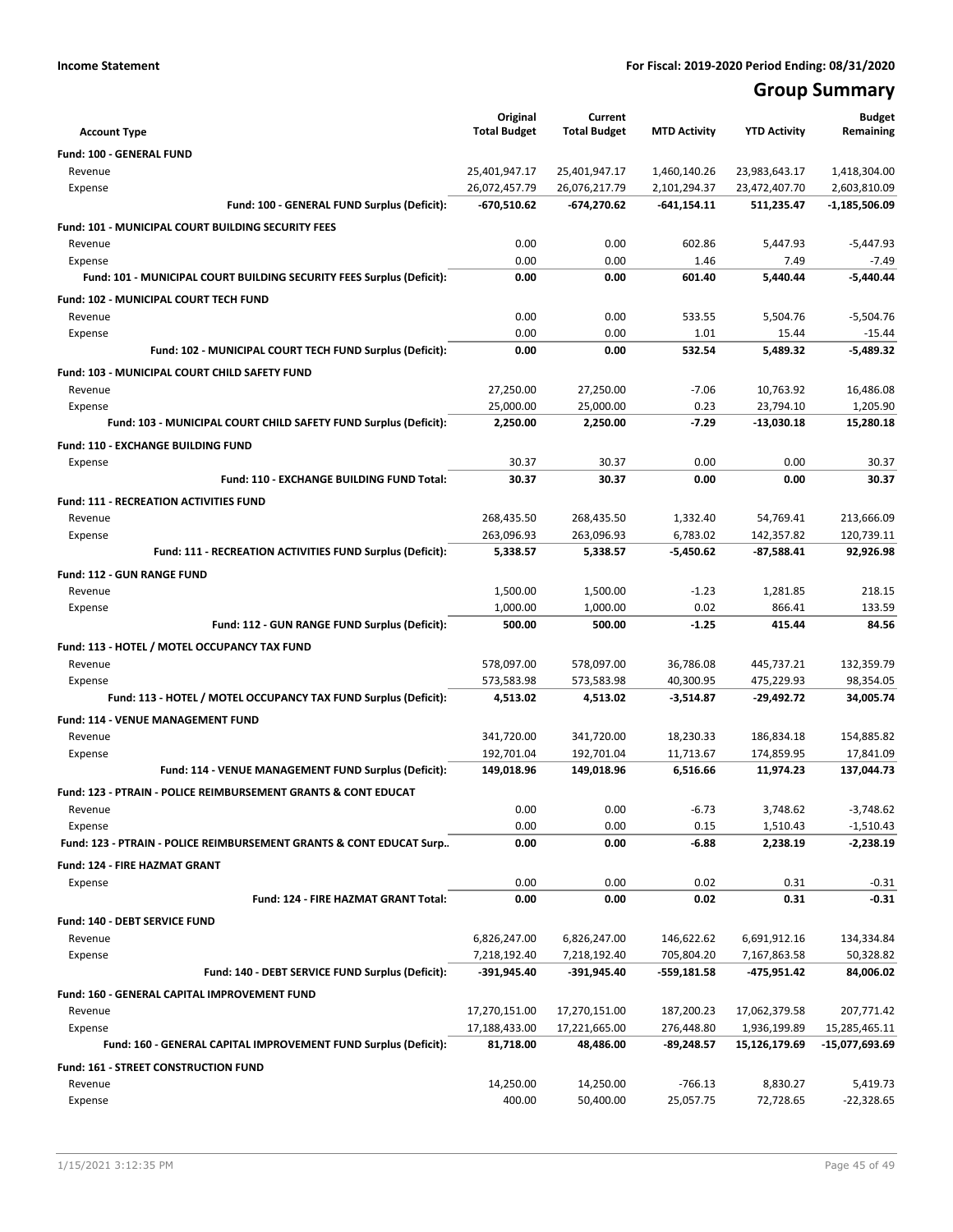## **Group Summary**

| <b>Account Type</b>                                                        | Original<br><b>Total Budget</b> | Current<br><b>Total Budget</b> | <b>MTD Activity</b>          | <b>YTD Activity</b>            | <b>Budget</b><br>Remaining   |
|----------------------------------------------------------------------------|---------------------------------|--------------------------------|------------------------------|--------------------------------|------------------------------|
|                                                                            |                                 |                                |                              |                                |                              |
| <b>Fund: 100 - GENERAL FUND</b>                                            |                                 |                                |                              |                                |                              |
| Revenue<br>Expense                                                         | 25,401,947.17<br>26,072,457.79  | 25,401,947.17<br>26,076,217.79 | 1,460,140.26<br>2,101,294.37 | 23,983,643.17<br>23,472,407.70 | 1,418,304.00<br>2,603,810.09 |
| Fund: 100 - GENERAL FUND Surplus (Deficit):                                | -670,510.62                     | $-674,270.62$                  | $-641,154.11$                | 511,235.47                     | -1,185,506.09                |
|                                                                            |                                 |                                |                              |                                |                              |
| <b>Fund: 101 - MUNICIPAL COURT BUILDING SECURITY FEES</b>                  |                                 |                                |                              |                                |                              |
| Revenue<br>Expense                                                         | 0.00<br>0.00                    | 0.00<br>0.00                   | 602.86<br>1.46               | 5,447.93<br>7.49               | $-5,447.93$<br>$-7.49$       |
| Fund: 101 - MUNICIPAL COURT BUILDING SECURITY FEES Surplus (Deficit):      | 0.00                            | 0.00                           | 601.40                       | 5,440.44                       | $-5,440.44$                  |
|                                                                            |                                 |                                |                              |                                |                              |
| <b>Fund: 102 - MUNICIPAL COURT TECH FUND</b><br>Revenue                    | 0.00                            | 0.00                           | 533.55                       |                                |                              |
| Expense                                                                    | 0.00                            | 0.00                           | 1.01                         | 5,504.76<br>15.44              | $-5,504.76$<br>$-15.44$      |
| Fund: 102 - MUNICIPAL COURT TECH FUND Surplus (Deficit):                   | 0.00                            | 0.00                           | 532.54                       | 5,489.32                       | $-5,489.32$                  |
|                                                                            |                                 |                                |                              |                                |                              |
| Fund: 103 - MUNICIPAL COURT CHILD SAFETY FUND<br>Revenue                   | 27,250.00                       | 27,250.00                      | $-7.06$                      | 10,763.92                      | 16,486.08                    |
| Expense                                                                    | 25,000.00                       | 25,000.00                      | 0.23                         | 23,794.10                      | 1,205.90                     |
| Fund: 103 - MUNICIPAL COURT CHILD SAFETY FUND Surplus (Deficit):           | 2,250.00                        | 2,250.00                       | $-7.29$                      | $-13,030.18$                   | 15,280.18                    |
|                                                                            |                                 |                                |                              |                                |                              |
| <b>Fund: 110 - EXCHANGE BUILDING FUND</b>                                  |                                 |                                |                              |                                |                              |
| Expense<br>Fund: 110 - EXCHANGE BUILDING FUND Total:                       | 30.37<br>30.37                  | 30.37<br>30.37                 | 0.00<br>0.00                 | 0.00<br>0.00                   | 30.37<br>30.37               |
|                                                                            |                                 |                                |                              |                                |                              |
| <b>Fund: 111 - RECREATION ACTIVITIES FUND</b>                              |                                 |                                |                              |                                |                              |
| Revenue                                                                    | 268,435.50                      | 268,435.50                     | 1,332.40                     | 54,769.41                      | 213,666.09                   |
| Expense<br>Fund: 111 - RECREATION ACTIVITIES FUND Surplus (Deficit):       | 263,096.93<br>5,338.57          | 263,096.93<br>5,338.57         | 6,783.02<br>$-5,450.62$      | 142,357.82<br>$-87,588.41$     | 120,739.11<br>92,926.98      |
|                                                                            |                                 |                                |                              |                                |                              |
| <b>Fund: 112 - GUN RANGE FUND</b>                                          |                                 |                                |                              |                                |                              |
| Revenue                                                                    | 1,500.00                        | 1,500.00                       | $-1.23$                      | 1,281.85                       | 218.15                       |
| Expense<br>Fund: 112 - GUN RANGE FUND Surplus (Deficit):                   | 1,000.00<br>500.00              | 1,000.00<br>500.00             | 0.02<br>$-1.25$              | 866.41<br>415.44               | 133.59<br>84.56              |
|                                                                            |                                 |                                |                              |                                |                              |
| Fund: 113 - HOTEL / MOTEL OCCUPANCY TAX FUND                               |                                 |                                |                              |                                |                              |
| Revenue                                                                    | 578,097.00                      | 578,097.00                     | 36,786.08                    | 445,737.21                     | 132,359.79                   |
| Expense<br>Fund: 113 - HOTEL / MOTEL OCCUPANCY TAX FUND Surplus (Deficit): | 573,583.98<br>4,513.02          | 573,583.98<br>4,513.02         | 40,300.95<br>$-3,514.87$     | 475,229.93<br>$-29,492.72$     | 98,354.05<br>34,005.74       |
|                                                                            |                                 |                                |                              |                                |                              |
| Fund: 114 - VENUE MANAGEMENT FUND                                          |                                 |                                |                              |                                |                              |
| Revenue                                                                    | 341,720.00                      | 341,720.00                     | 18,230.33                    | 186,834.18                     | 154,885.82                   |
| Expense<br>Fund: 114 - VENUE MANAGEMENT FUND Surplus (Deficit):            | 192,701.04<br>149,018.96        | 192,701.04<br>149,018.96       | 11,713.67<br>6,516.66        | 174,859.95<br>11,974.23        | 17,841.09<br>137,044.73      |
|                                                                            |                                 |                                |                              |                                |                              |
| <b>Fund: 123 - PTRAIN - POLICE REIMBURSEMENT GRANTS &amp; CONT EDUCAT</b>  |                                 |                                |                              |                                |                              |
| Revenue<br>Expense                                                         | 0.00<br>0.00                    | 0.00<br>0.00                   | $-6.73$<br>0.15              | 3,748.62<br>1,510.43           | $-3,748.62$<br>$-1,510.43$   |
| Fund: 123 - PTRAIN - POLICE REIMBURSEMENT GRANTS & CONT EDUCAT Surp        | 0.00                            | 0.00                           | $-6.88$                      | 2,238.19                       | $-2,238.19$                  |
|                                                                            |                                 |                                |                              |                                |                              |
| <b>Fund: 124 - FIRE HAZMAT GRANT</b>                                       |                                 |                                |                              |                                |                              |
| Expense<br>Fund: 124 - FIRE HAZMAT GRANT Total:                            | 0.00<br>0.00                    | 0.00<br>0.00                   | 0.02<br>0.02                 | 0.31<br>0.31                   | $-0.31$<br>$-0.31$           |
|                                                                            |                                 |                                |                              |                                |                              |
| Fund: 140 - DEBT SERVICE FUND                                              |                                 |                                |                              |                                |                              |
| Revenue                                                                    | 6,826,247.00                    | 6,826,247.00                   | 146,622.62                   | 6,691,912.16                   | 134,334.84                   |
| Expense<br>Fund: 140 - DEBT SERVICE FUND Surplus (Deficit):                | 7,218,192.40<br>-391,945.40     | 7,218,192.40<br>-391,945.40    | 705,804.20<br>-559,181.58    | 7,167,863.58<br>$-475,951.42$  | 50,328.82<br>84,006.02       |
|                                                                            |                                 |                                |                              |                                |                              |
| Fund: 160 - GENERAL CAPITAL IMPROVEMENT FUND                               |                                 |                                |                              |                                |                              |
| Revenue                                                                    | 17,270,151.00                   | 17,270,151.00                  | 187,200.23                   | 17,062,379.58                  | 207,771.42                   |
| Expense                                                                    | 17,188,433.00                   | 17,221,665.00                  | 276,448.80                   | 1,936,199.89                   | 15,285,465.11                |
| Fund: 160 - GENERAL CAPITAL IMPROVEMENT FUND Surplus (Deficit):            | 81,718.00                       | 48,486.00                      | -89,248.57                   | 15,126,179.69                  | -15,077,693.69               |
| Fund: 161 - STREET CONSTRUCTION FUND                                       |                                 |                                |                              |                                |                              |
| Revenue                                                                    | 14,250.00                       | 14,250.00                      | $-766.13$                    | 8,830.27                       | 5,419.73                     |
| Expense                                                                    | 400.00                          | 50,400.00                      | 25,057.75                    | 72,728.65                      | $-22,328.65$                 |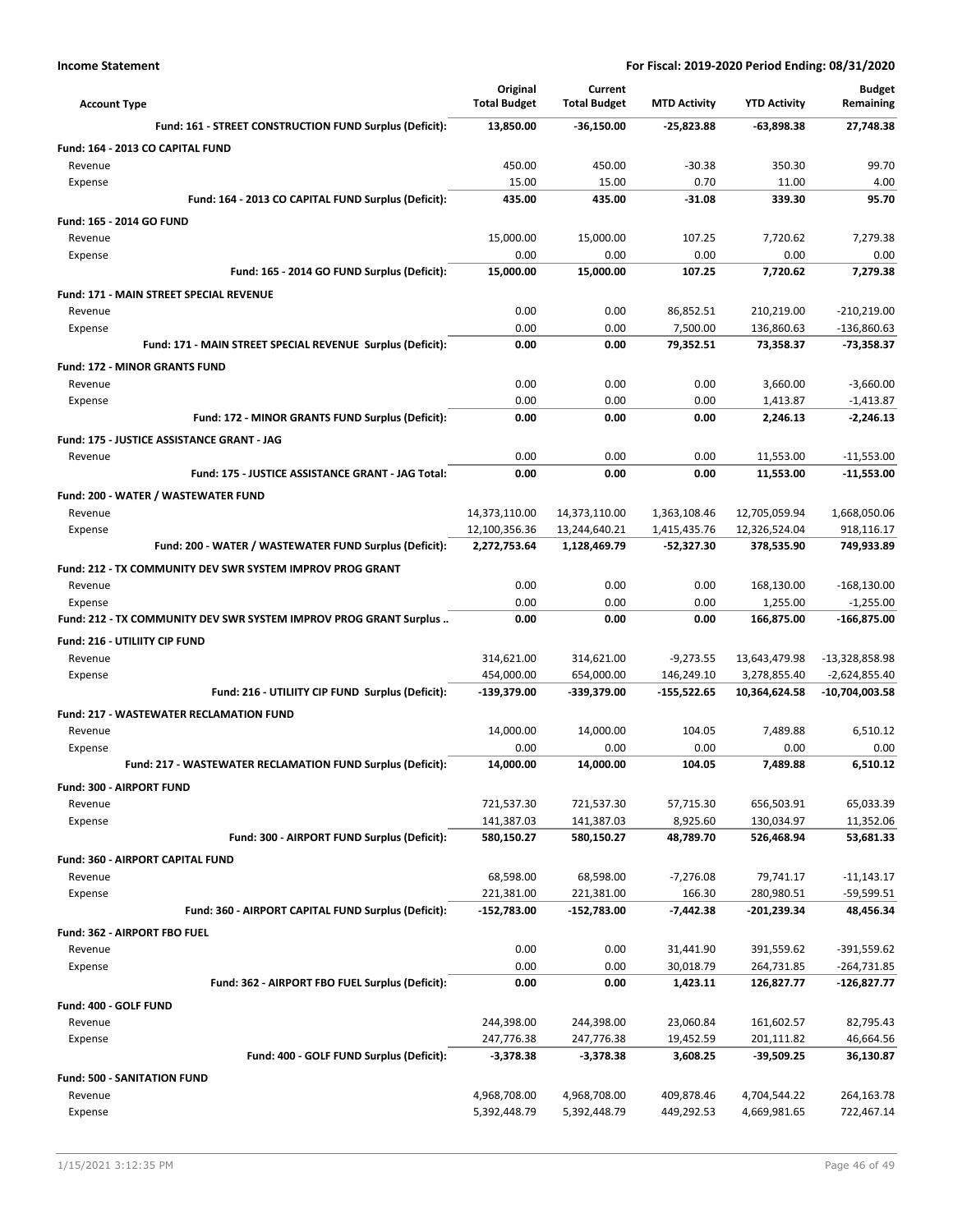| <b>Account Type</b>                                               | Original<br><b>Total Budget</b> | Current<br><b>Total Budget</b> | <b>MTD Activity</b>    | <b>YTD Activity</b>       | <b>Budget</b><br>Remaining |
|-------------------------------------------------------------------|---------------------------------|--------------------------------|------------------------|---------------------------|----------------------------|
| Fund: 161 - STREET CONSTRUCTION FUND Surplus (Deficit):           | 13,850.00                       | -36,150.00                     | $-25,823.88$           | -63,898.38                | 27,748.38                  |
| Fund: 164 - 2013 CO CAPITAL FUND                                  |                                 |                                |                        |                           |                            |
| Revenue                                                           | 450.00                          | 450.00                         | $-30.38$               | 350.30                    | 99.70                      |
| Expense                                                           | 15.00                           | 15.00                          | 0.70                   | 11.00                     | 4.00                       |
| Fund: 164 - 2013 CO CAPITAL FUND Surplus (Deficit):               | 435.00                          | 435.00                         | $-31.08$               | 339.30                    | 95.70                      |
| Fund: 165 - 2014 GO FUND                                          |                                 |                                |                        |                           |                            |
| Revenue                                                           | 15,000.00                       | 15,000.00                      | 107.25                 | 7,720.62                  | 7,279.38                   |
| Expense                                                           | 0.00                            | 0.00                           | 0.00                   | 0.00                      | 0.00                       |
| Fund: 165 - 2014 GO FUND Surplus (Deficit):                       | 15,000.00                       | 15,000.00                      | 107.25                 | 7,720.62                  | 7,279.38                   |
| Fund: 171 - MAIN STREET SPECIAL REVENUE                           |                                 |                                |                        |                           |                            |
| Revenue                                                           | 0.00                            | 0.00                           | 86,852.51              | 210,219.00                | $-210,219.00$              |
| Expense                                                           | 0.00                            | 0.00                           | 7,500.00               | 136,860.63                | $-136,860.63$              |
| Fund: 171 - MAIN STREET SPECIAL REVENUE Surplus (Deficit):        | 0.00                            | 0.00                           | 79,352.51              | 73,358.37                 | $-73,358.37$               |
| <b>Fund: 172 - MINOR GRANTS FUND</b>                              |                                 |                                |                        |                           |                            |
| Revenue                                                           | 0.00                            | 0.00                           | 0.00                   | 3,660.00                  | $-3,660.00$                |
| Expense                                                           | 0.00                            | 0.00                           | 0.00                   | 1,413.87                  | $-1,413.87$                |
| Fund: 172 - MINOR GRANTS FUND Surplus (Deficit):                  | 0.00                            | 0.00                           | 0.00                   | 2,246.13                  | $-2.246.13$                |
| Fund: 175 - JUSTICE ASSISTANCE GRANT - JAG                        |                                 |                                |                        |                           |                            |
| Revenue                                                           | 0.00                            | 0.00                           | 0.00                   | 11,553.00                 | $-11,553.00$               |
| Fund: 175 - JUSTICE ASSISTANCE GRANT - JAG Total:                 | 0.00                            | 0.00                           | 0.00                   | 11,553.00                 | $-11,553.00$               |
| Fund: 200 - WATER / WASTEWATER FUND                               |                                 |                                |                        |                           |                            |
| Revenue                                                           | 14,373,110.00                   | 14,373,110.00                  | 1,363,108.46           | 12,705,059.94             | 1,668,050.06               |
| Expense                                                           | 12,100,356.36                   | 13,244,640.21                  | 1,415,435.76           | 12,326,524.04             | 918,116.17                 |
| Fund: 200 - WATER / WASTEWATER FUND Surplus (Deficit):            | 2,272,753.64                    | 1,128,469.79                   | -52,327.30             | 378,535.90                | 749,933.89                 |
| Fund: 212 - TX COMMUNITY DEV SWR SYSTEM IMPROV PROG GRANT         |                                 |                                |                        |                           |                            |
| Revenue                                                           | 0.00                            | 0.00                           | 0.00                   | 168,130.00                | $-168,130.00$              |
| Expense                                                           | 0.00                            | 0.00                           | 0.00                   | 1,255.00                  | $-1,255.00$                |
| Fund: 212 - TX COMMUNITY DEV SWR SYSTEM IMPROV PROG GRANT Surplus | 0.00                            | 0.00                           | 0.00                   | 166,875.00                | -166,875.00                |
| Fund: 216 - UTILIITY CIP FUND                                     |                                 |                                |                        |                           |                            |
| Revenue                                                           | 314,621.00                      | 314,621.00                     | $-9,273.55$            | 13,643,479.98             | -13,328,858.98             |
| Expense                                                           | 454,000.00                      | 654,000.00                     | 146,249.10             | 3,278,855.40              | $-2,624,855.40$            |
| Fund: 216 - UTILIITY CIP FUND Surplus (Deficit):                  | -139,379.00                     | -339,379.00                    | -155,522.65            | 10,364,624.58             | -10,704,003.58             |
| <b>Fund: 217 - WASTEWATER RECLAMATION FUND</b>                    |                                 |                                |                        |                           |                            |
| Revenue                                                           | 14,000.00                       | 14,000.00                      | 104.05                 | 7,489.88                  | 6,510.12                   |
| Expense                                                           | 0.00                            | 0.00                           | 0.00                   | 0.00                      | 0.00                       |
| Fund: 217 - WASTEWATER RECLAMATION FUND Surplus (Deficit):        | 14,000.00                       | 14,000.00                      | 104.05                 | 7,489.88                  | 6.510.12                   |
| Fund: 300 - AIRPORT FUND                                          |                                 |                                |                        |                           |                            |
| Revenue                                                           | 721,537.30                      | 721,537.30                     | 57,715.30              | 656,503.91                | 65,033.39                  |
| Expense<br>Fund: 300 - AIRPORT FUND Surplus (Deficit):            | 141,387.03                      | 141,387.03<br>580,150.27       | 8,925.60               | 130,034.97                | 11,352.06                  |
|                                                                   | 580,150.27                      |                                | 48,789.70              | 526,468.94                | 53,681.33                  |
| <b>Fund: 360 - AIRPORT CAPITAL FUND</b>                           |                                 |                                |                        |                           |                            |
| Revenue                                                           | 68,598.00                       | 68,598.00                      | $-7,276.08$            | 79,741.17                 | $-11,143.17$               |
| Expense<br>Fund: 360 - AIRPORT CAPITAL FUND Surplus (Deficit):    | 221,381.00<br>-152,783.00       | 221,381.00<br>-152,783.00      | 166.30<br>$-7,442.38$  | 280,980.51<br>-201,239.34 | -59,599.51<br>48,456.34    |
|                                                                   |                                 |                                |                        |                           |                            |
| Fund: 362 - AIRPORT FBO FUEL                                      |                                 |                                |                        |                           |                            |
| Revenue<br>Expense                                                | 0.00<br>0.00                    | 0.00<br>0.00                   | 31,441.90<br>30,018.79 | 391,559.62<br>264,731.85  | -391,559.62<br>-264,731.85 |
| Fund: 362 - AIRPORT FBO FUEL Surplus (Deficit):                   | 0.00                            | 0.00                           | 1,423.11               | 126,827.77                | -126,827.77                |
|                                                                   |                                 |                                |                        |                           |                            |
| Fund: 400 - GOLF FUND                                             |                                 |                                |                        |                           |                            |
| Revenue                                                           | 244,398.00<br>247,776.38        | 244,398.00                     | 23,060.84<br>19,452.59 | 161,602.57<br>201,111.82  | 82,795.43<br>46,664.56     |
| Expense<br>Fund: 400 - GOLF FUND Surplus (Deficit):               | $-3,378.38$                     | 247,776.38<br>$-3,378.38$      | 3,608.25               | -39,509.25                | 36,130.87                  |
|                                                                   |                                 |                                |                        |                           |                            |
| <b>Fund: 500 - SANITATION FUND</b>                                |                                 |                                |                        |                           |                            |
| Revenue                                                           | 4,968,708.00                    | 4,968,708.00                   | 409,878.46             | 4,704,544.22              | 264,163.78                 |
| Expense                                                           | 5,392,448.79                    | 5,392,448.79                   | 449,292.53             | 4,669,981.65              | 722,467.14                 |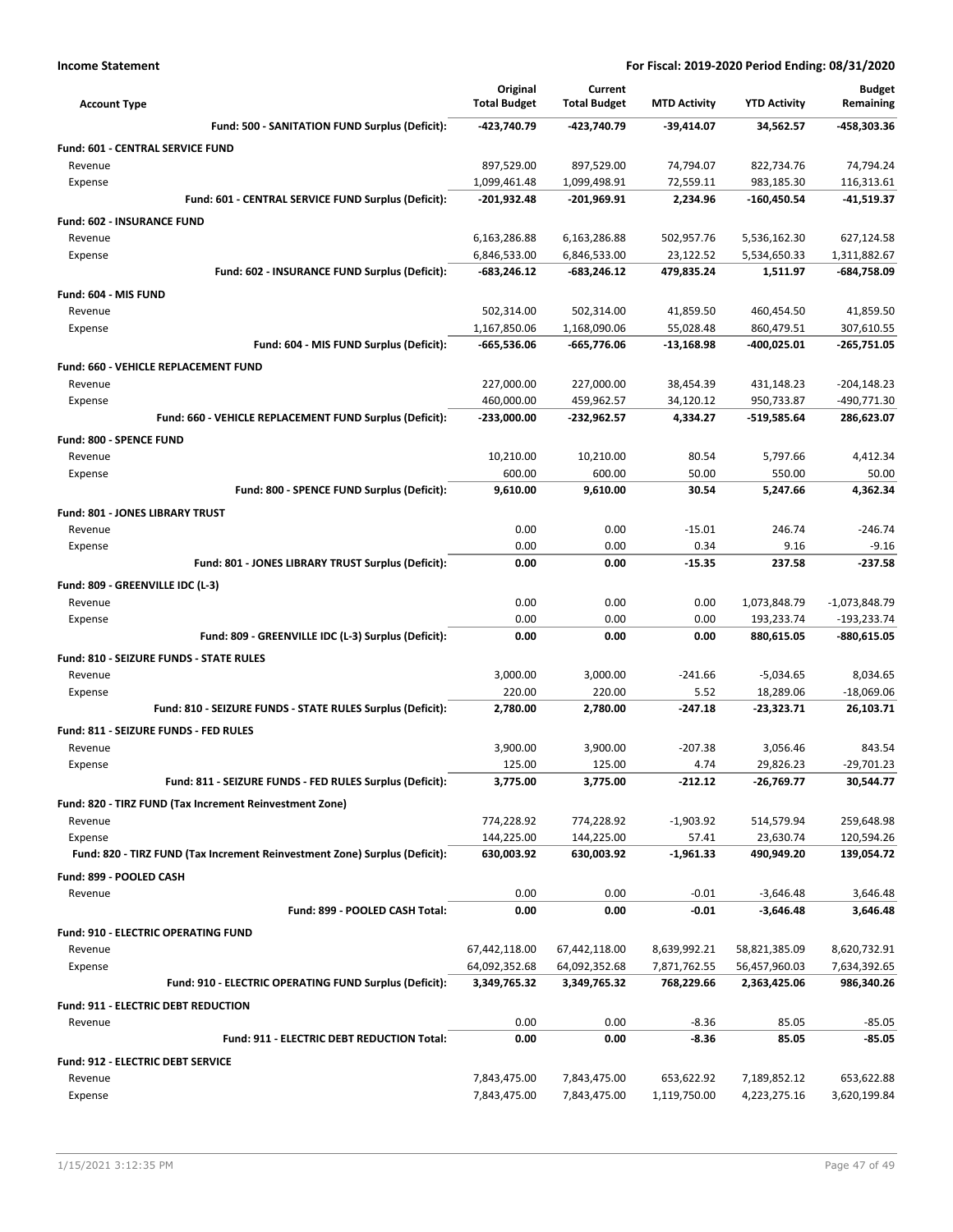| <b>Account Type</b>                                                        | Original<br><b>Total Budget</b> | Current<br><b>Total Budget</b> | <b>MTD Activity</b>   | <b>YTD Activity</b>       | <b>Budget</b><br>Remaining |
|----------------------------------------------------------------------------|---------------------------------|--------------------------------|-----------------------|---------------------------|----------------------------|
| Fund: 500 - SANITATION FUND Surplus (Deficit):                             | -423,740.79                     | -423,740.79                    | $-39,414.07$          | 34,562.57                 | -458,303.36                |
| <b>Fund: 601 - CENTRAL SERVICE FUND</b>                                    |                                 |                                |                       |                           |                            |
| Revenue                                                                    | 897,529.00                      | 897,529.00                     | 74,794.07             | 822,734.76                | 74,794.24                  |
| Expense                                                                    | 1,099,461.48                    | 1,099,498.91                   | 72,559.11             | 983,185.30                | 116,313.61                 |
| Fund: 601 - CENTRAL SERVICE FUND Surplus (Deficit):                        | -201,932.48                     | -201,969.91                    | 2,234.96              | $-160,450.54$             | -41,519.37                 |
| Fund: 602 - INSURANCE FUND                                                 |                                 |                                |                       |                           |                            |
| Revenue                                                                    | 6,163,286.88                    | 6,163,286.88                   | 502,957.76            | 5,536,162.30              | 627,124.58                 |
| Expense                                                                    | 6,846,533.00                    | 6,846,533.00                   | 23,122.52             | 5,534,650.33              | 1,311,882.67               |
| Fund: 602 - INSURANCE FUND Surplus (Deficit):                              | $-683,246.12$                   | $-683,246.12$                  | 479,835.24            | 1,511.97                  | -684,758.09                |
| Fund: 604 - MIS FUND                                                       |                                 |                                |                       |                           |                            |
| Revenue                                                                    | 502,314.00                      | 502,314.00                     | 41,859.50             | 460,454.50                | 41,859.50                  |
| Expense                                                                    | 1,167,850.06                    | 1,168,090.06                   | 55,028.48             | 860,479.51                | 307,610.55                 |
| Fund: 604 - MIS FUND Surplus (Deficit):                                    | -665,536.06                     | -665,776.06                    | $-13,168.98$          | -400,025.01               | -265,751.05                |
| <b>Fund: 660 - VEHICLE REPLACEMENT FUND</b>                                |                                 |                                |                       |                           |                            |
| Revenue                                                                    | 227,000.00                      | 227,000.00                     | 38,454.39             | 431,148.23                | $-204, 148.23$             |
| Expense<br>Fund: 660 - VEHICLE REPLACEMENT FUND Surplus (Deficit):         | 460,000.00<br>-233,000.00       | 459,962.57<br>-232,962.57      | 34,120.12<br>4,334.27 | 950,733.87<br>-519,585.64 | -490,771.30<br>286,623.07  |
|                                                                            |                                 |                                |                       |                           |                            |
| Fund: 800 - SPENCE FUND                                                    |                                 |                                |                       |                           |                            |
| Revenue<br>Expense                                                         | 10,210.00<br>600.00             | 10,210.00<br>600.00            | 80.54<br>50.00        | 5,797.66<br>550.00        | 4,412.34<br>50.00          |
| Fund: 800 - SPENCE FUND Surplus (Deficit):                                 | 9,610.00                        | 9,610.00                       | 30.54                 | 5,247.66                  | 4,362.34                   |
|                                                                            |                                 |                                |                       |                           |                            |
| Fund: 801 - JONES LIBRARY TRUST<br>Revenue                                 | 0.00                            | 0.00                           | $-15.01$              | 246.74                    | $-246.74$                  |
| Expense                                                                    | 0.00                            | 0.00                           | 0.34                  | 9.16                      | $-9.16$                    |
| Fund: 801 - JONES LIBRARY TRUST Surplus (Deficit):                         | 0.00                            | 0.00                           | $-15.35$              | 237.58                    | $-237.58$                  |
| Fund: 809 - GREENVILLE IDC (L-3)                                           |                                 |                                |                       |                           |                            |
| Revenue                                                                    | 0.00                            | 0.00                           | 0.00                  | 1,073,848.79              | $-1,073,848.79$            |
| Expense                                                                    | 0.00                            | 0.00                           | 0.00                  | 193,233.74                | $-193,233.74$              |
| Fund: 809 - GREENVILLE IDC (L-3) Surplus (Deficit):                        | 0.00                            | 0.00                           | 0.00                  | 880,615.05                | -880,615.05                |
| Fund: 810 - SEIZURE FUNDS - STATE RULES                                    |                                 |                                |                       |                           |                            |
| Revenue                                                                    | 3,000.00                        | 3,000.00                       | $-241.66$             | -5,034.65                 | 8,034.65                   |
| Expense                                                                    | 220.00                          | 220.00                         | 5.52                  | 18,289.06                 | $-18,069.06$               |
| Fund: 810 - SEIZURE FUNDS - STATE RULES Surplus (Deficit):                 | 2,780.00                        | 2,780.00                       | -247.18               | $-23,323.71$              | 26,103.71                  |
| Fund: 811 - SEIZURE FUNDS - FED RULES                                      |                                 |                                |                       |                           |                            |
| Revenue                                                                    | 3,900.00                        | 3,900.00                       | $-207.38$             | 3,056.46                  | 843.54                     |
| Expense                                                                    | 125.00                          | 125.00                         | 4.74                  | 29.826.23                 | $-29,701.23$               |
| Fund: 811 - SEIZURE FUNDS - FED RULES Surplus (Deficit):                   | 3,775.00                        | 3,775.00                       | -212.12               | -26,769.77                | 30,544.77                  |
| Fund: 820 - TIRZ FUND (Tax Increment Reinvestment Zone)                    |                                 |                                |                       |                           |                            |
| Revenue                                                                    | 774,228.92                      | 774,228.92                     | $-1,903.92$           | 514,579.94                | 259,648.98                 |
| Expense                                                                    | 144,225.00                      | 144,225.00                     | 57.41                 | 23,630.74                 | 120,594.26                 |
| Fund: 820 - TIRZ FUND (Tax Increment Reinvestment Zone) Surplus (Deficit): | 630,003.92                      | 630,003.92                     | $-1,961.33$           | 490,949.20                | 139,054.72                 |
| Fund: 899 - POOLED CASH                                                    |                                 |                                |                       |                           |                            |
| Revenue                                                                    | 0.00                            | 0.00                           | $-0.01$               | $-3,646.48$               | 3,646.48                   |
| Fund: 899 - POOLED CASH Total:                                             | 0.00                            | 0.00                           | $-0.01$               | $-3,646.48$               | 3,646.48                   |
| Fund: 910 - ELECTRIC OPERATING FUND                                        |                                 |                                |                       |                           |                            |
| Revenue                                                                    | 67,442,118.00                   | 67,442,118.00                  | 8,639,992.21          | 58,821,385.09             | 8,620,732.91               |
| Expense                                                                    | 64,092,352.68                   | 64,092,352.68                  | 7,871,762.55          | 56,457,960.03             | 7,634,392.65               |
| Fund: 910 - ELECTRIC OPERATING FUND Surplus (Deficit):                     | 3,349,765.32                    | 3,349,765.32                   | 768,229.66            | 2,363,425.06              | 986,340.26                 |
| Fund: 911 - ELECTRIC DEBT REDUCTION                                        |                                 |                                |                       |                           |                            |
| Revenue                                                                    | 0.00                            | 0.00                           | $-8.36$               | 85.05                     | $-85.05$                   |
| Fund: 911 - ELECTRIC DEBT REDUCTION Total:                                 | 0.00                            | 0.00                           | $-8.36$               | 85.05                     | $-85.05$                   |
| Fund: 912 - ELECTRIC DEBT SERVICE                                          |                                 |                                |                       |                           |                            |
| Revenue                                                                    | 7,843,475.00                    | 7,843,475.00                   | 653,622.92            | 7,189,852.12              | 653,622.88                 |
| Expense                                                                    | 7,843,475.00                    | 7,843,475.00                   | 1,119,750.00          | 4,223,275.16              | 3,620,199.84               |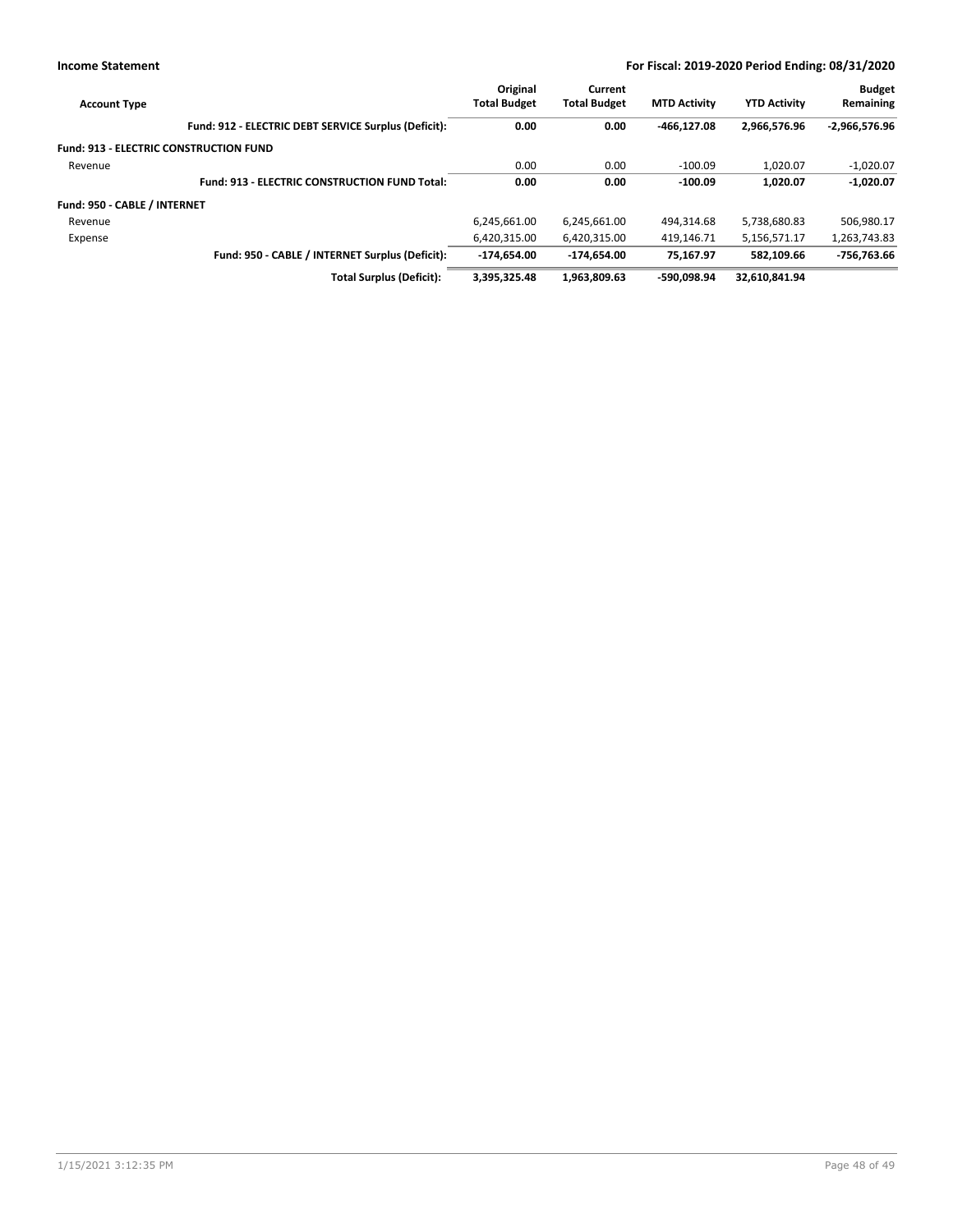| <b>Account Type</b>                           |                                                      | Original<br><b>Total Budget</b> | Current<br><b>Total Budget</b> | <b>MTD Activity</b> | <b>YTD Activity</b> | <b>Budget</b><br>Remaining |
|-----------------------------------------------|------------------------------------------------------|---------------------------------|--------------------------------|---------------------|---------------------|----------------------------|
|                                               | Fund: 912 - ELECTRIC DEBT SERVICE Surplus (Deficit): | 0.00                            | 0.00                           | $-466.127.08$       | 2.966.576.96        | $-2,966,576.96$            |
| <b>Fund: 913 - ELECTRIC CONSTRUCTION FUND</b> |                                                      |                                 |                                |                     |                     |                            |
| Revenue                                       |                                                      | 0.00                            | 0.00                           | $-100.09$           | 1.020.07            | $-1.020.07$                |
|                                               | <b>Fund: 913 - ELECTRIC CONSTRUCTION FUND Total:</b> | 0.00                            | 0.00                           | $-100.09$           | 1,020.07            | $-1,020.07$                |
| Fund: 950 - CABLE / INTERNET                  |                                                      |                                 |                                |                     |                     |                            |
| Revenue                                       |                                                      | 6,245,661.00                    | 6,245,661.00                   | 494.314.68          | 5,738,680.83        | 506,980.17                 |
| Expense                                       |                                                      | 6.420.315.00                    | 6,420,315.00                   | 419.146.71          | 5,156,571.17        | 1,263,743.83               |
|                                               | Fund: 950 - CABLE / INTERNET Surplus (Deficit):      | $-174.654.00$                   | -174.654.00                    | 75.167.97           | 582.109.66          | -756,763.66                |
|                                               | <b>Total Surplus (Deficit):</b>                      | 3.395.325.48                    | 1.963.809.63                   | -590.098.94         | 32.610.841.94       |                            |